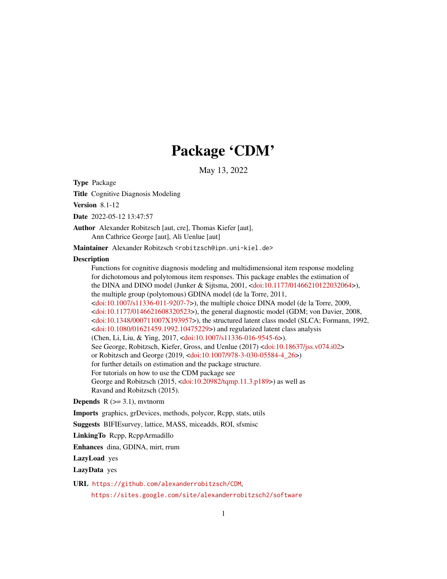# Package 'CDM'

May 13, 2022

<span id="page-0-0"></span>Type Package

Title Cognitive Diagnosis Modeling

Version 8.1-12

Date 2022-05-12 13:47:57

Author Alexander Robitzsch [aut, cre], Thomas Kiefer [aut], Ann Cathrice George [aut], Ali Uenlue [aut]

Maintainer Alexander Robitzsch <robitzsch@ipn.uni-kiel.de>

## **Description**

Functions for cognitive diagnosis modeling and multidimensional item response modeling for dichotomous and polytomous item responses. This package enables the estimation of the DINA and DINO model (Junker & Sijtsma, 2001, [<doi:10.1177/01466210122032064>](https://doi.org/10.1177/01466210122032064)), the multiple group (polytomous) GDINA model (de la Torre, 2011,  $\alpha$ doi:10.1007/s11336-011-9207-7>), the multiple choice DINA model (de la Torre, 2009,  $\alpha$ doi:10.1177/0146621608320523>), the general diagnostic model (GDM; von Davier, 2008, [<doi:10.1348/000711007X193957>](https://doi.org/10.1348/000711007X193957)), the structured latent class model (SLCA; Formann, 1992, [<doi:10.1080/01621459.1992.10475229>](https://doi.org/10.1080/01621459.1992.10475229)) and regularized latent class analysis (Chen, Li, Liu, & Ying, 2017, [<doi:10.1007/s11336-016-9545-6>](https://doi.org/10.1007/s11336-016-9545-6)). See George, Robitzsch, Kiefer, Gross, and Uenlue (2017) [<doi:10.18637/jss.v074.i02>](https://doi.org/10.18637/jss.v074.i02) or Robitzsch and George (2019, [<doi:10.1007/978-3-030-05584-4\\_26>](https://doi.org/10.1007/978-3-030-05584-4_26)) for further details on estimation and the package structure. For tutorials on how to use the CDM package see George and Robitzsch (2015, [<doi:10.20982/tqmp.11.3.p189>](https://doi.org/10.20982/tqmp.11.3.p189)) as well as Ravand and Robitzsch (2015).

**Depends**  $R$  ( $>= 3.1$ ), mythorm

Imports graphics, grDevices, methods, polycor, Rcpp, stats, utils

Suggests BIFIEsurvey, lattice, MASS, miceadds, ROI, sfsmisc

LinkingTo Rcpp, RcppArmadillo

Enhances dina, GDINA, mirt, rrum

LazyLoad yes

LazyData yes

URL <https://github.com/alexanderrobitzsch/CDM>,

<https://sites.google.com/site/alexanderrobitzsch2/software>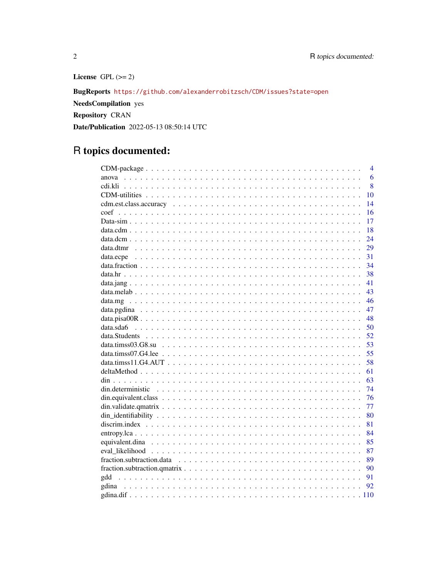License GPL  $(>= 2)$ 

BugReports https://github.com/alexanderrobitzsch/CDM/issues?state=open

**NeedsCompilation** yes

Repository CRAN

Date/Publication 2022-05-13 08:50:14 UTC

# R topics documented:

| $\overline{\mathcal{A}}$ |
|--------------------------|
| 6<br>anova               |
| 8                        |
| 10                       |
| 14                       |
| 16                       |
| 17                       |
| 18                       |
| 24                       |
| 29                       |
| 31                       |
| 34                       |
| 38                       |
| 41                       |
| 43                       |
| 46                       |
| 47                       |
| 48                       |
| 50                       |
| 52                       |
| 53                       |
| 55                       |
| 58                       |
| 61                       |
| 63                       |
| 74                       |
| 76                       |
| 77                       |
| 80                       |
| 81                       |
| 84                       |
| 85                       |
| 87                       |
| 89                       |
| 90                       |
| 91                       |
| 92                       |
|                          |

 $\overline{2}$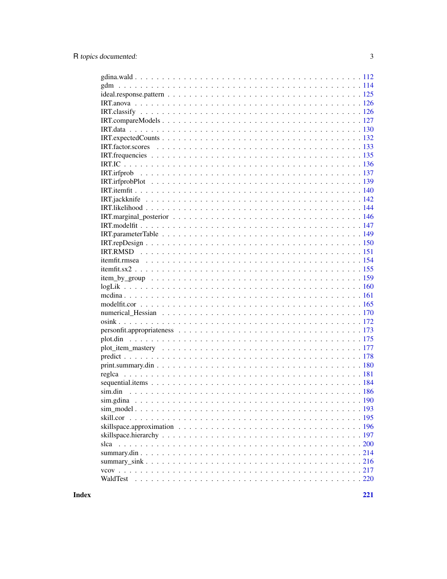| WaldTest |
|----------|
|          |

**Index**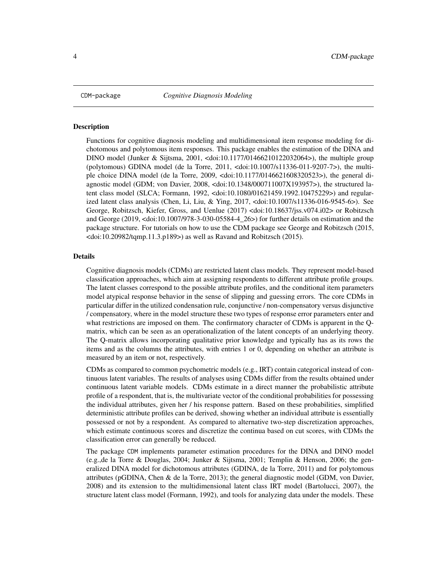<span id="page-3-0"></span>

#### Description

Functions for cognitive diagnosis modeling and multidimensional item response modeling for dichotomous and polytomous item responses. This package enables the estimation of the DINA and DINO model (Junker & Sijtsma, 2001, <doi:10.1177/01466210122032064>), the multiple group (polytomous) GDINA model (de la Torre, 2011, <doi:10.1007/s11336-011-9207-7>), the multiple choice DINA model (de la Torre, 2009, <doi:10.1177/0146621608320523>), the general diagnostic model (GDM; von Davier, 2008, <doi:10.1348/000711007X193957>), the structured latent class model (SLCA; Formann, 1992, <doi:10.1080/01621459.1992.10475229>) and regularized latent class analysis (Chen, Li, Liu, & Ying, 2017, <doi:10.1007/s11336-016-9545-6>). See George, Robitzsch, Kiefer, Gross, and Uenlue (2017) <doi:10.18637/jss.v074.i02> or Robitzsch and George (2019, <doi:10.1007/978-3-030-05584-4\_26>) for further details on estimation and the package structure. For tutorials on how to use the CDM package see George and Robitzsch (2015, <doi:10.20982/tqmp.11.3.p189>) as well as Ravand and Robitzsch (2015).

## Details

Cognitive diagnosis models (CDMs) are restricted latent class models. They represent model-based classification approaches, which aim at assigning respondents to different attribute profile groups. The latent classes correspond to the possible attribute profiles, and the conditional item parameters model atypical response behavior in the sense of slipping and guessing errors. The core CDMs in particular differ in the utilized condensation rule, conjunctive / non-compensatory versus disjunctive / compensatory, where in the model structure these two types of response error parameters enter and what restrictions are imposed on them. The confirmatory character of CDMs is apparent in the Qmatrix, which can be seen as an operationalization of the latent concepts of an underlying theory. The Q-matrix allows incorporating qualitative prior knowledge and typically has as its rows the items and as the columns the attributes, with entries 1 or 0, depending on whether an attribute is measured by an item or not, respectively.

CDMs as compared to common psychometric models (e.g., IRT) contain categorical instead of continuous latent variables. The results of analyses using CDMs differ from the results obtained under continuous latent variable models. CDMs estimate in a direct manner the probabilistic attribute profile of a respondent, that is, the multivariate vector of the conditional probabilities for possessing the individual attributes, given her / his response pattern. Based on these probabilities, simplified deterministic attribute profiles can be derived, showing whether an individual attribute is essentially possessed or not by a respondent. As compared to alternative two-step discretization approaches, which estimate continuous scores and discretize the continua based on cut scores, with CDMs the classification error can generally be reduced.

The package CDM implements parameter estimation procedures for the DINA and DINO model (e.g.,de la Torre & Douglas, 2004; Junker & Sijtsma, 2001; Templin & Henson, 2006; the generalized DINA model for dichotomous attributes (GDINA, de la Torre, 2011) and for polytomous attributes (pGDINA, Chen & de la Torre, 2013); the general diagnostic model (GDM, von Davier, 2008) and its extension to the multidimensional latent class IRT model (Bartolucci, 2007), the structure latent class model (Formann, 1992), and tools for analyzing data under the models. These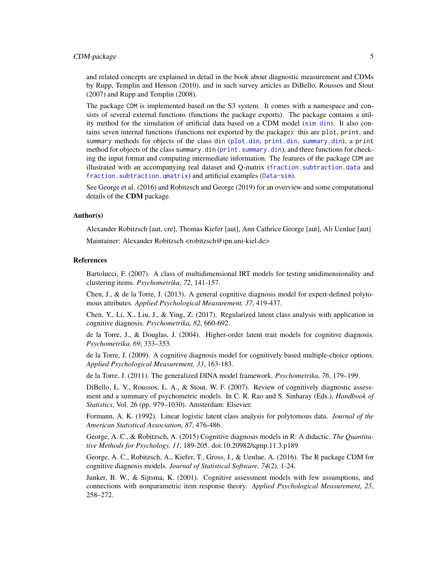# CDM-package 5

and related concepts are explained in detail in the book about diagnostic measurement and CDMs by Rupp, Templin and Henson (2010), and in such survey articles as DiBello, Roussos and Stout (2007) and Rupp and Templin (2008).

The package CDM is implemented based on the S3 system. It comes with a namespace and consists of several external functions (functions the package exports). The package contains a utility method for the simulation of artificial data based on a CDM model ([sim.din](#page-185-1)). It also contains seven internal functions (functions not exported by the package): this are plot, print, and summary methods for objects of the class din ([plot.din](#page-174-1), [print.din](#page-62-1), [summary.din](#page-213-1)), a print method for objects of the class summary.din (print. summary.din), and three functions for checking the input format and computing intermediate information. The features of the package CDM are illustrated with an accompanying real dataset and Q-matrix ([fraction.subtraction.data](#page-88-1) and [fraction.subtraction.qmatrix](#page-89-1)) and artificial examples ([Data-sim](#page-16-1)).

See George et al. (2016) and Robitzsch and George (2019) for an overview and some computational details of the CDM package.

#### Author(s)

Alexander Robitzsch [aut, cre], Thomas Kiefer [aut], Ann Cathrice George [aut], Ali Uenlue [aut]

Maintainer: Alexander Robitzsch <robitzsch@ipn.uni-kiel.de>

## References

Bartolucci, F. (2007). A class of multidimensional IRT models for testing unidimensionality and clustering items. *Psychometrika, 72*, 141-157.

Chen, J., & de la Torre, J. (2013). A general cognitive diagnosis model for expert-defined polytomous attributes. *Applied Psychological Measurement, 37*, 419-437.

Chen, Y., Li, X., Liu, J., & Ying, Z. (2017). Regularized latent class analysis with application in cognitive diagnosis. *Psychometrika, 82*, 660-692.

de la Torre, J., & Douglas, J. (2004). Higher-order latent trait models for cognitive diagnosis. *Psychometrika, 69*, 333–353.

de la Torre, J. (2009). A cognitive diagnosis model for cognitively based multiple-choice options. *Applied Psychological Measurement, 33*, 163-183.

de la Torre, J. (2011). The generalized DINA model framework. *Psychometrika, 76*, 179–199.

DiBello, L. V., Roussos, L. A., & Stout, W. F. (2007). Review of cognitively diagnostic assessment and a summary of psychometric models. In C. R. Rao and S. Sinharay (Eds.), *Handbook of Statistics*, Vol. 26 (pp. 979–1030). Amsterdam: Elsevier.

Formann, A. K. (1992). Linear logistic latent class analysis for polytomous data. *Journal of the American Statistical Association, 87*, 476-486.

George, A. C., & Robitzsch, A. (2015) Cognitive diagnosis models in R: A didactic. *The Quantitative Methods for Psychology, 11*, 189-205. doi:10.20982/tqmp.11.3.p189

George, A. C., Robitzsch, A., Kiefer, T., Gross, J., & Uenlue, A. (2016). The R package CDM for cognitive diagnosis models. *Journal of Statistical Software, 74*(2), 1-24.

Junker, B. W., & Sijtsma, K. (2001). Cognitive assessment models with few assumptions, and connections with nonparametric item response theory. *Applied Psychological Measurement, 25*, 258–272.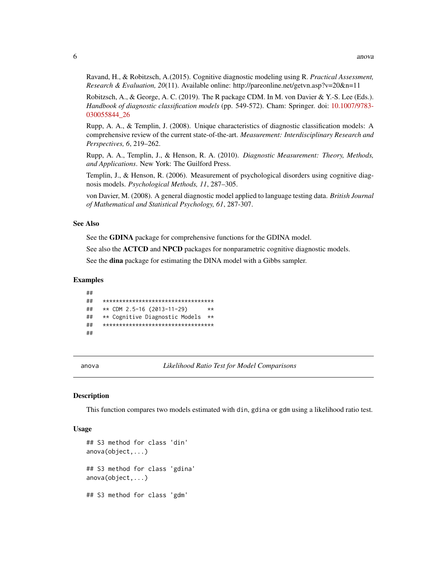<span id="page-5-0"></span>Ravand, H., & Robitzsch, A.(2015). Cognitive diagnostic modeling using R. Practical Assessment, *Research & Evaluation, 20(11).* Available online: http://pareonline.net/getvn.asp?v=20&n=11

Robitzsch, A., & George, A. C. (2019). The R package CDM. In M. von Davier & Y.-S. Lee (Eds.). Handbook of diagnostic classification models (pp. 549-572). Cham: Springer, doi: 10.1007/9783-030055844 26

Rupp, A. A., & Templin, J. (2008). Unique characteristics of diagnostic classification models: A comprehensive review of the current state-of-the-art. Measurement: Interdisciplinary Research and Perspectives, 6, 219-262.

Rupp, A. A., Templin, J., & Henson, R. A. (2010). Diagnostic Measurement: Theory, Methods, and Applications. New York: The Guilford Press.

Templin, J., & Henson, R. (2006). Measurement of psychological disorders using cognitive diagnosis models. Psychological Methods, 11, 287-305.

von Davier, M. (2008). A general diagnostic model applied to language testing data. British Journal of Mathematical and Statistical Psychology, 61, 287-307.

## **See Also**

See the GDINA package for comprehensive functions for the GDINA model.

See also the **ACTCD** and **NPCD** packages for nonparametric cognitive diagnostic models.

See the dina package for estimating the DINA model with a Gibbs sampler.

#### **Examples**

```
\# \#\# \#************************************
##
    ** CDM 2.5-16 (2013-11-29)
                                      **##** Cognitive Diagnostic Models **
     ***********************************
##
##
```
<span id="page-5-1"></span>anova

Likelihood Ratio Test for Model Comparisons

## **Description**

This function compares two models estimated with din, gdina or gdm using a likelihood ratio test.

#### **Usage**

```
## S3 method for class 'din'
anova(object, \ldots)## S3 method for class 'gdina'
anova(object, ...)## S3 method for class 'gdm'
```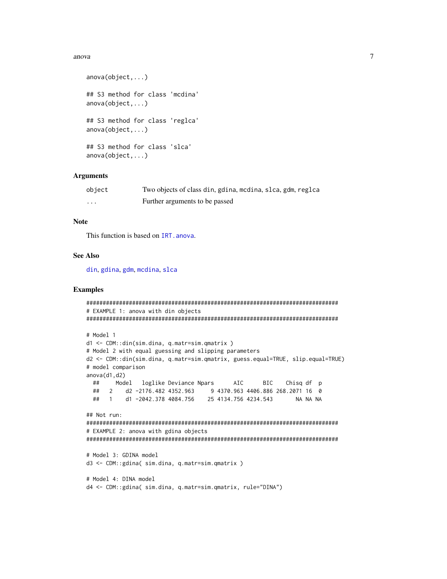## anova

```
anova(object, ...)## S3 method for class 'mcdina'
anova(object, \ldots)## S3 method for class 'reglca'
anova(object, \ldots)## S3 method for class 'slca'
anova(object, \ldots)
```
## **Arguments**

| object  | Two objects of class din, gdina, modina, slca, gdm, reglca |
|---------|------------------------------------------------------------|
| $\cdot$ | Further arguments to be passed                             |

# **Note**

This function is based on IRT. anova.

## **See Also**

din, gdina, gdm, mcdina, slca

## **Examples**

```
# EXAMPLE 1: anova with din objects
# Model 1
d1 <- CDM::din(sim.dina, q.matr=sim.qmatrix)
# Model 2 with equal guessing and slipping parameters
d2 <- CDM::din(sim.dina, q.matr=sim.qmatrix, guess.equal=TRUE, slip.equal=TRUE)
# model comparison
anova(d1, d2)##Model
          loglike Deviance Npars
                             AIC
                                   BIC
                                       Chisq df p
 ## 2 d2 -2176.482 4352.963 9 4370.963 4406.886 268.2071 16 0
 ## 1 d1-2042.378 4084.756 25 4134.756 4234.543
                                         NA NA NA
## Not run:
# EXAMPLE 2: anova with gdina objects
# Model 3: GDINA model
d3 <- CDM::gdina( sim.dina, q.matr=sim.qmatrix )
# Model 4: DINA model
d4 <- CDM::gdina( sim.dina, q.matr=sim.qmatrix, rule="DINA")
```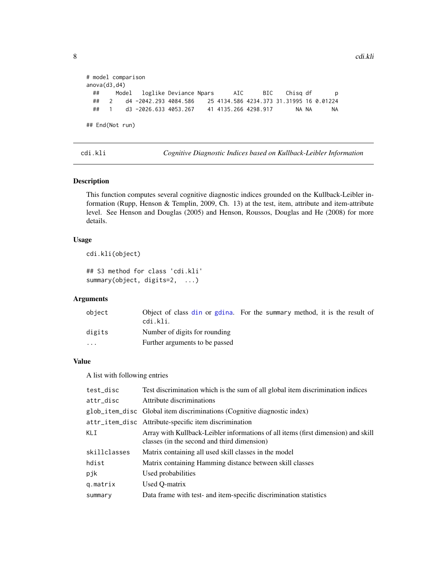```
# model comparison
anova(d3,d4)
 ## Model loglike Deviance Npars AIC BIC Chisq df p
     ## 2 d4 -2042.293 4084.586 25 4134.586 4234.373 31.31995 16 0.01224
 ## 1 d3 -2026.633 4053.267 41 4135.266 4298.917 NA NA NA
## End(Not run)
```
<span id="page-7-1"></span>cdi.kli *Cognitive Diagnostic Indices based on Kullback-Leibler Information*

## Description

This function computes several cognitive diagnostic indices grounded on the Kullback-Leibler information (Rupp, Henson & Templin, 2009, Ch. 13) at the test, item, attribute and item-attribute level. See Henson and Douglas (2005) and Henson, Roussos, Douglas and He (2008) for more details.

## Usage

```
cdi.kli(object)
## S3 method for class 'cdi.kli'
summary(object, digits=2, ...)
```
# Arguments

| object   | Object of class din or gdina. For the summary method, it is the result of<br>cdi.kli. |  |  |
|----------|---------------------------------------------------------------------------------------|--|--|
| digits   | Number of digits for rounding                                                         |  |  |
| $\cdots$ | Further arguments to be passed                                                        |  |  |

# Value

A list with following entries

| test_disc    | Test discrimination which is the sum of all global item discrimination indices                                                   |
|--------------|----------------------------------------------------------------------------------------------------------------------------------|
| attr_disc    | Attribute discriminations                                                                                                        |
|              | glob_item_disc Global item discriminations (Cognitive diagnostic index)                                                          |
|              | attr_item_disc Attribute-specific item discrimination                                                                            |
| KLI          | Array with Kullback-Leibler informations of all items (first dimension) and skill<br>classes (in the second and third dimension) |
| skillclasses | Matrix containing all used skill classes in the model                                                                            |
| hdist        | Matrix containing Hamming distance between skill classes                                                                         |
| pjk          | Used probabilities                                                                                                               |
| g.matrix     | Used Q-matrix                                                                                                                    |
| summary      | Data frame with test- and item-specific discrimination statistics                                                                |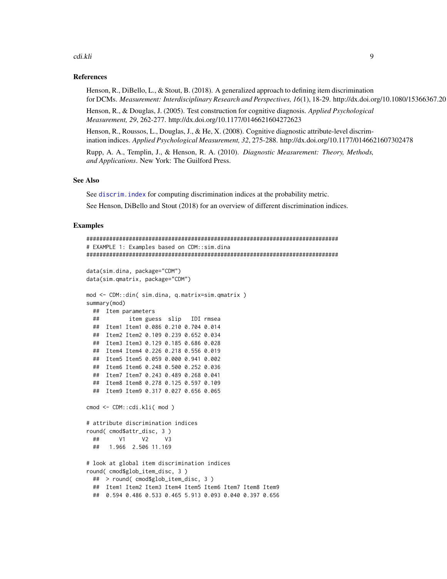#### cdi.kli 99 years and the contract of the contract of the contract of the contract of the contract of the contract of the contract of the contract of the contract of the contract of the contract of the contract of the contr

## References

Henson, R., DiBello, L., & Stout, B. (2018). A generalized approach to defining item discrimination for DCMs. Measurement: Interdisciplinary Research and Perspectives, 16(1), 18-29. http://dx.doi.org/10.1080/15366367.20

Henson, R., & Douglas, J. (2005). Test construction for cognitive diagnosis. *Applied Psychological Measurement, 29*, 262-277. http://dx.doi.org/10.1177/0146621604272623

Henson, R., Roussos, L., Douglas, J., & He, X. (2008). Cognitive diagnostic attribute-level discrimination indices. *Applied Psychological Measurement, 32*, 275-288. http://dx.doi.org/10.1177/0146621607302478

Rupp, A. A., Templin, J., & Henson, R. A. (2010). *Diagnostic Measurement: Theory, Methods, and Applications*. New York: The Guilford Press.

# See Also

See discrim. index for computing discrimination indices at the probability metric.

See Henson, DiBello and Stout (2018) for an overview of different discrimination indices.

## Examples

```
#############################################################################
# EXAMPLE 1: Examples based on CDM::sim.dina
#############################################################################
data(sim.dina, package="CDM")
data(sim.qmatrix, package="CDM")
mod <- CDM::din( sim.dina, q.matrix=sim.qmatrix )
summary(mod)
 ## Item parameters
 ## item guess slip IDI rmsea
 ## Item1 Item1 0.086 0.210 0.704 0.014
 ## Item2 Item2 0.109 0.239 0.652 0.034
 ## Item3 Item3 0.129 0.185 0.686 0.028
 ## Item4 Item4 0.226 0.218 0.556 0.019
 ## Item5 Item5 0.059 0.000 0.941 0.002
 ## Item6 Item6 0.248 0.500 0.252 0.036
 ## Item7 Item7 0.243 0.489 0.268 0.041
 ## Item8 Item8 0.278 0.125 0.597 0.109
 ## Item9 Item9 0.317 0.027 0.656 0.065
cmod <- CDM::cdi.kli( mod )
# attribute discrimination indices
round( cmod$attr_disc, 3 )
 ## V1 V2 V3
 ## 1.966 2.506 11.169
# look at global item discrimination indices
round( cmod$glob_item_disc, 3 )
 ## > round( cmod$glob_item_disc, 3 )
 ## Item1 Item2 Item3 Item4 Item5 Item6 Item7 Item8 Item9
 ## 0.594 0.486 0.533 0.465 5.913 0.093 0.040 0.397 0.656
```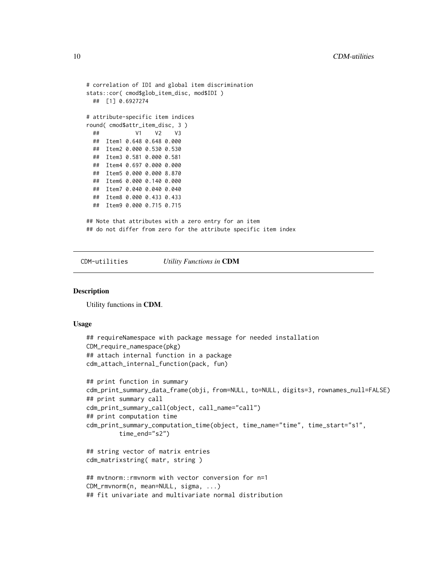```
# correlation of IDI and global item discrimination
stats::cor( cmod$glob_item_disc, mod$IDI )
 ## [1] 0.6927274
# attribute-specific item indices
round( cmod$attr_item_disc, 3 )
 ## V1 V2 V3
 ## Item1 0.648 0.648 0.000
 ## Item2 0.000 0.530 0.530
 ## Item3 0.581 0.000 0.581
 ## Item4 0.697 0.000 0.000
 ## Item5 0.000 0.000 8.870
 ## Item6 0.000 0.140 0.000
 ## Item7 0.040 0.040 0.040
 ## Item8 0.000 0.433 0.433
 ## Item9 0.000 0.715 0.715
## Note that attributes with a zero entry for an item
## do not differ from zero for the attribute specific item index
```
CDM-utilities *Utility Functions in* CDM

#### **Description**

Utility functions in CDM.

#### Usage

```
## requireNamespace with package message for needed installation
CDM_require_namespace(pkg)
## attach internal function in a package
cdm_attach_internal_function(pack, fun)
## print function in summary
cdm_print_summary_data_frame(obji, from=NULL, to=NULL, digits=3, rownames_null=FALSE)
## print summary call
cdm_print_summary_call(object, call_name="call")
## print computation time
cdm_print_summary_computation_time(object, time_name="time", time_start="s1",
         time_end="s2")
## string vector of matrix entries
cdm_matrixstring( matr, string )
## mvtnorm::rmvnorm with vector conversion for n=1
CDM_rmvnorm(n, mean=NULL, sigma, ...)
## fit univariate and multivariate normal distribution
```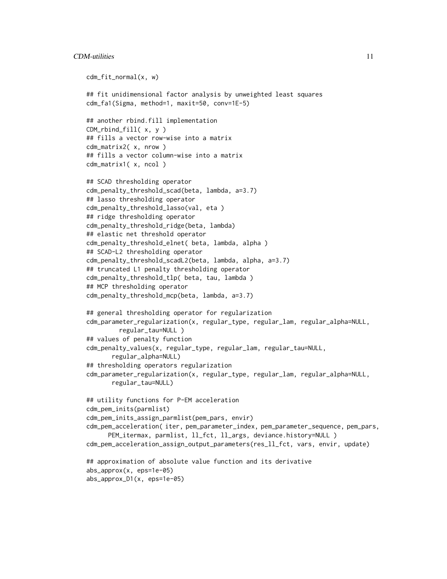# $CDM$ -utilities  $11$

```
cdm_fit_normal(x, w)
## fit unidimensional factor analysis by unweighted least squares
cdm_fa1(Sigma, method=1, maxit=50, conv=1E-5)
## another rbind.fill implementation
CDM_rbind_fill( x, y )
## fills a vector row-wise into a matrix
cdm_matrix2( x, nrow )
## fills a vector column-wise into a matrix
cdm_matrix1( x, ncol )
## SCAD thresholding operator
cdm_penalty_threshold_scad(beta, lambda, a=3.7)
## lasso thresholding operator
cdm_penalty_threshold_lasso(val, eta )
## ridge thresholding operator
cdm_penalty_threshold_ridge(beta, lambda)
## elastic net threshold operator
cdm_penalty_threshold_elnet( beta, lambda, alpha )
## SCAD-L2 thresholding operator
cdm_penalty_threshold_scadL2(beta, lambda, alpha, a=3.7)
## truncated L1 penalty thresholding operator
cdm_penalty_threshold_tlp( beta, tau, lambda )
## MCP thresholding operator
cdm_penalty_threshold_mcp(beta, lambda, a=3.7)
## general thresholding operator for regularization
cdm_parameter_regularization(x, regular_type, regular_lam, regular_alpha=NULL,
        regular_tau=NULL )
## values of penalty function
cdm_penalty_values(x, regular_type, regular_lam, regular_tau=NULL,
       regular_alpha=NULL)
## thresholding operators regularization
cdm_parameter_regularization(x, regular_type, regular_lam, regular_alpha=NULL,
       regular_tau=NULL)
## utility functions for P-EM acceleration
cdm_pem_inits(parmlist)
cdm_pem_inits_assign_parmlist(pem_pars, envir)
cdm_pem_acceleration( iter, pem_parameter_index, pem_parameter_sequence, pem_pars,
     PEM_itermax, parmlist, ll_fct, ll_args, deviance.history=NULL )
cdm_pem_acceleration_assign_output_parameters(res_ll_fct, vars, envir, update)
## approximation of absolute value function and its derivative
abs_approx(x, eps=1e-05)
abs_approx_D1(x, eps=1e-05)
```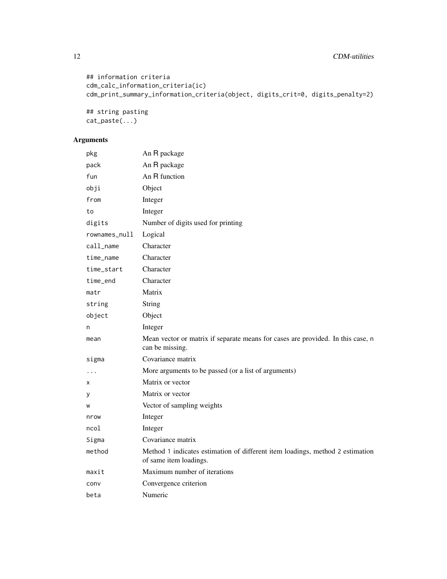```
## information criteria
cdm_calc_information_criteria(ic)
cdm_print_summary_information_criteria(object, digits_crit=0, digits_penalty=2)
```
## string pasting cat\_paste(...)

# Arguments

| pkg           | An R package                                                                                            |
|---------------|---------------------------------------------------------------------------------------------------------|
| pack          | An R package                                                                                            |
| fun           | An R function                                                                                           |
| obji          | Object                                                                                                  |
| from          | Integer                                                                                                 |
| to            | Integer                                                                                                 |
| digits        | Number of digits used for printing                                                                      |
| rownames_null | Logical                                                                                                 |
| call_name     | Character                                                                                               |
| time_name     | Character                                                                                               |
| time_start    | Character                                                                                               |
| time_end      | Character                                                                                               |
| matr          | Matrix                                                                                                  |
| string        | <b>String</b>                                                                                           |
| object        | Object                                                                                                  |
| n             | Integer                                                                                                 |
| mean          | Mean vector or matrix if separate means for cases are provided. In this case, n<br>can be missing.      |
| sigma         | Covariance matrix                                                                                       |
| .             | More arguments to be passed (or a list of arguments)                                                    |
| х             | Matrix or vector                                                                                        |
| у             | Matrix or vector                                                                                        |
| W             | Vector of sampling weights                                                                              |
| nrow          | Integer                                                                                                 |
| ncol          | Integer                                                                                                 |
| Sigma         | Covariance matrix                                                                                       |
| method        | Method 1 indicates estimation of different item loadings, method 2 estimation<br>of same item loadings. |
| maxit         | Maximum number of iterations                                                                            |
| conv          | Convergence criterion                                                                                   |
| beta          | Numeric                                                                                                 |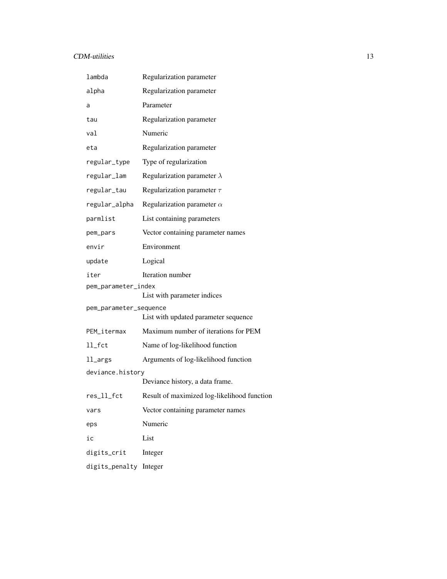# CDM-utilities 13

| lambda                                             | Regularization parameter                    |  |
|----------------------------------------------------|---------------------------------------------|--|
| alpha                                              | Regularization parameter                    |  |
| a                                                  | Parameter                                   |  |
| tau                                                | Regularization parameter                    |  |
| val                                                | Numeric                                     |  |
| eta                                                | Regularization parameter                    |  |
| regular_type                                       | Type of regularization                      |  |
| regular_lam                                        | Regularization parameter $\lambda$          |  |
| regular_tau                                        | Regularization parameter $\tau$             |  |
| regular_alpha                                      | Regularization parameter $\alpha$           |  |
| parmlist                                           | List containing parameters                  |  |
| pem_pars                                           | Vector containing parameter names           |  |
| envir                                              | Environment                                 |  |
| update                                             | Logical                                     |  |
| iter                                               | Iteration number                            |  |
| pem_parameter_index<br>List with parameter indices |                                             |  |
| pem_parameter_sequence                             | List with updated parameter sequence        |  |
| PEM_itermax                                        | Maximum number of iterations for PEM        |  |
| $ll$ _fct                                          | Name of log-likelihood function             |  |
| ll_args                                            | Arguments of log-likelihood function        |  |
| deviance.history                                   |                                             |  |
|                                                    | Deviance history, a data frame.             |  |
| res_ll_fct                                         | Result of maximized log-likelihood function |  |
| vars                                               | Vector containing parameter names           |  |
| eps                                                | Numeric                                     |  |
| ic                                                 | List                                        |  |
| digits_crit                                        | Integer                                     |  |
| digits_penalty                                     | Integer                                     |  |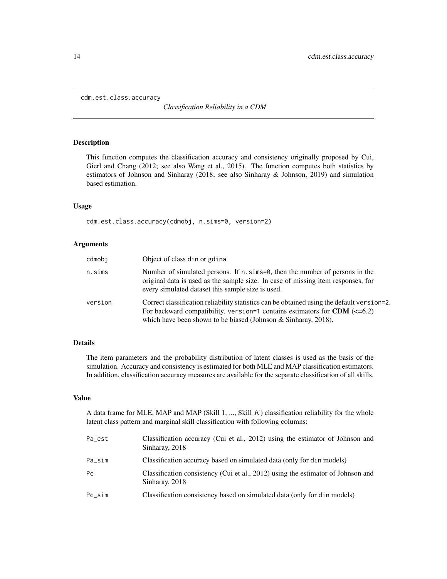<span id="page-13-1"></span><span id="page-13-0"></span>cdm.est.class.accuracy

*Classification Reliability in a CDM*

#### Description

This function computes the classification accuracy and consistency originally proposed by Cui, Gierl and Chang (2012; see also Wang et al., 2015). The function computes both statistics by estimators of Johnson and Sinharay (2018; see also Sinharay & Johnson, 2019) and simulation based estimation.

## Usage

cdm.est.class.accuracy(cdmobj, n.sims=0, version=2)

## Arguments

| cdmobi  | Object of class din or gdina                                                                                                                                                                                                                   |
|---------|------------------------------------------------------------------------------------------------------------------------------------------------------------------------------------------------------------------------------------------------|
| n.sims  | Number of simulated persons. If $n \sinh 2\theta$ , then the number of persons in the<br>original data is used as the sample size. In case of missing item responses, for<br>every simulated dataset this sample size is used.                 |
| version | Correct classification reliability statistics can be obtained using the default version=2.<br>For backward compatibility, version=1 contains estimators for CDM $(\leq=6.2)$<br>which have been shown to be biased (Johnson & Sinharay, 2018). |

# Details

The item parameters and the probability distribution of latent classes is used as the basis of the simulation. Accuracy and consistency is estimated for both MLE and MAP classification estimators. In addition, classification accuracy measures are available for the separate classification of all skills.

## Value

A data frame for MLE, MAP and MAP (Skill 1, ..., Skill  $K$ ) classification reliability for the whole latent class pattern and marginal skill classification with following columns:

| Pa_est    | Classification accuracy (Cui et al., 2012) using the estimator of Johnson and<br>Sinharay, 2018    |
|-----------|----------------------------------------------------------------------------------------------------|
| Pa_sim    | Classification accuracy based on simulated data (only for din models)                              |
| Pc        | Classification consistency (Cui et al., 2012) using the estimator of Johnson and<br>Sinharay, 2018 |
| $Pc$ _sim | Classification consistency based on simulated data (only for din models)                           |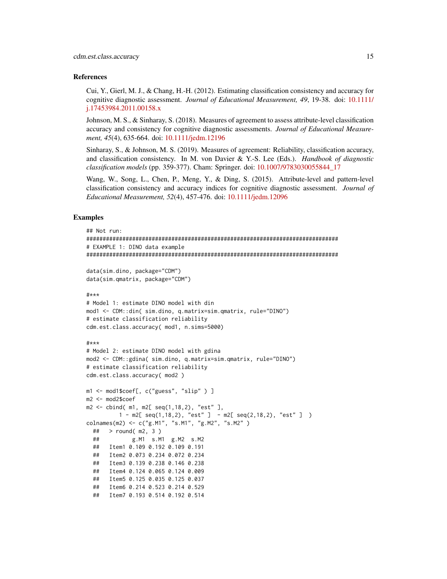#### References

Cui, Y., Gierl, M. J., & Chang, H.-H. (2012). Estimating classification consistency and accuracy for cognitive diagnostic assessment. *Journal of Educational Measurement, 49*, 19-38. doi: [10.1111/](https://doi.org/10.1111/j.1745-3984.2011.00158.x) [j.17453984.2011.00158.x](https://doi.org/10.1111/j.1745-3984.2011.00158.x)

Johnson, M. S., & Sinharay, S. (2018). Measures of agreement to assess attribute-level classification accuracy and consistency for cognitive diagnostic assessments. *Journal of Educational Measurement, 45*(4), 635-664. doi: [10.1111/jedm.12196](https://doi.org/10.1111/jedm.12196)

Sinharay, S., & Johnson, M. S. (2019). Measures of agreement: Reliability, classification accuracy, and classification consistency. In M. von Davier & Y.-S. Lee (Eds.). *Handbook of diagnostic classification models* (pp. 359-377). Cham: Springer. doi: [10.1007/9783030055844\\_17](https://doi.org/10.1007/978-3-030-05584-4_17)

Wang, W., Song, L., Chen, P., Meng, Y., & Ding, S. (2015). Attribute-level and pattern-level classification consistency and accuracy indices for cognitive diagnostic assessment. *Journal of Educational Measurement, 52*(4), 457-476. doi: [10.1111/jedm.12096](https://doi.org/10.1111/jedm.12096)

## Examples

```
## Not run:
#############################################################################
# EXAMPLE 1: DINO data example
#############################################################################
data(sim.dino, package="CDM")
data(sim.qmatrix, package="CDM")
#***
# Model 1: estimate DINO model with din
mod1 <- CDM::din( sim.dino, q.matrix=sim.qmatrix, rule="DINO")
# estimate classification reliability
cdm.est.class.accuracy( mod1, n.sims=5000)
#***
# Model 2: estimate DINO model with gdina
mod2 <- CDM::gdina( sim.dino, q.matrix=sim.qmatrix, rule="DINO")
# estimate classification reliability
cdm.est.class.accuracy( mod2 )
m1 <- mod1$coef[, c("guess", "slip" ) ]
m2 <- mod2$coef
m2 <- cbind( m1, m2[ seq(1,18,2), "est" ],
         1 - m2[ seq(1,18,2), "est" ] - m2[ seq(2,18,2), "est" ] )
colnames(m2) <- c("g.M1", "s.M1", "g.M2", "s.M2" )
 ## > round( m2, 3 )
 ## g.M1 s.M1 g.M2 s.M2
 ## Item1 0.109 0.192 0.109 0.191
 ## Item2 0.073 0.234 0.072 0.234
 ## Item3 0.139 0.238 0.146 0.238
 ## Item4 0.124 0.065 0.124 0.009
 ## Item5 0.125 0.035 0.125 0.037
 ## Item6 0.214 0.523 0.214 0.529
 ## Item7 0.193 0.514 0.192 0.514
```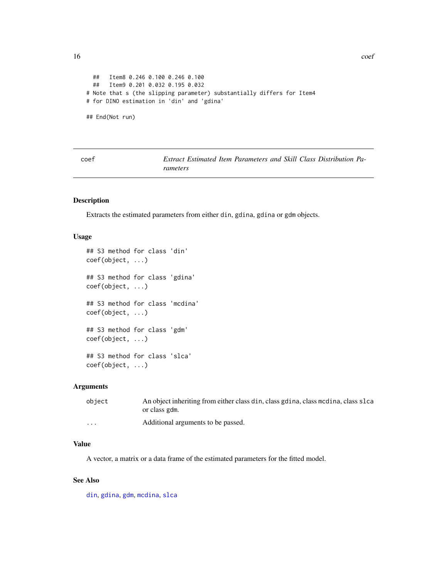```
## Item8 0.246 0.100 0.246 0.100
 ## Item9 0.201 0.032 0.195 0.032
# Note that s (the slipping parameter) substantially differs for Item4
# for DINO estimation in 'din' and 'gdina'
## End(Not run)
```
Extract Estimated Item Parameters and Skill Class Distribution Pa*rameters*

# Description

Extracts the estimated parameters from either din, gdina, gdina or gdm objects.

## Usage

```
## S3 method for class 'din'
coef(object, ...)
## S3 method for class 'gdina'
coef(object, ...)
## S3 method for class 'mcdina'
coef(object, ...)
## S3 method for class 'gdm'
coef(object, ...)
## S3 method for class 'slca'
coef(object, ...)
```
# Arguments

| object               | An object inheriting from either class din, class gdina, class modina, class slca<br>or class gdm. |
|----------------------|----------------------------------------------------------------------------------------------------|
| $\ddot{\phantom{0}}$ | Additional arguments to be passed.                                                                 |

## Value

A vector, a matrix or a data frame of the estimated parameters for the fitted model.

## See Also

[din](#page-62-2), [gdina](#page-91-1), [gdm](#page-113-1), [mcdina](#page-160-1), [slca](#page-199-1)

<span id="page-15-0"></span>16 coef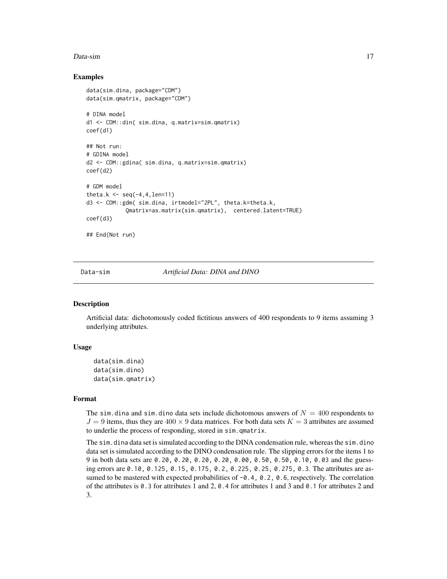#### <span id="page-16-0"></span>Data-sim and the contract of the contract of the contract of the contract of the contract of the contract of the contract of the contract of the contract of the contract of the contract of the contract of the contract of t

## Examples

```
data(sim.dina, package="CDM")
data(sim.qmatrix, package="CDM")
# DINA model
d1 <- CDM::din( sim.dina, q.matrix=sim.qmatrix)
coef(d1)
## Not run:
# GDINA model
d2 <- CDM::gdina( sim.dina, q.matrix=sim.qmatrix)
coef(d2)
# GDM model
theta.k \leq seq(-4,4, len=11)
d3 <- CDM::gdm( sim.dina, irtmodel="2PL", theta.k=theta.k,
            Qmatrix=as.matrix(sim.qmatrix), centered.latent=TRUE)
coef(d3)
## End(Not run)
```
<span id="page-16-1"></span>

Data-sim *Artificial Data: DINA and DINO*

## Description

Artificial data: dichotomously coded fictitious answers of 400 respondents to 9 items assuming 3 underlying attributes.

## Usage

```
data(sim.dina)
data(sim.dino)
data(sim.qmatrix)
```
#### Format

The sim. dina and sim. dino data sets include dichotomous answers of  $N = 400$  respondents to  $J = 9$  items, thus they are  $400 \times 9$  data matrices. For both data sets  $K = 3$  attributes are assumed to underlie the process of responding, stored in sim.qmatrix.

The sim. dina data set is simulated according to the DINA condensation rule, whereas the sim. dino data set is simulated according to the DINO condensation rule. The slipping errors for the items 1 to 9 in both data sets are 0.20, 0.20, 0.20, 0.20, 0.00, 0.50, 0.50, 0.10, 0.03 and the guessing errors are 0.10, 0.125, 0.15, 0.175, 0.2, 0.225, 0.25, 0.275, 0.3. The attributes are assumed to be mastered with expected probabilities of  $-0.4$ ,  $0.2$ ,  $0.6$ , respectively. The correlation of the attributes is 0.3 for attributes 1 and 2, 0.4 for attributes 1 and 3 and 0.1 for attributes 2 and 3.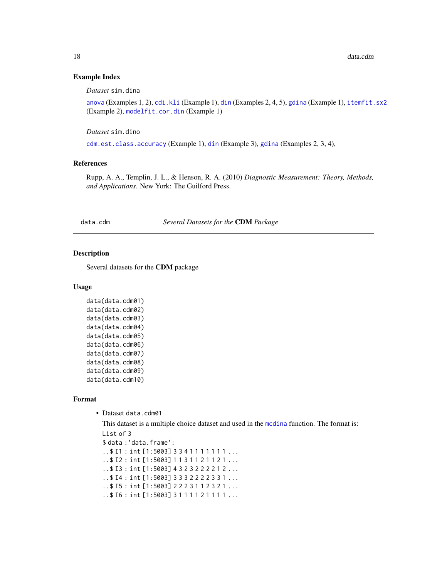## <span id="page-17-0"></span>Example Index

*Dataset* sim.dina

[anova](#page-5-1) (Examples 1, 2), [cdi.kli](#page-7-1) (Example 1), [din](#page-62-2) (Examples 2, 4, 5), [gdina](#page-91-1) (Example 1), [itemfit.sx2](#page-154-1) (Example 2), [modelfit.cor.din](#page-164-1) (Example 1)

*Dataset* sim.dino

[cdm.est.class.accuracy](#page-13-1) (Example 1), [din](#page-62-2) (Example 3), [gdina](#page-91-1) (Examples 2, 3, 4),

## References

Rupp, A. A., Templin, J. L., & Henson, R. A. (2010) *Diagnostic Measurement: Theory, Methods, and Applications*. New York: The Guilford Press.

data.cdm *Several Datasets for the* CDM *Package*

## Description

Several datasets for the CDM package

#### Usage

```
data(data.cdm01)
data(data.cdm02)
data(data.cdm03)
data(data.cdm04)
data(data.cdm05)
data(data.cdm06)
data(data.cdm07)
data(data.cdm08)
data(data.cdm09)
data(data.cdm10)
```
#### Format

• Dataset data.cdm01

This dataset is a multiple choice dataset and used in the [mcdina](#page-160-1) function. The format is:

List of 3 \$ data :'data.frame': .. \$ I1 : int [1:5003] 3 3 4 1 1 1 1 1 1 1 ...

..\$ I2 : int [1:5003] 1 1 3 1 1 2 1 1 2 1 ... ..\$ I3 : int [1:5003] 4 3 2 3 2 2 2 2 1 2 ...

..\$ I4 : int [1:5003] 3 3 3 2 2 2 2 3 3 1 ...

```
..$ I5 : int [1:5003] 2 2 2 3 1 1 2 3 2 1 ...
```
..\$ I6 : int [1:5003] 3 1 1 1 1 2 1 1 1 1 ...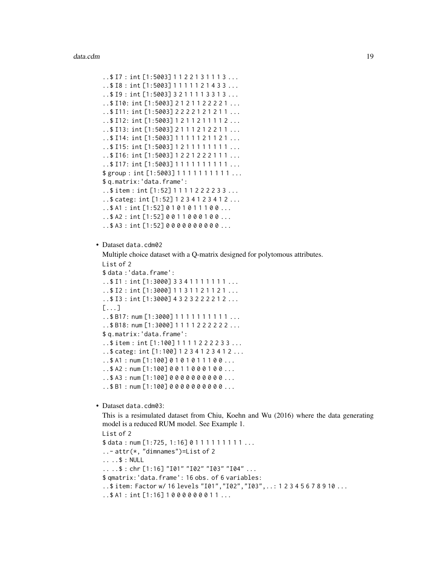```
..$ I7 : int [1:5003] 1 1 2 2 1 3 1 1 1 3 ...
..$ I8 : int [1:5003] 1 1 1 1 1 2 1 4 3 3 ...
..$ I9 : int [1:5003] 3 2 1 1 1 1 3 3 1 3 ...
..$ I10: int [1:5003] 2 1 2 1 1 2 2 2 2 1 ...
..$ I11: int [1:5003] 2 2 2 2 1 2 1 2 1 1 ...
..$ I12: int [1:5003] 1 2 1 1 2 1 1 1 1 2 ...
..$ I13: int [1:5003] 2 1 1 1 2 1 2 2 1 1 ...
..$ I14: int [1:5003] 1 1 1 1 1 2 1 1 2 1 ...
..$ I15: int [1:5003] 1 2 1 1 1 1 1 1 1 1 ...
..$ I16: int [1:5003] 1 2 2 1 2 2 2 1 1 1 ...
..$ I17: int [1:5003] 1 1 1 1 1 1 1 1 1 1 ...
$ group : int [1:5003] 1 1 1 1 1 1 1 1 1 1 ...
$ q.matrix:'data.frame':
..$ item : int [1:52] 1 1 1 1 2 2 2 2 3 3 ...
..$ categ: int [1:52] 1 2 3 4 1 2 3 4 1 2 ...
.541: int [1:52] 0101011100...
..$ A2 : int [1:52] 0 0 1 1 0 0 0 1 0 0 ...
..$ A3 : int [1:52] 0 0 0 0 0 0 0 0 0 0 ...
```

```
• Dataset data.cdm02
```
Multiple choice dataset with a Q-matrix designed for polytomous attributes.

```
List of 2
$ data :'data.frame':
..$ I1 : int [1:3000] 3 3 4 1 1 1 1 1 1 1 ...
..$ I2 : int [1:3000] 1 1 3 1 1 2 1 1 2 1 ...
..$ I3 : int [1:3000] 4 3 2 3 2 2 2 2 1 2 ...
[...]
..$ B17: num [1:3000] 1 1 1 1 1 1 1 1 1 1 ...
..$ B18: num [1:3000] 1 1 1 1 2 2 2 2 2 2 ...
$ q.matrix:'data.frame':
..$ item : int [1:100] 1 1 1 1 2 2 2 2 3 3 ...
..$ categ: int [1:100] 1 2 3 4 1 2 3 4 1 2 ...
.5 A1: num [1:100] 0 1 0 1 0 1 1 1 0 0 ....5 A2: num [1:100] 0011000100.....$ A3 : num [1:100] 0 0 0 0 0 0 0 0 0 0 ...
..$ B1 : num [1:100] 0 0 0 0 0 0 0 0 0 0 ...
```
• Dataset data.cdm03:

This is a resimulated dataset from Chiu, Koehn and Wu (2016) where the data generating model is a reduced RUM model. See Example 1.

```
List of 2
$ data: num [1:725, 1:16] 0 1 1 1 1 1 1 1 1 1 ...
..- attr(*, "dimnames")=List of 2
.. ..$ : NULL
.. ..$ : chr [1:16] "I01" "I02" "I03" "I04" ...
$ qmatrix:'data.frame': 16 obs. of 6 variables:
..$ item: Factor w/ 16 levels "I01","I02","I03",..: 1 2 3 4 5 6 7 8 9 10 ...
..$ A1 : int [1:16] 1 0 0 0 0 0 0 0 1 1 ...
```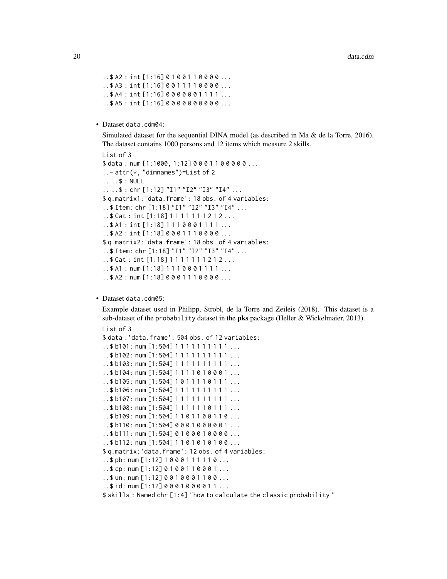```
. .$ A2 : int [1:16] 0 1 0 0 1 1 0 0 0 0 ...
.543: int [1:16] 0011110000...
. .$ A4 : int [1:16] 0000001111...
..$ A5 : int [1:16] 0 0 0 0 0 0 0 0 0 0 ...
```
• Dataset data.cdm04:

Simulated dataset for the sequential DINA model (as described in Ma & de la Torre, 2016). The dataset contains 1000 persons and 12 items which measure 2 skills.

```
List of 3
$ data: num [1:1000, 1:12] 0 0 0 1 1 0 0 0 0 0 ...
..- attr(*, "dimnames")=List of 2
.. ..$ : NULL
.. ..$ : chr [1:12] "I1" "I2" "I3" "I4" ...
$ q.matrix1:'data.frame': 18 obs. of 4 variables:
..$ Item: chr [1:18] "I1" "I2" "I3" "I4" ...
..$ Cat : int [1:18] 1 1 1 1 1 1 1 2 1 2 ...
..$ A1 : int [1:18] 1 1 1 0 0 0 1 1 1 1 ...
..$ A2 : int [1:18] 0 0 0 1 1 1 0 0 0 0 ...
$ q.matrix2:'data.frame': 18 obs. of 4 variables:
..$ Item: chr [1:18] "I1" "I2" "I3" "I4" ...
..$ Cat : int [1:18] 1 1 1 1 1 1 1 2 1 2 ...
..$ A1 : num [1:18] 1110001111...
..$ A2 : num [1:18] 0 0 0 1 1 1 0 0 0 0 ...
```
## • Dataset data.cdm05:

Example dataset used in Philipp, Strobl, de la Torre and Zeileis (2018). This dataset is a sub-dataset of the probability dataset in the **pks** package (Heller & Wickelmaier, 2013). List of 3

```
$ data :'data.frame': 504 obs. of 12 variables:
..$ b101: num [1:504] 1111111111...
..$b102: num [1:504] 1111111111...
..$ b103: num [1:504] 1 1 1 1 1 1 1 1 1 1 ...
..$ b104: num [1:504] 1 1 1 1 0 1 0 0 0 1 ...
..$ b105: num [1:504] 1 0 1 1 1 1 0 1 1 1 ...
..$ b106: num [1:504] 1111111111...
..$ b107: num [1:504] 1 1 1 1 1 1 1 1 1 1 ...
..$ b108: num [1:504] 1 1 1 1 1 1 0 1 1 1 ...
..$ b109: num [1:504] 1 1 0 1 1 0 0 1 1 0 ...
..$ b110: num [1:504] 0 0 0 1 0 0 0 0 0 1 ...
..$ b111: num [1:504] 0 1 0 0 0 1 0 0 0 0 ...
..$ b112: num [1:504] 1 1 0 1 0 1 0 1 0 0 ...
$ q.matrix:'data.frame': 12 obs. of 4 variables:
..$ pb: num [1:12] 1 0 0 0 1 1 1 1 1 0 ...
..$ cp: num [1:12] 0 1 0 0 1 1 0 0 0 1 ...
..$ un: num [1:12] 0 0 1 0 0 0 1 1 0 0 ...
..$ id: num [1:12] 0 0 0 1 0 0 0 0 1 1 ...
$ skills : Named chr [1:4] "how to calculate the classic probability "
```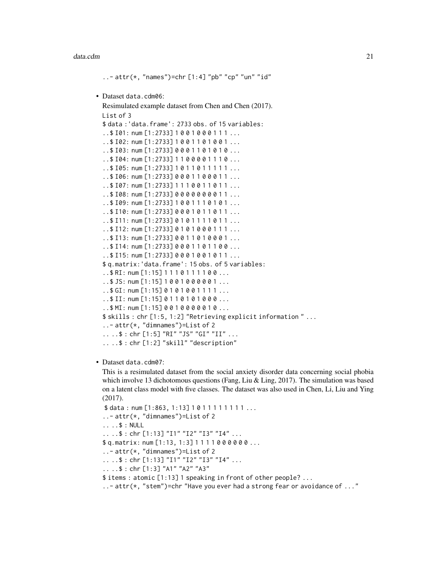#### data.cdm 21

```
..- attr(*, "names")=chr [1:4] "pb" "cp" "un" "id"
• Dataset data.cdm06:
  Resimulated example dataset from Chen and Chen (2017).
 List of 3
 $ data :'data.frame': 2733 obs. of 15 variables:
  ..$ I01: num [1:2733] 1 0 0 1 0 0 0 1 1 1 ...
  ..$ I02: num [1:2733] 1 0 0 1 1 0 1 0 0 1 ...
  ..$ I03: num [1:2733] 0 0 0 1 1 0 1 0 1 0 ...
  ..$ I04: num [1:2733] 1 1 0 0 0 0 1 1 1 0 ...
 ..$ I05: num [1:2733] 1 0 1 1 0 1 1 1 1 1 ...
  ..$ I06: num [1:2733] 0 0 0 1 1 0 0 0 1 1 ...
  ..$ I07: num [1:2733] 1 1 1 0 0 1 1 0 1 1 ...
  ..$ I08: num [1:2733] 0 0 0 0 0 0 0 0 1 1 ...
 .$ I09: num [1:2733] 1001110101...
  . .$ I10: num [1:2733] 0 0 0 1 0 1 1 0 1 1 ...
  ..$ I11: num [1:2733] 0 1 0 1 1 1 1 0 1 1 ...
  ..$ I12: num [1:2733] 0 1 0 1 0 0 0 1 1 1 ...
  ..$ I13: num [1:2733] 0 0 1 1 0 1 0 0 0 1 ...
  ..$ I14: num [1:2733] 0 0 0 1 1 0 1 1 0 0 ...
  ..$ I15: num [1:2733] 0 0 0 1 0 0 1 0 1 1 ...
 $ q.matrix:'data.frame': 15 obs. of 5 variables:
  ..$ RI: num [1:15] 1 1 1 0 1 1 1 1 0 0 ...
  ..$ JS: num [1:15] 1 0 0 1 0 0 0 0 0 1 ...
  ..$ GI: num [1:15] 0 1 0 1 0 0 1 1 1 1 ...
 ..$ II: num [1:15] 0 1 1 0 1 0 1 0 0 0 ...
  ..$ MI: num [1:15] 0 0 1 0 0 0 0 0 1 0 ...
 $ skills : chr [1:5, 1:2] "Retrieving explicit information " ...
  ..- attr(*, "dimnames")=List of 2
  .. ..$ : chr [1:5] "RI" "JS" "GI" "II" ...
  .. ..$ : chr [1:2] "skill" "description"
```
#### • Dataset data.cdm07:

This is a resimulated dataset from the social anxiety disorder data concerning social phobia which involve 13 dichotomous questions (Fang, Liu & Ling, 2017). The simulation was based on a latent class model with five classes. The dataset was also used in Chen, Li, Liu and Ying (2017).

```
$ data: num [1:863, 1:13] 1011111111...
\ldots - attr(\star, "dimnames")=List of 2
.. ..$ : NULL
.. ..$ : chr [1:13] "I1" "I2" "I3" "I4" ...
$ q.matrix: num [1:13, 1:3] 1 1 1 1 0 0 0 0 0 0 ...
\ldots - attr(\star, "dimnames")=List of 2
.. ..$ : chr [1:13] "I1" "I2" "I3" "I4" ...
.. ..$ : chr [1:3] "A1" "A2" "A3"
$ items : atomic [1:13] 1 speaking in front of other people? ...
\dots - attr(*, "stem")=chr "Have you ever had a strong fear or avoidance of \dots"
```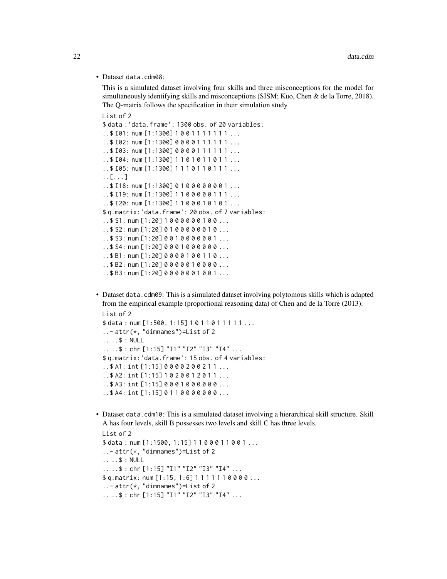• Dataset data.cdm08:

This is a simulated dataset involving four skills and three misconceptions for the model for simultaneously identifying skills and misconceptions (SISM; Kuo, Chen & de la Torre, 2018). The Q-matrix follows the specification in their simulation study.

```
List of 2
$ data :'data.frame': 1300 obs. of 20 variables:
..$ I01: num [1:1300] 1 0 0 1 1 1 1 1 1 1 ...
. .$ I02: num [1:1300] 0 0 0 0 1 1 1 1 1 1 ...
..$ I03: num [1:1300] 0 0 0 0 1 1 1 1 1 1 ...
. .$ I04: num [1:1300] 1 1 0 1 0 1 1 0 1 1 ...
..$ I05: num [1:1300] 1 1 1 0 1 1 0 1 1 1 ...
..[...]
..$ I18: num [1:1300] 0 1 0 0 0 0 0 0 0 1 ...
..$ I19: num [1:1300] 1 1 0 0 0 0 0 1 1 1 ...
..$ I20: num [1:1300] 1 1 0 0 0 1 0 1 0 1 ...
$ q.matrix:'data.frame': 20 obs. of 7 variables:
..$ S1: num [1:20] 1 0 0 0 0 0 0 1 0 0 ...
..$ S2: num [1:20] 0 1 0 0 0 0 0 0 1 0 ...
..$ S3: num [1:20] 0 0 1 0 0 0 0 0 0 1 ...
. .$ S4: num [1:20] 0 0 0 1 0 0 0 0 0 0 ...
. .$ B1: num [1:20] 0 0 0 0 1 0 0 1 1 0 ...
..$ B2: num [1:20] 0 0 0 0 0 1 0 0 0 0 ...
..$ B3: num [1:20] 0 0 0 0 0 0 1 0 0 1 ...
```
• Dataset data.cdm09: This is a simulated dataset involving polytomous skills which is adapted from the empirical example (proportional reasoning data) of Chen and de la Torre (2013).

```
List of 2
$ data: num [1:500, 1:15] 1011011111...
..- attr(*, "dimnames")=List of 2
.. ..$ : NULL
.. ..$ : chr [1:15] "I1" "I2" "I3" "I4" ...
$ q.matrix:'data.frame': 15 obs. of 4 variables:
..$ A1: int [1:15] 0 0 0 0 2 0 0 2 1 1 ...
..$ A2: int [1:15] 1 0 2 0 0 1 2 0 1 1 ...
..$ A3: int [1:15] 0 0 0 1 0 0 0 0 0 0 ...
..$ A4: int [1:15] 0 1 1 0 0 0 0 0 0 0 ...
```
• Dataset data.cdm10: This is a simulated dataset involving a hierarchical skill structure. Skill A has four levels, skill B possesses two levels and skill C has three levels.

```
List of 2
$ data: num [1:1500, 1:15] 1 1 0 0 0 1 1 0 0 1 ...
..- attr(*, "dimnames")=List of 2
.. ..$ : NULL
.. ..$ : chr [1:15] "I1" "I2" "I3" "I4" ...
$ q.matrix: num [1:15, 1:6] 1 1 1 1 1 1 0 0 0 0 ...
..- attr(*, "dimnames")=List of 2
.. ..$ : chr [1:15] "I1" "I2" "I3" "I4" ...
```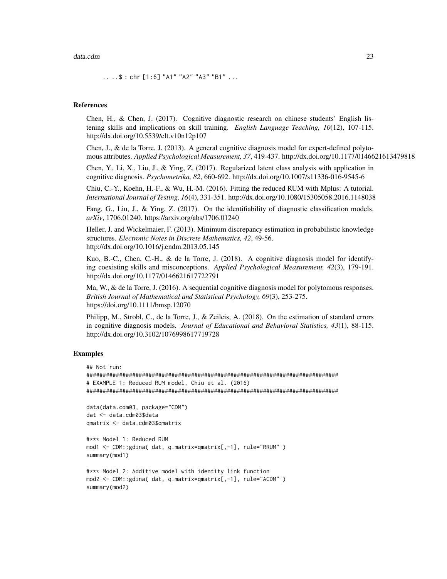#### data.cdm 23

.. ..\$ : chr [1:6] "A1" "A2" "A3" "B1" ...

#### References

Chen, H., & Chen, J. (2017). Cognitive diagnostic research on chinese students' English listening skills and implications on skill training. *English Language Teaching, 10*(12), 107-115. http://dx.doi.org/10.5539/elt.v10n12p107

Chen, J., & de la Torre, J. (2013). A general cognitive diagnosis model for expert-defined polytomous attributes. *Applied Psychological Measurement, 37*, 419-437. http://dx.doi.org/10.1177/0146621613479818

Chen, Y., Li, X., Liu, J., & Ying, Z. (2017). Regularized latent class analysis with application in cognitive diagnosis. *Psychometrika, 82*, 660-692. http://dx.doi.org/10.1007/s11336-016-9545-6

Chiu, C.-Y., Koehn, H.-F., & Wu, H.-M. (2016). Fitting the reduced RUM with Mplus: A tutorial. *International Journal of Testing, 16*(4), 331-351. http://dx.doi.org/10.1080/15305058.2016.1148038

Fang, G., Liu, J., & Ying, Z. (2017). On the identifiability of diagnostic classification models. *arXiv*, 1706.01240. https://arxiv.org/abs/1706.01240

Heller, J. and Wickelmaier, F. (2013). Minimum discrepancy estimation in probabilistic knowledge structures. *Electronic Notes in Discrete Mathematics, 42*, 49-56. http://dx.doi.org/10.1016/j.endm.2013.05.145

Kuo, B.-C., Chen, C.-H., & de la Torre, J. (2018). A cognitive diagnosis model for identifying coexisting skills and misconceptions. *Applied Psychological Measurement, 42*(3), 179-191. http://dx.doi.org/10.1177/0146621617722791

Ma, W., & de la Torre, J. (2016). A sequential cognitive diagnosis model for polytomous responses. *British Journal of Mathematical and Statistical Psychology, 69*(3), 253-275. https://doi.org/10.1111/bmsp.12070

Philipp, M., Strobl, C., de la Torre, J., & Zeileis, A. (2018). On the estimation of standard errors in cognitive diagnosis models. *Journal of Educational and Behavioral Statistics, 43*(1), 88-115. http://dx.doi.org/10.3102/1076998617719728

## Examples

```
## Not run:
#############################################################################
# EXAMPLE 1: Reduced RUM model, Chiu et al. (2016)
#############################################################################
data(data.cdm03, package="CDM")
dat <- data.cdm03$data
qmatrix <- data.cdm03$qmatrix
#*** Model 1: Reduced RUM
mod1 <- CDM::gdina( dat, q.matrix=qmatrix[,-1], rule="RRUM" )
summary(mod1)
#*** Model 2: Additive model with identity link function
mod2 <- CDM::gdina( dat, q.matrix=qmatrix[,-1], rule="ACDM" )
summary(mod2)
```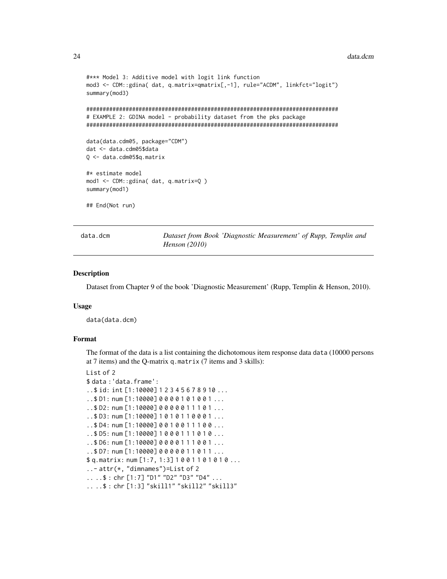#### data.dcm

```
#*** Model 3: Additive model with logit link function
mod3 <- CDM::gdina( dat, q.matrix=qmatrix[,-1], rule="ACDM", linkfct="logit")
summary(mod3)
# EXAMPLE 2: GDINA model - probability dataset from the pks package
data(data.cdm05, package="CDM")
dat <- data.cdm05$data
Q <- data.cdm05$q.matrix
#* estimate model
mod1 <- CDM::gdina( dat, q.matrix=Q)
summary(mod1)
## End(Not run)
```

```
data.dcm
```
Dataset from Book 'Diagnostic Measurement' of Rupp, Templin and Henson (2010)

#### **Description**

Dataset from Chapter 9 of the book 'Diagnostic Measurement' (Rupp, Templin & Henson, 2010).

## **Usage**

data(data.dcm)

## Format

The format of the data is a list containing the dichotomous item response data data (10000 persons at 7 items) and the Q-matrix q.matrix (7 items and 3 skills):

```
List of 2
```

```
$ data: 'data.frame':
..$ id: int [1:10000] 1 2 3 4 5 6 7 8 9 10 ...
...$D1: num [1:10000] 0000101001...
..$D2: num [1:10000] 0000011101...
. .$ D3: num [1:10000] 1010110001...
...$ D4: num [1:10000] 0 0 1 0 0 1 1 1 0 0 ...
..$ D5: num [1:10000] 1000111010...
...$ D6: num [1:10000] 0000111001...
. .$ D7: num [1:10000] 0 0 0 0 0 1 1 0 1 1 ...
$q.matrix: num[1:7, 1:3] 1001101010...\ldots - attr(\star, "dimnames")=List of 2
... $: chr [1:7] "D1" "D2" "D3" "D4" ...
....$: chr [1:3] "skill1" "skill2" "skill3"
```
<span id="page-23-0"></span>24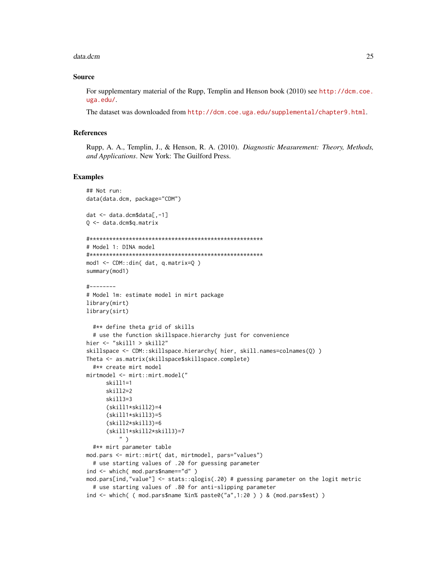#### data.dcm

## **Source**

For supplementary material of the Rupp, Templin and Henson book (2010) see http://dcm.coe. uga.edu/.

The dataset was downloaded from http://dcm.coe.uga.edu/supplemental/chapter9.html.

## **References**

Rupp, A. A., Templin, J., & Henson, R. A. (2010). Diagnostic Measurement: Theory, Methods, and Applications. New York: The Guilford Press.

## **Examples**

```
## Not run:
data(data.dcm, package="CDM")
dat <- data.dcm$data[,-1]
Q \le - data.dcm$q.matrix
# Model 1: DINA model
mod1 \le -CDM: din(dat, q.matrix=0)
summary(mod1)
#--------
# Model 1m: estimate model in mirt package
library(mirt)
library(sirt)
 #** define theta grid of skills
 # use the function skillspace.hierarchy just for convenience
hier \leq "skill1 > skill2"
skillspace <- CDM::skillspace.hierarchy( hier, skill.names=colnames(Q) )
Theta <- as.matrix(skillspace$skillspace.complete)
 #** create mirt model
mirtmodel <- mirt::mirt.model("
     skill1=1
     skill2=2
     skill3=3
     (skill1*skill2)=4(skill1*skill3)=5(skill2*skill3)=6(skill1*skill2*skill3)=7")
 #** mirt parameter table
mod.pars <- mirt::mirt( dat, mirtmodel, pars="values")
 # use starting values of .20 for guessing parameter
ind <- which( mod.pars$name=="d" )
mod.pars[ind,"value"] <- stats::qlogis(.20) # guessing parameter on the logit metric
 # use starting values of .80 for anti-slipping parameter
ind \le - which( ( mod.pars$name %in% paste0("a",1:20 ) ) & (mod.pars$est) )
```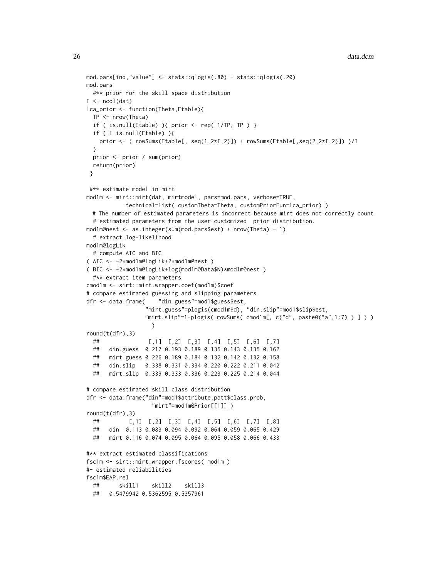```
mod.pars[ind,"value"] <- stats::qlogis(.80) - stats::qlogis(.20)
mod.pars
 #** prior for the skill space distribution
I \leftarrow \text{ncol}(\text{dat})lca_prior <- function(Theta,Etable){
 TP <- nrow(Theta)
 if ( is.null(Etable) ){ prior <- rep( 1/TP, TP ) }
 if ( ! is.null(Etable) ){
   prior \leq ( rowSums(Etable[, seq(1,2*I,2)]) + rowSums(Etable[,seq(2,2*I,2)]) )/I
 }
 prior <- prior / sum(prior)
 return(prior)
}
#** estimate model in mirt
mod1m <- mirt::mirt(dat, mirtmodel, pars=mod.pars, verbose=TRUE,
           technical=list( customTheta=Theta, customPriorFun=lca_prior) )
 # The number of estimated parameters is incorrect because mirt does not correctly count
 # estimated parameters from the user customized prior distribution.
mod1m@nest <- as.integer(sum(mod.pars$est) + nrow(Theta) - 1)
 # extract log-likelihood
mod1m@logLik
 # compute AIC and BIC
( AIC <- -2*mod1m@logLik+2*mod1m@nest )
( BIC <- -2*mod1m@logLik+log(mod1m@Data$N)*mod1m@nest )
 #** extract item parameters
cmod1m <- sirt::mirt.wrapper.coef(mod1m)$coef
# compare estimated guessing and slipping parameters
dfr <- data.frame( "din.guess"=mod1$guess$est,
                 "mirt.guess"=plogis(cmod1m$d), "din.slip"=mod1$slip$est,
                 "mirt.slip"=1-plogis( rowSums( cmod1m[, c("d", paste0("a",1:7) ) \}) )
                   )
round(t(dfr),3)
 ## [,1] [,2] [,3] [,4] [,5] [,6] [,7]
 ## din.guess 0.217 0.193 0.189 0.135 0.143 0.135 0.162
 ## mirt.guess 0.226 0.189 0.184 0.132 0.142 0.132 0.158
 ## din.slip 0.338 0.331 0.334 0.220 0.222 0.211 0.042
 ## mirt.slip 0.339 0.333 0.336 0.223 0.225 0.214 0.044
# compare estimated skill class distribution
dfr <- data.frame("din"=mod1$attribute.patt$class.prob,
                   "mirt"=mod1m@Prior[[1]] )
round(t(dfr),3)## [,1] [,2] [,3] [,4] [,5] [,6] [,7] [,8]
 ## din 0.113 0.083 0.094 0.092 0.064 0.059 0.065 0.429
 ## mirt 0.116 0.074 0.095 0.064 0.095 0.058 0.066 0.433
#** extract estimated classifications
fsc1m <- sirt::mirt.wrapper.fscores( mod1m )
#- estimated reliabilities
fsc1m$EAP.rel
 ## skill1 skill2 skill3
 ## 0.5479942 0.5362595 0.5357961
```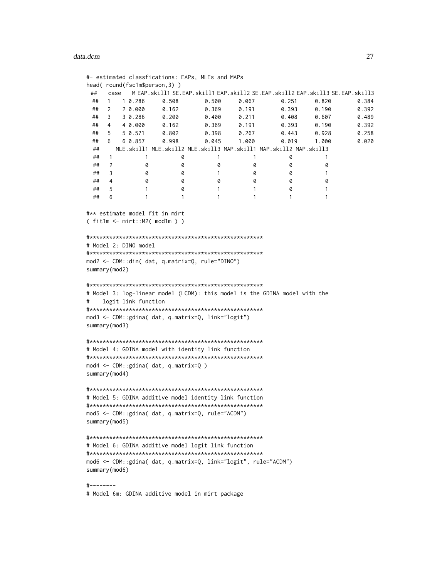#### data.dcm 27

```
#- estimated classfications: EAPs, MLEs and MAPs
head( round(fsc1m$person,3) )
 ## case M EAP.skill1 SE.EAP.skill1 EAP.skill2 SE.EAP.skill2 EAP.skill3 SE.EAP.skill3
 ## 1 1 0.286 0.508 0.500 0.067 0.251 0.820 0.384
 ## 2 2 0.000 0.162 0.369 0.191 0.393 0.190 0.392
 ## 3 3 0.286 0.200 0.400 0.211 0.408 0.607 0.489
 ## 4 4 0.000 0.162 0.369 0.191 0.393 0.190 0.392
 ## 5 5 0.571 0.802 0.398 0.267 0.443 0.928 0.258
 ## 6 6 0.857 0.998 0.045 1.000 0.019 1.000 0.020
 ## MLE.skill1 MLE.skill2 MLE.skill3 MAP.skill1 MAP.skill2 MAP.skill3
 ## 1 1 1 0 1 1 1 0 1<br>## 2 0 0 0 0 0 0 0
 ## 2 0 0 0 0 0 0
 ## 3 0 0 1 0 0 1
 ## 4 0 0 0 0 0 0
 ## 5 1 0 1 1 0 1
 ## 6 1 1 1 1 1 1 1
#** estimate model fit in mirt
( fit1m <- mirt::M2( mod1m ) )
#*****************************************************
# Model 2: DINO model
#*****************************************************
mod2 <- CDM::din( dat, q.matrix=Q, rule="DINO")
summary(mod2)
#*****************************************************
# Model 3: log-linear model (LCDM): this model is the GDINA model with the
# logit link function
#*****************************************************
mod3 <- CDM::gdina( dat, q.matrix=Q, link="logit")
summary(mod3)
#*****************************************************
# Model 4: GDINA model with identity link function
#*****************************************************
mod4 <- CDM::gdina( dat, q.matrix=Q )
summary(mod4)
#*****************************************************
# Model 5: GDINA additive model identity link function
#*****************************************************
mod5 <- CDM::gdina( dat, q.matrix=Q, rule="ACDM")
summary(mod5)
#*****************************************************
# Model 6: GDINA additive model logit link function
#*****************************************************
mod6 <- CDM::gdina( dat, q.matrix=Q, link="logit", rule="ACDM")
summary(mod6)
#--------
```
# Model 6m: GDINA additive model in mirt package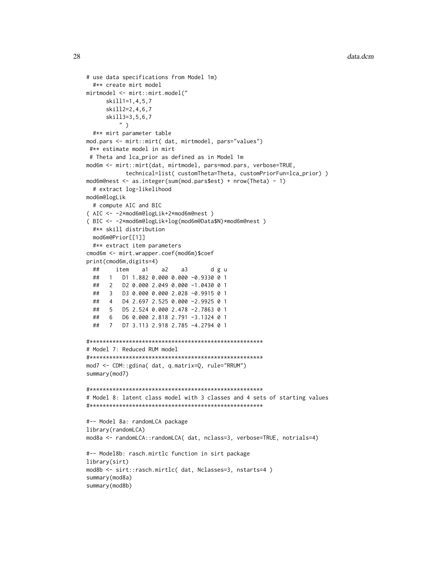```
# use data specifications from Model 1m)
 #** create mirt model
mirtmodel <- mirt::mirt.model("
     skill1=1,4,5,7
     skill2=2,4,6,7
      skill3=3,5,6,7
          " )
 #** mirt parameter table
mod.pars <- mirt::mirt( dat, mirtmodel, pars="values")
 #** estimate model in mirt
 # Theta and lca_prior as defined as in Model 1m
mod6m <- mirt::mirt(dat, mirtmodel, pars=mod.pars, verbose=TRUE,
            technical=list( customTheta=Theta, customPriorFun=lca_prior) )
mod6m@nest <- as.integer(sum(mod.pars$est) + nrow(Theta) - 1)
 # extract log-likelihood
mod6m@logLik
 # compute AIC and BIC
( AIC <- -2*mod6m@logLik+2*mod6m@nest )
( BIC <- -2*mod6m@logLik+log(mod6m@Data$N)*mod6m@nest )
 #** skill distribution
 mod6m@Prior[[1]]
 #** extract item parameters
cmod6m <- mirt.wrapper.coef(mod6m)$coef
print(cmod6m,digits=4)
 ## item a1 a2 a3 d g u
 ## 1 D1 1.882 0.000 0.000 -0.9330 0 1
 ## 2 D2 0.000 2.049 0.000 -1.0430 0 1
 ## 3 D3 0.000 0.000 2.028 -0.9915 0 1
 ## 4 D4 2.697 2.525 0.000 -2.9925 0 1
 ## 5 D5 2.524 0.000 2.478 -2.7863 0 1
 ## 6 D6 0.000 2.818 2.791 -3.1324 0 1
 ## 7 D7 3.113 2.918 2.785 -4.2794 0 1
#*****************************************************
# Model 7: Reduced RUM model
#*****************************************************
mod7 <- CDM::gdina( dat, q.matrix=Q, rule="RRUM")
summary(mod7)
#*****************************************************
# Model 8: latent class model with 3 classes and 4 sets of starting values
#*****************************************************
#-- Model 8a: randomLCA package
library(randomLCA)
mod8a <- randomLCA::randomLCA( dat, nclass=3, verbose=TRUE, notrials=4)
#-- Model8b: rasch.mirtlc function in sirt package
library(sirt)
mod8b <- sirt::rasch.mirtlc( dat, Nclasses=3, nstarts=4 )
summary(mod8a)
summary(mod8b)
```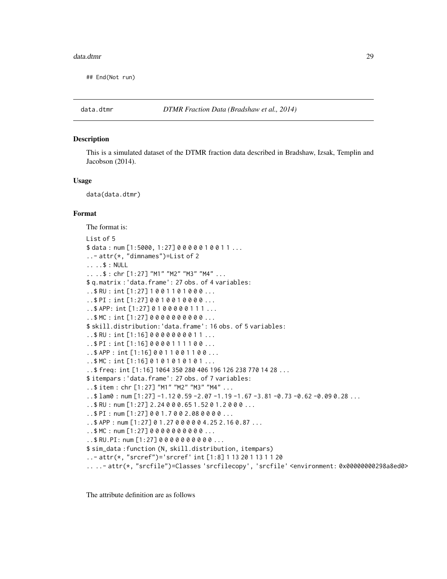#### <span id="page-28-0"></span>data.dtmr 29

## End(Not run)

## **Description**

This is a simulated dataset of the DTMR fraction data described in Bradshaw, Izsak, Templin and Jacobson (2014).

#### Usage

data(data.dtmr)

## Format

The format is: List of 5 \$ data: num [1:5000, 1:27] 0 0 0 0 0 1 0 0 1 1 ... ..- attr(\*, "dimnames")=List of 2 .. ..\$ : NULL .. ..\$ : chr [1:27] "M1" "M2" "M3" "M4" ... \$ q.matrix :'data.frame': 27 obs. of 4 variables: ..\$ RU : int [1:27] 1 0 0 1 1 0 1 0 0 0 ... ..\$ PI : int [1:27] 0 0 1 0 0 1 0 0 0 0 ... ..\$ APP: int [1:27] 0 1 0 0 0 0 0 1 1 1 ... ..\$ MC : int [1:27] 0 0 0 0 0 0 0 0 0 0 ... \$ skill.distribution:'data.frame': 16 obs. of 5 variables: ..\$ RU : int [1:16] 0 0 0 0 0 0 0 0 1 1 ... ..\$ PI : int [1:16] 0 0 0 0 1 1 1 1 0 0 ... ..\$ APP : int [1:16] 0 0 1 1 0 0 1 1 0 0 ... ..\$ MC : int [1:16] 0 1 0 1 0 1 0 1 0 1 ... ..\$ freq: int [1:16] 1064 350 280 406 196 126 238 770 14 28 ... \$ itempars :'data.frame': 27 obs. of 7 variables: ..\$ item : chr [1:27] "M1" "M2" "M3" "M4" ... ..\$ lam0 : num [1:27] -1.12 0.59 -2.07 -1.19 -1.67 -3.81 -0.73 -0.62 -0.09 0.28 ... ..\$ RU : num [1:27] 2.24 0 0 0.65 1.52 0 1.2 0 0 0 ... ..\$ PI : num [1:27] 0 0 1.7 0 0 2.08 0 0 0 0 ... ..\$ APP : num [1:27] 0 1.27 0 0 0 0 0 4.25 2.16 0.87 ... ..\$ MC : num [1:27] 0 0 0 0 0 0 0 0 0 0 ... ..\$ RU.PI: num [1:27] 0 0 0 0 0 0 0 0 0 0 ... \$ sim\_data :function (N, skill.distribution, itempars) ..- attr(\*, "srcref")='srcref' int [1:8] 1 13 20 1 13 1 1 20 .. ..- attr(\*, "srcfile")=Classes 'srcfilecopy', 'srcfile' <environment: 0x00000000298a8ed0>

The attribute definition are as follows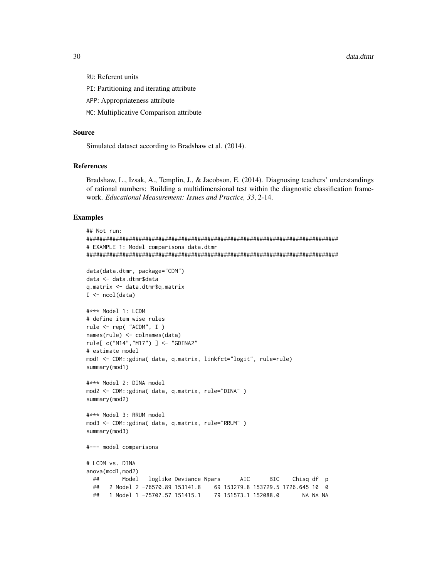30 data.dtmr

- RU: Referent units
- PI: Partitioning and iterating attribute
- APP: Appropriateness attribute
- MC: Multiplicative Comparison attribute

#### Source

Simulated dataset according to Bradshaw et al. (2014).

#### References

Bradshaw, L., Izsak, A., Templin, J., & Jacobson, E. (2014). Diagnosing teachers' understandings of rational numbers: Building a multidimensional test within the diagnostic classification framework. *Educational Measurement: Issues and Practice, 33*, 2-14.

#### Examples

```
## Not run:
#############################################################################
# EXAMPLE 1: Model comparisons data.dtmr
#############################################################################
data(data.dtmr, package="CDM")
data <- data.dtmr$data
q.matrix <- data.dtmr$q.matrix
I \leftarrow \text{ncol}(data)#*** Model 1: LCDM
# define item wise rules
rule <- rep( "ACDM", I )
names(rule) <- colnames(data)
rule[ c("M14","M17") ] <- "GDINA2"
# estimate model
mod1 <- CDM::gdina( data, q.matrix, linkfct="logit", rule=rule)
summary(mod1)
#*** Model 2: DINA model
mod2 <- CDM::gdina( data, q.matrix, rule="DINA" )
summary(mod2)
#*** Model 3: RRUM model
mod3 <- CDM::gdina( data, q.matrix, rule="RRUM" )
summary(mod3)
#--- model comparisons
# LCDM vs. DINA
anova(mod1,mod2)
 ## Model loglike Deviance Npars AIC BIC Chisq df p
 ## 2 Model 2 -76570.89 153141.8 69 153279.8 153729.5 1726.645 10 0
 ## 1 Model 1 -75707.57 151415.1 79 151573.1 152088.0 NA NA NA
```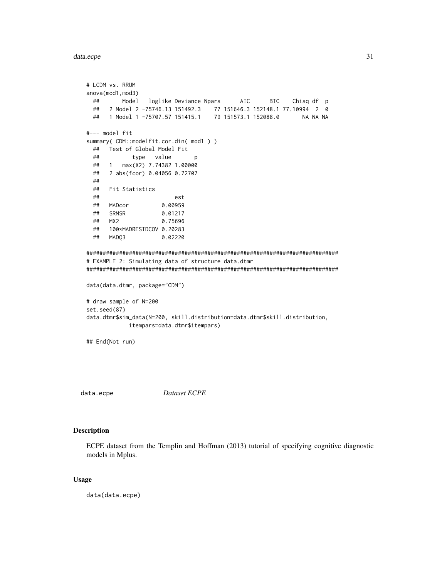## <span id="page-30-0"></span>data.ecpe

```
# LCDM vs. RRUM
anova(mod1, mod3)
 ##Model
              loglike Deviance Npars
                                      AIC
                                              BIC
                                                    Chisq df p
 ##2 Model 2 -75746.13 151492.3 77 151646.3 152148.1 77.10994 2 0
    1 Model 1 -75707.57 151415.1
                                79 151573.1 152088.0
 ##NA NA NA
#--- model fit
summary(CDM::modelfit.cor.din(mod1))
 ## Test of Global Model Fit
 \# \#type value
                           p
    1 max(X2) 7.74382 1.00000
 \##
     2 abs(fcor) 0.04056 0.72707
 ##\# \#\# \#Fit Statistics
 \# \#est
 ##MADcor
                  0.00959
 ##SRMSR
                  0.01217
                  0.75696
     MX<sub>2</sub>
 ##100*MADRESIDCOV 0.20283
 \# \#\# \#MADQ3
                  0.02220
# EXAMPLE 2: Simulating data of structure data.dtmr
data(data.dtmr, package="CDM")
# draw sample of N=200
set.seed(87)
data.dtmr$sim_data(N=200, skill.distribution=data.dtmr$skill.distribution,
          itempars=data.dtmr$itempars)
## End(Not run)
```
data.ecpe

Dataset ECPE

## **Description**

ECPE dataset from the Templin and Hoffman (2013) tutorial of specifying cognitive diagnostic models in Mplus.

#### **Usage**

data(data.ecpe)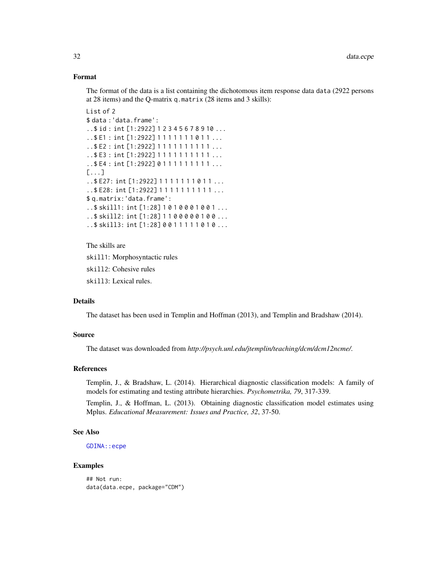# Format

The format of the data is a list containing the dichotomous item response data data (2922 persons at 28 items) and the Q-matrix q.matrix (28 items and 3 skills):

```
List of 2
$ data :'data.frame':
..$ id : int [1:2922] 1 2 3 4 5 6 7 8 9 10 ...
..$ E1 : int [1:2922] 1 1 1 1 1 1 1 0 1 1 ...
..$ E2 : int [1:2922] 1 1 1 1 1 1 1 1 1 1 ...
..$ E3 : int [1:2922] 1 1 1 1 1 1 1 1 1 1 ...
..$E4 : int [1:2922] 0111111111...
[...]
..$ E27: int [1:2922] 1 1 1 1 1 1 1 0 1 1 ...
..$ E28: int [1:2922] 1 1 1 1 1 1 1 1 1 1 ...
$ q.matrix:'data.frame':
..$ skill1: int [1:28] 1 0 1 0 0 0 1 0 0 1 ...
..$ skill2: int [1:28] 1 1 0 0 0 0 0 1 0 0 ...
..$ skill3: int [1:28] 0 0 1 1 1 1 1 0 1 0 ...
```
The skills are

skill1: Morphosyntactic rules

skill2: Cohesive rules

skill3: Lexical rules.

# Details

The dataset has been used in Templin and Hoffman (2013), and Templin and Bradshaw (2014).

## Source

The dataset was downloaded from *http://psych.unl.edu/jtemplin/teaching/dcm/dcm12ncme/*.

#### References

Templin, J., & Bradshaw, L. (2014). Hierarchical diagnostic classification models: A family of models for estimating and testing attribute hierarchies. *Psychometrika, 79*, 317-339.

Templin, J., & Hoffman, L. (2013). Obtaining diagnostic classification model estimates using Mplus. *Educational Measurement: Issues and Practice, 32*, 37-50.

#### See Also

[GDINA::ecpe](#page-0-0)

## Examples

## Not run: data(data.ecpe, package="CDM")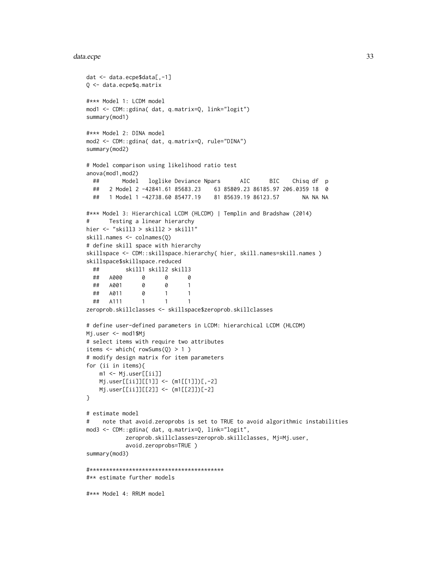#### data.ecpe 33

```
dat <- data.ecpe$data[,-1]
Q <- data.ecpe$q.matrix
#*** Model 1: LCDM model
mod1 <- CDM::gdina( dat, q.matrix=Q, link="logit")
summary(mod1)
#*** Model 2: DINA model
mod2 <- CDM::gdina( dat, q.matrix=Q, rule="DINA")
summary(mod2)
# Model comparison using likelihood ratio test
anova(mod1,mod2)
 ## Model loglike Deviance Npars AIC BIC Chisq df p
 ## 2 Model 2 -42841.61 85683.23 63 85809.23 86185.97 206.0359 18 0
 ## 1 Model 1 -42738.60 85477.19 81 85639.19 86123.57 NA NA NA
#*** Model 3: Hierarchical LCDM (HLCDM) | Templin and Bradshaw (2014)
# Testing a linear hierarchy
hier <- "skill3 > skill2 > skill1"
skill.names <- colnames(Q)
# define skill space with hierarchy
skillspace <- CDM::skillspace.hierarchy( hier, skill.names=skill.names )
skillspace$skillspace.reduced
 ## skill1 skill2 skill3
 ## A000 0 0 0
 ## A001 0 0 1
 ## A011 0 1 1
 ## A111 1 1 1
zeroprob.skillclasses <- skillspace$zeroprob.skillclasses
# define user-defined parameters in LCDM: hierarchical LCDM (HLCDM)
Mj.user <- mod1$Mj
# select items with require two attributes
items \le which( rowSums(Q) > 1)
# modify design matrix for item parameters
for (ii in items){
   m1 <- Mj.user[[ii]]
   Mj.user[[ii]][[1]] <- (m1[[1]])[,-2]
   Mj.user[[ii]][[2]] <- (m1[[2]])[-2]
}
# estimate model
# note that avoid.zeroprobs is set to TRUE to avoid algorithmic instabilities
mod3 <- CDM::gdina( dat, q.matrix=Q, link="logit",
           zeroprob.skillclasses=zeroprob.skillclasses, Mj=Mj.user,
           avoid.zeroprobs=TRUE )
summary(mod3)
#*****************************************
#** estimate further models
#*** Model 4: RRUM model
```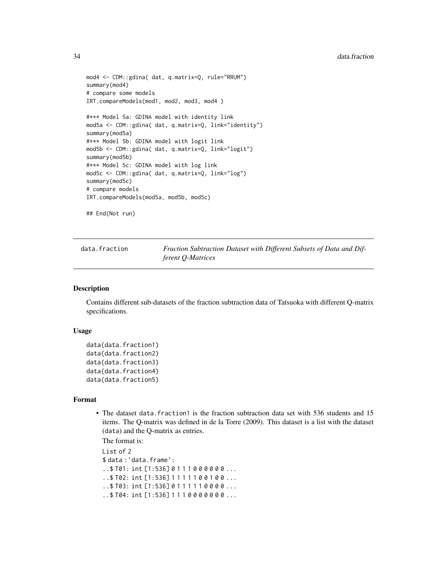```
mod4 <- CDM::gdina( dat, q.matrix=Q, rule="RRUM")
summary(mod4)
# compare some models
IRT.compareModels(mod1, mod2, mod3, mod4 )
#*** Model 5a: GDINA model with identity link
mod5a <- CDM::gdina( dat, q.matrix=Q, link="identity")
summary(mod5a)
#*** Model 5b: GDINA model with logit link
mod5b <- CDM::gdina( dat, q.matrix=Q, link="logit")
summary(mod5b)
#*** Model 5c: GDINA model with log link
mod5c <- CDM::gdina( dat, q.matrix=Q, link="log")
summary(mod5c)
# compare models
IRT.compareModels(mod5a, mod5b, mod5c)
```
## End(Not run)

data.fraction *Fraction Subtraction Dataset with Different Subsets of Data and Different Q-Matrices*

#### Description

Contains different sub-datasets of the fraction subtraction data of Tatsuoka with different Q-matrix specifications.

#### Usage

```
data(data.fraction1)
data(data.fraction2)
data(data.fraction3)
data(data.fraction4)
data(data.fraction5)
```
#### Format

• The dataset data.fraction1 is the fraction subtraction data set with 536 students and 15 items. The Q-matrix was defined in de la Torre (2009). This dataset is a list with the dataset (data) and the Q-matrix as entries.

The format is:

List of 2 \$ data :'data.frame': ..\$ T01: int [1:536] 0 1 1 1 0 0 0 0 0 0 ... ..\$ T02: int [1:536] 1 1 1 1 1 0 0 1 0 0 ...  $.5$  T03: int [1:536] 0 1 1 1 1 1 0 0 0 0 ... ..\$ T04: int [1:536] 1 1 1 0 0 0 0 0 0 0 ...

<span id="page-33-0"></span>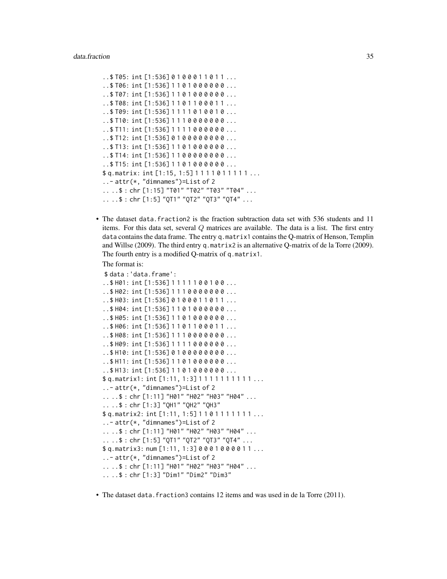```
..$ T05: int [1:536] 0 1 0 0 0 1 1 0 1 1 ...
..$ T06: int [1:536] 1 1 0 1 0 0 0 0 0 0 ...
..$ T07: int [1:536] 1 1 0 1 0 0 0 0 0 0 ...
..$ T08: int [1:536] 1 1 0 1 1 0 0 0 1 1 ...
.5 T09: int [1:536] 1111010010...
..$ T10: int [1:536] 1 1 1 0 0 0 0 0 0 0 ...
..$ T11: int [1:536] 1 1 1 1 0 0 0 0 0 0 ...
..$ T12: int [1:536] 0 1 0 0 0 0 0 0 0 0 ...
..$ T13: int [1:536] 1 1 0 1 0 0 0 0 0 0 ...
..$ T14: int [1:536] 1 1 0 0 0 0 0 0 0 0 ...
..$ T15: int [1:536] 1 1 0 1 0 0 0 0 0 0 ...
$ q.matrix: int [1:15, 1:5] 1 1 1 1 0 1 1 1 1 1 ...
..- attr(*, "dimnames")=List of 2
.. ..$ : chr [1:15] "T01" "T02" "T03" "T04" ...
.. ..$ : chr [1:5] "QT1" "QT2" "QT3" "QT4" ...
```
• The dataset data.fraction2 is the fraction subtraction data set with 536 students and 11 items. For this data set, several  $Q$  matrices are available. The data is a list. The first entry data contains the data frame. The entry q.matrix1 contains the Q-matrix of Henson, Templin and Willse (2009). The third entry q.matrix2 is an alternative Q-matrix of de la Torre (2009). The fourth entry is a modified Q-matrix of q.matrix1.

```
The format is:
```

```
$ data :'data.frame':
.5 H01: int [1:536] 1111100100...
..$ H02: int [1:536] 1 1 1 0 0 0 0 0 0 0 ...
..$ H03: int [1:536] 0 1 0 0 0 1 1 0 1 1 ...
..$ H04: int [1:536] 1 1 0 1 0 0 0 0 0 0 ...
..$ H05: int [1:536] 1 1 0 1 0 0 0 0 0 0 ...
..$ H06: int [1:536] 1 1 0 1 1 0 0 0 1 1 ...
..$ H08: int [1:536] 1 1 1 0 0 0 0 0 0 0 ...
..$ H09: int [1:536] 1 1 1 1 0 0 0 0 0 0 ...
..$ H10: int [1:536] 0 1 0 0 0 0 0 0 0 0 ...
..$ H11: int [1:536] 1 1 0 1 0 0 0 0 0 0 ...
..$ H13: int [1:536] 1 1 0 1 0 0 0 0 0 0 ...
$ q.matrix1: int [1:11, 1:3] 1 1 1 1 1 1 1 1 1 1 ...
..- attr(*, "dimnames")=List of 2
.. ..$ : chr [1:11] "H01" "H02" "H03" "H04" ...
.. ..$ : chr [1:3] "QH1" "QH2" "QH3"
$ q.matrix2: int [1:11, 1:5] 1 1 0 1 1 1 1 1 1 1 ...
..- attr(*, "dimnames")=List of 2
.. ..$ : chr [1:11] "H01" "H02" "H03" "H04" ...
.. ..$ : chr [1:5] "QT1" "QT2" "QT3" "QT4" ...
$ q.matrix3: num [1:11, 1:3] 0 0 0 1 0 0 0 0 1 1 ...
..- attr(*, "dimnames")=List of 2
.. ..$ : chr [1:11] "H01" "H02" "H03" "H04" ...
.. ..$ : chr [1:3] "Dim1" "Dim2" "Dim3"
```
• The dataset data. fraction3 contains 12 items and was used in de la Torre (2011).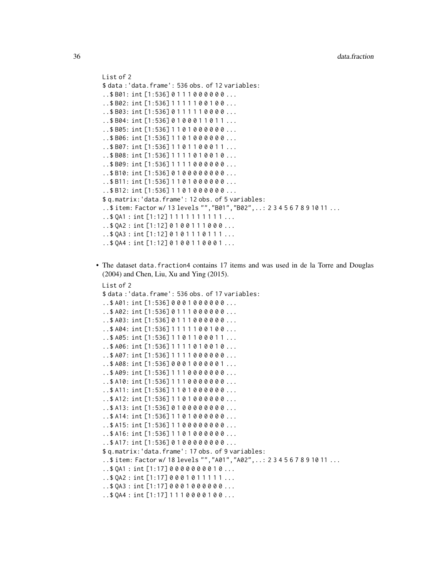```
List of 2
$ data :'data.frame': 536 obs. of 12 variables:
..$ B01: int [1:536] 0 1 1 1 0 0 0 0 0 0 ...
..$ B02: int [1:536] 1 1 1 1 1 0 0 1 0 0 ...
..$ B03: int [1:536] 0 1 1 1 1 1 0 0 0 0 ...
..$ B04: int [1:536] 0 1 0 0 0 1 1 0 1 1 ...
..$ B05: int [1:536] 1 1 0 1 0 0 0 0 0 0 ...
..$ B06: int [1:536] 1 1 0 1 0 0 0 0 0 0 ...
..$ B07: int [1:536] 1 1 0 1 1 0 0 0 1 1 ...
..$ B08: int [1:536] 1 1 1 1 0 1 0 0 1 0 ...
..$ B09: int [1:536] 1 1 1 1 0 0 0 0 0 0 ...
..$ B10: int [1:536] 0 1 0 0 0 0 0 0 0 0 ...
..$ B11: int [1:536] 1 1 0 1 0 0 0 0 0 0 ...
..$ B12: int [1:536] 1 1 0 1 0 0 0 0 0 0 ...
$ q.matrix:'data.frame': 12 obs. of 5 variables:
..$ item: Factor w/ 13 levels "","B01","B02",..: 2 3 4 5 6 7 8 9 10 11 ...
..$ QA1 : int [1:12] 1 1 1 1 1 1 1 1 1 1 ...
.50A2: int [1:12] 0100111000...
..$ QA3 : int [1:12] 0 1 0 1 1 1 0 1 1 1 ...
.50A4: int [1:12] 0 1 0 0 1 1 0 0 0 1 ...
```
• The dataset data.fraction4 contains 17 items and was used in de la Torre and Douglas (2004) and Chen, Liu, Xu and Ying (2015).

```
List of 2
$ data :'data.frame': 536 obs. of 17 variables:
..$ A01: int [1:536] 0 0 0 1 0 0 0 0 0 0 ...
..$ A02: int [1:536] 0 1 1 1 0 0 0 0 0 0 ...
..$ A03: int [1:536] 0 1 1 1 0 0 0 0 0 0 ...
..$ A04: int [1:536] 1 1 1 1 1 0 0 1 0 0 ...
..$ A05: int [1:536] 1 1 0 1 1 0 0 0 1 1 ...
..$ A06: int [1:536] 1 1 1 1 0 1 0 0 1 0 ...
..$ A07: int [1:536] 1 1 1 1 0 0 0 0 0 0 ...
..$ A08: int [1:536] 0 0 0 1 0 0 0 0 0 1 ...
..$ A09: int [1:536] 1 1 1 0 0 0 0 0 0 0 ...
..$ A10: int [1:536] 1 1 1 0 0 0 0 0 0 0 ...
..$ A11: int [1:536] 1 1 0 1 0 0 0 0 0 0 ...
..$ A12: int [1:536] 1 1 0 1 0 0 0 0 0 0 ...
..$ A13: int [1:536] 0 1 0 0 0 0 0 0 0 0 ...
..$ A14: int [1:536] 1 1 0 1 0 0 0 0 0 0 ...
..$ A15: int [1:536] 1 1 0 0 0 0 0 0 0 0 ...
..$ A16: int [1:536] 1 1 0 1 0 0 0 0 0 0 ...
..$ A17: int [1:536] 0 1 0 0 0 0 0 0 0 0 ...
$ q.matrix:'data.frame': 17 obs. of 9 variables:
..$ item: Factor w/ 18 levels "","A01","A02",..: 2 3 4 5 6 7 8 9 10 11 ...
. .$ 0A1 : int [1:17] 0 0 0 0 0 0 0 0 1 0 ...
. .$ QA2 : int [1:17] 0 0 0 1 0 1 1 1 1 1 ...
. .$ QA3 : int [1:17] 0 0 0 1 0 0 0 0 0 0 ...
.5 QA4 : int [1:17] 1 1 1 0 0 0 0 1 0 0 ...
```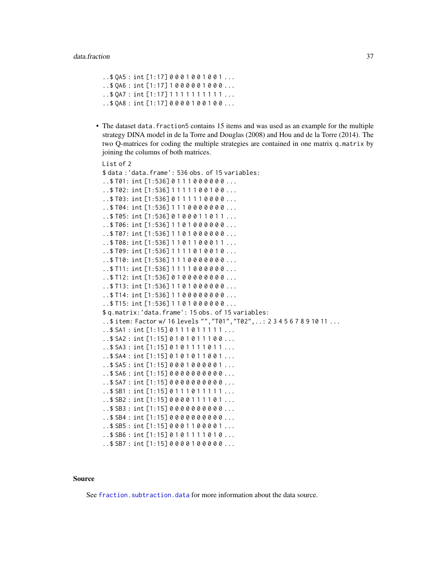```
. .$ QA5 : int [1:17] 0 0 0 1 0 0 1 0 0 1 ...
.5046: int [1:17] 1000001000...
. $ 0A7 : int [1:17] 1 1 1 1 1 1 1 1 1 1 ...
..$ QA8 : int [1:17] 0 0 0 0 1 0 0 1 0 0 ...
```
• The dataset data.fraction5 contains 15 items and was used as an example for the multiple strategy DINA model in de la Torre and Douglas (2008) and Hou and de la Torre (2014). The two Q-matrices for coding the multiple strategies are contained in one matrix q.matrix by joining the columns of both matrices.

```
List of 2
$ data :'data.frame': 536 obs. of 15 variables:
.1$T01: int [1:536] 0 1 1 1 0 0 0 0 0 0 ...
..$ T02: int [1:536] 1 1 1 1 1 0 0 1 0 0 ...
..$ T03: int [1:536] 0 1 1 1 1 1 0 0 0 0 ...
..$ T04: int [1:536] 1 1 1 0 0 0 0 0 0 0 ...
. .$T05: int [1:536] 0100011011...
..$ T06: int [1:536] 1 1 0 1 0 0 0 0 0 0 ...
..$ T07: int [1:536] 1 1 0 1 0 0 0 0 0 0 ...
..$ T08: int [1:536] 1 1 0 1 1 0 0 0 1 1 ...
..$ T09: int [1:536] 1 1 1 1 0 1 0 0 1 0 ...
..$ T10: int [1:536] 1 1 1 0 0 0 0 0 0 0 ...
..$ T11: int [1:536] 1 1 1 1 0 0 0 0 0 0 ...
..$ T12: int [1:536] 0 1 0 0 0 0 0 0 0 0 ...
..$ T13: int [1:536] 1 1 0 1 0 0 0 0 0 0 ...
..$ T14: int [1:536] 1 1 0 0 0 0 0 0 0 0 ...
..$ T15: int [1:536] 1 1 0 1 0 0 0 0 0 0 ...
$ q.matrix:'data.frame': 15 obs. of 15 variables:
..$ item: Factor w/ 16 levels "","T01","T02",..: 2 3 4 5 6 7 8 9 10 11 ...
..$ SA1 : int [1:15] 0 1 1 1 0 1 1 1 1 1 ...
..$ SA2 : int [1:15] 0 1 0 1 0 1 1 1 0 0 ...
..$ SA3 : int [1:15] 0 1 0 1 1 1 1 0 1 1 ...
..$ SA4 : int [1:15] 0 1 0 1 0 1 1 0 0 1 ...
..$ SA5 : int [1:15] 0 0 0 1 0 0 0 0 0 1 ...
..$ SA6 : int [1:15] 0 0 0 0 0 0 0 0 0 0 ...
..$ SA7 : int [1:15] 0 0 0 0 0 0 0 0 0 0 ...
..$SB1: int [1:15] 0111011111...
..$ SB2 : int [1:15] 0 0 0 0 1 1 1 1 0 1 ...
..$ SB3 : int [1:15] 0 0 0 0 0 0 0 0 0 0 ...
. .$ SB4 : int [1:15] 00000000000...
..$ SB5 : int [1:15] 0 0 0 1 1 0 0 0 0 1 ...
..$ SB6 : int [1:15] 0 1 0 1 1 1 1 0 1 0 ...
...$ SB7 : int [1:15] 0 0 0 0 1 0 0 0 0 0 ...
```
## Source

See fraction. subtraction. data for more information about the data source.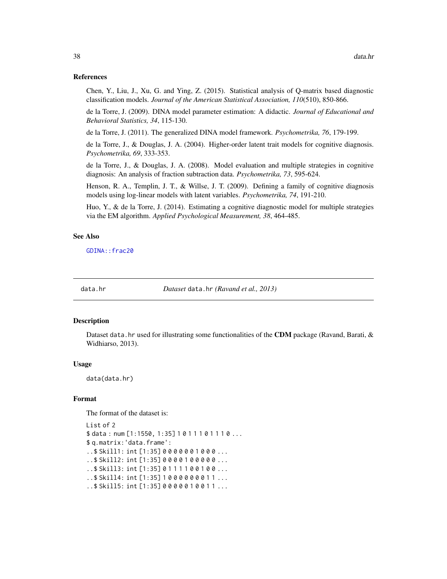## References

Chen, Y., Liu, J., Xu, G. and Ying, Z. (2015). Statistical analysis of Q-matrix based diagnostic classification models. *Journal of the American Statistical Association, 110*(510), 850-866.

de la Torre, J. (2009). DINA model parameter estimation: A didactic. *Journal of Educational and Behavioral Statistics, 34*, 115-130.

de la Torre, J. (2011). The generalized DINA model framework. *Psychometrika, 76*, 179-199.

de la Torre, J., & Douglas, J. A. (2004). Higher-order latent trait models for cognitive diagnosis. *Psychometrika, 69*, 333-353.

de la Torre, J., & Douglas, J. A. (2008). Model evaluation and multiple strategies in cognitive diagnosis: An analysis of fraction subtraction data. *Psychometrika, 73*, 595-624.

Henson, R. A., Templin, J. T., & Willse, J. T. (2009). Defining a family of cognitive diagnosis models using log-linear models with latent variables. *Psychometrika, 74*, 191-210.

Huo, Y., & de la Torre, J. (2014). Estimating a cognitive diagnostic model for multiple strategies via the EM algorithm. *Applied Psychological Measurement, 38*, 464-485.

## See Also

[GDINA::frac20](#page-0-0)

data.hr *Dataset* data.hr *(Ravand et al., 2013)*

#### Description

Dataset data.hr used for illustrating some functionalities of the CDM package (Ravand, Barati,  $\&$ Widhiarso, 2013).

#### Usage

data(data.hr)

#### Format

The format of the dataset is:

List of 2 \$ data : num [1:1550, 1:35] 1011101110... \$ q.matrix:'data.frame': ..\$ Skill1: int [1:35] 0 0 0 0 0 0 1 0 0 0 ... ..\$ Skill2: int [1:35] 0 0 0 0 1 0 0 0 0 0 ... ..\$ Skill3: int [1:35] 0 1 1 1 1 0 0 1 0 0 ... ..\$ Skill4: int [1:35] 1 0 0 0 0 0 0 0 1 1 ... ..\$ Skill5: int [1:35] 0 0 0 0 0 1 0 0 1 1 ...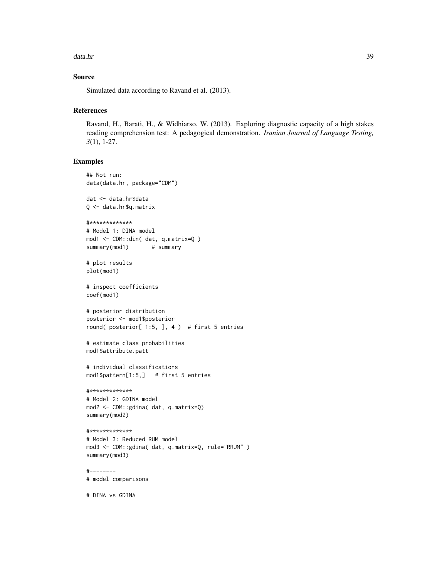#### data.hr 39

## Source

Simulated data according to Ravand et al. (2013).

# References

Ravand, H., Barati, H., & Widhiarso, W. (2013). Exploring diagnostic capacity of a high stakes reading comprehension test: A pedagogical demonstration. *Iranian Journal of Language Testing, 3*(1), 1-27.

## Examples

```
## Not run:
data(data.hr, package="CDM")
dat <- data.hr$data
Q <- data.hr$q.matrix
#*************
# Model 1: DINA model
mod1 <- CDM::din( dat, q.matrix=Q )
summary(mod1) # summary
# plot results
plot(mod1)
# inspect coefficients
coef(mod1)
# posterior distribution
posterior <- mod1$posterior
round( posterior[ 1:5, ], 4 ) # first 5 entries
# estimate class probabilities
mod1$attribute.patt
# individual classifications
mod1$pattern[1:5,] # first 5 entries
#*************
# Model 2: GDINA model
mod2 <- CDM::gdina( dat, q.matrix=Q)
summary(mod2)
#*************
# Model 3: Reduced RUM model
mod3 <- CDM::gdina( dat, q.matrix=Q, rule="RRUM" )
summary(mod3)
#--------
# model comparisons
```
# DINA vs GDINA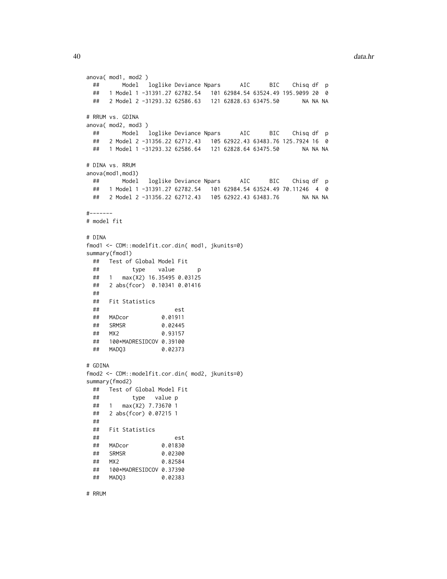```
anova( mod1, mod2 )
 ## Model loglike Deviance Npars AIC BIC Chisq df p
 ## 1 Model 1 -31391.27 62782.54 101 62984.54 63524.49 195.9099 20 0
 ## 2 Model 2 -31293.32 62586.63 121 62828.63 63475.50 NA NA NA
# RRUM vs. GDINA
anova( mod2, mod3 )
 ## Model loglike Deviance Npars AIC BIC Chisq df p
 ## 2 Model 2 -31356.22 62712.43 105 62922.43 63483.76 125.7924 16 0
 ## 1 Model 1 -31293.32 62586.64 121 62828.64 63475.50 NA NA NA
# DINA vs. RRUM
anova(mod1,mod3)
 ## Model loglike Deviance Npars AIC BIC Chisq df p
 ## 1 Model 1 -31391.27 62782.54 101 62984.54 63524.49 70.11246 4 0
 ## 2 Model 2 -31356.22 62712.43 105 62922.43 63483.76 NA NA NA
#-------
# model fit
# DINA
fmod1 <- CDM::modelfit.cor.din( mod1, jkunits=0)
summary(fmod1)
 ## Test of Global Model Fit
 ## type value p
 ## 1 max(X2) 16.35495 0.03125
 ## 2 abs(fcor) 0.10341 0.01416
 ##
 ## Fit Statistics
 ## est
 ## MADcor 0.01911
                 0.02445
 ## MX2 0.93157
 ## 100*MADRESIDCOV 0.39100
 ## MADQ3 0.02373
# GDINA
fmod2 <- CDM::modelfit.cor.din( mod2, jkunits=0)
summary(fmod2)
 ## Test of Global Model Fit
 ## type value p
 ## 1 max(X2) 7.73670 1
 ## 2 abs(fcor) 0.07215 1
 ##
 ## Fit Statistics
 ## est
 ## MADcor 0.01830
 ## SRMSR 0.02300
 ## MX2 0.82584
 ## 100*MADRESIDCOV 0.37390
 ## MADQ3 0.02383
```
# RRUM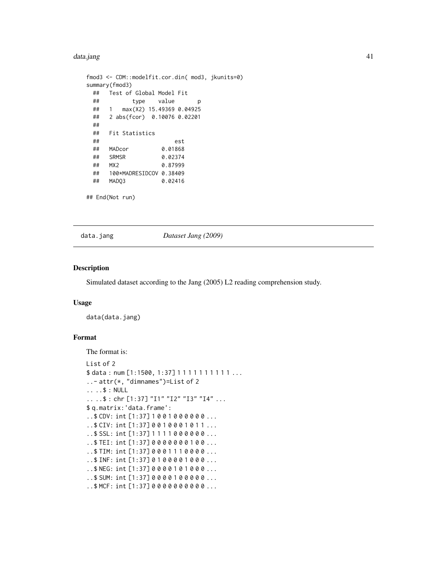#### data.jang 41

```
fmod3 <- CDM::modelfit.cor.din( mod3, jkunits=0)
summary(fmod3)
 ## Test of Global Model Fit
 ## type value p
 ## 1 max(X2) 15.49369 0.04925
 ## 2 abs(fcor) 0.10076 0.02201
 ##
 ## Fit Statistics
 ## est
 ## MADcor 0.01868
 ## SRMSR 0.02374
 ## MX2 0.87999
 ## 100*MADRESIDCOV 0.38409
 ## MADQ3 0.02416
## End(Not run)
```
data.jang *Dataset Jang (2009)*

#### Description

Simulated dataset according to the Jang (2005) L2 reading comprehension study.

#### Usage

data(data.jang)

# Format

The format is:

```
List of 2
$ data: num [1:1500, 1:37] 1111111111...
..- attr(*, "dimnames")=List of 2
.. ..$ : NULL
.. ..$ : chr [1:37] "I1" "I2" "I3" "I4" ...
$ q.matrix:'data.frame':
..$ CDV: int [1:37] 1 0 0 1 0 0 0 0 0 0 ...
..$ CIV: int [1:37] 0 0 1 0 0 0 1 0 1 1 ...
..$ SSL: int [1:37] 1 1 1 1 0 0 0 0 0 0 ...
..$ TEI: int [1:37] 0 0 0 0 0 0 0 1 0 0 ...
..$ TIM: int [1:37] 0 0 0 1 1 1 0 0 0 0 ...
..$ INF: int [1:37] 0 1 0 0 0 0 1 0 0 0 ...
..$ NEG: int [1:37] 0 0 0 0 1 0 1 0 0 0 ...
..$ SUM: int [1:37] 0 0 0 0 1 0 0 0 0 0 ...
..$ MCF: int [1:37] 0 0 0 0 0 0 0 0 0 0 ...
```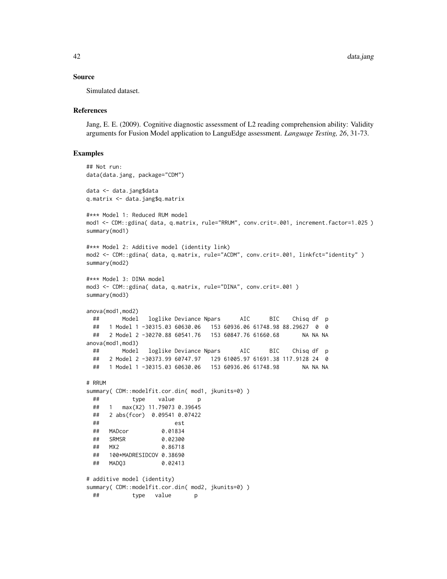## Source

Simulated dataset.

## References

Jang, E. E. (2009). Cognitive diagnostic assessment of L2 reading comprehension ability: Validity arguments for Fusion Model application to LanguEdge assessment. *Language Testing, 26*, 31-73.

```
## Not run:
data(data.jang, package="CDM")
data <- data.jang$data
q.matrix <- data.jang$q.matrix
#*** Model 1: Reduced RUM model
mod1 <- CDM::gdina( data, q.matrix, rule="RRUM", conv.crit=.001, increment.factor=1.025 )
summary(mod1)
#*** Model 2: Additive model (identity link)
mod2 <- CDM::gdina( data, q.matrix, rule="ACDM", conv.crit=.001, linkfct="identity" )
summary(mod2)
#*** Model 3: DINA model
mod3 <- CDM::gdina( data, q.matrix, rule="DINA", conv.crit=.001 )
summary(mod3)
anova(mod1,mod2)
 ## Model loglike Deviance Npars AIC BIC Chisq df p
 ## 1 Model 1 -30315.03 60630.06 153 60936.06 61748.98 88.29627 0 0
 ## 2 Model 2 -30270.88 60541.76 153 60847.76 61660.68 NA NA NA
anova(mod1,mod3)
 ## Model loglike Deviance Npars AIC BIC Chisq df p
  ## 2 Model 2 -30373.99 60747.97 129 61005.97 61691.38 117.9128 24 0
  ## 1 Model 1 -30315.03 60630.06 153 60936.06 61748.98 NA NA NA
# RRUM
summary( CDM::modelfit.cor.din( mod1, jkunits=0) )
 ## type value p
 ## 1 max(X2) 11.79073 0.39645
 ## 2 abs(fcor) 0.09541 0.07422
  ## est
 ## MADcor 0.01834
 ## SRMSR 0.02300
 ## MX2 0.86718
 ## 100*MADRESIDCOV 0.38690
 ## MADQ3 0.02413
# additive model (identity)
summary( CDM::modelfit.cor.din( mod2, jkunits=0) )
 ## type value p
```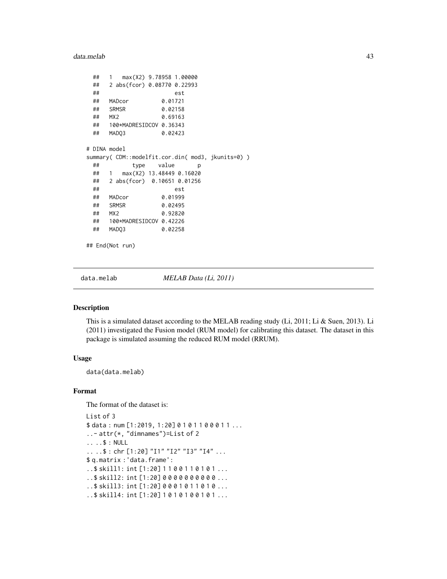data.melab 43

```
## 1 max(X2) 9.78958 1.00000
 ## 2 abs(fcor) 0.08770 0.22993
 ## est
 ## MADcor 0.01721
 ## SRMSR 0.02158
 ## MX2 0.69163
 ## 100*MADRESIDCOV 0.36343
 ## MADQ3 0.02423
# DINA model
summary( CDM::modelfit.cor.din( mod3, jkunits=0) )
 ## type value p
 ## 1 max(X2) 13.48449 0.16020
 ## 2 abs(fcor) 0.10651 0.01256
 ## est
 ## MADcor 0.01999
 ## SRMSR 0.02495
 ## MX2 0.92820
 ## 100*MADRESIDCOV 0.42226
 ## MADQ3 0.02258
```
## End(Not run)

data.melab *MELAB Data (Li, 2011)*

## Description

This is a simulated dataset according to the MELAB reading study (Li, 2011; Li & Suen, 2013). Li (2011) investigated the Fusion model (RUM model) for calibrating this dataset. The dataset in this package is simulated assuming the reduced RUM model (RRUM).

# Usage

data(data.melab)

# Format

The format of the dataset is:

```
List of 3
$ data: num [1:2019, 1:20] 0101100011...
..- attr(*, "dimnames")=List of 2
.. ..$ : NULL
.. ..$ : chr [1:20] "I1" "I2" "I3" "I4" ...
$ q.matrix :'data.frame':
..$ skill1: int [1:20] 1 1 0 0 1 1 0 1 0 1 ...
..$ skill2: int [1:20] 0 0 0 0 0 0 0 0 0 0 ...
..$ skill3: int [1:20] 0 0 0 1 0 1 1 0 1 0 ...
..$ skill4: int [1:20] 1 0 1 0 1 0 0 1 0 1 ...
```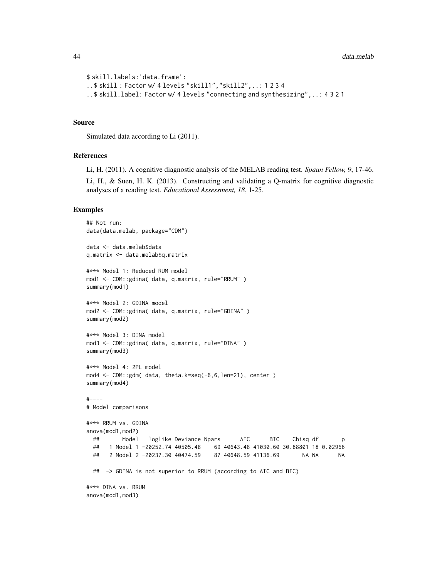```
$ skill.labels:'data.frame':
..$ skill : Factor w/ 4 levels "skill1","skill2",..: 1 2 3 4
..$ skill.label: Factor w/ 4 levels "connecting and synthesizing",..: 4 3 2 1
```
#### Source

Simulated data according to Li (2011).

#### References

Li, H. (2011). A cognitive diagnostic analysis of the MELAB reading test. *Spaan Fellow, 9*, 17-46.

Li, H., & Suen, H. K. (2013). Constructing and validating a Q-matrix for cognitive diagnostic analyses of a reading test. *Educational Assessment, 18*, 1-25.

```
## Not run:
data(data.melab, package="CDM")
data <- data.melab$data
q.matrix <- data.melab$q.matrix
#*** Model 1: Reduced RUM model
mod1 <- CDM::gdina( data, q.matrix, rule="RRUM" )
summary(mod1)
#*** Model 2: GDINA model
mod2 <- CDM::gdina( data, q.matrix, rule="GDINA" )
summary(mod2)
#*** Model 3: DINA model
mod3 <- CDM::gdina( data, q.matrix, rule="DINA" )
summary(mod3)
#*** Model 4: 2PL model
mod4 <- CDM::gdm( data, theta.k=seq(-6,6,len=21), center )
summary(mod4)
#----
# Model comparisons
#*** RRUM vs. GDINA
anova(mod1,mod2)
 ## Model loglike Deviance Npars AIC BIC Chisq df p
 ## 1 Model 1 -20252.74 40505.48 69 40643.48 41030.60 30.88801 18 0.02966
 ## 2 Model 2 -20237.30 40474.59 87 40648.59 41136.69 NA NA NA
 ## -> GDINA is not superior to RRUM (according to AIC and BIC)
#*** DINA vs. RRUM
anova(mod1,mod3)
```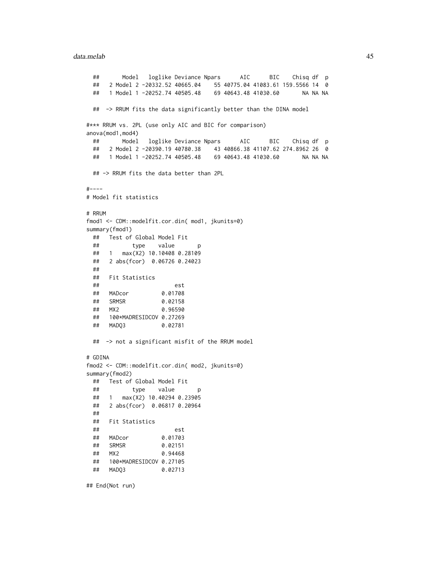#### data.melab 45

```
## Model loglike Deviance Npars AIC BIC Chisq df p
 ## 2 Model 2 -20332.52 40665.04 55 40775.04 41083.61 159.5566 14 0
 ## 1 Model 1 -20252.74 40505.48 69 40643.48 41030.60 NA NA NA
 ## -> RRUM fits the data significantly better than the DINA model
#*** RRUM vs. 2PL (use only AIC and BIC for comparison)
anova(mod1,mod4)
 ## Model loglike Deviance Npars AIC BIC Chisq df p
 ## 2 Model 2 -20390.19 40780.38 43 40866.38 41107.62 274.8962 26 0
 ## 1 Model 1 -20252.74 40505.48 69 40643.48 41030.60 NA NA NA
 ## -> RRUM fits the data better than 2PL
#----
# Model fit statistics
# RRUM
fmod1 <- CDM::modelfit.cor.din( mod1, jkunits=0)
summary(fmod1)
 ## Test of Global Model Fit
 ## type value p
 ## 1 max(X2) 10.10408 0.28109
 ## 2 abs(fcor) 0.06726 0.24023
 ##
 ## Fit Statistics
 ## est
 ## MADcor 0.01708
 ## SRMSR 0.02158
 ## MX2 0.96590
 ## 100*MADRESIDCOV 0.27269
 ## MADQ3 0.02781
 ## -> not a significant misfit of the RRUM model
# GDINA
fmod2 <- CDM::modelfit.cor.din( mod2, jkunits=0)
summary(fmod2)
 ## Test of Global Model Fit
 ## type value p
 ## 1 max(X2) 10.40294 0.23905
 ## 2 abs(fcor) 0.06817 0.20964
 ##
 ## Fit Statistics
 ## est
 ## MADcor 0.01703
 ## SRMSR 0.02151
 ## MX2 0.94468
 ## 100*MADRESIDCOV 0.27105
 ## MADQ3 0.02713
```
## End(Not run)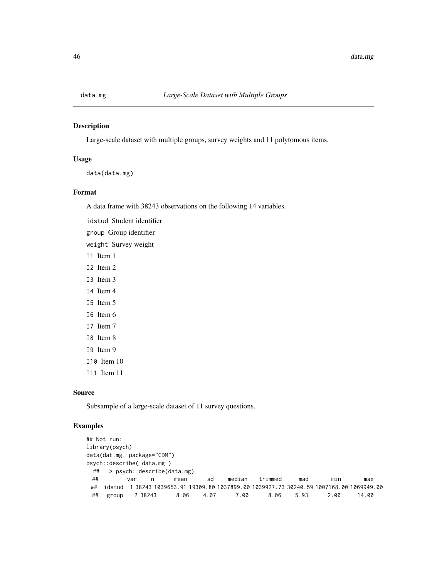# Description

Large-scale dataset with multiple groups, survey weights and 11 polytomous items.

## Usage

```
data(data.mg)
```
# Format

A data frame with 38243 observations on the following 14 variables.

idstud Student identifier

group Group identifier

weight Survey weight

- I1 Item 1
- I2 Item 2
- I3 Item 3
- I4 Item 4
- I5 Item 5
- I6 Item 6
- I7 Item 7
- I8 Item 8
- I9 Item 9
- I10 Item 10
- I11 Item 11

# Source

Subsample of a large-scale dataset of 11 survey questions.

```
## Not run:
library(psych)
data(dat.mg, package="CDM")
psych::describe( data.mg )
 ## > psych::describe(data.mg)
 ## var n mean sd median trimmed mad min max
 ## idstud 1 38243 1039653.91 19309.80 1037899.00 1039927.73 30240.59 1007168.00 1069949.00
                            4.07 7.00 8.06 5.93 2.00 14.00
```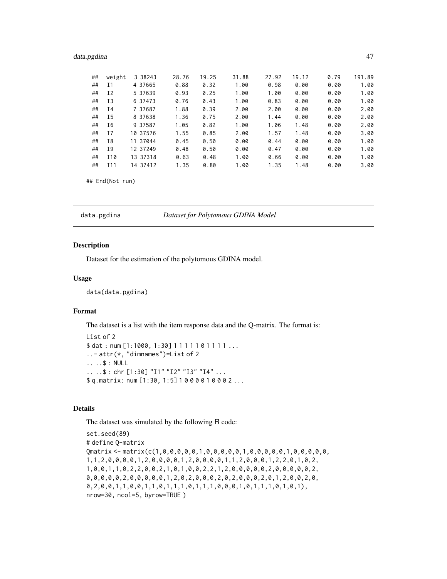# data.pgdina 47

| ## | weight | 3 38243  | 28.76 | 19.25 | 31.88 | 27.92 | 19.12 | 0.79 | 191.89 |
|----|--------|----------|-------|-------|-------|-------|-------|------|--------|
| ## | Ι1     | 4 37665  | 0.88  | 0.32  | 1.00  | 0.98  | 0.00  | 0.00 | 1.00   |
| ## | I2     | 5 37639  | 0.93  | 0.25  | 1.00  | 1.00  | 0.00  | 0.00 | 1.00   |
| ## | I3     | 6 37473  | 0.76  | 0.43  | 1.00  | 0.83  | 0.00  | 0.00 | 1.00   |
| ## | Ι4     | 7 37687  | 1.88  | 0.39  | 2.00  | 2.00  | 0.00  | 0.00 | 2.00   |
| ## | I5     | 8 37638  | 1.36  | 0.75  | 2.00  | 1.44  | 0.00  | 0.00 | 2.00   |
| ## | I6     | 9 37587  | 1.05  | 0.82  | 1.00  | 1.06  | 1.48  | 0.00 | 2.00   |
| ## | I7     | 10 37576 | 1.55  | 0.85  | 2.00  | 1.57  | 1.48  | 0.00 | 3.00   |
| ## | I8     | 11 37044 | 0.45  | 0.50  | 0.00  | 0.44  | 0.00  | 0.00 | 1.00   |
| ## | Ι9     | 12 37249 | 0.48  | 0.50  | 0.00  | 0.47  | 0.00  | 0.00 | 1.00   |
| ## | I10    | 13 37318 | 0.63  | 0.48  | 1.00  | 0.66  | 0.00  | 0.00 | 1.00   |
| ## | I11    | 14 37412 | 1.35  | 0.80  | 1.00  | 1.35  | 1.48  | 0.00 | 3.00   |

```
## End(Not run)
```
data.pgdina *Dataset for Polytomous GDINA Model*

# Description

Dataset for the estimation of the polytomous GDINA model.

# Usage

data(data.pgdina)

# Format

The dataset is a list with the item response data and the Q-matrix. The format is:

```
List of 2
$ dat: num [1:1000, 1:30] 1111101111...
..- attr(*, "dimnames")=List of 2
.. ..$ : NULL
.. ..$ : chr [1:30] "I1" "I2" "I3" "I4" ...
$ q.matrix: num [1:30, 1:5] 1 0 0 0 0 1 0 0 0 2 ...
```
# Details

The dataset was simulated by the following R code:

```
set.seed(89)
# define Q-matrix
Qmatrix <- matrix(c(1,0,0,0,0,0,1,0,0,0,0,0,1,0,0,0,0,0,1,0,0,0,0,0,
1,1,2,0,0,0,0,1,2,0,0,0,0,1,2,0,0,0,0,1,1,2,0,0,0,1,2,2,0,1,0,2,
1,0,0,1,1,0,2,2,0,0,2,1,0,1,0,0,2,2,1,2,0,0,0,0,0,2,0,0,0,0,0,2,
0,0,0,0,0,2,0,0,0,0,0,1,2,0,2,0,0,0,2,0,2,0,0,0,2,0,1,2,0,0,2,0,
0,2,0,0,1,1,0,0,1,1,0,1,1,1,0,1,1,1,0,0,0,1,0,1,1,1,0,1,0,1),
nrow=30, ncol=5, byrow=TRUE )
```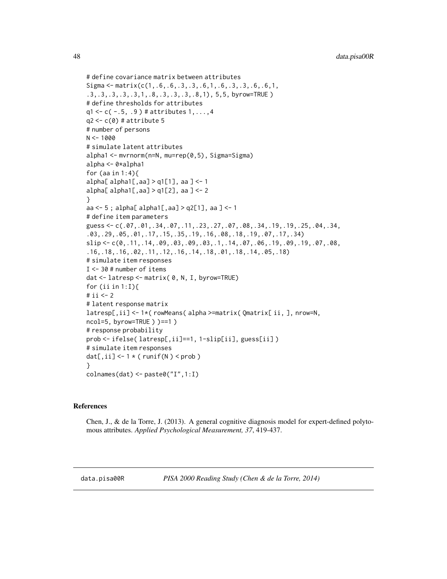```
# define covariance matrix between attributes
Sigma <- matrix(c(1,.6,.6,.3,.3,.6,1,.6,.3,.3,.6,.6,1,
.3,.3,.3,.3,.3,1,.8,.3,.3,.3,.8,1), 5,5, byrow=TRUE )
# define thresholds for attributes
q1 < -c(-.5, .9) # attributes 1, ..., 4q2 < -c(0) # attribute 5
# number of persons
N < -1000# simulate latent attributes
alpha1 <- mvrnorm(n=N, mu=rep(0,5), Sigma=Sigma)
alpha <- 0*alpha1
for (aa in 1:4){
alpha[ alpha1[,aa] > q1[1], aa] < -1alpha[ alpha1[,aa] > q1[2], aa ] <- 2
}
aa <- 5 ; alpha[ alpha1[,aa] > q2[1], aa ] <- 1
# define item parameters
guess \leq -c(.07, .01, .34, .07, .11, .23, .27, .07, .08, .34, .19, .19, .25, .04, .34,.03,.29,.05,.01,.17,.15,.35,.19,.16,.08,.18,.19,.07,.17,.34)
slip \leftarrow c(\emptyset, .11, .14, .09, .03, .09, .03, .1, .14, .07, .06, .19, .09, .19, .07, .08,.16,.18,.16,.02,.11,.12,.16,.14,.18,.01,.18,.14,.05,.18)
# simulate item responses
I <- 30 # number of items
dat <- latresp <- matrix( 0, N, I, byrow=TRUE)
for (ii in 1:I){
# ii < -2# latent response matrix
latresp[,ii] <- 1*( rowMeans( alpha >=matrix( Qmatrix[ ii, ], nrow=N,
ncol=5, byrow=TRUE ) )==1 )
# response probability
prob <- ifelse( latresp[,ii]==1, 1-slip[ii], guess[ii] )
# simulate item responses
dat[,ii] <-1 * (runif(N) < prob)
}
```
## References

colnames(dat) <- paste0("I",1:I)

Chen, J., & de la Torre, J. (2013). A general cognitive diagnosis model for expert-defined polytomous attributes. *Applied Psychological Measurement, 37*, 419-437.

data.pisa00R *PISA 2000 Reading Study (Chen & de la Torre, 2014)*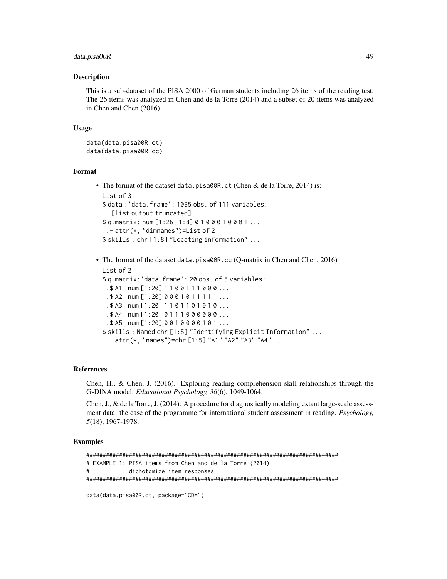# data.pisa00R 49

## Description

This is a sub-dataset of the PISA 2000 of German students including 26 items of the reading test. The 26 items was analyzed in Chen and de la Torre (2014) and a subset of 20 items was analyzed in Chen and Chen (2016).

## Usage

```
data(data.pisa00R.ct)
data(data.pisa00R.cc)
```
#### Format

```
• The format of the dataset data.pisa00R.ct (Chen & de la Torre, 2014) is:
 List of 3
  $ data :'data.frame': 1095 obs. of 111 variables:
  .. [list output truncated]
 $ q.matrix: num [1:26, 1:8] 0 1 0 0 0 1 0 0 0 1 ...
  ..- attr(*, "dimnames")=List of 2
  $ skills : chr [1:8] "Locating information" ...
```

```
• The format of the dataset data.pisa00R.cc (Q-matrix in Chen and Chen, 2016)
 List of 2
 $ q.matrix:'data.frame': 20 obs. of 5 variables:
  ..$ A1: num [1:20] 1 1 0 0 1 1 1 0 0 0 ...
  .. $ A2: num [1:20] 0 0 0 1 0 1 1 1 1 1 ...
  .. $ A3: num [1:20] 1 1 0 1 1 0 1 0 1 0 ...
  ..$ A4: num [1:20] 0 1 1 1 0 0 0 0 0 0 ...
  ..$ A5: num [1:20] 0 0 1 0 0 0 0 1 0 1 ...
 $ skills : Named chr [1:5] "Identifying Explicit Information" ...
  ..- attr(*, "names")=chr [1:5] "A1" "A2" "A3" "A4" ...
```
# References

Chen, H., & Chen, J. (2016). Exploring reading comprehension skill relationships through the G-DINA model. *Educational Psychology, 36*(6), 1049-1064.

Chen, J., & de la Torre, J. (2014). A procedure for diagnostically modeling extant large-scale assessment data: the case of the programme for international student assessment in reading. *Psychology, 5*(18), 1967-1978.

```
#############################################################################
# EXAMPLE 1: PISA items from Chen and de la Torre (2014)
# dichotomize item responses
#############################################################################
```

```
data(data.pisa00R.ct, package="CDM")
```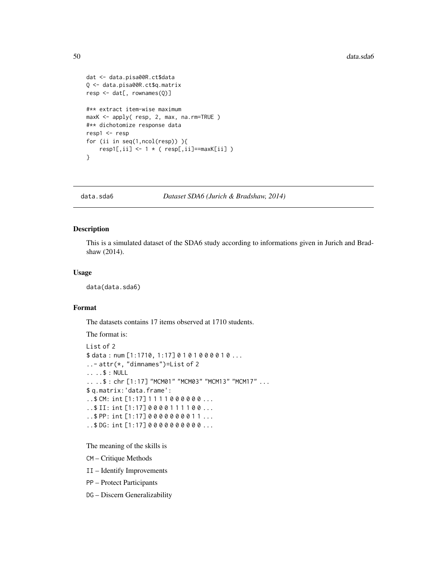```
dat <- data.pisa00R.ct$data
Q <- data.pisa00R.ct$q.matrix
resp <- dat[, rownames(Q)]
#** extract item-wise maximum
maxK <- apply( resp, 2, max, na.rm=TRUE )
#** dichotomize response data
resp1 <- resp
for (ii in seq(1,ncol(resp)) ){
    resp1[,ii] < -1 * (resp[,ii] == maxK[i]]}
```
data.sda6 *Dataset SDA6 (Jurich & Bradshaw, 2014)*

# Description

This is a simulated dataset of the SDA6 study according to informations given in Jurich and Bradshaw (2014).

# Usage

data(data.sda6)

# Format

The datasets contains 17 items observed at 1710 students.

The format is:

```
List of 2
$ data: num [1:1710, 1:17] 0 1 0 1 0 0 0 0 1 0 ...
..- attr(*, "dimnames")=List of 2
.. ..$ : NULL
.. ..$ : chr [1:17] "MCM01" "MCM03" "MCM13" "MCM17" ...
$ q.matrix:'data.frame':
..$ CM: int [1:17] 1 1 1 1 0 0 0 0 0 0 ...
..$ II: int [1:17] 0 0 0 0 1 1 1 1 0 0 ...
..$ PP: int [1:17] 0 0 0 0 0 0 0 0 1 1 ...
..$ DG: int [1:17] 0 0 0 0 0 0 0 0 0 0 ...
```
The meaning of the skills is

CM – Critique Methods

II – Identify Improvements

PP – Protect Participants

DG – Discern Generalizability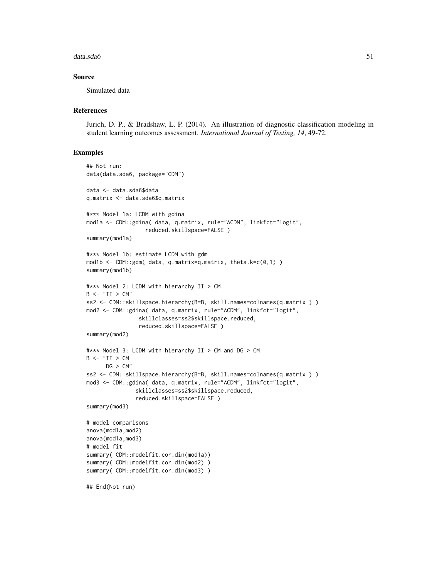#### data.sda6 51

## Source

Simulated data

## **References**

Jurich, D. P., & Bradshaw, L. P. (2014). An illustration of diagnostic classification modeling in student learning outcomes assessment. *International Journal of Testing, 14*, 49-72.

```
## Not run:
data(data.sda6, package="CDM")
data <- data.sda6$data
q.matrix <- data.sda6$q.matrix
#*** Model 1a: LCDM with gdina
mod1a <- CDM::gdina( data, q.matrix, rule="ACDM", linkfct="logit",
                  reduced.skillspace=FALSE )
summary(mod1a)
#*** Model 1b: estimate LCDM with gdm
mod1b <- CDM::gdm( data, q.matrix=q.matrix, theta.k=c(0,1) )
summary(mod1b)
#*** Model 2: LCDM with hierarchy II > CM
B \leftarrow "II \gt CM"ss2 <- CDM::skillspace.hierarchy(B=B, skill.names=colnames(q.matrix ) )
mod2 <- CDM::gdina( data, q.matrix, rule="ACDM", linkfct="logit",
                skillclasses=ss2$skillspace.reduced,
                reduced.skillspace=FALSE )
summary(mod2)
#*** Model 3: LCDM with hierarchy II > CM and DG > CM
B \leftarrow "II > CMDG > CM''ss2 <- CDM::skillspace.hierarchy(B=B, skill.names=colnames(q.matrix ) )
mod3 <- CDM::gdina( data, q.matrix, rule="ACDM", linkfct="logit",
               skillclasses=ss2$skillspace.reduced,
               reduced.skillspace=FALSE )
summary(mod3)
# model comparisons
anova(mod1a,mod2)
anova(mod1a,mod3)
# model fit
summary( CDM::modelfit.cor.din(mod1a))
summary( CDM::modelfit.cor.din(mod2) )
summary( CDM::modelfit.cor.din(mod3) )
## End(Not run)
```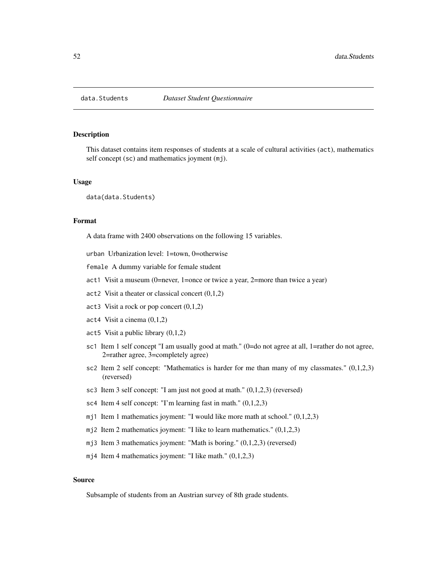#### Description

This dataset contains item responses of students at a scale of cultural activities (act), mathematics self concept (sc) and mathematics joyment (mj).

#### Usage

data(data.Students)

# Format

A data frame with 2400 observations on the following 15 variables.

urban Urbanization level: 1=town, 0=otherwise

female A dummy variable for female student

act1 Visit a museum (0=never, 1=once or twice a year, 2=more than twice a year)

- act2 Visit a theater or classical concert (0,1,2)
- act3 Visit a rock or pop concert (0,1,2)
- act4 Visit a cinema (0,1,2)
- act5 Visit a public library (0,1,2)
- sc1 Item 1 self concept "I am usually good at math." (0=do not agree at all, 1=rather do not agree, 2=rather agree, 3=completely agree)
- sc2 Item 2 self concept: "Mathematics is harder for me than many of my classmates."  $(0,1,2,3)$ (reversed)
- sc3 Item 3 self concept: "I am just not good at math." (0,1,2,3) (reversed)
- sc4 Item 4 self concept: "I'm learning fast in math." (0,1,2,3)
- mj1 Item 1 mathematics joyment: "I would like more math at school." (0,1,2,3)
- mj2 Item 2 mathematics joyment: "I like to learn mathematics." (0,1,2,3)
- mj3 Item 3 mathematics joyment: "Math is boring." (0,1,2,3) (reversed)
- mj4 Item 4 mathematics joyment: "I like math."  $(0,1,2,3)$

#### Source

Subsample of students from an Austrian survey of 8th grade students.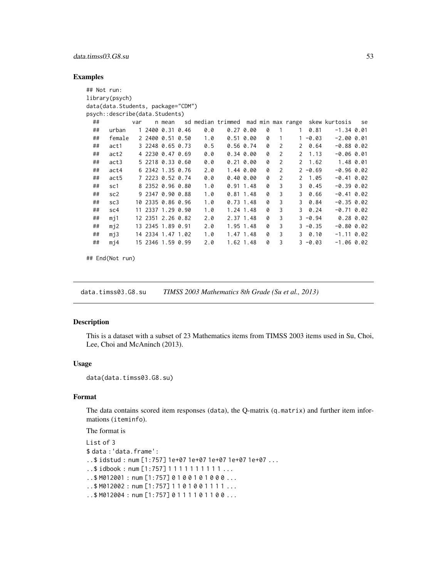# data.timss03.G8.su 53

# Examples

| ## Not run: |                                    |     |                   |     |                   |           |   |                |               |                |                                  |           |
|-------------|------------------------------------|-----|-------------------|-----|-------------------|-----------|---|----------------|---------------|----------------|----------------------------------|-----------|
|             | library(psych)                     |     |                   |     |                   |           |   |                |               |                |                                  |           |
|             | data(data.Students, package="CDM") |     |                   |     |                   |           |   |                |               |                |                                  |           |
|             | psych::describe(data.Students)     |     |                   |     |                   |           |   |                |               |                |                                  |           |
| ##          |                                    | var | n mean            |     | sd median trimmed |           |   |                |               |                | mad min max range  skew kurtosis | se        |
| ##          | urban                              |     | 1 2400 0.31 0.46  | 0.0 | 0.270.00          |           | 0 | 1              | $\mathbf{1}$  | 0.81           | $-1.34$ 0.01                     |           |
| ##          | female                             |     | 2 2400 0.51 0.50  | 1.0 | 0.510.00          |           | 0 | 1              |               | $1 - 0.03$     | $-2.0000.01$                     |           |
| ##          | act1                               |     | 3 2248 0.65 0.73  | 0.5 | $0.56$ 0.74       |           | 0 | 2              | $\mathcal{P}$ | 0.64           | $-0.880.02$                      |           |
| ##          | act2                               |     | 4 2230 0.47 0.69  | 0.0 | 0.340.00          |           | 0 | $\overline{2}$ | 2             | 1.13           | $-0.060.01$                      |           |
| ##          | act3                               |     | 5 2218 0.33 0.60  | 0.0 | 0.210.00          |           | 0 | $\overline{2}$ |               | $2 \quad 1.62$ |                                  | 1.48 0.01 |
| ##          | act4                               |     | 6 2342 1.35 0.76  | 2.0 |                   | 1.44 0.00 | 0 | $\overline{2}$ |               | $2 - 0.69$     | $-0.960.02$                      |           |
| ##          | act5                               |     | 7 2223 0.52 0.74  | 0.0 | 0.400.00          |           | 0 | 2              |               | 2 1.05         | $-0.41$ 0.02                     |           |
| ##          | sc1                                |     | 8 2352 0.96 0.80  | 1.0 | $0.91$ 1.48       |           | 0 | 3              | 3             | 0.45           | $-0.390.02$                      |           |
| ##          | sc <sub>2</sub>                    |     | 9 2347 0.90 0.88  | 1.0 | $0.81$ 1.48       |           | 0 | 3              | 3             | 0.66           | $-0.41$ 0.02                     |           |
| ##          | sc3                                |     | 10 2335 0.86 0.96 | 1.0 | $0.73$ 1.48       |           | 0 | 3              | 3             | 0.84           | $-0.350.02$                      |           |
| ##          | sc <sub>4</sub>                    |     | 11 2337 1.29 0.90 | 1.0 | 1.24 1.48         |           | 0 | 3              | 3             | 0.24           | $-0.71$ 0.02                     |           |
| ##          | m11                                |     | 12 2351 2.26 0.82 | 2.0 | 2.37 1.48         |           | 0 | 3              |               | $3 - 0.94$     |                                  | 0.280.02  |
| ##          | mj2                                |     | 13 2345 1.89 0.91 | 2.0 |                   | 1.95 1.48 | 0 | 3              |               | $3 - 0.35$     | $-0.800.02$                      |           |
| ##          | mj3                                |     | 14 2334 1.47 1.02 | 1.0 |                   | 1.47 1.48 | 0 | 3              | 3             | 0.10           | $-1.11$ 0.02                     |           |
| ##          | m14                                |     | 15 2346 1.59 0.99 | 2.0 |                   | 1.62 1.48 | 0 | 3              |               | $3 - 0.03$     | $-1.06$ 0.02                     |           |
|             |                                    |     |                   |     |                   |           |   |                |               |                |                                  |           |

## End(Not run)

data.timss03.G8.su *TIMSS 2003 Mathematics 8th Grade (Su et al., 2013)*

# Description

This is a dataset with a subset of 23 Mathematics items from TIMSS 2003 items used in Su, Choi, Lee, Choi and McAninch (2013).

## Usage

```
data(data.timss03.G8.su)
```
## Format

The data contains scored item responses (data), the Q-matrix (q.matrix) and further item informations (iteminfo).

The format is

```
List of 3
$ data :'data.frame':
..$ idstud : num [1:757] 1e+07 1e+07 1e+07 1e+07 1e+07 ...
..$ idbook : num [1:757] 1 1 1 1 1 1 1 1 1 1 ...
..$ M012001 : num [1:757] 0 1 0 0 1 0 1 0 0 0 ...
...$ M012002 : num [1:757] 1 1 0 1 0 0 1 1 1 1 ...
..$ M012004 : num [1:757] 0 1 1 1 1 0 1 1 0 0 ...
```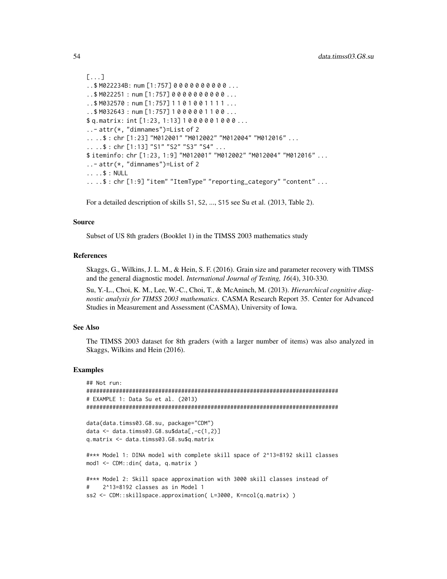```
[...]
..$ M022234B: num [1:757] 0 0 0 0 0 0 0 0 0 0 ...
..$ M022251 : num [1:757] 0 0 0 0 0 0 0 0 0 0 ...
...$ M032570 : num [1:757] 1 1 0 1 0 0 1 1 1 1 ...
. .$ M032643 : num [1:757] 1000001100...
$ q.matrix: int [1:23, 1:13] 1 0 0 0 0 0 1 0 0 0 ...
..- attr(*, "dimnames")=List of 2
.. ..$ : chr [1:23] "M012001" "M012002" "M012004" "M012016" ...
.. ..$ : chr [1:13] "S1" "S2" "S3" "S4" ...
$ iteminfo: chr [1:23, 1:9] "M012001" "M012002" "M012004" "M012016" ...
..- attr(*, "dimnames")=List of 2
.. ..$ : NULL
.. ..$ : chr [1:9] "item" "ItemType" "reporting_category" "content" ...
```
For a detailed description of skills S1, S2, ..., S15 see Su et al. (2013, Table 2).

#### Source

Subset of US 8th graders (Booklet 1) in the TIMSS 2003 mathematics study

#### References

Skaggs, G., Wilkins, J. L. M., & Hein, S. F. (2016). Grain size and parameter recovery with TIMSS and the general diagnostic model. *International Journal of Testing, 16*(4), 310-330.

Su, Y.-L., Choi, K. M., Lee, W.-C., Choi, T., & McAninch, M. (2013). *Hierarchical cognitive diagnostic analysis for TIMSS 2003 mathematics*. CASMA Research Report 35. Center for Advanced Studies in Measurement and Assessment (CASMA), University of Iowa.

## See Also

The TIMSS 2003 dataset for 8th graders (with a larger number of items) was also analyzed in Skaggs, Wilkins and Hein (2016).

```
## Not run:
#############################################################################
# EXAMPLE 1: Data Su et al. (2013)
#############################################################################
data(data.timss03.G8.su, package="CDM")
data \leq data.timss03.G8.su$data[,-c(1,2)]
q.matrix <- data.timss03.G8.su$q.matrix
#*** Model 1: DINA model with complete skill space of 2^13=8192 skill classes
mod1 <- CDM::din( data, q.matrix )
#*** Model 2: Skill space approximation with 3000 skill classes instead of
# 2^13=8192 classes as in Model 1
ss2 <- CDM::skillspace.approximation( L=3000, K=ncol(q.matrix) )
```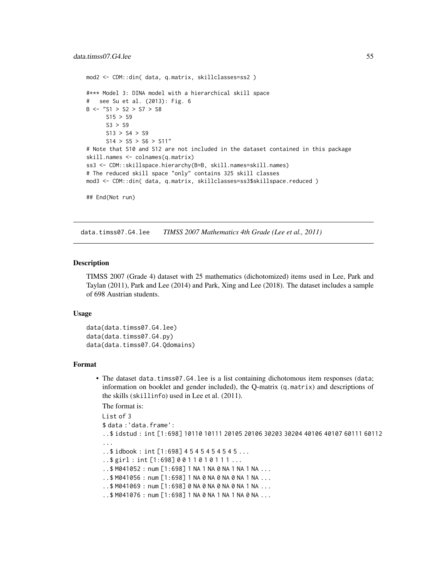```
mod2 <- CDM::din( data, q.matrix, skillclasses=ss2 )
#*** Model 3: DINA model with a hierarchical skill space
# see Su et al. (2013): Fig. 6
B \leftarrow "S1 > S2 > S7 > S8
     S15 > S9S3 > S9
     S13 > S4 > S9
     S14 > S5 > S6 > S11"# Note that S10 and S12 are not included in the dataset contained in this package
skill.names <- colnames(q.matrix)
ss3 <- CDM::skillspace.hierarchy(B=B, skill.names=skill.names)
# The reduced skill space "only" contains 325 skill classes
mod3 <- CDM::din( data, q.matrix, skillclasses=ss3$skillspace.reduced )
## End(Not run)
```
data.timss07.G4.lee *TIMSS 2007 Mathematics 4th Grade (Lee et al., 2011)*

#### Description

TIMSS 2007 (Grade 4) dataset with 25 mathematics (dichotomized) items used in Lee, Park and Taylan (2011), Park and Lee (2014) and Park, Xing and Lee (2018). The dataset includes a sample of 698 Austrian students.

## Usage

```
data(data.timss07.G4.lee)
data(data.timss07.G4.py)
data(data.timss07.G4.Qdomains)
```
#### Format

• The dataset data.timss07.G4.lee is a list containing dichotomous item responses (data; information on booklet and gender included), the Q-matrix (q.matrix) and descriptions of the skills (skillinfo) used in Lee et al. (2011).

The format is:

```
List of 3
$ data :'data.frame':
..$ idstud : int [1:698] 10110 10111 20105 20106 30203 30204 40106 40107 60111 60112
...
..$ idbook : int [1:698] 4 5 4 5 4 5 4 5 4 5 ...
..$ girl : int [1:698] 0 0 1 1 0 1 0 1 1 1 ...
..$ M041052 : num [1:698] 1 NA 1 NA 0 NA 1 NA 1 NA ...
..$ M041056 : num [1:698] 1 NA 0 NA 0 NA 0 NA 1 NA ...
..$ M041069 : num [1:698] 0 NA 0 NA 0 NA 0 NA 1 NA ...
..$ M041076 : num [1:698] 1 NA 0 NA 1 NA 1 NA 0 NA ...
```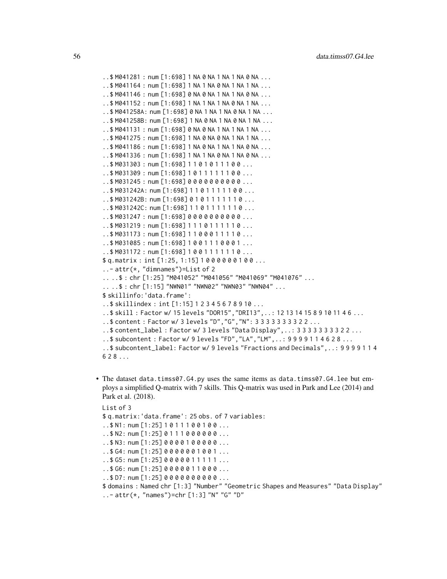```
..$ M041281 : num [1:698] 1 NA 0 NA 1 NA 1 NA 0 NA ...
..$ M041164 : num [1:698] 1 NA 1 NA 0 NA 1 NA 1 NA ...
..$ M041146 : num [1:698] 0 NA 0 NA 1 NA 1 NA 0 NA ...
..$ M041152 : num [1:698] 1 NA 1 NA 1 NA 0 NA 1 NA ...
..$ M041258A: num [1:698] 0 NA 1 NA 1 NA 0 NA 1 NA ...
..$ M041258B: num [1:698] 1 NA 0 NA 1 NA 0 NA 1 NA ...
..$ M041131 : num [1:698] 0 NA 0 NA 1 NA 1 NA 1 NA ...
..$ M041275 : num [1:698] 1 NA 0 NA 0 NA 1 NA 1 NA ...
..$ M041186 : num [1:698] 1 NA 0 NA 1 NA 1 NA 0 NA ...
..$ M041336 : num [1:698] 1 NA 1 NA 0 NA 1 NA 0 NA ...
..$ M031303 : num [1:698] 1 1 0 1 0 1 1 1 0 0 ...
..$ M031309 : num [1:698] 1 0 1 1 1 1 1 1 0 0 ...
..$ M031245 : num [1:698] 0 0 0 0 0 0 0 0 0 0 ...
..$ M031242A: num [1:698] 1 1 0 1 1 1 1 1 0 0 ...
..$ M031242B: num [1:698] 0 1 0 1 1 1 1 1 1 0 ...
..$ M031242C: num [1:698] 1 1 0 1 1 1 1 1 1 0 ...
..$ M031247 : num [1:698] 0 0 0 0 0 0 0 0 0 0 ...
...$M031219 : num [1:698] 1110111110...
..$ M031173 : num [1:698] 1 1 0 0 0 1 1 1 1 0 ...
..$ M031085 : num [1:698] 1 0 0 1 1 1 0 0 0 1 ...
..$ M031172 : num [1:698] 1 0 0 1 1 1 1 1 1 0 ...
$ q.matrix : int [1:25, 1:15] 1 0 0 0 0 0 0 1 0 0 ...
..- attr(*, "dimnames")=List of 2
.. ..$ : chr [1:25] "M041052" "M041056" "M041069" "M041076" ...
.. ..$ : chr [1:15] "NWN01" "NWN02" "NWN03" "NWN04" ...
$ skillinfo:'data.frame':
..$ skillindex : int [1:15] 1 2 3 4 5 6 7 8 9 10 ...
..$ skill : Factor w/ 15 levels "DOR15","DRI13",..: 12 13 14 15 8 9 10 11 4 6 ...
..$ content : Factor w/ 3 levels "D","G","N": 3 3 3 3 3 3 3 3 2 2 ...
..$ content_label : Factor w/ 3 levels "Data Display",..: 3 3 3 3 3 3 3 3 2 2 ...
..$ subcontent : Factor w/ 9 levels "FD","LA","LM",..: 9 9 9 9 1 1 4 6 2 8 ...
..$ subcontent_label: Factor w/ 9 levels "Fractions and Decimals",..: 9 9 9 9 1 1 4
628...
```
• The dataset data.timss07.G4.py uses the same items as data.timss07.G4.lee but employs a simplified Q-matrix with 7 skills. This Q-matrix was used in Park and Lee (2014) and Park et al. (2018).

```
List of 3
```
\$ q.matrix:'data.frame': 25 obs. of 7 variables:

..\$ N1: num [1:25] 1 0 1 1 1 0 0 1 0 0 ...

- $.5 N2: num [1:25] 0 1 1 1 0 0 0 0 0 0 ...$
- ..\$ N3: num [1:25] 0 0 0 0 1 0 0 0 0 0 ...
- $. .$ \$ G4: num [1:25] 0 0 0 0 0 0 1 0 0 1 ...
- $.565:$  num [1:25] 0000011111...
- ..\$ G6: num [1:25] 0 0 0 0 0 1 1 0 0 0 ...
- ..\$ D7: num [1:25] 0 0 0 0 0 0 0 0 0 0 ...
- \$ domains : Named chr [1:3] "Number" "Geometric Shapes and Measures" "Data Display" ..- attr(\*, "names")=chr [1:3] "N" "G" "D"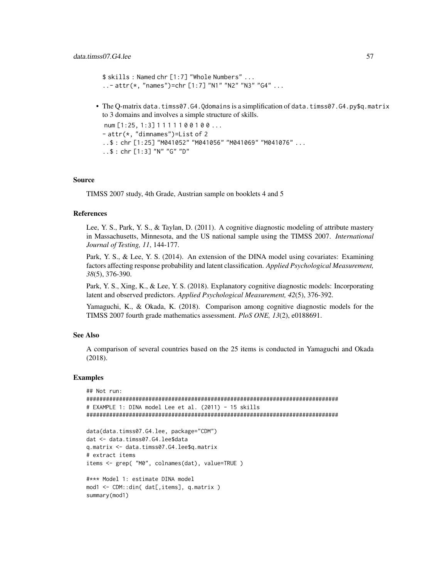```
$ skills : Named chr [1:7] "Whole Numbers" ...
..- attr(*, "names")=chr [1:7] "N1" "N2" "N3" "G4" ...
```
• The Q-matrix data.timss07.G4.Qdomains is a simplification of data.timss07.G4.py\$q.matrix to 3 domains and involves a simple structure of skills.

```
num [1:25, 1:3] 1 1 1 1 1 0 0 1 0 0 ...
- attr(*, "dimnames")=List of 2
..$ : chr [1:25] "M041052" "M041056" "M041069" "M041076" ...
..$ : chr [1:3] "N" "G" "D"
```
# Source

TIMSS 2007 study, 4th Grade, Austrian sample on booklets 4 and 5

## References

Lee, Y. S., Park, Y. S., & Taylan, D. (2011). A cognitive diagnostic modeling of attribute mastery in Massachusetts, Minnesota, and the US national sample using the TIMSS 2007. *International Journal of Testing, 11*, 144-177.

Park, Y. S., & Lee, Y. S. (2014). An extension of the DINA model using covariates: Examining factors affecting response probability and latent classification. *Applied Psychological Measurement, 38*(5), 376-390.

Park, Y. S., Xing, K., & Lee, Y. S. (2018). Explanatory cognitive diagnostic models: Incorporating latent and observed predictors. *Applied Psychological Measurement, 42*(5), 376-392.

Yamaguchi, K., & Okada, K. (2018). Comparison among cognitive diagnostic models for the TIMSS 2007 fourth grade mathematics assessment. *PloS ONE, 13*(2), e0188691.

#### See Also

A comparison of several countries based on the 25 items is conducted in Yamaguchi and Okada (2018).

```
## Not run:
#############################################################################
# EXAMPLE 1: DINA model Lee et al. (2011) - 15 skills
#############################################################################
data(data.timss07.G4.lee, package="CDM")
dat <- data.timss07.G4.lee$data
q.matrix <- data.timss07.G4.lee$q.matrix
# extract items
items <- grep( "M0", colnames(dat), value=TRUE )
#*** Model 1: estimate DINA model
mod1 <- CDM::din( dat[,items], q.matrix )
summary(mod1)
```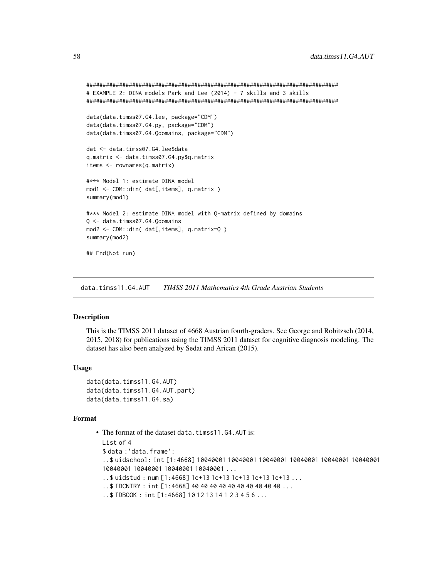```
#############################################################################
# EXAMPLE 2: DINA models Park and Lee (2014) - 7 skills and 3 skills
#############################################################################
data(data.timss07.G4.lee, package="CDM")
data(data.timss07.G4.py, package="CDM")
data(data.timss07.G4.Qdomains, package="CDM")
dat <- data.timss07.G4.lee$data
q.matrix <- data.timss07.G4.py$q.matrix
items <- rownames(q.matrix)
#*** Model 1: estimate DINA model
mod1 <- CDM::din( dat[,items], q.matrix )
summary(mod1)
#*** Model 2: estimate DINA model with Q-matrix defined by domains
Q <- data.timss07.G4.Qdomains
mod2 <- CDM::din( dat[,items], q.matrix=Q )
summary(mod2)
## End(Not run)
```
data.timss11.G4.AUT *TIMSS 2011 Mathematics 4th Grade Austrian Students*

# **Description**

This is the TIMSS 2011 dataset of 4668 Austrian fourth-graders. See George and Robitzsch (2014, 2015, 2018) for publications using the TIMSS 2011 dataset for cognitive diagnosis modeling. The dataset has also been analyzed by Sedat and Arican (2015).

#### Usage

```
data(data.timss11.G4.AUT)
data(data.timss11.G4.AUT.part)
data(data.timss11.G4.sa)
```
## Format

```
• The format of the dataset data.timss11.G4.AUT is:
 List of 4
 $ data :'data.frame':
  ..$ uidschool: int [1:4668] 10040001 10040001 10040001 10040001 10040001 10040001
 10040001 10040001 10040001 10040001 ...
  ..$ uidstud : num [1:4668] 1e+13 1e+13 1e+13 1e+13 1e+13 ...
  ..$ IDCNTRY : int [1:4668] 40 40 40 40 40 40 40 40 40 40 ...
  ..$ IDBOOK : int [1:4668] 10 12 13 14 1 2 3 4 5 6 ...
```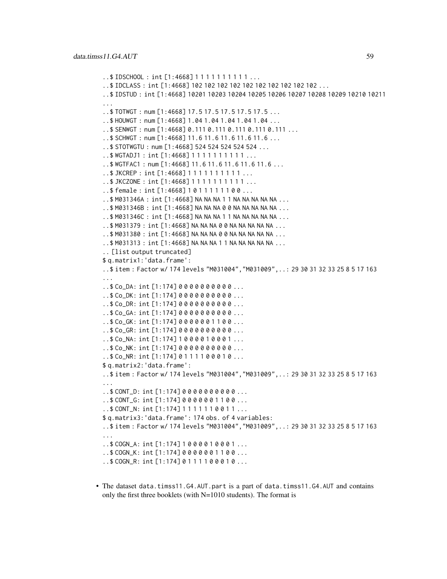```
..$ IDSCHOOL : int [1:4668] 1 1 1 1 1 1 1 1 1 1 ...
..$ IDCLASS : int [1:4668] 102 102 102 102 102 102 102 102 102 102 ...
..$ IDSTUD : int [1:4668] 10201 10203 10204 10205 10206 10207 10208 10209 10210 10211
...
..$ TOTWGT : num [1:4668] 17.5 17.5 17.5 17.5 17.5 ...
..$ HOUWGT : num [1:4668] 1.04 1.04 1.04 1.04 1.04 ...
..$ SENWGT : num [1:4668] 0.111 0.111 0.111 0.111 0.111 ...
..$ SCHWGT : num [1:4668] 11.6 11.6 11.6 11.6 11.6 ...
..$ STOTWGTU : num [1:4668] 524 524 524 524 524 ...
..$ WGTADJ1 : int [1:4668] 1 1 1 1 1 1 1 1 1 1 ...
..$ WGTFAC1 : num [1:4668] 11.6 11.6 11.6 11.6 11.6 ...
..$ JKCREP : int [1:4668] 1 1 1 1 1 1 1 1 1 1 ...
..$ JKCZONE : int [1:4668] 1 1 1 1 1 1 1 1 1 1 ...
..$ female : int [1:4668] 1 0 1 1 1 1 1 1 0 0 ...
..$ M031346A : int [1:4668] NA NA NA 1 1 NA NA NA NA NA ...
..$ M031346B : int [1:4668] NA NA NA 0 0 NA NA NA NA NA ...
..$ M031346C : int [1:4668] NA NA NA 1 1 NA NA NA NA NA ...
..$ M031379 : int [1:4668] NA NA NA 0 0 NA NA NA NA NA ...
..$ M031380 : int [1:4668] NA NA NA 0 0 NA NA NA NA NA ...
..$ M031313 : int [1:4668] NA NA NA 1 1 NA NA NA NA NA ...
.. [list output truncated]
$ q.matrix1:'data.frame':
..$ item : Factor w/ 174 levels "M031004","M031009",..: 29 30 31 32 33 25 8 5 17 163
...
..$ Co_DA: int [1:174] 0 0 0 0 0 0 0 0 0 0 ...
..$ Co_DK: int [1:174] 0 0 0 0 0 0 0 0 0 0 ...
..$ Co_DR: int [1:174] 0 0 0 0 0 0 0 0 0 0 ...
..$ Co_GA: int [1:174] 0 0 0 0 0 0 0 0 0 0 ...
..$ Co_GK: int [1:174] 0 0 0 0 0 0 1 1 0 0 ...
..$ Co_GR: int [1:174] 0 0 0 0 0 0 0 0 0 0 ...
..$ Co_NA: int [1:174] 1 0 0 0 0 1 0 0 0 1 ...
..$ Co_NK: int [1:174] 0 0 0 0 0 0 0 0 0 0 ...
..$ Co_NR: int [1:174] 0 1 1 1 1 0 0 0 1 0 ...
$ q.matrix2:'data.frame':
..$ item : Factor w/ 174 levels "M031004","M031009",..: 29 30 31 32 33 25 8 5 17 163
...
..$ CONT_D: int [1:174] 0 0 0 0 0 0 0 0 0 0 ...
..$ CONT_G: int [1:174] 0 0 0 0 0 0 1 1 0 0 ...
..$ CONT_N: int [1:174] 1 1 1 1 1 1 0 0 1 1 ...
$ q.matrix3:'data.frame': 174 obs. of 4 variables:
..$ item : Factor w/ 174 levels "M031004","M031009",..: 29 30 31 32 33 25 8 5 17 163
...
..$ COGN_A: int [1:174] 1 0 0 0 0 1 0 0 0 1 ...
..$ COGN_K: int [1:174] 0 0 0 0 0 0 1 1 0 0 ...
..$ COGN_R: int [1:174] 0 1 1 1 1 0 0 0 1 0 ...
```
• The dataset data.timss11.G4.AUT.part is a part of data.timss11.G4.AUT and contains only the first three booklets (with N=1010 students). The format is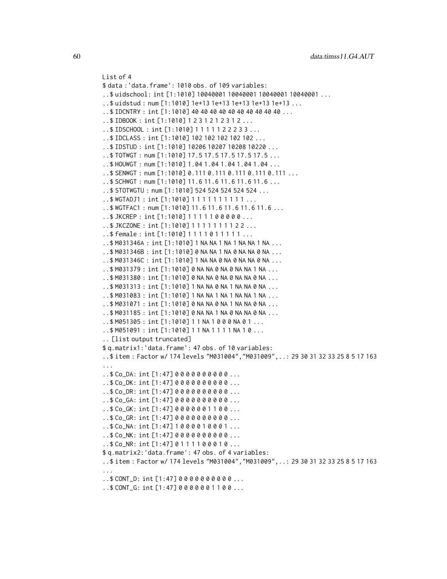```
List of 4
$ data :'data.frame': 1010 obs. of 109 variables:
..$ uidschool: int [1:1010] 10040001 10040001 10040001 10040001 ...
..$ uidstud : num [1:1010] 1e+13 1e+13 1e+13 1e+13 1e+13 ...
..$ IDCNTRY : int [1:1010] 40 40 40 40 40 40 40 40 40 40 ...
..$ IDBOOK : int [1:1010] 1 2 3 1 2 1 2 3 1 2 ...
..$ IDSCHOOL : int [1:1010] 1 1 1 1 1 2 2 2 3 3 ...
..$ IDCLASS : int [1:1010] 102 102 102 102 102 ...
..$ IDSTUD : int [1:1010] 10206 10207 10208 10220 ...
..$ TOTWGT : num [1:1010] 17.5 17.5 17.5 17.5 17.5 ...
..$ HOUWGT : num [1:1010] 1.04 1.04 1.04 1.04 1.04 ...
..$ SENWGT : num [1:1010] 0.111 0.111 0.111 0.111 0.111 ...
..$ SCHWGT : num [1:1010] 11.6 11.6 11.6 11.6 11.6 ...
..$ STOTWGTU : num [1:1010] 524 524 524 524 524 ...
..$ WGTADJ1 : int [1:1010] 1 1 1 1 1 1 1 1 1 1 ...
..$ WGTFAC1 : num [1:1010] 11.6 11.6 11.6 11.6 11.6 ...
..$ JKCREP : int [1:1010] 1 1 1 1 1 0 0 0 0 0 ...
..$ JKCZONE : int [1:1010] 1 1 1 1 1 1 1 1 2 2 ...
..$ female : int [1:1010] 1 1 1 1 0 1 1 1 1 1 ...
..$ M031346A : int [1:1010] 1 NA NA 1 NA 1 NA NA 1 NA ...
..$ M031346B : int [1:1010] 0 NA NA 1 NA 0 NA NA 0 NA ...
..$ M031346C : int [1:1010] 1 NA NA 0 NA 0 NA NA 0 NA ...
..$ M031379 : int [1:1010] 0 NA NA 0 NA 0 NA NA 1 NA ...
..$ M031380 : int [1:1010] 0 NA NA 0 NA 0 NA NA 0 NA ...
..$ M031313 : int [1:1010] 1 NA NA 0 NA 1 NA NA 0 NA ...
..$ M031083 : int [1:1010] 1 NA NA 1 NA 1 NA NA 1 NA ...
..$ M031071 : int [1:1010] 0 NA NA 0 NA 1 NA NA 0 NA ...
..$ M031185 : int [1:1010] 0 NA NA 1 NA 0 NA NA 0 NA ...
..$ M051305 : int [1:1010] 1 1 NA 1 0 0 0 NA 0 1 ...
..$ M051091 : int [1:1010] 1 1 NA 1 1 1 1 NA 1 0 ...
.. [list output truncated]
$ q.matrix1:'data.frame': 47 obs. of 10 variables:
..$ item : Factor w/ 174 levels "M031004","M031009",..: 29 30 31 32 33 25 8 5 17 163
...
..$ Co_DA: int [1:47] 0 0 0 0 0 0 0 0 0 0 ...
..$ Co_DK: int [1:47] 0 0 0 0 0 0 0 0 0 0 ...
..$ Co_DR: int [1:47] 0 0 0 0 0 0 0 0 0 0 ...
..$ Co_GA: int [1:47] 0 0 0 0 0 0 0 0 0 0 ...
..$ Co_GK: int [1:47] 0 0 0 0 0 0 1 1 0 0 ...
..$ Co_GR: int [1:47] 0 0 0 0 0 0 0 0 0 0 ...
.5 Co_NA: int [1:47] 1000010001...
..$ Co_NK: int [1:47] 0 0 0 0 0 0 0 0 0 0 ...
.5 Co NR: int [1:47] 0 1 1 1 1 0 0 0 1 0 .0...
$ q.matrix2:'data.frame': 47 obs. of 4 variables:
..$ item : Factor w/ 174 levels "M031004","M031009",..: 29 30 31 32 33 25 8 5 17 163
...
..$ CONT_D: int [1:47] 0 0 0 0 0 0 0 0 0 0 ...
..$ CONT_G: int [1:47] 0 0 0 0 0 0 1 1 0 0 ...
```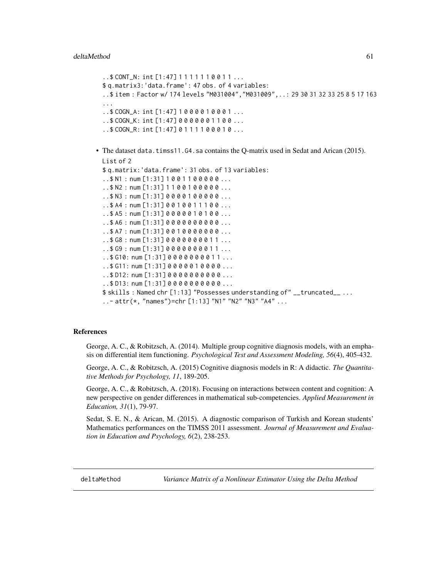```
..$ CONT_N: int [1:47] 1 1 1 1 1 1 0 0 1 1 ...
  $ q.matrix3:'data.frame': 47 obs. of 4 variables:
  ..$ item : Factor w/ 174 levels "M031004","M031009",..: 29 30 31 32 33 25 8 5 17 163
  ...
  .5 \text{COGN}_A: int [1:47] 1000010001...
  ..$ COGN_K: int [1:47] 0 0 0 0 0 0 1 1 0 0 ...
  ..$ COGN_R: int [1:47] 0 1 1 1 1 0 0 0 1 0 ...
• The dataset data.timss11.G4.sa contains the Q-matrix used in Sedat and Arican (2015).
 List of 2
  $ q.matrix:'data.frame': 31 obs. of 13 variables:
  .5 N1 : num [1:31] 1001 100000....5 N2 : num [1:31] 1 1 0 0 1 0 0 0 0 .....$ N3 : num [1:31] 0 0 0 0 1 0 0 0 0 0 ...
  ..$ A4 : num [1:31] 0 0 1 0 0 1 1 1 0 0 ...
  . .$ A5 : num [1:31] 0 0 0 0 0 1 0 1 0 0 ...
 ..$ A6 : num [1:31] 0 0 0 0 0 0 0 0 0 0 ...
  . .$ A7 : num [1:31] 0 0 1 0 0 0 0 0 0 0 ...
  ..$ G8 : num [1:31] 0 0 0 0 0 0 0 0 1 1 ...
  ..$ G9 : num [1:31] 0 0 0 0 0 0 0 0 1 1 ...
  ..$ G10: num [1:31] 0 0 0 0 0 0 0 0 1 1 ...
  ..$ G11: num [1:31] 0 0 0 0 0 1 0 0 0 0 ...
  ..$ D12: num [1:31] 0 0 0 0 0 0 0 0 0 0 ...
  ..$ D13: num [1:31] 0 0 0 0 0 0 0 0 0 0 ...
 $ skills : Named chr [1:13] "Possesses understanding of" __truncated__ ...
  ..- attr(*, "names")=chr [1:13] "N1" "N2" "N3" "A4" ...
```
#### **References**

George, A. C., & Robitzsch, A. (2014). Multiple group cognitive diagnosis models, with an emphasis on differential item functioning. *Psychological Test and Assessment Modeling, 56*(4), 405-432.

George, A. C., & Robitzsch, A. (2015) Cognitive diagnosis models in R: A didactic. *The Quantitative Methods for Psychology, 11*, 189-205.

George, A. C., & Robitzsch, A. (2018). Focusing on interactions between content and cognition: A new perspective on gender differences in mathematical sub-competencies. *Applied Measurement in Education, 31*(1), 79-97.

Sedat, S. E. N., & Arican, M. (2015). A diagnostic comparison of Turkish and Korean students' Mathematics performances on the TIMSS 2011 assessment. *Journal of Measurement and Evaluation in Education and Psychology, 6*(2), 238-253.

deltaMethod *Variance Matrix of a Nonlinear Estimator Using the Delta Method*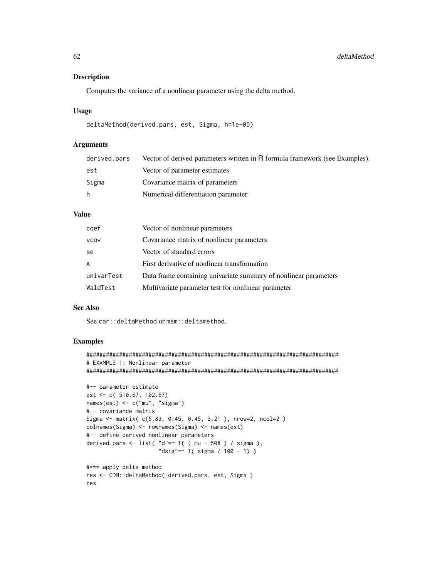# Description

Computes the variance of a nonlinear parameter using the delta method.

## Usage

```
deltaMethod(derived.pars, est, Sigma, h=1e-05)
```
# Arguments

| derived.pars | Vector of derived parameters written in R formula framework (see Examples). |
|--------------|-----------------------------------------------------------------------------|
| est          | Vector of parameter estimates                                               |
| Sigma        | Covariance matrix of parameters                                             |
| h.           | Numerical differentiation parameter                                         |

# Value

| coef        | Vector of nonlinear parameters                                   |
|-------------|------------------------------------------------------------------|
| <b>VCOV</b> | Covariance matrix of nonlinear parameters                        |
| se          | Vector of standard errors                                        |
| A           | First derivative of nonlinear transformation                     |
| univarTest  | Data frame containing univariate summary of nonlinear parameters |
| WaldTest    | Multivariate parameter test for nonlinear parameter              |

# See Also

See car::deltaMethod or msm::deltamethod.

# Examples

res

```
#############################################################################
# EXAMPLE 1: Nonlinear parameter
#############################################################################
#-- parameter estimate
est <- c( 510.67, 102.57)
names(est) <- c("mu", "sigma")
#-- covariance matrix
Sigma <- matrix( c(5.83, 0.45, 0.45, 3.21 ), nrow=2, ncol=2 )
colnames(Sigma) <- rownames(Sigma) <- names(est)
#-- define derived nonlinear parameters
derived.pars <- list( "d"=~ I( ( mu - 508 ) / sigma ),
                      "dsig"=~ I( sigma / 100 - 1) )
#*** apply delta method
```
res <- CDM::deltaMethod( derived.pars, est, Sigma )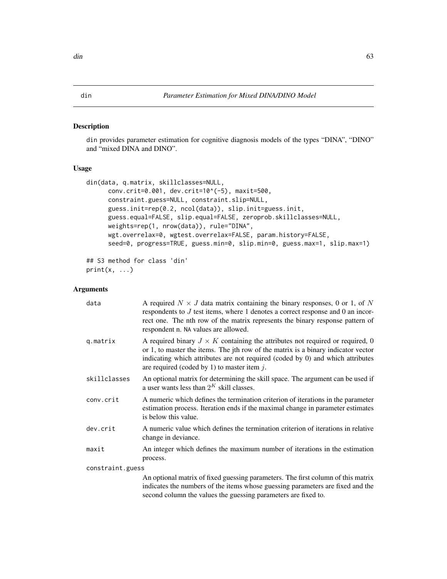#### <span id="page-62-1"></span><span id="page-62-0"></span>Description

din provides parameter estimation for cognitive diagnosis models of the types "DINA", "DINO" and "mixed DINA and DINO".

# Usage

```
din(data, q.matrix, skillclasses=NULL,
     conv.crit=0.001, dev.crit=10^(-5), maxit=500,
     constraint.guess=NULL, constraint.slip=NULL,
     guess.init=rep(0.2, ncol(data)), slip.init=guess.init,
     guess.equal=FALSE, slip.equal=FALSE, zeroprob.skillclasses=NULL,
     weights=rep(1, nrow(data)), rule="DINA",
     wgt.overrelax=0, wgtest.overrelax=FALSE, param.history=FALSE,
     seed=0, progress=TRUE, guess.min=0, slip.min=0, guess.max=1, slip.max=1)
## S3 method for class 'din'
```

```
print(x, \ldots)
```
# Arguments

| data             | A required $N \times J$ data matrix containing the binary responses, 0 or 1, of N<br>respondents to $J$ test items, where 1 denotes a correct response and 0 an incor-<br>rect one. The nth row of the matrix represents the binary response pattern of<br>respondent n. NA values are allowed.               |
|------------------|---------------------------------------------------------------------------------------------------------------------------------------------------------------------------------------------------------------------------------------------------------------------------------------------------------------|
| q.matrix         | A required binary $J \times K$ containing the attributes not required or required, 0<br>or 1, to master the items. The jth row of the matrix is a binary indicator vector<br>indicating which attributes are not required (coded by 0) and which attributes<br>are required (coded by 1) to master item $j$ . |
| skillclasses     | An optional matrix for determining the skill space. The argument can be used if<br>a user wants less than $2^K$ skill classes.                                                                                                                                                                                |
| conv.crit        | A numeric which defines the termination criterion of iterations in the parameter<br>estimation process. Iteration ends if the maximal change in parameter estimates<br>is below this value.                                                                                                                   |
| dev.crit         | A numeric value which defines the termination criterion of iterations in relative<br>change in deviance.                                                                                                                                                                                                      |
| maxit            | An integer which defines the maximum number of iterations in the estimation<br>process.                                                                                                                                                                                                                       |
| constraint.guess |                                                                                                                                                                                                                                                                                                               |
|                  | An optional matrix of fixed guessing parameters. The first column of this matrix<br>indicates the numbers of the items whose guessing parameters are fixed and the<br>second column the values the guessing parameters are fixed to.                                                                          |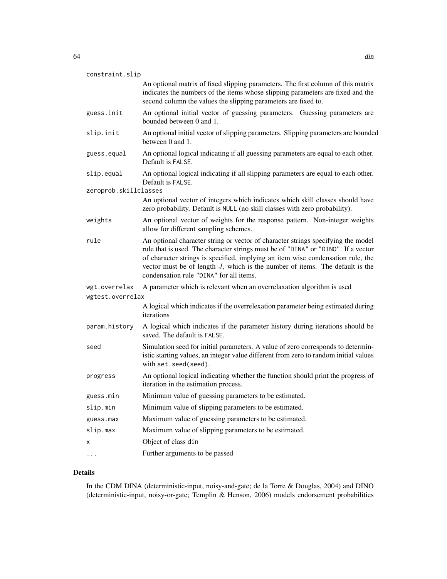| constraint.slip       | An optional matrix of fixed slipping parameters. The first column of this matrix<br>indicates the numbers of the items whose slipping parameters are fixed and the<br>second column the values the slipping parameters are fixed to.                                                                                                                                                   |
|-----------------------|----------------------------------------------------------------------------------------------------------------------------------------------------------------------------------------------------------------------------------------------------------------------------------------------------------------------------------------------------------------------------------------|
| guess.init            | An optional initial vector of guessing parameters. Guessing parameters are<br>bounded between 0 and 1.                                                                                                                                                                                                                                                                                 |
| slip.init             | An optional initial vector of slipping parameters. Slipping parameters are bounded<br>between 0 and 1.                                                                                                                                                                                                                                                                                 |
| guess.equal           | An optional logical indicating if all guessing parameters are equal to each other.<br>Default is FAI SF.                                                                                                                                                                                                                                                                               |
| slip.equal            | An optional logical indicating if all slipping parameters are equal to each other.<br>Default is FALSE.                                                                                                                                                                                                                                                                                |
| zeroprob.skillclasses |                                                                                                                                                                                                                                                                                                                                                                                        |
|                       | An optional vector of integers which indicates which skill classes should have<br>zero probability. Default is NULL (no skill classes with zero probability).                                                                                                                                                                                                                          |
| weights               | An optional vector of weights for the response pattern. Non-integer weights<br>allow for different sampling schemes.                                                                                                                                                                                                                                                                   |
| rule                  | An optional character string or vector of character strings specifying the model<br>rule that is used. The character strings must be of "DINA" or "DINO". If a vector<br>of character strings is specified, implying an item wise condensation rule, the<br>vector must be of length $J$ , which is the number of items. The default is the<br>condensation rule "DINA" for all items. |
| wgt.overrelax         | A parameter which is relevant when an overrelaxation algorithm is used                                                                                                                                                                                                                                                                                                                 |
| wgtest.overrelax      |                                                                                                                                                                                                                                                                                                                                                                                        |
|                       | A logical which indicates if the overrelexation parameter being estimated during<br>iterations                                                                                                                                                                                                                                                                                         |
| param.history         | A logical which indicates if the parameter history during iterations should be<br>saved. The default is FALSE.                                                                                                                                                                                                                                                                         |
| seed                  | Simulation seed for initial parameters. A value of zero corresponds to determin-<br>istic starting values, an integer value different from zero to random initial values<br>with set.seed(seed).                                                                                                                                                                                       |
| progress              | An optional logical indicating whether the function should print the progress of<br>iteration in the estimation process.                                                                                                                                                                                                                                                               |
| guess.min             | Minimum value of guessing parameters to be estimated.                                                                                                                                                                                                                                                                                                                                  |
| slip.min              | Minimum value of slipping parameters to be estimated.                                                                                                                                                                                                                                                                                                                                  |
| guess.max             | Maximum value of guessing parameters to be estimated.                                                                                                                                                                                                                                                                                                                                  |
| slip.max              | Maximum value of slipping parameters to be estimated.                                                                                                                                                                                                                                                                                                                                  |
| х                     | Object of class din                                                                                                                                                                                                                                                                                                                                                                    |
| .                     | Further arguments to be passed                                                                                                                                                                                                                                                                                                                                                         |
|                       |                                                                                                                                                                                                                                                                                                                                                                                        |

# Details

In the CDM DINA (deterministic-input, noisy-and-gate; de la Torre & Douglas, 2004) and DINO (deterministic-input, noisy-or-gate; Templin & Henson, 2006) models endorsement probabilities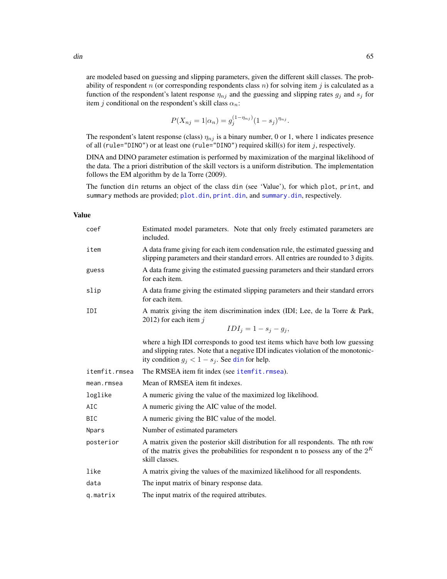are modeled based on guessing and slipping parameters, given the different skill classes. The probability of respondent  $n$  (or corresponding respondents class  $n$ ) for solving item  $j$  is calculated as a function of the respondent's latent response  $\eta_{nj}$  and the guessing and slipping rates  $g_j$  and  $s_j$  for item j conditional on the respondent's skill class  $\alpha_n$ :

$$
P(X_{nj} = 1 | \alpha_n) = g_j^{(1 - \eta_{nj})} (1 - s_j)^{\eta_{nj}}.
$$

The respondent's latent response (class)  $\eta_{nj}$  is a binary number, 0 or 1, where 1 indicates presence of all (rule="DINO") or at least one (rule="DINO") required skill(s) for item  $j$ , respectively.

DINA and DINO parameter estimation is performed by maximization of the marginal likelihood of the data. The a priori distribution of the skill vectors is a uniform distribution. The implementation follows the EM algorithm by de la Torre (2009).

The function din returns an object of the class din (see 'Value'), for which plot, print, and summary methods are provided; [plot.din](#page-174-0), [print.din](#page-62-0), and [summary.din](#page-213-0), respectively.

## Value

| coef          | Estimated model parameters. Note that only freely estimated parameters are<br>included.                                                                                                                                 |  |  |  |  |
|---------------|-------------------------------------------------------------------------------------------------------------------------------------------------------------------------------------------------------------------------|--|--|--|--|
| item          | A data frame giving for each item condensation rule, the estimated guessing and<br>slipping parameters and their standard errors. All entries are rounded to 3 digits.                                                  |  |  |  |  |
| guess         | A data frame giving the estimated guessing parameters and their standard errors<br>for each item.                                                                                                                       |  |  |  |  |
| slip          | A data frame giving the estimated slipping parameters and their standard errors<br>for each item.                                                                                                                       |  |  |  |  |
| IDI           | A matrix giving the item discrimination index (IDI; Lee, de la Torre & Park,<br>2012) for each item $j$                                                                                                                 |  |  |  |  |
|               | $IDI_j = 1 - s_j - g_j,$                                                                                                                                                                                                |  |  |  |  |
|               | where a high IDI corresponds to good test items which have both low guessing<br>and slipping rates. Note that a negative IDI indicates violation of the monotonic-<br>ity condition $g_j < 1 - s_j$ . See din for help. |  |  |  |  |
| itemfit.rmsea | The RMSEA item fit index (see itemfit.rmsea).                                                                                                                                                                           |  |  |  |  |
| mean.rmsea    | Mean of RMSEA item fit indexes.                                                                                                                                                                                         |  |  |  |  |
| loglike       | A numeric giving the value of the maximized log likelihood.                                                                                                                                                             |  |  |  |  |
| AIC           | A numeric giving the AIC value of the model.                                                                                                                                                                            |  |  |  |  |
| <b>BIC</b>    | A numeric giving the BIC value of the model.                                                                                                                                                                            |  |  |  |  |
| <b>Npars</b>  | Number of estimated parameters                                                                                                                                                                                          |  |  |  |  |
| posterior     | A matrix given the posterior skill distribution for all respondents. The nth row<br>of the matrix gives the probabilities for respondent n to possess any of the $2^{K}$<br>skill classes.                              |  |  |  |  |
| like          | A matrix giving the values of the maximized likelihood for all respondents.                                                                                                                                             |  |  |  |  |
| data          | The input matrix of binary response data.                                                                                                                                                                               |  |  |  |  |
| g.matrix      | The input matrix of the required attributes.                                                                                                                                                                            |  |  |  |  |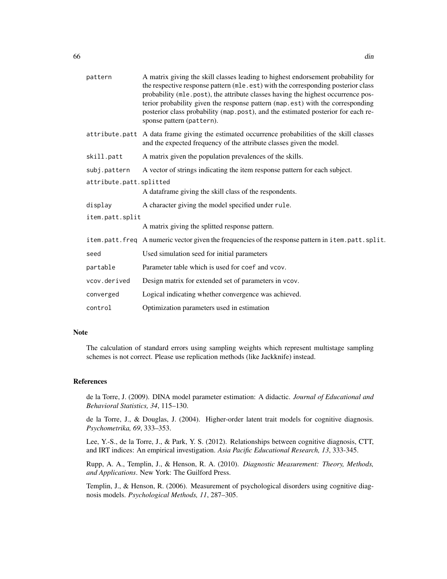| pattern                 | A matrix giving the skill classes leading to highest endorsement probability for<br>the respective response pattern (mle.est) with the corresponding posterior class<br>probability (mle.post), the attribute classes having the highest occurrence pos-<br>terior probability given the response pattern (map.est) with the corresponding<br>posterior class probability (map.post), and the estimated posterior for each re-<br>sponse pattern (pattern). |  |  |  |
|-------------------------|-------------------------------------------------------------------------------------------------------------------------------------------------------------------------------------------------------------------------------------------------------------------------------------------------------------------------------------------------------------------------------------------------------------------------------------------------------------|--|--|--|
|                         | attribute.patt A data frame giving the estimated occurrence probabilities of the skill classes<br>and the expected frequency of the attribute classes given the model.                                                                                                                                                                                                                                                                                      |  |  |  |
| skill.patt              | A matrix given the population prevalences of the skills.                                                                                                                                                                                                                                                                                                                                                                                                    |  |  |  |
| subj.pattern            | A vector of strings indicating the item response pattern for each subject.                                                                                                                                                                                                                                                                                                                                                                                  |  |  |  |
| attribute.patt.splitted |                                                                                                                                                                                                                                                                                                                                                                                                                                                             |  |  |  |
|                         | A dataframe giving the skill class of the respondents.                                                                                                                                                                                                                                                                                                                                                                                                      |  |  |  |
| display                 | A character giving the model specified under rule.                                                                                                                                                                                                                                                                                                                                                                                                          |  |  |  |
| item.patt.split         |                                                                                                                                                                                                                                                                                                                                                                                                                                                             |  |  |  |
|                         | A matrix giving the splitted response pattern.                                                                                                                                                                                                                                                                                                                                                                                                              |  |  |  |
|                         | item.patt.freq A numeric vector given the frequencies of the response pattern in item.patt.split.                                                                                                                                                                                                                                                                                                                                                           |  |  |  |
| seed                    | Used simulation seed for initial parameters                                                                                                                                                                                                                                                                                                                                                                                                                 |  |  |  |
| partable                | Parameter table which is used for coef and vcov.                                                                                                                                                                                                                                                                                                                                                                                                            |  |  |  |
| vcov.derived            | Design matrix for extended set of parameters in vcov.                                                                                                                                                                                                                                                                                                                                                                                                       |  |  |  |
| converged               | Logical indicating whether convergence was achieved.                                                                                                                                                                                                                                                                                                                                                                                                        |  |  |  |
| control                 | Optimization parameters used in estimation                                                                                                                                                                                                                                                                                                                                                                                                                  |  |  |  |

## Note

The calculation of standard errors using sampling weights which represent multistage sampling schemes is not correct. Please use replication methods (like Jackknife) instead.

#### References

de la Torre, J. (2009). DINA model parameter estimation: A didactic. *Journal of Educational and Behavioral Statistics, 34*, 115–130.

de la Torre, J., & Douglas, J. (2004). Higher-order latent trait models for cognitive diagnosis. *Psychometrika, 69*, 333–353.

Lee, Y.-S., de la Torre, J., & Park, Y. S. (2012). Relationships between cognitive diagnosis, CTT, and IRT indices: An empirical investigation. *Asia Pacific Educational Research, 13*, 333-345.

Rupp, A. A., Templin, J., & Henson, R. A. (2010). *Diagnostic Measurement: Theory, Methods, and Applications*. New York: The Guilford Press.

Templin, J., & Henson, R. (2006). Measurement of psychological disorders using cognitive diagnosis models. *Psychological Methods, 11*, 287–305.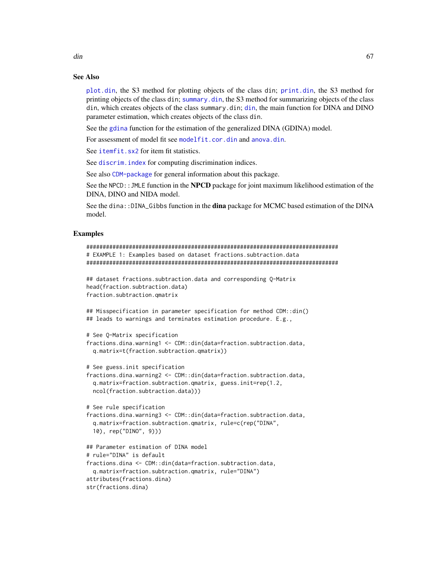[plot.din](#page-174-0), the S3 method for plotting objects of the class din; [print.din](#page-62-0), the S3 method for printing objects of the class din; [summary.din](#page-213-0), the S3 method for summarizing objects of the class din, which creates objects of the class summary.din; [din](#page-62-1), the main function for DINA and DINO parameter estimation, which creates objects of the class din.

See the [gdina](#page-91-0) function for the estimation of the generalized DINA (GDINA) model.

For assessment of model fit see [modelfit.cor.din](#page-164-0) and [anova.din](#page-5-0).

See [itemfit.sx2](#page-154-0) for item fit statistics.

See discrim. index for computing discrimination indices.

See also [CDM-package](#page-3-0) for general information about this package.

See the NPCD:: JMLE function in the **NPCD** package for joint maximum likelihood estimation of the DINA, DINO and NIDA model.

See the dina::DINA\_Gibbs function in the **dina** package for MCMC based estimation of the DINA model.

## Examples

```
#############################################################################
# EXAMPLE 1: Examples based on dataset fractions.subtraction.data
#############################################################################
```

```
## dataset fractions.subtraction.data and corresponding Q-Matrix
head(fraction.subtraction.data)
fraction.subtraction.qmatrix
```
## Misspecification in parameter specification for method CDM::din() ## leads to warnings and terminates estimation procedure. E.g.,

```
# See Q-Matrix specification
fractions.dina.warning1 <- CDM::din(data=fraction.subtraction.data,
 q.matrix=t(fraction.subtraction.qmatrix))
```

```
# See guess.init specification
```

```
fractions.dina.warning2 <- CDM::din(data=fraction.subtraction.data,
 q.matrix=fraction.subtraction.qmatrix, guess.init=rep(1.2,
 ncol(fraction.subtraction.data)))
```

```
# See rule specification
fractions.dina.warning3 <- CDM::din(data=fraction.subtraction.data,
 q.matrix=fraction.subtraction.qmatrix, rule=c(rep("DINA",
 10), rep("DINO", 9)))
## Parameter estimation of DINA model
# rule="DINA" is default
```

```
fractions.dina <- CDM::din(data=fraction.subtraction.data,
 q.matrix=fraction.subtraction.qmatrix, rule="DINA")
attributes(fractions.dina)
str(fractions.dina)
```
 $\dim$  67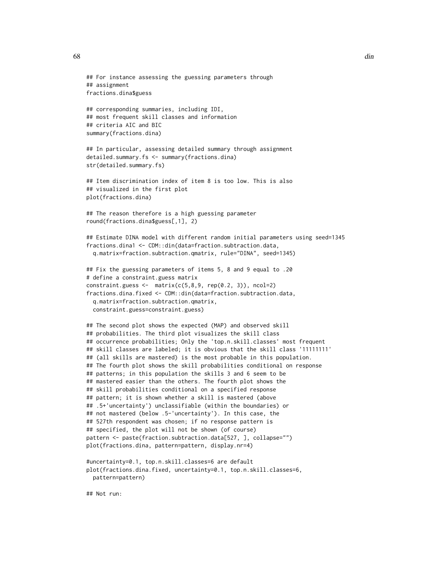```
## For instance assessing the guessing parameters through
## assignment
fractions.dina$guess
## corresponding summaries, including IDI,
## most frequent skill classes and information
## criteria AIC and BIC
summary(fractions.dina)
## In particular, assessing detailed summary through assignment
detailed.summary.fs <- summary(fractions.dina)
str(detailed.summary.fs)
## Item discrimination index of item 8 is too low. This is also
## visualized in the first plot
plot(fractions.dina)
## The reason therefore is a high guessing parameter
round(fractions.dina$guess[,1], 2)
## Estimate DINA model with different random initial parameters using seed=1345
fractions.dina1 <- CDM::din(data=fraction.subtraction.data,
 q.matrix=fraction.subtraction.qmatrix, rule="DINA", seed=1345)
## Fix the guessing parameters of items 5, 8 and 9 equal to .20
# define a constraint.guess matrix
constraint.guess <- matrix(c(5,8,9, rep(0.2, 3)), ncol=2)fractions.dina.fixed <- CDM::din(data=fraction.subtraction.data,
 q.matrix=fraction.subtraction.qmatrix,
 constraint.guess=constraint.guess)
## The second plot shows the expected (MAP) and observed skill
## probabilities. The third plot visualizes the skill class
## occurrence probabilities; Only the 'top.n.skill.classes' most frequent
## skill classes are labeled; it is obvious that the skill class '11111111'
## (all skills are mastered) is the most probable in this population.
## The fourth plot shows the skill probabilities conditional on response
## patterns; in this population the skills 3 and 6 seem to be
## mastered easier than the others. The fourth plot shows the
## skill probabilities conditional on a specified response
## pattern; it is shown whether a skill is mastered (above
## .5+'uncertainty') unclassifiable (within the boundaries) or
## not mastered (below .5-'uncertainty'). In this case, the
## 527th respondent was chosen; if no response pattern is
## specified, the plot will not be shown (of course)
pattern <- paste(fraction.subtraction.data[527, ], collapse="")
plot(fractions.dina, pattern=pattern, display.nr=4)
#uncertainty=0.1, top.n.skill.classes=6 are default
plot(fractions.dina.fixed, uncertainty=0.1, top.n.skill.classes=6,
 pattern=pattern)
```
## Not run: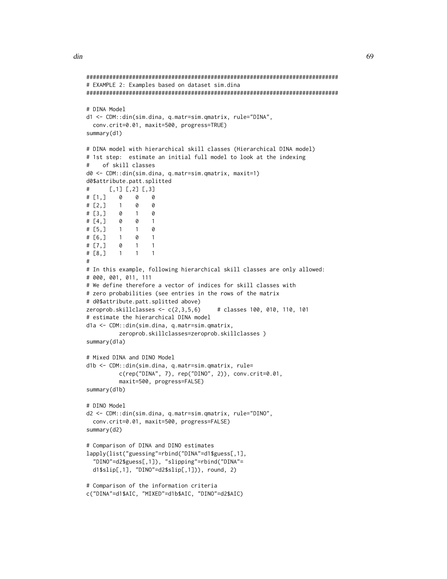```
#############################################################################
# EXAMPLE 2: Examples based on dataset sim.dina
#############################################################################
# DINA Model
d1 <- CDM::din(sim.dina, q.matr=sim.qmatrix, rule="DINA",
 conv.crit=0.01, maxit=500, progress=TRUE)
summary(d1)
# DINA model with hierarchical skill classes (Hierarchical DINA model)
# 1st step: estimate an initial full model to look at the indexing
    of skill classes
d0 <- CDM::din(sim.dina, q.matr=sim.qmatrix, maxit=1)
d0$attribute.patt.splitted
# [, 1] [, 2] [, 3]
# [1,] 0 0 0
# [2,] 1 0 0
# [3,] 0 1 0
# [4,] 0 0 1
# [5,] 1 1 0
\# [6,] 1 0 1
\# [7,] 0 1 1
# [8,] 1 1 1
#
# In this example, following hierarchical skill classes are only allowed:
# 000, 001, 011, 111
# We define therefore a vector of indices for skill classes with
# zero probabilities (see entries in the rows of the matrix
# d0$attribute.patt.splitted above)
zeroprob.skillclasses <- c(2,3,5,6) # classes 100, 010, 110, 101
# estimate the hierarchical DINA model
d1a <- CDM::din(sim.dina, q.matr=sim.qmatrix,
         zeroprob.skillclasses=zeroprob.skillclasses )
summary(d1a)
# Mixed DINA and DINO Model
d1b <- CDM::din(sim.dina, q.matr=sim.qmatrix, rule=
         c(rep("DINA", 7), rep("DINO", 2)), conv.crit=0.01,
         maxit=500, progress=FALSE)
summary(d1b)
# DINO Model
d2 <- CDM::din(sim.dina, q.matr=sim.qmatrix, rule="DINO",
 conv.crit=0.01, maxit=500, progress=FALSE)
summary(d2)
# Comparison of DINA and DINO estimates
lapply(list("guessing"=rbind("DINA"=d1$guess[,1],
  "DINO"=d2$guess[,1]), "slipping"=rbind("DINA"=
 d1$slip[,1], "DINO"=d2$slip[,1])), round, 2)
# Comparison of the information criteria
c("DINA"=d1$AIC, "MIXED"=d1b$AIC, "DINO"=d2$AIC)
```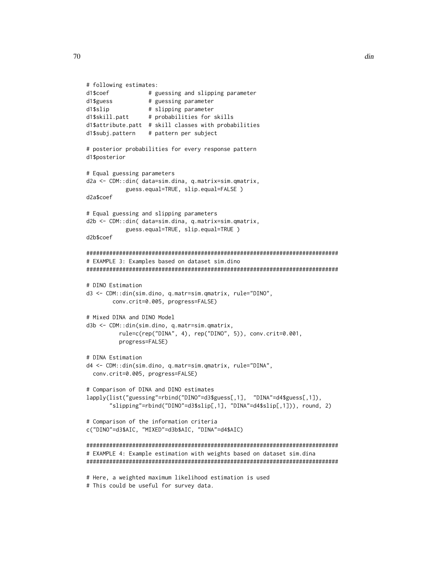```
# following estimates:
d1$coef # guessing and slipping parameter
d1$guess # guessing parameter
d1$slip # slipping parameter
d1$skill.patt # probabilities for skills
d1$attribute.patt # skill classes with probabilities
d1$subj.pattern # pattern per subject
# posterior probabilities for every response pattern
d1$posterior
# Equal guessing parameters
d2a <- CDM::din( data=sim.dina, q.matrix=sim.qmatrix,
           guess.equal=TRUE, slip.equal=FALSE )
d2a$coef
# Equal guessing and slipping parameters
d2b <- CDM::din( data=sim.dina, q.matrix=sim.qmatrix,
           guess.equal=TRUE, slip.equal=TRUE )
d2b$coef
#############################################################################
# EXAMPLE 3: Examples based on dataset sim.dino
#############################################################################
# DINO Estimation
d3 <- CDM::din(sim.dino, q.matr=sim.qmatrix, rule="DINO",
       conv.crit=0.005, progress=FALSE)
# Mixed DINA and DINO Model
d3b <- CDM::din(sim.dino, q.matr=sim.qmatrix,
         rule=c(rep("DINA", 4), rep("DINO", 5)), conv.crit=0.001,
         progress=FALSE)
# DINA Estimation
d4 <- CDM::din(sim.dino, q.matr=sim.qmatrix, rule="DINA",
 conv.crit=0.005, progress=FALSE)
# Comparison of DINA and DINO estimates
lapply(list("guessing"=rbind("DINO"=d3$guess[,1], "DINA"=d4$guess[,1]),
       "slipping"=rbind("DINO"=d3$slip[,1], "DINA"=d4$slip[,1])), round, 2)
# Comparison of the information criteria
c("DINO"=d3$AIC, "MIXED"=d3b$AIC, "DINA"=d4$AIC)
#############################################################################
# EXAMPLE 4: Example estimation with weights based on dataset sim.dina
#############################################################################
# Here, a weighted maximum likelihood estimation is used
```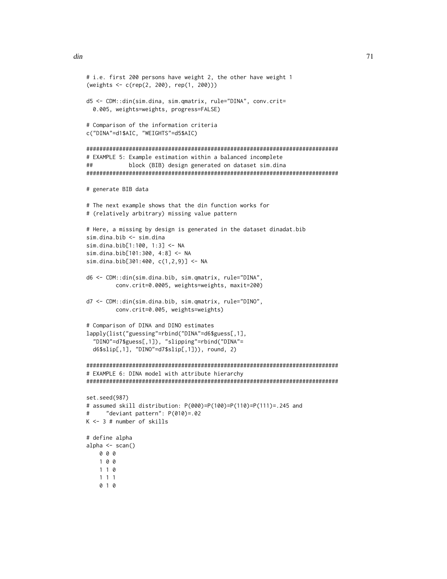```
# i.e. first 200 persons have weight 2, the other have weight 1
(weights <- c(rep(2, 200), rep(1, 200)))
d5 <- CDM::din(sim.dina, sim.qmatrix, rule="DINA", conv.crit=
  0.005, weights=weights, progress=FALSE)
# Comparison of the information criteria
c("DINA"=d1$AIC, "WEIGHTS"=d5$AIC)
#############################################################################
# EXAMPLE 5: Example estimation within a balanced incomplete
## block (BIB) design generated on dataset sim.dina
#############################################################################
# generate BIB data
# The next example shows that the din function works for
# (relatively arbitrary) missing value pattern
# Here, a missing by design is generated in the dataset dinadat.bib
sim.dina.bib <- sim.dina
sim.dina.bib[1:100, 1:3] <- NA
sim.dina.bib[101:300, 4:8] <- NA
sim.dina.bib[301:400, c(1,2,9)] <- NA
d6 <- CDM::din(sim.dina.bib, sim.qmatrix, rule="DINA",
         conv.crit=0.0005, weights=weights, maxit=200)
d7 <- CDM::din(sim.dina.bib, sim.qmatrix, rule="DINO",
         conv.crit=0.005, weights=weights)
# Comparison of DINA and DINO estimates
lapply(list("guessing"=rbind("DINA"=d6$guess[,1],
  "DINO"=d7$guess[,1]), "slipping"=rbind("DINA"=
  d6$slip[,1], "DINO"=d7$slip[,1])), round, 2)
#############################################################################
# EXAMPLE 6: DINA model with attribute hierarchy
#############################################################################
set.seed(987)
# assumed skill distribution: P(000)=P(100)=P(110)=P(111)=.245 and
# "deviant pattern": P(010)=.02
K <- 3 # number of skills
# define alpha
alpha <- scan()
    0 0 0
   1 0 0
   1 1 0
    1 1 1
    0 1 0
```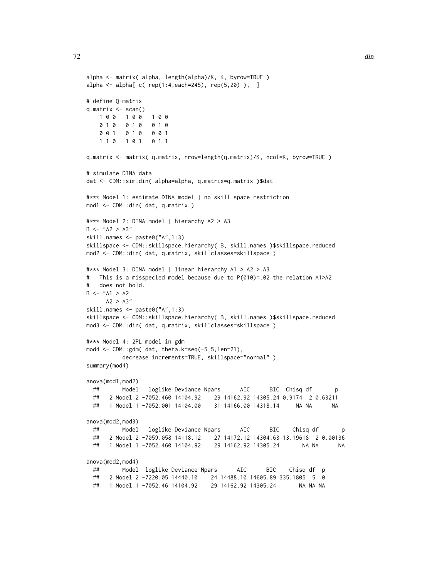```
alpha <- matrix( alpha, length(alpha)/K, K, byrow=TRUE )
alpha <- alpha[ c( rep(1:4,each=245), rep(5,20) ), ]
# define Q-matrix
q.matrix <- scan()
   1 0 0 1 0 0 1 0 0
   0 1 0 0 1 0 0 1 0
   0 0 1 0 1 0 0 0 1
   1 1 0 1 0 1 0 1 1
q.matrix <- matrix( q.matrix, nrow=length(q.matrix)/K, ncol=K, byrow=TRUE )
# simulate DINA data
dat <- CDM::sim.din( alpha=alpha, q.matrix=q.matrix )$dat
#*** Model 1: estimate DINA model | no skill space restriction
mod1 <- CDM::din( dat, q.matrix )
#*** Model 2: DINA model | hierarchy A2 > A3
B <- "A2 > A3"
skill.names <- paste0("A",1:3)
skillspace <- CDM::skillspace.hierarchy( B, skill.names )$skillspace.reduced
mod2 <- CDM::din( dat, q.matrix, skillclasses=skillspace )
#*** Model 3: DINA model | linear hierarchy A1 > A2 > A3
# This is a misspecied model because due to P(010)=.02 the relation A1>A2
# does not hold.
B \le - "A1 > A2
     A2 > A3''skill.names <- paste0("A",1:3)
skillspace <- CDM::skillspace.hierarchy( B, skill.names )$skillspace.reduced
mod3 <- CDM::din( dat, q.matrix, skillclasses=skillspace )
#*** Model 4: 2PL model in gdm
mod4 <- CDM::gdm( dat, theta.k=seq(-5,5,len=21),
          decrease.increments=TRUE, skillspace="normal" )
summary(mod4)
anova(mod1,mod2)
 ## Model loglike Deviance Npars AIC BIC Chisq df p
 ## 2 Model 2 -7052.460 14104.92 29 14162.92 14305.24 0.9174 2 0.63211
 ## 1 Model 1 -7052.001 14104.00 31 14166.00 14318.14 NA NA NA
anova(mod2,mod3)
 ## Model loglike Deviance Npars AIC BIC Chisq df p
 ## 2 Model 2 -7059.058 14118.12 27 14172.12 14304.63 13.19618 2 0.00136
 ## 1 Model 1 -7052.460 14104.92 29 14162.92 14305.24 NA NA NA
anova(mod2,mod4)
 ## Model loglike Deviance Npars AIC BIC Chisq df p
 ## 2 Model 2 -7220.05 14440.10 24 14488.10 14605.89 335.1805 5 0
 ## 1 Model 1 -7052.46 14104.92 29 14162.92 14305.24 NA NA NA
```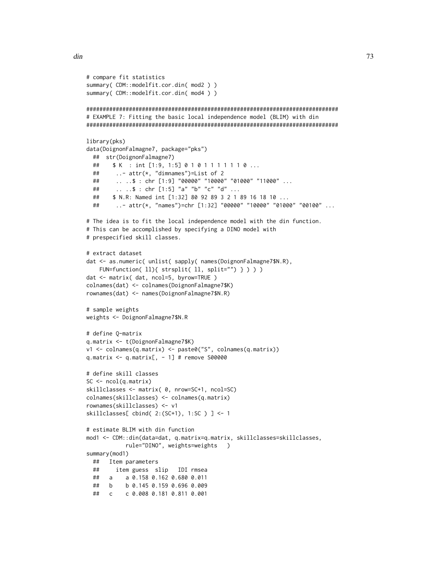$\#$ #  $\alpha$ 

c 0.008 0.181 0.811 0.001

```
# compare fit statistics
summary(CDM::modelfit.cor.din(mod2))
summary( CDM::modelfit.cor.din( mod4 ) )
# EXAMPLE 7: Fitting the basic local independence model (BLIM) with din
library(pks)
data(DoignonFalmagne7, package="pks")
 ## str(DoignonFalmagne7)
       $ K : int [1:9, 1:5] 0 1 0 1 1 1 1 1 1 0 ...
 ##
 \# \#\ldots attr(*, "dimnames")=List of 2
       \ldots .: $ : chr [1:9] "00000" "10000" "01000" "11000" ...
 ##.. ..$ : chr [1:5] "a" "b" "c" "d" ...
 ##\# \#$ N.R: Named int [1:32] 80 92 89 3 2 1 89 16 18 10 ...
       ..- attr(*, "names")=chr [1:32] "00000" "10000" "01000" "00100" ...
 ### The idea is to fit the local independence model with the din function.
# This can be accomplished by specifying a DINO model with
# prespecified skill classes.
# extract dataset
dat <- as.numeric( unlist( sapply( names(DoignonFalmagne7$N.R),
   FUN=function( ll){ strsplit( ll, split="") } ) ) )
dat <- matrix( dat, ncol=5, byrow=TRUE )
colnames(dat) <- colnames(DoignonFalmagne7$K)
rownames(dat) <- names(DoignonFalmagne7$N.R)
# sample weights
weights <- DoignonFalmagne7$N.R
# define Q-matrix
q.matrix <- t(DoignonFalmagne7$K)
v1 <- colnames(q.matrix) <- paste0("S", colnames(q.matrix))
q.matrix <- q.matrix[, - 1] # remove S00000
# define skill classes
SC \leftarrow \text{ncol}(q.\text{matrix})skillclasses <- matrix( 0, nrow=SC+1, ncol=SC)
colnames(skillclasses) <- colnames(q.matrix)
rownames(skillclasses) <- v1
skillclasses[ cbind( 2:(SC+1), 1:SC) ] <- 1
# estimate BLIM with din function
mod1 <- CDM::din(data=dat, q.matrix=q.matrix, skillclasses=skillclasses,
           rule="DINO", weights=weights )
summary(mod1)
 ## Item parameters
      item guess slip IDI rmsea
 #### a a 0.158 0.162 0.680 0.011
 ## b
         b 0.145 0.159 0.696 0.009
```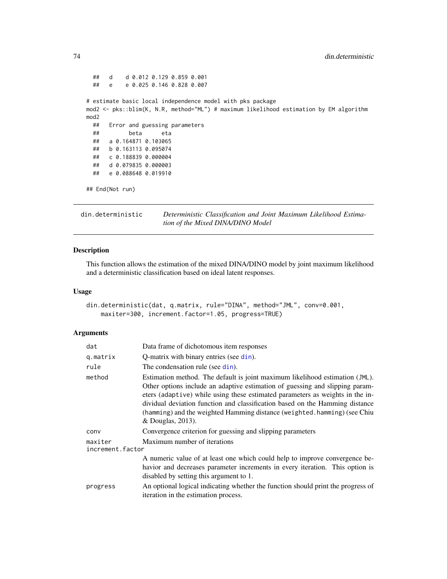```
## d d 0.012 0.129 0.859 0.001
 ## e e 0.025 0.146 0.828 0.007
# estimate basic local independence model with pks package
mod2 <- pks::blim(K, N.R, method="ML") # maximum likelihood estimation by EM algorithm
mod2
 ## Error and guessing parameters
 ## beta eta
 ## a 0.164871 0.103065
 ## b 0.163113 0.095074
 ## c 0.188839 0.000004
 ## d 0.079835 0.000003
 ## e 0.088648 0.019910
## End(Not run)
```
din.deterministic *Deterministic Classification and Joint Maximum Likelihood Estimation of the Mixed DINA/DINO Model*

## Description

This function allows the estimation of the mixed DINA/DINO model by joint maximum likelihood and a deterministic classification based on ideal latent responses.

#### Usage

```
din.deterministic(dat, q.matrix, rule="DINA", method="JML", conv=0.001,
   maxiter=300, increment.factor=1.05, progress=TRUE)
```
#### Arguments

| dat                         | Data frame of dichotomous item responses                                                                                                                                                                                                                                                                                                                                                                                       |  |
|-----------------------------|--------------------------------------------------------------------------------------------------------------------------------------------------------------------------------------------------------------------------------------------------------------------------------------------------------------------------------------------------------------------------------------------------------------------------------|--|
| q.matrix                    | Q-matrix with binary entries (see din).                                                                                                                                                                                                                                                                                                                                                                                        |  |
| rule                        | The condensation rule (see din).                                                                                                                                                                                                                                                                                                                                                                                               |  |
| method                      | Estimation method. The default is joint maximum likelihood estimation (JML).<br>Other options include an adaptive estimation of guessing and slipping param-<br>eters (adaptive) while using these estimated parameters as weights in the in-<br>dividual deviation function and classification based on the Hamming distance<br>(hamming) and the weighted Hamming distance (weighted.hamming) (see Chiu<br>& Douglas, 2013). |  |
| conv                        | Convergence criterion for guessing and slipping parameters                                                                                                                                                                                                                                                                                                                                                                     |  |
| maxiter<br>increment.factor | Maximum number of iterations                                                                                                                                                                                                                                                                                                                                                                                                   |  |
|                             | A numeric value of at least one which could help to improve convergence be-<br>havior and decreases parameter increments in every iteration. This option is<br>disabled by setting this argument to 1.                                                                                                                                                                                                                         |  |
| progress                    | An optional logical indicating whether the function should print the progress of<br>iteration in the estimation process.                                                                                                                                                                                                                                                                                                       |  |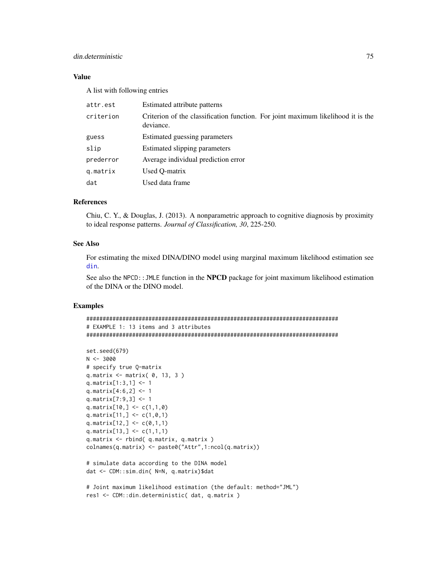# din.deterministic 75

# Value

A list with following entries

| attr.est  | Estimated attribute patterns                                                                  |
|-----------|-----------------------------------------------------------------------------------------------|
| criterion | Criterion of the classification function. For joint maximum likelihood it is the<br>deviance. |
| guess     | Estimated guessing parameters                                                                 |
| slip      | Estimated slipping parameters                                                                 |
| prederror | Average individual prediction error                                                           |
| q.matrix  | Used O-matrix                                                                                 |
| dat       | Used data frame                                                                               |

#### References

Chiu, C. Y., & Douglas, J. (2013). A nonparametric approach to cognitive diagnosis by proximity to ideal response patterns. *Journal of Classification, 30*, 225-250.

# See Also

For estimating the mixed DINA/DINO model using marginal maximum likelihood estimation see [din](#page-62-0).

See also the NPCD:: JMLE function in the NPCD package for joint maximum likelihood estimation of the DINA or the DINO model.

# Examples

```
#############################################################################
# EXAMPLE 1: 13 items and 3 attributes
#############################################################################
set.seed(679)
N < -3000# specify true Q-matrix
q.matrix <- matrix( 0, 13, 3 )
q.matrix[1:3,1] <- 1
q.matrix[4:6,2] <- 1
q.matrix[7:9,3] <- 1
q.matrix[10,] < -c(1,1,0)q.matrix[11,] < -c(1,0,1)q.matrix[12,] <- c(0,1,1)q.matrix[13,] <- c(1,1,1)q.matrix <- rbind( q.matrix, q.matrix )
colnames(q.matrix) <- paste0("Attr",1:ncol(q.matrix))
# simulate data according to the DINA model
dat <- CDM::sim.din( N=N, q.matrix)$dat
# Joint maximum likelihood estimation (the default: method="JML")
```

```
res1 <- CDM::din.deterministic( dat, q.matrix )
```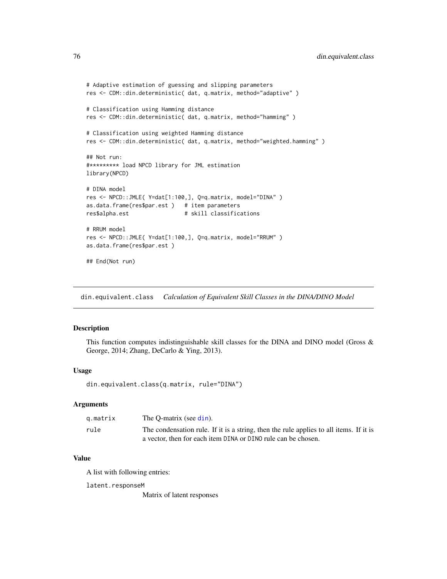```
# Adaptive estimation of guessing and slipping parameters
res <- CDM::din.deterministic( dat, q.matrix, method="adaptive" )
# Classification using Hamming distance
res <- CDM::din.deterministic( dat, q.matrix, method="hamming" )
# Classification using weighted Hamming distance
res <- CDM::din.deterministic( dat, q.matrix, method="weighted.hamming" )
## Not run:
#********* load NPCD library for JML estimation
library(NPCD)
# DINA model
res <- NPCD::JMLE( Y=dat[1:100,], Q=q.matrix, model="DINA" )
as.data.frame(res$par.est ) # item parameters
res$alpha.est # skill classifications
# RRUM model
res <- NPCD::JMLE( Y=dat[1:100,], Q=q.matrix, model="RRUM" )
as.data.frame(res$par.est )
## End(Not run)
```
<span id="page-75-0"></span>din.equivalent.class *Calculation of Equivalent Skill Classes in the DINA/DINO Model*

# Description

This function computes indistinguishable skill classes for the DINA and DINO model (Gross & George, 2014; Zhang, DeCarlo & Ying, 2013).

#### Usage

din.equivalent.class(q.matrix, rule="DINA")

# Arguments

| g.matrix | The O-matrix (see din).                                                                |
|----------|----------------------------------------------------------------------------------------|
| rule     | The condensation rule. If it is a string, then the rule applies to all items. If it is |
|          | a vector, then for each item DINA or DINO rule can be chosen.                          |

# Value

A list with following entries:

latent.responseM

Matrix of latent responses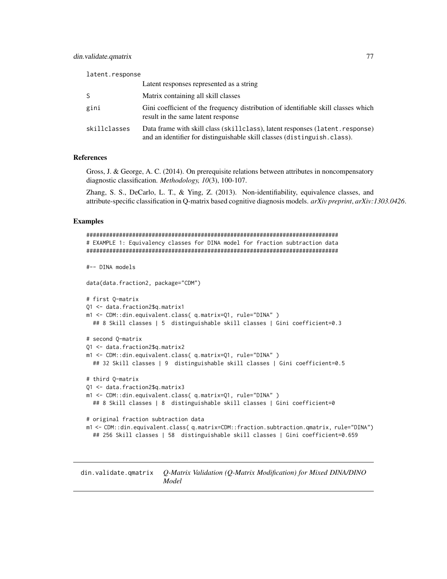| latent.response |                                                                                                                                                           |  |
|-----------------|-----------------------------------------------------------------------------------------------------------------------------------------------------------|--|
|                 | Latent responses represented as a string                                                                                                                  |  |
|                 | Matrix containing all skill classes                                                                                                                       |  |
| gini            | Gini coefficient of the frequency distribution of identifiable skill classes which<br>result in the same latent response                                  |  |
| skillclasses    | Data frame with skill class (skill class), latent responses (latent response)<br>and an identifier for distinguishable skill classes (distinguish.class). |  |

#### References

Gross, J. & George, A. C. (2014). On prerequisite relations between attributes in noncompensatory diagnostic classification. *Methodology, 10*(3), 100-107.

Zhang, S. S., DeCarlo, L. T., & Ying, Z. (2013). Non-identifiability, equivalence classes, and attribute-specific classification in Q-matrix based cognitive diagnosis models. *arXiv preprint*, *arXiv:1303.0426*.

#### Examples

```
#############################################################################
# EXAMPLE 1: Equivalency classes for DINA model for fraction subtraction data
#############################################################################
#-- DINA models
data(data.fraction2, package="CDM")
# first Q-matrix
Q1 <- data.fraction2$q.matrix1
m1 <- CDM::din.equivalent.class( q.matrix=Q1, rule="DINA" )
  ## 8 Skill classes | 5 distinguishable skill classes | Gini coefficient=0.3
# second Q-matrix
Q1 <- data.fraction2$q.matrix2
m1 <- CDM::din.equivalent.class( q.matrix=Q1, rule="DINA" )
  ## 32 Skill classes | 9 distinguishable skill classes | Gini coefficient=0.5
# third Q-matrix
Q1 <- data.fraction2$q.matrix3
m1 <- CDM::din.equivalent.class( q.matrix=Q1, rule="DINA" )
  ## 8 Skill classes | 8 distinguishable skill classes | Gini coefficient=0
# original fraction subtraction data
m1 <- CDM::din.equivalent.class( q.matrix=CDM::fraction.subtraction.qmatrix, rule="DINA")
  ## 256 Skill classes | 58 distinguishable skill classes | Gini coefficient=0.659
```
din.validate.qmatrix *Q-Matrix Validation (Q-Matrix Modification) for Mixed DINA/DINO Model*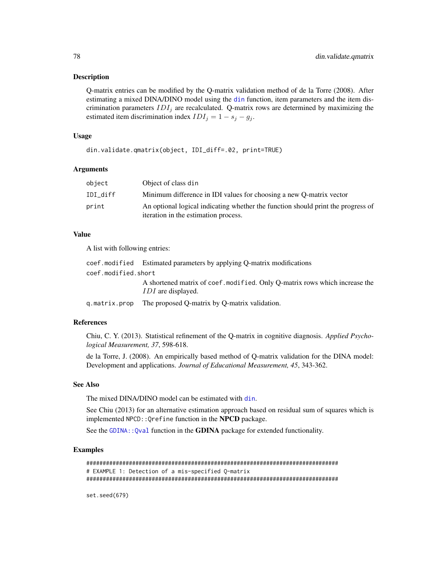#### Description

Q-matrix entries can be modified by the Q-matrix validation method of de la Torre (2008). After estimating a mixed DINA/DINO model using the [din](#page-62-0) function, item parameters and the item discrimination parameters  $IDI_j$  are recalculated. Q-matrix rows are determined by maximizing the estimated item discrimination index  $IDI_j = 1 - s_j - g_j$ .

# Usage

din.validate.qmatrix(object, IDI\_diff=.02, print=TRUE)

## Arguments

| object   | Object of class din                                                                                                      |
|----------|--------------------------------------------------------------------------------------------------------------------------|
| IDI diff | Minimum difference in IDI values for choosing a new O-matrix vector                                                      |
| print    | An optional logical indicating whether the function should print the progress of<br>iteration in the estimation process. |

## Value

A list with following entries:

|                     | coef. modified Estimated parameters by applying Q-matrix modifications                                   |
|---------------------|----------------------------------------------------------------------------------------------------------|
| coef.modified.short |                                                                                                          |
|                     | A shortened matrix of coef, modified. Only O-matrix rows which increase the<br><i>IDI</i> are displayed. |
|                     | q matrix prop The proposed Q-matrix by Q-matrix validation.                                              |

#### References

Chiu, C. Y. (2013). Statistical refinement of the Q-matrix in cognitive diagnosis. *Applied Psychological Measurement, 37*, 598-618.

de la Torre, J. (2008). An empirically based method of Q-matrix validation for the DINA model: Development and applications. *Journal of Educational Measurement, 45*, 343-362.

# See Also

The mixed DINA/DINO model can be estimated with [din](#page-62-0).

See Chiu (2013) for an alternative estimation approach based on residual sum of squares which is implemented NPCD:: Qrefine function in the NPCD package.

See the GDINA:: Qval function in the GDINA package for extended functionality.

# Examples

```
#############################################################################
# EXAMPLE 1: Detection of a mis-specified Q-matrix
#############################################################################
```
set.seed(679)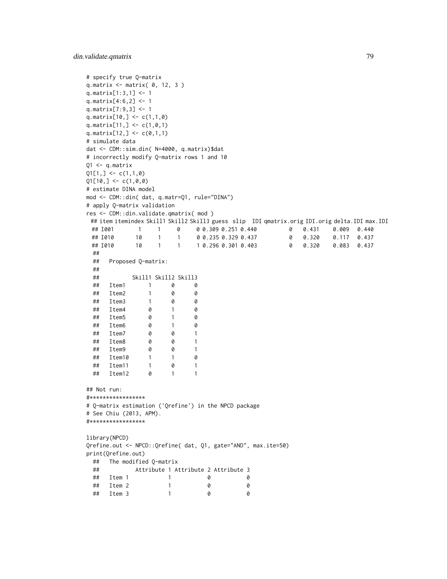```
# specify true Q-matrix
q.matrix \leq matrix( \theta, 12, 3)
q.matrix[1:3,1] <- 1
q.matrix[4:6,2] <- 1
q.matrix[7:9,3] <- 1
q.matrix[10,] <- c(1,1,0)
q.matrix[11,] < -c(1,0,1)q.matrix[12,] <- c(0,1,1)# simulate data
dat <- CDM::sim.din( N=4000, q.matrix)$dat
# incorrectly modify Q-matrix rows 1 and 10
Q1 \leq -q. matrix
Q1[1,] \leftarrow c(1,1,0)Q1[10, ] \leftarrow c(1, 0, 0)# estimate DINA model
mod <- CDM::din( dat, q.matr=Q1, rule="DINA")
# apply Q-matrix validation
res <- CDM::din.validate.qmatrix( mod )
 ## item itemindex Skill1 Skill2 Skill3 guess slip IDI qmatrix.orig IDI.orig delta.IDI max.IDI
 ## I001 1 1 0 0 0.309 0.251 0.440 0 0.431 0.009 0.440
 ## I010 10 1 1 0 0.235 0.329 0.437 0 0.320 0.117 0.437
 ## I010 10 1 1 1 0.296 0.301 0.403 0 0.320 0.083 0.437
 ##
 ## Proposed Q-matrix:
 ##
 ## Skill1 Skill2 Skill3
 ## Item1 1 0 0
 ## Item2 1 0 0
 ## Item3 1 0 0
 ## Item4 0 1 0
 ## Item5 0 1 0
 ## Item6 0 1 0
 ## Item7 0 0 1
 ## Item8 0 0 1
 ## Item9 0 0 1
 ## Item10 1 1 0
 ## Item11 1 0 1
 ## Item12 0 1 1
## Not run:
#*****************
# Q-matrix estimation ('Qrefine') in the NPCD package
# See Chiu (2013, APM).
#*****************
library(NPCD)
Qrefine.out <- NPCD::Qrefine( dat, Q1, gate="AND", max.ite=50)
print(Qrefine.out)
 ## The modified Q-matrix
 ## Attribute 1 Attribute 2 Attribute 3
 ## Item 1 1 0 0
 ## Item 2 1 0 0
 ## Item 3 1 0 0
```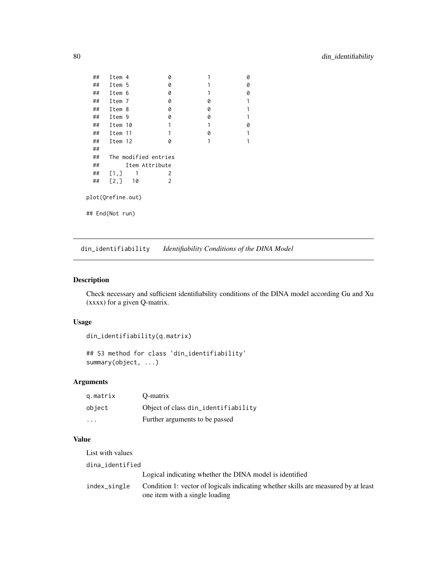```
## Item 4 0 1 0
 ## Item 5 0 1 0<br>## Item 6 0 1 0
 ## Item 6 0 0 1 0<br>## Item 7 0 0 1
 ## Item 7 0 0 1
 # Item 8 0 0 0 1<br># Item 9 0 0 1
 ## Item 9 0 0 1
 ## Item 10 1 1 0
 ## Item 11 1 0 1
 ## Item 12 0 1 1
 ##
 ## The modified entries
 ## Item Attribute
 \begin{array}{cccc} #\# & [1,]\ 1 & 1 & 2 \end{array}<br>
\begin{array}{cccc} #\# & [2,]\ 10 & 2 \end{array}## [2,] 10 2
plot(Qrefine.out)
## End(Not run)
```
din\_identifiability *Identifiability Conditions of the DINA Model*

## Description

Check necessary and sufficient identifiability conditions of the DINA model according Gu and Xu (xxxx) for a given Q-matrix.

# Usage

```
din_identifiability(q.matrix)
```

```
## S3 method for class 'din_identifiability'
summary(object, ...)
```
# Arguments

| g.matrix | O-matrix                            |
|----------|-------------------------------------|
| object   | Object of class din_identifiability |
| .        | Further arguments to be passed      |

# Value

| List with values |                                                                                                                      |
|------------------|----------------------------------------------------------------------------------------------------------------------|
| dina identified  |                                                                                                                      |
|                  | Logical indicating whether the DINA model is identified                                                              |
| index_single     | Condition 1: vector of logicals indicating whether skills are measured by at least<br>one item with a single loading |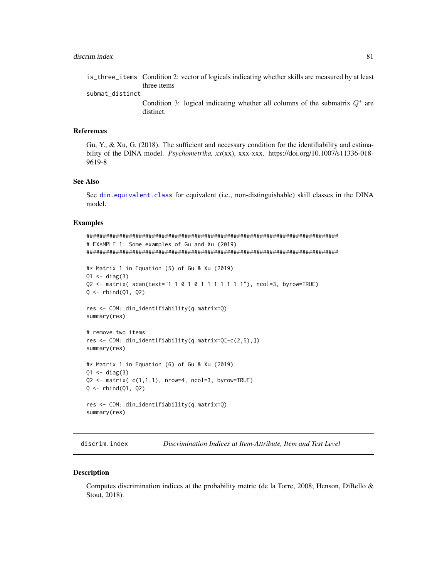submat\_distinct

Condition 3: logical indicating whether all columns of the submatrix  $Q^*$  are distinct.

#### References

Gu, Y., & Xu, G. (2018). The sufficient and necessary condition for the identifiability and estimability of the DINA model. *Psychometrika, xx*(xx), xxx-xxx. https://doi.org/10.1007/s11336-018- 9619-8

#### See Also

See [din.equivalent.class](#page-75-0) for equivalent (i.e., non-distinguishable) skill classes in the DINA model.

### Examples

```
#############################################################################
# EXAMPLE 1: Some examples of Gu and Xu (2019)
#############################################################################
#* Matrix 1 in Equation (5) of Gu & Xu (2019)
Q1 \leftarrow diag(3)Q2 <- matrix( scan(text="1 1 0 1 0 1 1 1 1 1 1 1"), ncol=3, byrow=TRUE)
Q \leftarrow rbind(Q1, Q2)res <- CDM::din_identifiability(q.matrix=Q)
summary(res)
# remove two items
res <- CDM::din_identifiability(q.matrix=Q[-c(2,5),])
summary(res)
#* Matrix 1 in Equation (6) of Gu & Xu (2019)
Q1 \leftarrow diag(3)Q2 \leq matrix(c(1,1,1), nrow=4, ncol=3, byrow=TRUE)
Q \leftarrow rbind(Q1, Q2)res <- CDM::din_identifiability(q.matrix=Q)
summary(res)
```
<span id="page-80-0"></span>discrim.index *Discrimination Indices at Item-Attribute, Item and Test Level*

#### **Description**

Computes discrimination indices at the probability metric (de la Torre, 2008; Henson, DiBello & Stout, 2018).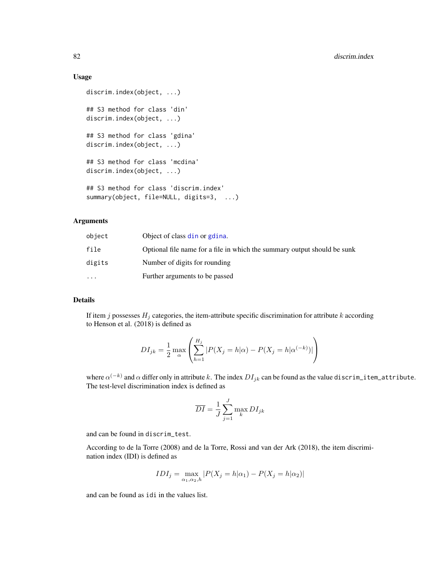# Usage

```
discrim.index(object, ...)
## S3 method for class 'din'
discrim.index(object, ...)
## S3 method for class 'gdina'
discrim.index(object, ...)
## S3 method for class 'mcdina'
discrim.index(object, ...)
## S3 method for class 'discrim.index'
summary(object, file=NULL, digits=3, ...)
```
# Arguments

| object    | Object of class din or gdina.                                            |
|-----------|--------------------------------------------------------------------------|
| file      | Optional file name for a file in which the summary output should be sunk |
| digits    | Number of digits for rounding                                            |
| $\ddotsc$ | Further arguments to be passed                                           |

# Details

If item j possesses  $H_i$  categories, the item-attribute specific discrimination for attribute k according to Henson et al. (2018) is defined as

$$
DI_{jk} = \frac{1}{2} \max_{\alpha} \left( \sum_{h=1}^{H_j} |P(X_j = h | \alpha) - P(X_j = h | \alpha^{(-k)})| \right)
$$

where  $\alpha^{(-k)}$  and  $\alpha$  differ only in attribute  $k.$  The index  $DI_{jk}$  can be found as the value discrim\_item\_attribute. The test-level discrimination index is defined as

$$
\overline{DI} = \frac{1}{J} \sum_{j=1}^{J} \max_{k} DI_{jk}
$$

and can be found in discrim\_test.

According to de la Torre (2008) and de la Torre, Rossi and van der Ark (2018), the item discrimination index (IDI) is defined as

$$
IDI_j = \max_{\alpha_1, \alpha_2, h} |P(X_j = h | \alpha_1) - P(X_j = h | \alpha_2)|
$$

and can be found as idi in the values list.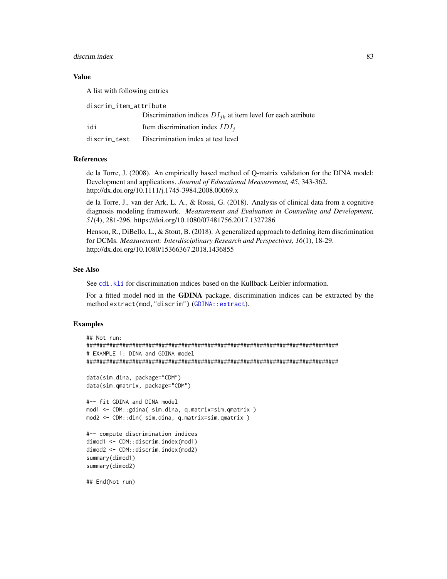#### discrim.index 83

# Value

A list with following entries

discrim\_item\_attribute

|     | Discrimination indices $DI_{ik}$ at item level for each attribute |
|-----|-------------------------------------------------------------------|
| idi | Item discrimination index $IDI_i$                                 |
|     | discrim test Discrimination index at test level                   |

# References

de la Torre, J. (2008). An empirically based method of Q-matrix validation for the DINA model: Development and applications. *Journal of Educational Measurement, 45*, 343-362. http://dx.doi.org/10.1111/j.1745-3984.2008.00069.x

de la Torre, J., van der Ark, L. A., & Rossi, G. (2018). Analysis of clinical data from a cognitive diagnosis modeling framework. *Measurement and Evaluation in Counseling and Development, 51*(4), 281-296. https://doi.org/10.1080/07481756.2017.1327286

Henson, R., DiBello, L., & Stout, B. (2018). A generalized approach to defining item discrimination for DCMs. *Measurement: Interdisciplinary Research and Perspectives, 16*(1), 18-29. http://dx.doi.org/10.1080/15366367.2018.1436855

# See Also

See [cdi.kli](#page-7-0) for discrimination indices based on the Kullback-Leibler information.

For a fitted model mod in the GDINA package, discrimination indices can be extracted by the method extract(mod,"discrim") ([GDINA::extract](#page-0-0)).

# Examples

```
## Not run:
#############################################################################
# EXAMPLE 1: DINA and GDINA model
#############################################################################
data(sim.dina, package="CDM")
data(sim.qmatrix, package="CDM")
#-- fit GDINA and DINA model
mod1 <- CDM::gdina( sim.dina, q.matrix=sim.qmatrix )
mod2 <- CDM::din( sim.dina, q.matrix=sim.qmatrix )
#-- compute discrimination indices
dimod1 <- CDM::discrim.index(mod1)
dimod2 <- CDM::discrim.index(mod2)
summary(dimod1)
summary(dimod2)
## End(Not run)
```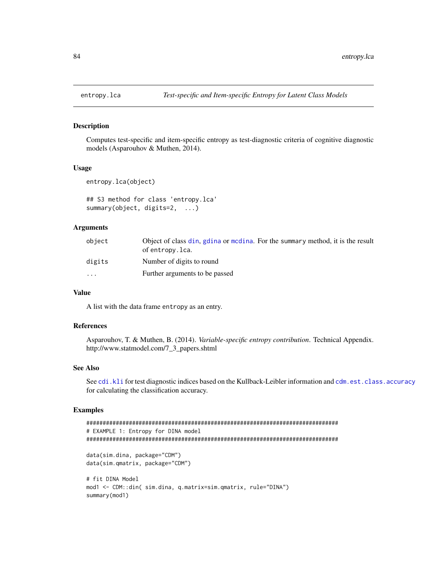#### Description

Computes test-specific and item-specific entropy as test-diagnostic criteria of cognitive diagnostic models (Asparouhov & Muthen, 2014).

# Usage

```
entropy.lca(object)
```

```
## S3 method for class 'entropy.lca'
summary(object, digits=2, ...)
```
### Arguments

| object   | Object of class din, gdina or modina. For the summary method, it is the result<br>of entropy.lca. |
|----------|---------------------------------------------------------------------------------------------------|
| digits   | Number of digits to round                                                                         |
| $\cdots$ | Further arguments to be passed                                                                    |

## Value

A list with the data frame entropy as an entry.

#### References

Asparouhov, T. & Muthen, B. (2014). *Variable-specific entropy contribution*. Technical Appendix. http://www.statmodel.com/7\_3\_papers.shtml

# See Also

See [cdi.kli](#page-7-0) for test diagnostic indices based on the Kullback-Leibler information and [cdm.est.class.accuracy](#page-13-0) for calculating the classification accuracy.

# Examples

```
#############################################################################
# EXAMPLE 1: Entropy for DINA model
#############################################################################
data(sim.dina, package="CDM")
data(sim.qmatrix, package="CDM")
# fit DINA Model
mod1 <- CDM::din( sim.dina, q.matrix=sim.qmatrix, rule="DINA")
summary(mod1)
```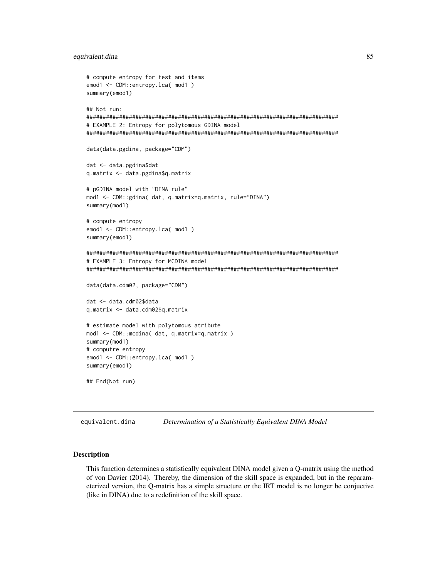#### equivalent.dina

```
# compute entropy for test and items
emod1 <- CDM::entropy.lca( mod1)
summary(emod1)
## Not run:
# EXAMPLE 2: Entropy for polytomous GDINA model
data(data.pgdina, package="CDM")
dat <- data.pgdina$dat
q.matrix <- data.pgdina$q.matrix
# pGDINA model with "DINA rule"
mod1 <- CDM::gdina( dat, q.matrix=q.matrix, rule="DINA")
summary(mod1)
# compute entropy
emod1 <- CDM::entropy.lca( mod1)
summary(emod1)
# EXAMPLE 3: Entropy for MCDINA model
data(data.cdm02, package="CDM")
dat <- data.cdm02$data
q.matrix <- data.cdm02$q.matrix
# estimate model with polytomous atribute
mod1 <- CDM::mcdina( dat, q.matrix=q.matrix )
summary(mod1)
# computre entropy
emod1 <- CDM::entropy.lca( mod1)
summary(emod1)
## End(Not run)
```
equivalent.dina Determination of a Statistically Equivalent DINA Model

# **Description**

This function determines a statistically equivalent DINA model given a Q-matrix using the method of von Davier (2014). Thereby, the dimension of the skill space is expanded, but in the reparameterized version, the Q-matrix has a simple structure or the IRT model is no longer be conjuctive (like in DINA) due to a redefinition of the skill space.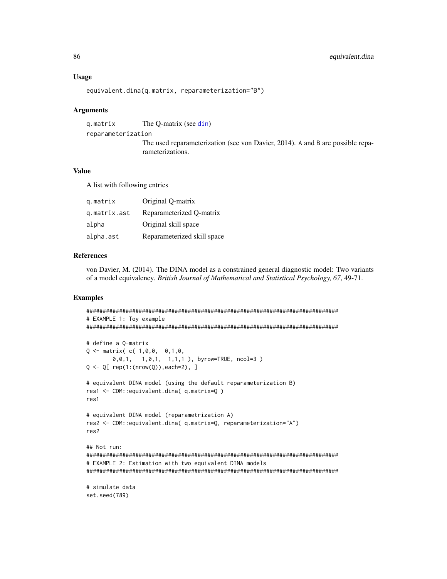#### **Usage**

```
equivalent.dina(q.matrix, reparameterization="B")
```
#### **Arguments**

q.matrix The Q-matrix (see din) reparameterization The used reparameterization (see von Davier, 2014). A and B are possible reparameterizations.

#### **Value**

A list with following entries

| g.matrix     | Original O-matrix           |
|--------------|-----------------------------|
| q.matrix.ast | Reparameterized Q-matrix    |
| alpha        | Original skill space        |
| alpha.ast    | Reparameterized skill space |

# **References**

von Davier, M. (2014). The DINA model as a constrained general diagnostic model: Two variants of a model equivalency. British Journal of Mathematical and Statistical Psychology, 67, 49-71.

# **Examples**

```
# EXAMPLE 1: Toy example
# define a O-matrix
Q \leq - matrix(C(1, 0, 0, 0, 1, 0, 0)0,0,1, 1,0,1, 1,1,1), byrow=TRUE, ncol=3)
Q \leftarrow Q[rep(1:(nrow(Q)), each=2), ]# equivalent DINA model (using the default reparameterization B)
res1 <- CDM::equivalent.dina( q.matrix=Q )
res<sub>1</sub># equivalent DINA model (reparametrization A)
res2 <- CDM::equivalent.dina( q.matrix=Q, reparameterization="A")
res<sub>2</sub>## Not run:
# EXAMPLE 2: Estimation with two equivalent DINA models
# simulate data
set.seed(789)
```
86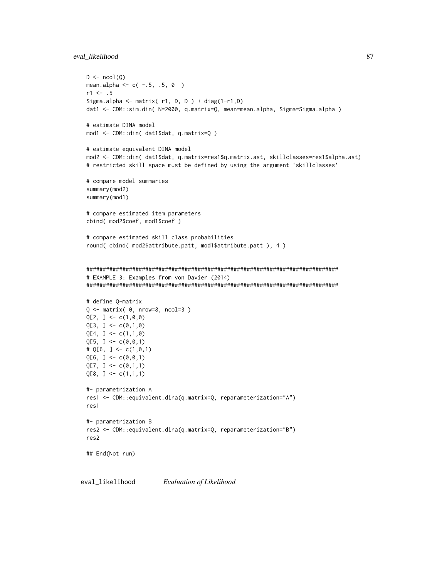### eval likelihood

```
D \leftarrow \text{ncol}(Q)mean.alpha <- c(-.5, .5, 0)r1 < -0.5Sigma.alpha <- matrix(r1, D, D) + diag(1-r1, D)
dat1 <- CDM::sim.din( N=2000, q.matrix=Q, mean=mean.alpha, Sigma=Sigma.alpha)
# estimate DINA model
mod1 <- CDM::din( dat1$dat, q.matrix=Q )
# estimate equivalent DINA model
mod2 <- CDM::din( dat1$dat, q.matrix=res1$q.matrix.ast, skillclasses=res1$alpha.ast)
# restricted skill space must be defined by using the argument 'skillclasses'
# compare model summaries
summary(mod2)
summary(mod1)
# compare estimated item parameters
cbind( mod2$coef, mod1$coef )
# compare estimated skill class probabilities
round(cbind(mod2$attribute.patt, mod1$attribute.patt), 4)
# EXAMPLE 3: Examples from von Davier (2014)
# define Q-matrix
Q \le - matrix(\emptyset, nrow=8, ncol=3)
Q[2, ] \leftarrow c(1, 0, 0)Q[3, ] \leftarrow c(0,1,0)Q[4, ] \leftarrow c(1,1,0)Q[5, ] \leftarrow c(0, 0, 1)# Q[6, ] \leq C(1, 0, 1)Q[6, ] < -c(0, 0, 1)Q[7, ] \leftarrow c(0,1,1)Q[8, ] \leftarrow c(1,1,1)#- parametrization A
res1 <- CDM::equivalent.dina(q.matrix=Q, reparameterization="A")
res1#- parametrization B
res2 <- CDM::equivalent.dina(q.matrix=Q, reparameterization="B")
res<sub>2</sub>## End(Not run)
```
eval\_likelihood Evaluation of Likelihood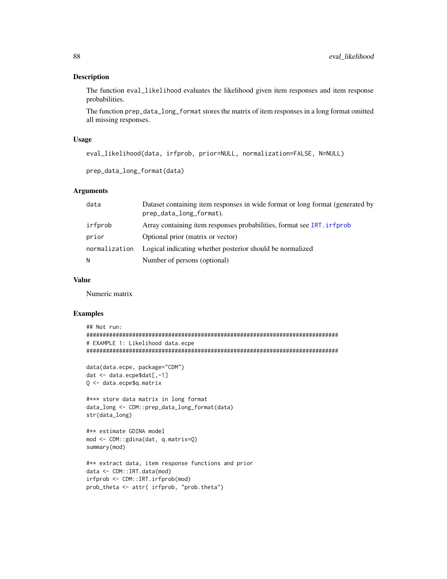# Description

The function eval\_likelihood evaluates the likelihood given item responses and item response probabilities.

The function prep\_data\_long\_format stores the matrix of item responses in a long format omitted all missing responses.

# Usage

```
eval_likelihood(data, irfprob, prior=NULL, normalization=FALSE, N=NULL)
```

```
prep_data_long_format(data)
```
#### Arguments

| data          | Dataset containing item responses in wide format or long format (generated by<br>prep_data_long_format). |
|---------------|----------------------------------------------------------------------------------------------------------|
| irfprob       | Array containing item responses probabilities, format see IRT. inflament                                 |
| prior         | Optional prior (matrix or vector)                                                                        |
| normalization | Logical indicating whether posterior should be normalized                                                |
| N             | Number of persons (optional)                                                                             |

## Value

Numeric matrix

# Examples

```
## Not run:
#############################################################################
# EXAMPLE 1: Likelihood data.ecpe
#############################################################################
```

```
data(data.ecpe, package="CDM")
dat <- data.ecpe$dat[,-1]
Q <- data.ecpe$q.matrix
```

```
#*** store data matrix in long format
data_long <- CDM::prep_data_long_format(data)
str(data_long)
```

```
#** estimate GDINA model
mod <- CDM::gdina(dat, q.matrix=Q)
summary(mod)
```

```
#** extract data, item response functions and prior
data <- CDM::IRT.data(mod)
irfprob <- CDM::IRT.irfprob(mod)
prob_theta <- attr( irfprob, "prob.theta")
```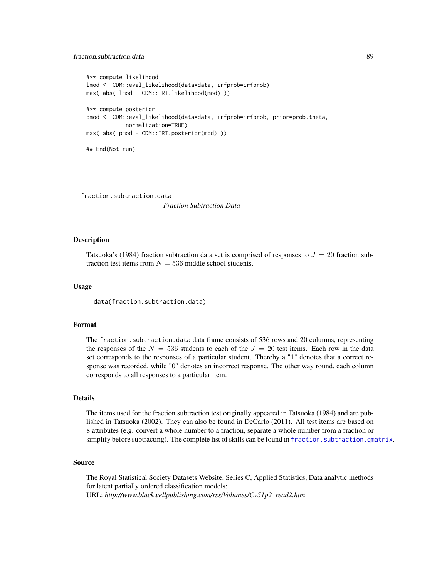# fraction.subtraction.data 89

```
#** compute likelihood
lmod <- CDM::eval_likelihood(data=data, irfprob=irfprob)
max( abs( lmod - CDM::IRT.likelihood(mod) ))
#** compute posterior
pmod <- CDM::eval_likelihood(data=data, irfprob=irfprob, prior=prob.theta,
            normalization=TRUE)
max( abs( pmod - CDM::IRT.posterior(mod) ))
## End(Not run)
```
fraction.subtraction.data *Fraction Subtraction Data*

#### Description

Tatsuoka's (1984) fraction subtraction data set is comprised of responses to  $J = 20$  fraction subtraction test items from  $N = 536$  middle school students.

# Usage

data(fraction.subtraction.data)

# Format

The fraction.subtraction.data data frame consists of 536 rows and 20 columns, representing the responses of the  $N = 536$  students to each of the  $J = 20$  test items. Each row in the data set corresponds to the responses of a particular student. Thereby a "1" denotes that a correct response was recorded, while "0" denotes an incorrect response. The other way round, each column corresponds to all responses to a particular item.

# Details

The items used for the fraction subtraction test originally appeared in Tatsuoka (1984) and are published in Tatsuoka (2002). They can also be found in DeCarlo (2011). All test items are based on 8 attributes (e.g. convert a whole number to a fraction, separate a whole number from a fraction or simplify before subtracting). The complete list of skills can be found in fraction. subtraction. qmatrix.

### Source

The Royal Statistical Society Datasets Website, Series C, Applied Statistics, Data analytic methods for latent partially ordered classification models: URL: *http://www.blackwellpublishing.com/rss/Volumes/Cv51p2\_read2.htm*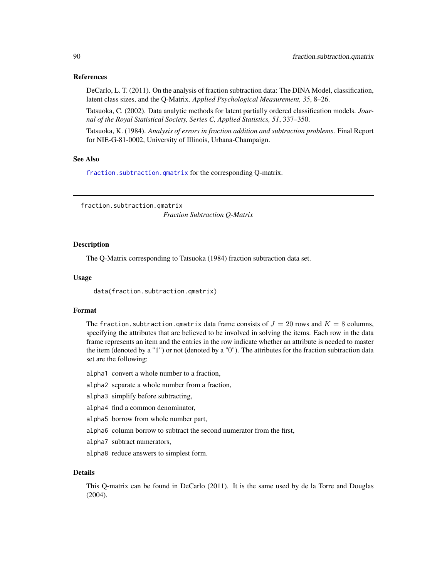# References

DeCarlo, L. T. (2011). On the analysis of fraction subtraction data: The DINA Model, classification, latent class sizes, and the Q-Matrix. *Applied Psychological Measurement, 35*, 8–26.

Tatsuoka, C. (2002). Data analytic methods for latent partially ordered classification models. *Journal of the Royal Statistical Society, Series C, Applied Statistics, 51*, 337–350.

Tatsuoka, K. (1984). *Analysis of errors in fraction addition and subtraction problems*. Final Report for NIE-G-81-0002, University of Illinois, Urbana-Champaign.

#### See Also

[fraction.subtraction.qmatrix](#page-89-0) for the corresponding Q-matrix.

<span id="page-89-0"></span>fraction.subtraction.qmatrix *Fraction Subtraction Q-Matrix*

#### Description

The Q-Matrix corresponding to Tatsuoka (1984) fraction subtraction data set.

## Usage

data(fraction.subtraction.qmatrix)

#### Format

The fraction. subtraction. qmatrix data frame consists of  $J = 20$  rows and  $K = 8$  columns, specifying the attributes that are believed to be involved in solving the items. Each row in the data frame represents an item and the entries in the row indicate whether an attribute is needed to master the item (denoted by a "1") or not (denoted by a "0"). The attributes for the fraction subtraction data set are the following:

- alpha1 convert a whole number to a fraction,
- alpha2 separate a whole number from a fraction,
- alpha3 simplify before subtracting,
- alpha4 find a common denominator,
- alpha5 borrow from whole number part,
- alpha6 column borrow to subtract the second numerator from the first,
- alpha7 subtract numerators,
- alpha8 reduce answers to simplest form.

#### Details

This Q-matrix can be found in DeCarlo (2011). It is the same used by de la Torre and Douglas (2004).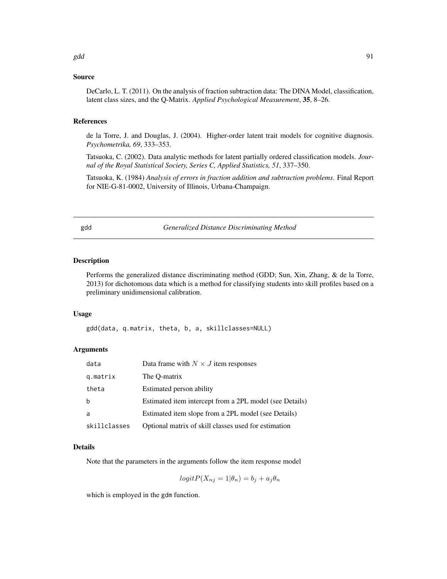# Source

DeCarlo, L. T. (2011). On the analysis of fraction subtraction data: The DINA Model, classification, latent class sizes, and the Q-Matrix. *Applied Psychological Measurement*, 35, 8–26.

#### References

de la Torre, J. and Douglas, J. (2004). Higher-order latent trait models for cognitive diagnosis. *Psychometrika, 69*, 333–353.

Tatsuoka, C. (2002). Data analytic methods for latent partially ordered classification models. *Journal of the Royal Statistical Society, Series C, Applied Statistics, 51*, 337–350.

Tatsuoka, K. (1984) *Analysis of errors in fraction addition and subtraction problems*. Final Report for NIE-G-81-0002, University of Illinois, Urbana-Champaign.

gdd *Generalized Distance Discriminating Method*

# Description

Performs the generalized distance discriminating method (GDD; Sun, Xin, Zhang, & de la Torre, 2013) for dichotomous data which is a method for classifying students into skill profiles based on a preliminary unidimensional calibration.

#### Usage

gdd(data, q.matrix, theta, b, a, skillclasses=NULL)

# Arguments

| data         | Data frame with $N \times J$ item responses             |
|--------------|---------------------------------------------------------|
| g.matrix     | The O-matrix                                            |
| theta        | Estimated person ability                                |
| h            | Estimated item intercept from a 2PL model (see Details) |
| a            | Estimated item slope from a 2PL model (see Details)     |
| skillclasses | Optional matrix of skill classes used for estimation    |

# Details

Note that the parameters in the arguments follow the item response model

$$
logit P(X_{nj} = 1 | \theta_n) = b_j + a_j \theta_n
$$

which is employed in the gdm function.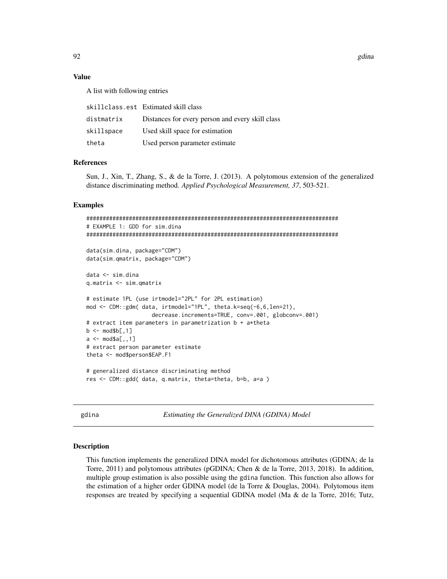#### **Value**

A list with following entries

|            | skillclass.est Estimated skill class             |
|------------|--------------------------------------------------|
| distmatrix | Distances for every person and every skill class |
| skillspace | Used skill space for estimation                  |
| theta      | Used person parameter estimate                   |

# **References**

Sun, J., Xin, T., Zhang, S., & de la Torre, J. (2013). A polytomous extension of the generalized distance discriminating method. Applied Psychological Measurement, 37, 503-521.

## **Examples**

```
# EXAMPLE 1: GDD for sim.dina
data(sim.dina, package="CDM")
data(sim.qmatrix, package="CDM")
data <- sim.dina
q.\text{matrix} < -\text{sim}.\text{q}# estimate 1PL (use irtmodel="2PL" for 2PL estimation)
mod <- CDM::gdm( data, irtmodel="1PL", theta.k=seq(-6,6,len=21),
                decrease.increments=TRUE, conv=.001, globconv=.001)
# extract item parameters in parametrization b + a*theta
b \leq -\text{mod$b[}1]a \leq -\text{mod} \a[,,1]
# extract person parameter estimate
theta <- mod$person$EAP.F1
# generalized distance discriminating method
res <- CDM::gdd( data, q.matrix, theta=theta, b=b, a=a )
```
<span id="page-91-0"></span>gdina

Estimating the Generalized DINA (GDINA) Model

#### **Description**

This function implements the generalized DINA model for dichotomous attributes (GDINA; de la Torre,  $2011$ ) and polytomous attributes (pGDINA; Chen & de la Torre,  $2013$ ,  $2018$ ). In addition, multiple group estimation is also possible using the gdina function. This function also allows for the estimation of a higher order GDINA model (de la Torre & Douglas, 2004). Polytomous item responses are treated by specifying a sequential GDINA model (Ma & de la Torre, 2016; Tutz,

92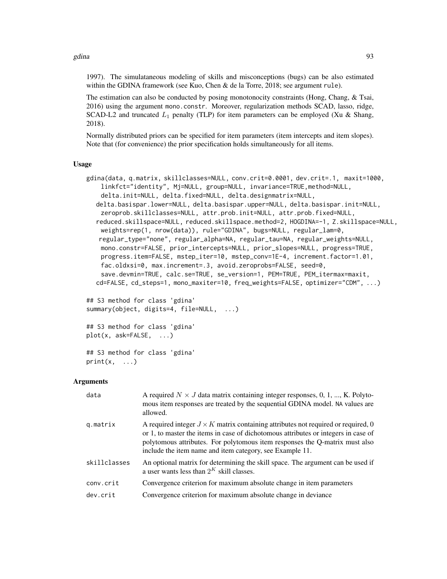1997). The simulataneous modeling of skills and misconceptions (bugs) can be also estimated within the GDINA framework (see Kuo, Chen & de la Torre, 2018; see argument rule).

The estimation can also be conducted by posing monotonocity constraints (Hong, Chang, & Tsai, 2016) using the argument mono.constr. Moreover, regularization methods SCAD, lasso, ridge, SCAD-L2 and truncated  $L_1$  penalty (TLP) for item parameters can be employed (Xu & Shang, 2018).

Normally distributed priors can be specified for item parameters (item intercepts and item slopes). Note that (for convenience) the prior specification holds simultaneously for all items.

#### Usage

```
gdina(data, q.matrix, skillclasses=NULL, conv.crit=0.0001, dev.crit=.1, maxit=1000,
    linkfct="identity", Mj=NULL, group=NULL, invariance=TRUE,method=NULL,
    delta.init=NULL, delta.fixed=NULL, delta.designmatrix=NULL,
  delta.basispar.lower=NULL, delta.basispar.upper=NULL, delta.basispar.init=NULL,
    zeroprob.skillclasses=NULL, attr.prob.init=NULL, attr.prob.fixed=NULL,
  reduced.skillspace=NULL, reduced.skillspace.method=2, HOGDINA=-1, Z.skillspace=NULL,
   weights=rep(1, nrow(data)), rule="GDINA", bugs=NULL, regular_lam=0,
   regular_type="none", regular_alpha=NA, regular_tau=NA, regular_weights=NULL,
   mono.constr=FALSE, prior_intercepts=NULL, prior_slopes=NULL, progress=TRUE,
   progress.item=FALSE, mstep_iter=10, mstep_conv=1E-4, increment.factor=1.01,
    fac.oldxsi=0, max.increment=.3, avoid.zeroprobs=FALSE, seed=0,
    save.devmin=TRUE, calc.se=TRUE, se_version=1, PEM=TRUE, PEM_itermax=maxit,
  cd=FALSE, cd_steps=1, mono_maxiter=10, freq_weights=FALSE, optimizer="CDM", ...)
## S3 method for class 'gdina'
```

```
summary(object, digits=4, file=NULL, ...)
```

```
## S3 method for class 'gdina'
plot(x, ask=FALSE, ...)
```

```
## S3 method for class 'gdina'
print(x, \ldots)
```
## Arguments

| data         | A required $N \times J$ data matrix containing integer responses, 0, 1, , K. Polyto-<br>mous item responses are treated by the sequential GDINA model. NA values are<br>allowed.                                                                                                                                          |
|--------------|---------------------------------------------------------------------------------------------------------------------------------------------------------------------------------------------------------------------------------------------------------------------------------------------------------------------------|
| g.matrix     | A required integer $J \times K$ matrix containing attributes not required or required, 0<br>or 1, to master the items in case of dichotomous attributes or integers in case of<br>polytomous attributes. For polytomous item responses the Q-matrix must also<br>include the item name and item category, see Example 11. |
| skillclasses | An optional matrix for determining the skill space. The argument can be used if<br>a user wants less than $2^K$ skill classes.                                                                                                                                                                                            |
| conv.crit    | Convergence criterion for maximum absolute change in item parameters                                                                                                                                                                                                                                                      |
| dev.crit     | Convergence criterion for maximum absolute change in deviance                                                                                                                                                                                                                                                             |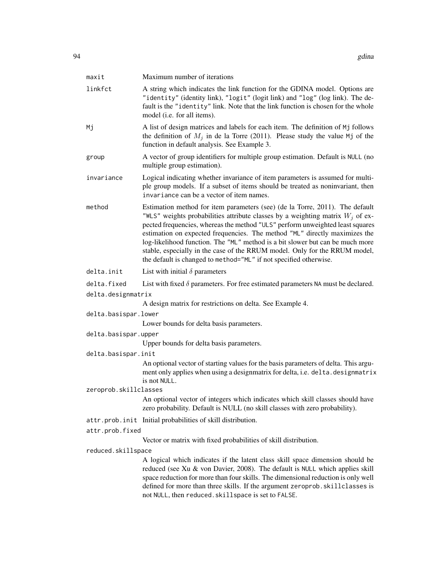| maxit                 | Maximum number of iterations                                                                                                                                                                                                                                                                                                                                                                                                                                                                                                                                        |
|-----------------------|---------------------------------------------------------------------------------------------------------------------------------------------------------------------------------------------------------------------------------------------------------------------------------------------------------------------------------------------------------------------------------------------------------------------------------------------------------------------------------------------------------------------------------------------------------------------|
| linkfct               | A string which indicates the link function for the GDINA model. Options are<br>"identity" (identity link), "logit" (logit link) and "log" (log link). The de-<br>fault is the "identity" link. Note that the link function is chosen for the whole<br>model (i.e. for all items).                                                                                                                                                                                                                                                                                   |
| Мj                    | A list of design matrices and labels for each item. The definition of Mj follows<br>the definition of $M_j$ in de la Torre (2011). Please study the value Mj of the<br>function in default analysis. See Example 3.                                                                                                                                                                                                                                                                                                                                                 |
| group                 | A vector of group identifiers for multiple group estimation. Default is NULL (no<br>multiple group estimation).                                                                                                                                                                                                                                                                                                                                                                                                                                                     |
| invariance            | Logical indicating whether invariance of item parameters is assumed for multi-<br>ple group models. If a subset of items should be treated as noninvariant, then<br>invariance can be a vector of item names.                                                                                                                                                                                                                                                                                                                                                       |
| method                | Estimation method for item parameters (see) (de la Torre, 2011). The default<br>"WLS" weights probabilities attribute classes by a weighting matrix $W_i$ of ex-<br>pected frequencies, whereas the method "ULS" perform unweighted least squares<br>estimation on expected frequencies. The method "ML" directly maximizes the<br>log-likelihood function. The "ML" method is a bit slower but can be much more<br>stable, especially in the case of the RRUM model. Only for the RRUM model,<br>the default is changed to method="ML" if not specified otherwise. |
| delta.init            | List with initial $\delta$ parameters                                                                                                                                                                                                                                                                                                                                                                                                                                                                                                                               |
| delta.fixed           | List with fixed $\delta$ parameters. For free estimated parameters NA must be declared.                                                                                                                                                                                                                                                                                                                                                                                                                                                                             |
| delta.designmatrix    |                                                                                                                                                                                                                                                                                                                                                                                                                                                                                                                                                                     |
|                       | A design matrix for restrictions on delta. See Example 4.                                                                                                                                                                                                                                                                                                                                                                                                                                                                                                           |
| delta.basispar.lower  |                                                                                                                                                                                                                                                                                                                                                                                                                                                                                                                                                                     |
|                       | Lower bounds for delta basis parameters.                                                                                                                                                                                                                                                                                                                                                                                                                                                                                                                            |
| delta.basispar.upper  |                                                                                                                                                                                                                                                                                                                                                                                                                                                                                                                                                                     |
| delta.basispar.init   | Upper bounds for delta basis parameters.                                                                                                                                                                                                                                                                                                                                                                                                                                                                                                                            |
|                       | An optional vector of starting values for the basis parameters of delta. This argu-<br>ment only applies when using a designmatrix for delta, i.e. delta. designmatrix<br>is not NULL.                                                                                                                                                                                                                                                                                                                                                                              |
| zeroprob.skillclasses |                                                                                                                                                                                                                                                                                                                                                                                                                                                                                                                                                                     |
|                       | An optional vector of integers which indicates which skill classes should have<br>zero probability. Default is NULL (no skill classes with zero probability).                                                                                                                                                                                                                                                                                                                                                                                                       |
|                       | attr.prob.init Initial probabilities of skill distribution.                                                                                                                                                                                                                                                                                                                                                                                                                                                                                                         |
| attr.prob.fixed       |                                                                                                                                                                                                                                                                                                                                                                                                                                                                                                                                                                     |
|                       | Vector or matrix with fixed probabilities of skill distribution.                                                                                                                                                                                                                                                                                                                                                                                                                                                                                                    |
| reduced.skillspace    |                                                                                                                                                                                                                                                                                                                                                                                                                                                                                                                                                                     |
|                       | A logical which indicates if the latent class skill space dimension should be<br>reduced (see Xu & von Davier, 2008). The default is NULL which applies skill<br>space reduction for more than four skills. The dimensional reduction is only well<br>defined for more than three skills. If the argument zeroprob. skillclasses is<br>not NULL, then reduced. skillspace is set to FALSE.                                                                                                                                                                          |
|                       |                                                                                                                                                                                                                                                                                                                                                                                                                                                                                                                                                                     |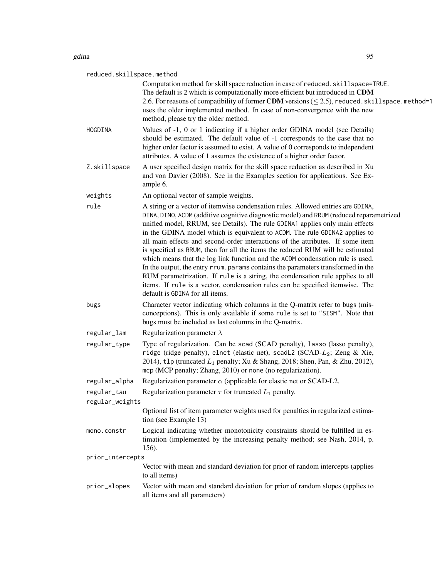| gdina        | 95                                                                                                                                                                                                                                                                                                                                                                                                                                                                                                                                                                                                                                                                                                                                                                                                                                                                                       |
|--------------|------------------------------------------------------------------------------------------------------------------------------------------------------------------------------------------------------------------------------------------------------------------------------------------------------------------------------------------------------------------------------------------------------------------------------------------------------------------------------------------------------------------------------------------------------------------------------------------------------------------------------------------------------------------------------------------------------------------------------------------------------------------------------------------------------------------------------------------------------------------------------------------|
|              | reduced.skillspace.method                                                                                                                                                                                                                                                                                                                                                                                                                                                                                                                                                                                                                                                                                                                                                                                                                                                                |
|              | Computation method for skill space reduction in case of reduced. skillspace=TRUE.<br>The default is 2 which is computationally more efficient but introduced in CDM<br>2.6. For reasons of compatibility of former CDM versions ( $\leq$ 2.5), reduced. skillspace. method=1<br>uses the older implemented method. In case of non-convergence with the new<br>method, please try the older method.                                                                                                                                                                                                                                                                                                                                                                                                                                                                                       |
| HOGDINA      | Values of -1, 0 or 1 indicating if a higher order GDINA model (see Details)<br>should be estimated. The default value of -1 corresponds to the case that no<br>higher order factor is assumed to exist. A value of 0 corresponds to independent<br>attributes. A value of 1 assumes the existence of a higher order factor.                                                                                                                                                                                                                                                                                                                                                                                                                                                                                                                                                              |
| Z.skillspace | A user specified design matrix for the skill space reduction as described in Xu<br>and von Davier (2008). See in the Examples section for applications. See Ex-<br>ample 6.                                                                                                                                                                                                                                                                                                                                                                                                                                                                                                                                                                                                                                                                                                              |
| weights      | An optional vector of sample weights.                                                                                                                                                                                                                                                                                                                                                                                                                                                                                                                                                                                                                                                                                                                                                                                                                                                    |
| rule         | A string or a vector of itemwise condensation rules. Allowed entries are GDINA,<br>DINA, DINO, ACDM (additive cognitive diagnostic model) and RRUM (reduced reparametrized<br>unified model, RRUM, see Details). The rule GDINA1 applies only main effects<br>in the GDINA model which is equivalent to ACDM. The rule GDINA2 applies to<br>all main effects and second-order interactions of the attributes. If some item<br>is specified as RRUM, then for all the items the reduced RUM will be estimated<br>which means that the log link function and the ACDM condensation rule is used.<br>In the output, the entry rrum, params contains the parameters transformed in the<br>RUM parametrization. If rule is a string, the condensation rule applies to all<br>items. If rule is a vector, condensation rules can be specified itemwise. The<br>default is GDINA for all items. |
|              |                                                                                                                                                                                                                                                                                                                                                                                                                                                                                                                                                                                                                                                                                                                                                                                                                                                                                          |

- bugs Character vector indicating which columns in the Q-matrix refer to bugs (misconceptions). This is only available if some rule is set to "SISM". Note that bugs must be included as last columns in the Q-matrix.
- regular\_lam Regularization parameter  $\lambda$
- regular\_type Type of regularization. Can be scad (SCAD penalty), lasso (lasso penalty), ridge (ridge penalty), elnet (elastic net), scadL2 (SCAD-L2; Zeng & Xie, 2014), tlp (truncated  $L_1$  penalty; Xu & Shang, 2018; Shen, Pan, & Zhu, 2012), mcp (MCP penalty; Zhang, 2010) or none (no regularization).
- regular\_alpha Regularization parameter  $\alpha$  (applicable for elastic net or SCAD-L2.

| regular_tau | Regularization parameter $\tau$ for truncated $L_1$ penalty. |  |  |
|-------------|--------------------------------------------------------------|--|--|
|             |                                                              |  |  |

regular\_weights

Optional list of item parameter weights used for penalties in regularized estimation (see Example 13)

mono.constr Logical indicating whether monotonicity constraints should be fulfilled in estimation (implemented by the increasing penalty method; see Nash, 2014, p. 156).

prior\_intercepts

- Vector with mean and standard deviation for prior of random intercepts (applies to all items)
- prior\_slopes Vector with mean and standard deviation for prior of random slopes (applies to all items and all parameters)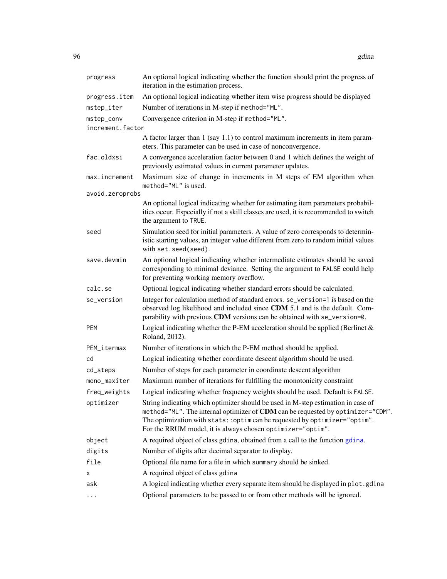| progress         | An optional logical indicating whether the function should print the progress of<br>iteration in the estimation process.                                                                                                                                                                                        |
|------------------|-----------------------------------------------------------------------------------------------------------------------------------------------------------------------------------------------------------------------------------------------------------------------------------------------------------------|
| progress.item    | An optional logical indicating whether item wise progress should be displayed                                                                                                                                                                                                                                   |
| mstep_iter       | Number of iterations in M-step if method="ML".                                                                                                                                                                                                                                                                  |
| mstep_conv       | Convergence criterion in M-step if method="ML".                                                                                                                                                                                                                                                                 |
| increment.factor |                                                                                                                                                                                                                                                                                                                 |
|                  | A factor larger than 1 (say 1.1) to control maximum increments in item param-<br>eters. This parameter can be used in case of nonconvergence.                                                                                                                                                                   |
| fac.oldxsi       | A convergence acceleration factor between 0 and 1 which defines the weight of<br>previously estimated values in current parameter updates.                                                                                                                                                                      |
| max.increment    | Maximum size of change in increments in M steps of EM algorithm when<br>method="ML" is used.                                                                                                                                                                                                                    |
| avoid.zeroprobs  |                                                                                                                                                                                                                                                                                                                 |
|                  | An optional logical indicating whether for estimating item parameters probabil-<br>ities occur. Especially if not a skill classes are used, it is recommended to switch<br>the argument to TRUE.                                                                                                                |
| seed             | Simulation seed for initial parameters. A value of zero corresponds to determin-<br>istic starting values, an integer value different from zero to random initial values<br>with set.seed(seed).                                                                                                                |
| save.devmin      | An optional logical indicating whether intermediate estimates should be saved<br>corresponding to minimal deviance. Setting the argument to FALSE could help<br>for preventing working memory overflow.                                                                                                         |
| calc.se          | Optional logical indicating whether standard errors should be calculated.                                                                                                                                                                                                                                       |
| se_version       | Integer for calculation method of standard errors. se_version=1 is based on the<br>observed log likelihood and included since CDM 5.1 and is the default. Com-<br>parability with previous CDM versions can be obtained with se_version=0.                                                                      |
| PEM              | Logical indicating whether the P-EM acceleration should be applied (Berlinet $\&$<br>Roland, 2012).                                                                                                                                                                                                             |
| PEM_itermax      | Number of iterations in which the P-EM method should be applied.                                                                                                                                                                                                                                                |
| cd               | Logical indicating whether coordinate descent algorithm should be used.                                                                                                                                                                                                                                         |
| cd_steps         | Number of steps for each parameter in coordinate descent algorithm                                                                                                                                                                                                                                              |
| mono_maxiter     | Maximum number of iterations for fulfilling the monotonicity constraint                                                                                                                                                                                                                                         |
| freq_weights     | Logical indicating whether frequency weights should be used. Default is FALSE.                                                                                                                                                                                                                                  |
| optimizer        | String indicating which optimizer should be used in M-step estimation in case of<br>method="ML". The internal optimizer of CDM can be requested by optimizer="CDM".<br>The optimization with stats:: optim can be requested by optimizer="optim".<br>For the RRUM model, it is always chosen optimizer="optim". |
| object           | A required object of class gdina, obtained from a call to the function gdina.                                                                                                                                                                                                                                   |
| digits           | Number of digits after decimal separator to display.                                                                                                                                                                                                                                                            |
| file             | Optional file name for a file in which summary should be sinked.                                                                                                                                                                                                                                                |
| x                | A required object of class gdina                                                                                                                                                                                                                                                                                |
| ask              | A logical indicating whether every separate item should be displayed in plot.gdina                                                                                                                                                                                                                              |
| $\ddots$         | Optional parameters to be passed to or from other methods will be ignored.                                                                                                                                                                                                                                      |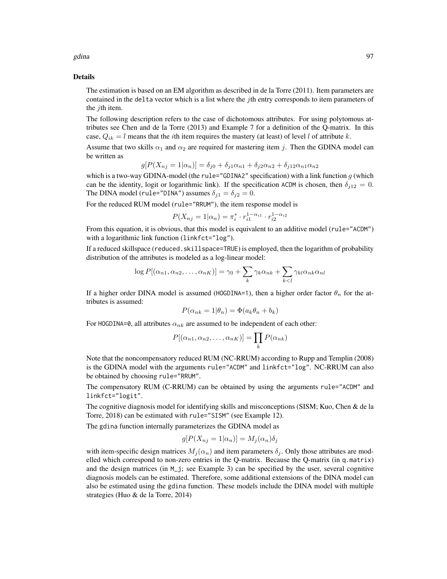# Details

The estimation is based on an EM algorithm as described in de la Torre (2011). Item parameters are contained in the delta vector which is a list where the jth entry corresponds to item parameters of the *j*th item.

The following description refers to the case of dichotomous attributes. For using polytomous attributes see Chen and de la Torre (2013) and Example 7 for a definition of the Q-matrix. In this case,  $Q_{ik} = l$  means that the *i*th item requires the mastery (at least) of level l of attribute k.

Assume that two skills  $\alpha_1$  and  $\alpha_2$  are required for mastering item j. Then the GDINA model can be written as

$$
g[P(X_{nj}=1|\alpha_n)] = \delta_{j0} + \delta_{j1}\alpha_{n1} + \delta_{j2}\alpha_{n2} + \delta_{j12}\alpha_{n1}\alpha_{n2}
$$

which is a two-way GDINA-model (the rule="GDINA2" specification) with a link function  $g$  (which can be the identity, logit or logarithmic link). If the specification ACDM is chosen, then  $\delta_{j12} = 0$ . The DINA model (rule="DINA") assumes  $\delta_{j1} = \delta_{j2} = 0$ .

For the reduced RUM model (rule="RRUM"), the item response model is

$$
P(X_{nj} = 1 | \alpha_n) = \pi_i^* \cdot r_{i1}^{1 - \alpha_{i1}} \cdot r_{i2}^{1 - \alpha_{i2}}
$$

From this equation, it is obvious, that this model is equivalent to an additive model (rule="ACDM") with a logarithmic link function (linkfct="log").

If a reduced skillspace (reduced.skillspace=TRUE) is employed, then the logarithm of probability distribution of the attributes is modeled as a log-linear model:

$$
\log P[(\alpha_{n1}, \alpha_{n2}, \dots, \alpha_{nK})] = \gamma_0 + \sum_k \gamma_k \alpha_{nk} + \sum_{k < l} \gamma_{kl} \alpha_{nk} \alpha_{nl}
$$

If a higher order DINA model is assumed (HOGDINA=1), then a higher order factor  $\theta_n$  for the attributes is assumed:

$$
P(\alpha_{nk} = 1 | \theta_n) = \Phi(a_k \theta_n + b_k)
$$

For HOGDINA=0, all attributes  $\alpha_{nk}$  are assumed to be independent of each other:

$$
P[(\alpha_{n1}, \alpha_{n2}, \dots, \alpha_{nK})] = \prod_k P(\alpha_{nk})
$$

Note that the noncompensatory reduced RUM (NC-RRUM) according to Rupp and Templin (2008) is the GDINA model with the arguments rule="ACDM" and linkfct="log". NC-RRUM can also be obtained by choosing rule="RRUM".

The compensatory RUM (C-RRUM) can be obtained by using the arguments rule="ACDM" and linkfct="logit".

The cognitive diagnosis model for identifying skills and misconceptions (SISM; Kuo, Chen & de la Torre, 2018) can be estimated with rule="SISM" (see Example 12).

The gdina function internally parameterizes the GDINA model as

$$
g[P(X_{nj} = 1 | \alpha_n)] = M_j(\alpha_n) \delta_j
$$

with item-specific design matrices  $M_i(\alpha_n)$  and item parameters  $\delta_i$ . Only those attributes are modelled which correspond to non-zero entries in the Q-matrix. Because the Q-matrix (in q.matrix) and the design matrices (in  $M_{\text{-}}j$ ; see Example 3) can be specified by the user, several cognitive diagnosis models can be estimated. Therefore, some additional extensions of the DINA model can also be estimated using the gdina function. These models include the DINA model with multiple strategies (Huo & de la Torre, 2014)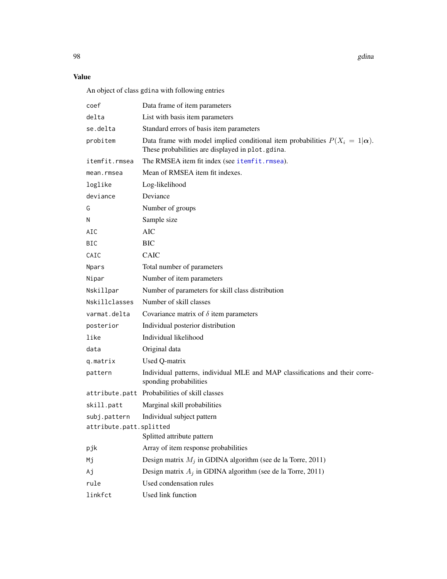# Value

An object of class gdina with following entries

| coef                    | Data frame of item parameters                                                                                                            |
|-------------------------|------------------------------------------------------------------------------------------------------------------------------------------|
| delta                   | List with basis item parameters                                                                                                          |
| se.delta                | Standard errors of basis item parameters                                                                                                 |
| probitem                | Data frame with model implied conditional item probabilities $P(X_i = 1   \alpha)$ .<br>These probabilities are displayed in plot.gdina. |
| itemfit.rmsea           | The RMSEA item fit index (see itemfit.rmsea).                                                                                            |
| mean.rmsea              | Mean of RMSEA item fit indexes.                                                                                                          |
| loglike                 | Log-likelihood                                                                                                                           |
| deviance                | Deviance                                                                                                                                 |
| G                       | Number of groups                                                                                                                         |
| N                       | Sample size                                                                                                                              |
| AIC                     | <b>AIC</b>                                                                                                                               |
| <b>BIC</b>              | <b>BIC</b>                                                                                                                               |
| CAIC                    | <b>CAIC</b>                                                                                                                              |
| Npars                   | Total number of parameters                                                                                                               |
| Nipar                   | Number of item parameters                                                                                                                |
| Nskillpar               | Number of parameters for skill class distribution                                                                                        |
| Nskillclasses           | Number of skill classes                                                                                                                  |
| varmat.delta            | Covariance matrix of $\delta$ item parameters                                                                                            |
| posterior               | Individual posterior distribution                                                                                                        |
| like                    | Individual likelihood                                                                                                                    |
| data                    | Original data                                                                                                                            |
| q.matrix                | Used Q-matrix                                                                                                                            |
| pattern                 | Individual patterns, individual MLE and MAP classifications and their corre-<br>sponding probabilities                                   |
|                         | attribute.patt Probabilities of skill classes                                                                                            |
| skill.patt              | Marginal skill probabilities                                                                                                             |
| subj.pattern            | Individual subject pattern                                                                                                               |
| attribute.patt.splitted |                                                                                                                                          |
|                         | Splitted attribute pattern                                                                                                               |
| pjk                     | Array of item response probabilities                                                                                                     |
| Mj                      | Design matrix $M_j$ in GDINA algorithm (see de la Torre, 2011)                                                                           |
| Аj                      | Design matrix $A_j$ in GDINA algorithm (see de la Torre, 2011)                                                                           |
| rule                    | Used condensation rules                                                                                                                  |
| linkfct                 | Used link function                                                                                                                       |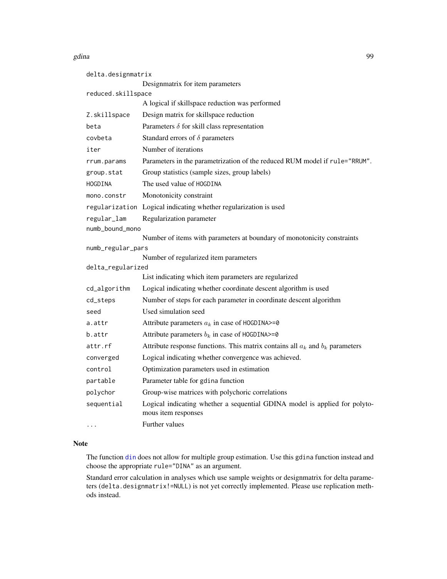| delta.designmatrix |                                                                                                   |
|--------------------|---------------------------------------------------------------------------------------------------|
|                    | Designmatrix for item parameters                                                                  |
| reduced.skillspace |                                                                                                   |
|                    | A logical if skillspace reduction was performed                                                   |
| Z.skillspace       | Design matrix for skillspace reduction                                                            |
| beta               | Parameters $\delta$ for skill class representation                                                |
| covbeta            | Standard errors of $\delta$ parameters                                                            |
| iter               | Number of iterations                                                                              |
| rrum.params        | Parameters in the parametrization of the reduced RUM model if rule="RRUM".                        |
| group.stat         | Group statistics (sample sizes, group labels)                                                     |
| HOGDINA            | The used value of HOGDINA                                                                         |
| mono.constr        | Monotonicity constraint                                                                           |
|                    | regularization Logical indicating whether regularization is used                                  |
| regular_lam        | Regularization parameter                                                                          |
| numb_bound_mono    |                                                                                                   |
|                    | Number of items with parameters at boundary of monotonicity constraints                           |
| numb_regular_pars  |                                                                                                   |
| delta_regularized  | Number of regularized item parameters                                                             |
|                    | List indicating which item parameters are regularized                                             |
| cd_algorithm       | Logical indicating whether coordinate descent algorithm is used                                   |
| cd_steps           | Number of steps for each parameter in coordinate descent algorithm                                |
| seed               | Used simulation seed                                                                              |
| a.attr             | Attribute parameters $a_k$ in case of HOGDINA>=0                                                  |
| b.attr             | Attribute parameters $b_k$ in case of HOGDINA>=0                                                  |
| attr.rf            | Attribute response functions. This matrix contains all $a_k$ and $b_k$ parameters                 |
| converged          | Logical indicating whether convergence was achieved.                                              |
| control            | Optimization parameters used in estimation                                                        |
| partable           | Parameter table for gdina function                                                                |
| polychor           | Group-wise matrices with polychoric correlations                                                  |
| sequential         | Logical indicating whether a sequential GDINA model is applied for polyto-<br>mous item responses |
| $\ddots$           | Further values                                                                                    |

# Note

The function [din](#page-62-0) does not allow for multiple group estimation. Use this gdina function instead and choose the appropriate rule="DINA" as an argument.

Standard error calculation in analyses which use sample weights or designmatrix for delta parameters (delta.designmatrix!=NULL) is not yet correctly implemented. Please use replication methods instead.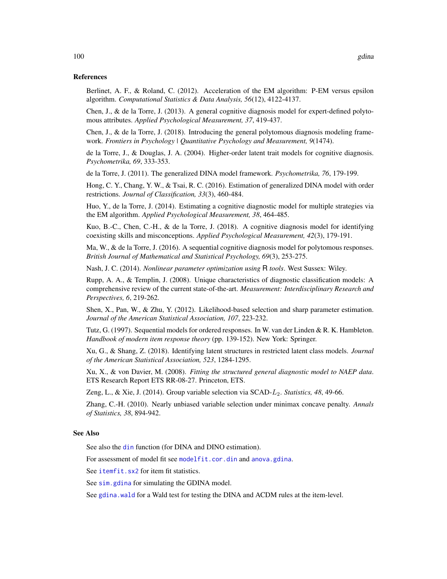## References

Berlinet, A. F., & Roland, C. (2012). Acceleration of the EM algorithm: P-EM versus epsilon algorithm. *Computational Statistics & Data Analysis, 56*(12), 4122-4137.

Chen, J., & de la Torre, J. (2013). A general cognitive diagnosis model for expert-defined polytomous attributes. *Applied Psychological Measurement, 37*, 419-437.

Chen, J., & de la Torre, J. (2018). Introducing the general polytomous diagnosis modeling framework. *Frontiers in Psychology | Quantitative Psychology and Measurement, 9*(1474).

de la Torre, J., & Douglas, J. A. (2004). Higher-order latent trait models for cognitive diagnosis. *Psychometrika, 69*, 333-353.

de la Torre, J. (2011). The generalized DINA model framework. *Psychometrika, 76*, 179-199.

Hong, C. Y., Chang, Y. W., & Tsai, R. C. (2016). Estimation of generalized DINA model with order restrictions. *Journal of Classification, 33*(3), 460-484.

Huo, Y., de la Torre, J. (2014). Estimating a cognitive diagnostic model for multiple strategies via the EM algorithm. *Applied Psychological Measurement, 38*, 464-485.

Kuo, B.-C., Chen, C.-H., & de la Torre, J. (2018). A cognitive diagnosis model for identifying coexisting skills and misconceptions. *Applied Psychological Measurement, 42*(3), 179-191.

Ma, W., & de la Torre, J. (2016). A sequential cognitive diagnosis model for polytomous responses. *British Journal of Mathematical and Statistical Psychology, 69*(3), 253-275.

Nash, J. C. (2014). *Nonlinear parameter optimization using* R *tools*. West Sussex: Wiley.

Rupp, A. A., & Templin, J. (2008). Unique characteristics of diagnostic classification models: A comprehensive review of the current state-of-the-art. *Measurement: Interdisciplinary Research and Perspectives, 6*, 219-262.

Shen, X., Pan, W., & Zhu, Y. (2012). Likelihood-based selection and sharp parameter estimation. *Journal of the American Statistical Association, 107*, 223-232.

Tutz, G. (1997). Sequential models for ordered responses. In W. van der Linden & R. K. Hambleton. *Handbook of modern item response theory* (pp. 139-152). New York: Springer.

Xu, G., & Shang, Z. (2018). Identifying latent structures in restricted latent class models. *Journal of the American Statistical Association, 523*, 1284-1295.

Xu, X., & von Davier, M. (2008). *Fitting the structured general diagnostic model to NAEP data*. ETS Research Report ETS RR-08-27. Princeton, ETS.

Zeng, L., & Xie, J. (2014). Group variable selection via SCAD-L2. *Statistics, 48*, 49-66.

Zhang, C.-H. (2010). Nearly unbiased variable selection under minimax concave penalty. *Annals of Statistics, 38*, 894-942.

# See Also

See also the [din](#page-62-0) function (for DINA and DINO estimation).

For assessment of model fit see [modelfit.cor.din](#page-164-0) and [anova.gdina](#page-5-0).

See [itemfit.sx2](#page-154-0) for item fit statistics.

See [sim.gdina](#page-189-0) for simulating the GDINA model.

See [gdina.wald](#page-111-0) for a Wald test for testing the DINA and ACDM rules at the item-level.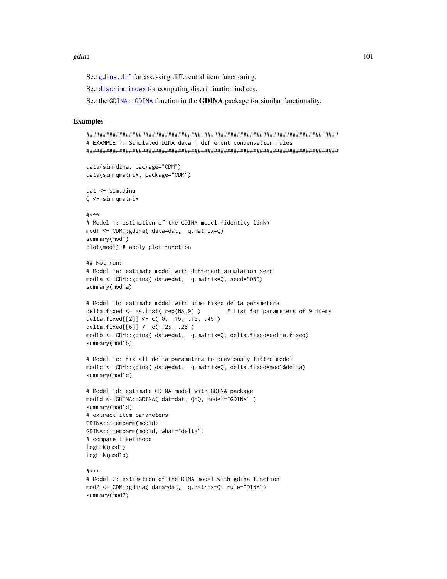See [gdina.dif](#page-109-0) for assessing differential item functioning.

See discrim. index for computing discrimination indices.

See the [GDINA::GDINA](#page-0-0) function in the GDINA package for similar functionality.

### Examples

```
#############################################################################
# EXAMPLE 1: Simulated DINA data | different condensation rules
#############################################################################
data(sim.dina, package="CDM")
data(sim.qmatrix, package="CDM")
dat <- sim.dina
0 \leq -\sin.\text{q}matrix
#***
# Model 1: estimation of the GDINA model (identity link)
mod1 <- CDM::gdina( data=dat, q.matrix=Q)
summary(mod1)
plot(mod1) # apply plot function
## Not run:
# Model 1a: estimate model with different simulation seed
mod1a <- CDM::gdina( data=dat, q.matrix=Q, seed=9089)
summary(mod1a)
# Model 1b: estimate model with some fixed delta parameters
delta.fixed <- as.list( rep(NA,9) ) # List for parameters of 9 items
delta.fixed[[2]] <- c( 0, .15, .15, .45 )
delta.fixed[[6]] <- c( .25, .25 )
mod1b <- CDM::gdina( data=dat, q.matrix=Q, delta.fixed=delta.fixed)
summary(mod1b)
# Model 1c: fix all delta parameters to previously fitted model
mod1c <- CDM::gdina( data=dat, q.matrix=Q, delta.fixed=mod1$delta)
summary(mod1c)
# Model 1d: estimate GDINA model with GDINA package
mod1d <- GDINA::GDINA( dat=dat, Q=Q, model="GDINA" )
summary(mod1d)
# extract item parameters
GDINA::itemparm(mod1d)
GDINA::itemparm(mod1d, what="delta")
# compare likelihood
logLik(mod1)
logLik(mod1d)
#***
# Model 2: estimation of the DINA model with gdina function
mod2 <- CDM::gdina( data=dat, q.matrix=Q, rule="DINA")
summary(mod2)
```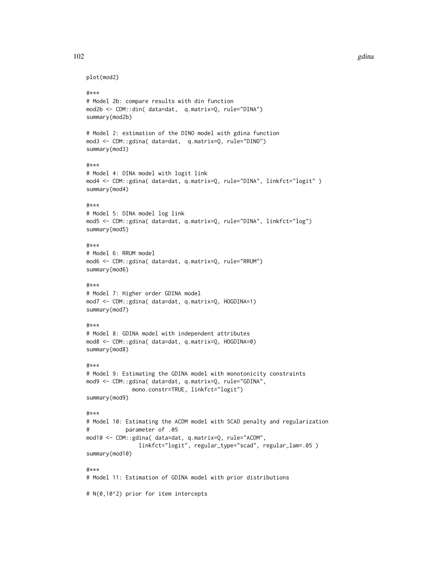```
plot(mod2)
```

```
#***
# Model 2b: compare results with din function
mod2b <- CDM::din( data=dat, q.matrix=Q, rule="DINA")
summary(mod2b)
# Model 2: estimation of the DINO model with gdina function
mod3 <- CDM::gdina( data=dat, q.matrix=Q, rule="DINO")
summary(mod3)
#***
# Model 4: DINA model with logit link
mod4 <- CDM::gdina( data=dat, q.matrix=Q, rule="DINA", linkfct="logit" )
summary(mod4)
#***
# Model 5: DINA model log link
mod5 <- CDM::gdina( data=dat, q.matrix=Q, rule="DINA", linkfct="log")
summary(mod5)
#***
# Model 6: RRUM model
mod6 <- CDM::gdina( data=dat, q.matrix=Q, rule="RRUM")
summary(mod6)
#***
# Model 7: Higher order GDINA model
mod7 <- CDM::gdina( data=dat, q.matrix=Q, HOGDINA=1)
summary(mod7)
#***
# Model 8: GDINA model with independent attributes
mod8 <- CDM::gdina( data=dat, q.matrix=Q, HOGDINA=0)
summary(mod8)
#***
# Model 9: Estimating the GDINA model with monotonicity constraints
mod9 <- CDM::gdina( data=dat, q.matrix=Q, rule="GDINA",
              mono.constr=TRUE, linkfct="logit")
summary(mod9)
#***
# Model 10: Estimating the ACDM model with SCAD penalty and regularization
# parameter of .05
mod10 <- CDM::gdina( data=dat, q.matrix=Q, rule="ACDM",
                linkfct="logit", regular_type="scad", regular_lam=.05 )
summary(mod10)
#***
# Model 11: Estimation of GDINA model with prior distributions
```
# N(0,10^2) prior for item intercepts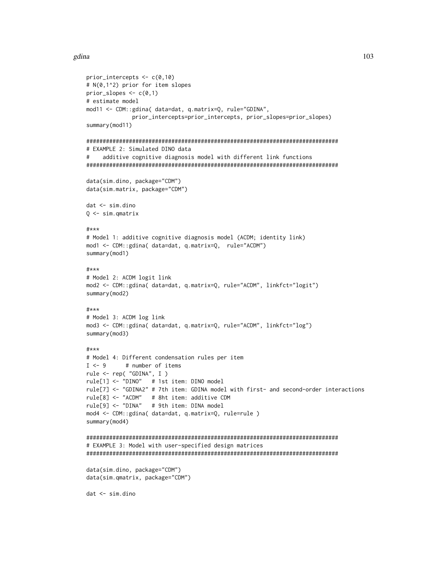#### gdina and the set of the set of the set of the set of the set of the set of the set of the set of the set of the set of the set of the set of the set of the set of the set of the set of the set of the set of the set of the

```
prior_intercepts <- c(0,10)
# N(0,1^2) prior for item slopes
prior\_slopes \leftarrow c(0,1)# estimate model
mod11 <- CDM::gdina( data=dat, q.matrix=Q, rule="GDINA",
              prior_intercepts=prior_intercepts, prior_slopes=prior_slopes)
summary(mod11)
#############################################################################
# EXAMPLE 2: Simulated DINO data
# additive cognitive diagnosis model with different link functions
#############################################################################
data(sim.dino, package="CDM")
data(sim.matrix, package="CDM")
dat <- sim.dino
Q <- sim.qmatrix
#***
# Model 1: additive cognitive diagnosis model (ACDM; identity link)
mod1 <- CDM::gdina( data=dat, q.matrix=Q, rule="ACDM")
summary(mod1)
#***
# Model 2: ACDM logit link
mod2 <- CDM::gdina( data=dat, q.matrix=Q, rule="ACDM", linkfct="logit")
summary(mod2)
#***
# Model 3: ACDM log link
mod3 <- CDM::gdina( data=dat, q.matrix=Q, rule="ACDM", linkfct="log")
summary(mod3)
#***
# Model 4: Different condensation rules per item
I \leftarrow 9 # number of items
rule <- rep( "GDINA", I )
rule[1] <- "DINO" # 1st item: DINO model
rule[7] <- "GDINA2" # 7th item: GDINA model with first- and second-order interactions
rule[8] <- "ACDM" # 8ht item: additive CDM
rule[9] <- "DINA" # 9th item: DINA model
mod4 <- CDM::gdina( data=dat, q.matrix=Q, rule=rule )
summary(mod4)
#############################################################################
# EXAMPLE 3: Model with user-specified design matrices
#############################################################################
data(sim.dino, package="CDM")
data(sim.qmatrix, package="CDM")
dat <- sim.dino
```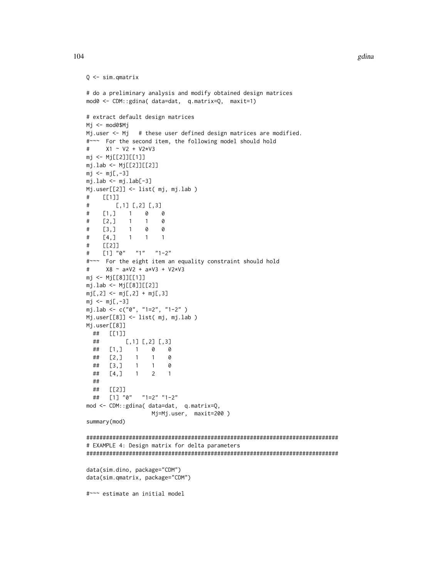```
Q <- sim.qmatrix
# do a preliminary analysis and modify obtained design matrices
mod0 <- CDM::gdina( data=dat, q.matrix=Q, maxit=1)
# extract default design matrices
Mj <- mod0$Mj
Mj.user <- Mj # these user defined design matrices are modified.
#~~~ For the second item, the following model should hold
# X1 ~ V2 + V2*V3
mj <- Mj[[2]][[1]]
mj.lab <- Mj[[2]][[2]]mj < -mj[,-3]mj.lab < - mj.lab[-3]Mj.user[[2]] <- list( mj, mj.lab )
# [[1]]
# [,1] [,2] [,3]
# [1,] 1 0 0
\# [2,] 1 1
# [3,] 1 0 0
# [4,] 1 1 1
# [[2]]
# [1] "0" "1" "1-2"
#~~~ For the eight item an equality constraint should hold
# X8 ~ a*V2 + a*V3 + V2*V3
mj <- Mj[[8]][[1]]
mj.lab <- Mj[[8]][[2]]
mj[,2] <- mj[,2] + mj[,3]mj \leftarrow mj[-3]mj.lab <- c("0", "1=2", "1-2" )
Mj.user[[8]] <- list( mj, mj.lab )
Mj.user[[8]]
 ## [[1]]
 ## [,1] [,2] [,3]
 ## [1,] 1 0 0
 ## [2,] 1 1 0
 ## [3,] 1 1 0
 ## [4,] 1 2 1
 ##
 ## [[2]]
 ## [1] "0" "1=2" "1-2"
mod <- CDM::gdina( data=dat, q.matrix=Q,
                  Mj=Mj.user, maxit=200 )
summary(mod)
#############################################################################
# EXAMPLE 4: Design matrix for delta parameters
#############################################################################
data(sim.dino, package="CDM")
data(sim.qmatrix, package="CDM")
#~~~ estimate an initial model
```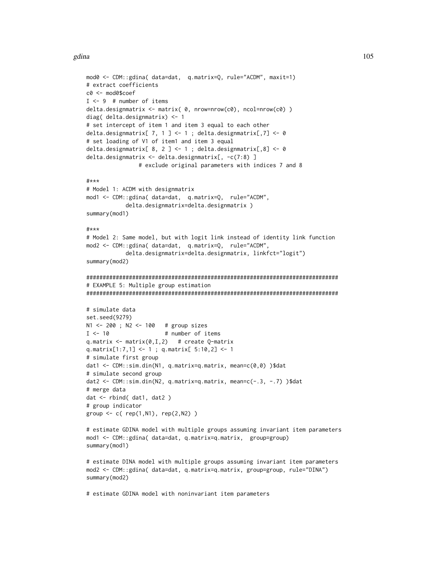#### gdina and the set of the set of the set of the set of the set of the set of the set of the set of the set of the set of the set of the set of the set of the set of the set of the set of the set of the set of the set of the

```
mod0 <- CDM::gdina( data=dat, q.matrix=Q, rule="ACDM", maxit=1)
# extract coefficients
c0 <- mod0$coef
I < -9 # number of items
delta.designmatrix <- matrix( 0, nrow=nrow(c0), ncol=nrow(c0) )
diag( delta.designmatrix) <- 1
# set intercept of item 1 and item 3 equal to each other
delta.designmatrix[ 7, 1 ] <- 1 ; delta.designmatrix[,7] <- 0
# set loading of V1 of item1 and item 3 equal
delta.designmatrix[ 8, 2 ] <- 1 ; delta.designmatrix[,8] <- 0
delta.designmatrix <- delta.designmatrix[, -c(7:8) ]
                # exclude original parameters with indices 7 and 8
#***
# Model 1: ACDM with designmatrix
mod1 <- CDM::gdina( data=dat, q.matrix=Q, rule="ACDM",
            delta.designmatrix=delta.designmatrix )
summary(mod1)
#***
# Model 2: Same model, but with logit link instead of identity link function
mod2 <- CDM::gdina( data=dat, q.matrix=Q, rule="ACDM",
            delta.designmatrix=delta.designmatrix, linkfct="logit")
summary(mod2)
#############################################################################
# EXAMPLE 5: Multiple group estimation
#############################################################################
# simulate data
set.seed(9279)
N1 <- 200 ; N2 <- 100 # group sizes
I < -10 # number of items
q.matrix \leq matrix(0, I, 2) # create Q-matrix
q.matrix[1:7,1] <- 1 ; q.matrix[ 5:10,2] <- 1
# simulate first group
dat1 <- CDM::sim.din(N1, q.matrix=q.matrix, mean=c(0,0) )$dat
# simulate second group
dat2 <- CDM::sim.din(N2, q.matrix=q.matrix, mean=c(-.3, -.7) )$dat
# merge data
dat <- rbind( dat1, dat2 )
# group indicator
group <- c( rep(1,N1), rep(2,N2) )
# estimate GDINA model with multiple groups assuming invariant item parameters
mod1 <- CDM::gdina( data=dat, q.matrix=q.matrix, group=group)
summary(mod1)
# estimate DINA model with multiple groups assuming invariant item parameters
mod2 <- CDM::gdina( data=dat, q.matrix=q.matrix, group=group, rule="DINA")
summary(mod2)
```
# estimate GDINA model with noninvariant item parameters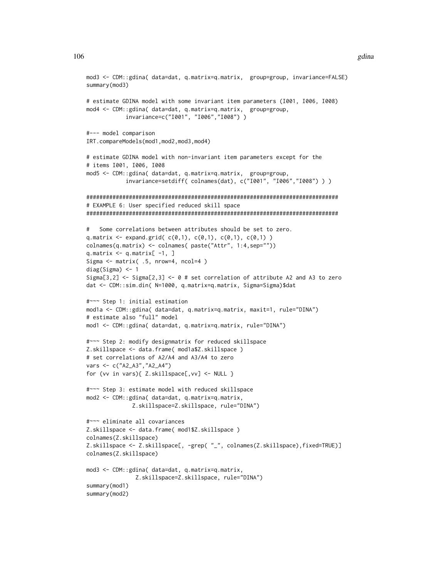```
mod3 <- CDM::gdina( data=dat, q.matrix=q.matrix, group=group, invariance=FALSE)
summary(mod3)
# estimate GDINA model with some invariant item parameters (I001, I006, I008)
mod4 <- CDM::gdina( data=dat, q.matrix=q.matrix, group=group,
            invariance=c("I001", "I006","I008") )
#--- model comparison
IRT.compareModels(mod1,mod2,mod3,mod4)
# estimate GDINA model with non-invariant item parameters except for the
# items I001, I006, I008
mod5 <- CDM::gdina( data=dat, q.matrix=q.matrix, group=group,
            invariance=setdiff( colnames(dat), c("I001", "I006","I008") ) )
#############################################################################
# EXAMPLE 6: User specified reduced skill space
#############################################################################
# Some correlations between attributes should be set to zero.
q.matrix \leq expand.grid(c(0,1), c(0,1), c(0,1), c(0,1))
colnames(q.matrix) <- colnames( paste("Attr", 1:4,sep=""))
q.matrix <- q.matrix[ -1, ]
Sigma <- matrix( .5, nrow=4, ncol=4 )
diag(Sigma) <- 1
Sigma[3,2] <- Sigma[2,3] <- \theta # set correlation of attribute A2 and A3 to zero
dat <- CDM::sim.din( N=1000, q.matrix=q.matrix, Sigma=Sigma)$dat
#~~~ Step 1: initial estimation
mod1a <- CDM::gdina( data=dat, q.matrix=q.matrix, maxit=1, rule="DINA")
# estimate also "full" model
mod1 <- CDM::gdina( data=dat, q.matrix=q.matrix, rule="DINA")
#~~~ Step 2: modify designmatrix for reduced skillspace
Z.skillspace <- data.frame( mod1a$Z.skillspace )
# set correlations of A2/A4 and A3/A4 to zero
vars <- c("A2_A3","A2_A4")
for (vv in vars){ Z.skillspace[,vv] <- NULL }
#~~~ Step 3: estimate model with reduced skillspace
mod2 <- CDM::gdina( data=dat, q.matrix=q.matrix,
              Z.skillspace=Z.skillspace, rule="DINA")
#~~~ eliminate all covariances
Z.skillspace <- data.frame( mod1$Z.skillspace )
colnames(Z.skillspace)
Z.skillspace <- Z.skillspace[, -grep( "_", colnames(Z.skillspace),fixed=TRUE)]
colnames(Z.skillspace)
mod3 <- CDM::gdina( data=dat, q.matrix=q.matrix,
               Z.skillspace=Z.skillspace, rule="DINA")
summary(mod1)
summary(mod2)
```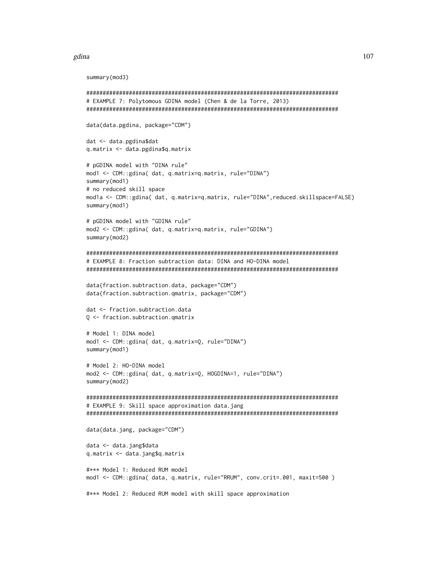```
summary(mod3)
```

```
# EXAMPLE 7: Polytomous GDINA model (Chen & de la Torre, 2013)
data(data.pgdina, package="CDM")
dat <- data.pgdina$dat
q.matrix <- data.pgdina$q.matrix
# pGDINA model with "DINA rule"
mod1 <- CDM::gdina( dat, q.matrix=q.matrix, rule="DINA")
summary(mod1)
# no reduced skill space
mod1a <- CDM::gdina( dat, q.matrix=q.matrix, rule="DINA",reduced.skillspace=FALSE)
summary(mod1)
# pGDINA model with "GDINA rule"
mod2 <- CDM::gdina( dat, q.matrix=q.matrix, rule="GDINA")
summary(mod2)
# EXAMPLE 8: Fraction subtraction data: DINA and HO-DINA model
data(fraction.subtraction.data, package="CDM")
data(fraction.subtraction.qmatrix, package="CDM")
dat <- fraction.subtraction.data
Q <- fraction.subtraction.qmatrix
# Model 1: DINA model
mod1 <- CDM::gdina( dat, q.matrix=Q, rule="DINA")
summary(mod1)
# Model 2: HO-DINA model
mod2 <- CDM::gdina( dat, q.matrix=Q, HOGDINA=1, rule="DINA")
summary(mod2)
# EXAMPLE 9: Skill space approximation data.jang
data(data.jang, package="CDM")
data <- data.jang$data
q.matrix <- data.jang$q.matrix
#*** Model 1: Reduced RUM model
mod1 <- CDM::gdina( data, q.matrix, rule="RRUM", conv.crit=.001, maxit=500)
#*** Model 2: Reduced RUM model with skill space approximation
```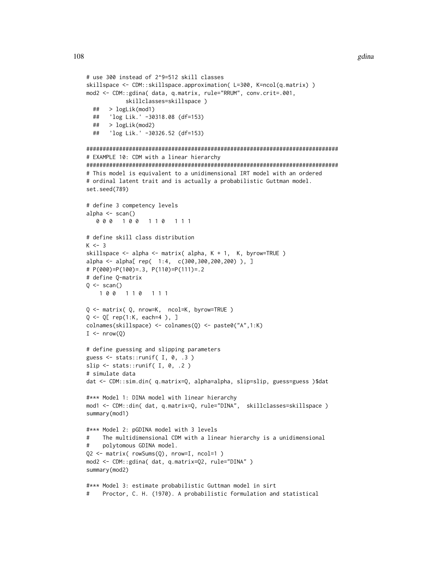```
# use 300 instead of 2^9=512 skill classes
skillspace <- CDM::skillspace.approximation( L=300, K=ncol(q.matrix) )
mod2 <- CDM::gdina( data, q.matrix, rule="RRUM", conv.crit=.001,
            skillclasses=skillspace )
  ## > logLik(mod1)
  ## 'log Lik.' -30318.08 (df=153)
  ## > logLik(mod2)
  ## 'log Lik.' -30326.52 (df=153)
#############################################################################
# EXAMPLE 10: CDM with a linear hierarchy
#############################################################################
# This model is equivalent to a unidimensional IRT model with an ordered
# ordinal latent trait and is actually a probabilistic Guttman model.
set.seed(789)
# define 3 competency levels
alpha \leq scan()
   0 0 0 0 1 0 0 1 1 1 0 1 1 1
# define skill class distribution
K < -3skillspace <- alpha <- matrix( alpha, K + 1, K, byrow=TRUE )
alpha <- alpha[ rep( 1:4, c(300,300,200,200) ), ]
# P(000)=P(100)=.3, P(110)=P(111)=.2
# define Q-matrix
Q \leftarrow scan()1 0 0 1 1 0 1 1 1
Q <- matrix( Q, nrow=K, ncol=K, byrow=TRUE )
Q \leq -Q[ rep(1:K, each=4), ]
colnames(skillspace) <- colnames(Q) <- paste0("A",1:K)
I \leq -nrow(Q)# define guessing and slipping parameters
guess \leq stats:: runif( I, 0, .3)
slip \leq stats::runif( I, 0, .2)
# simulate data
dat <- CDM::sim.din( q.matrix=Q, alpha=alpha, slip=slip, guess=guess )$dat
#*** Model 1: DINA model with linear hierarchy
mod1 <- CDM::din( dat, q.matrix=Q, rule="DINA", skillclasses=skillspace )
summary(mod1)
#*** Model 2: pGDINA model with 3 levels
# The multidimensional CDM with a linear hierarchy is a unidimensional
    polytomous GDINA model.
Q2 <- matrix( rowSums(Q), nrow=I, ncol=1 )
mod2 <- CDM::gdina( dat, q.matrix=Q2, rule="DINA" )
summary(mod2)
#*** Model 3: estimate probabilistic Guttman model in sirt
# Proctor, C. H. (1970). A probabilistic formulation and statistical
```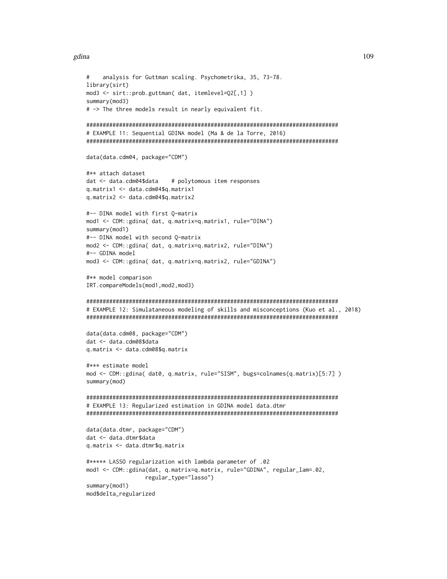#### gdina and the set of the set of the set of the set of the set of the set of the set of the set of the set of the set of the set of the set of the set of the set of the set of the set of the set of the set of the set of the

```
# analysis for Guttman scaling. Psychometrika, 35, 73-78.
library(sirt)
mod3 <- sirt::prob.guttman( dat, itemlevel=Q2[,1] )
summary(mod3)
# -> The three models result in nearly equivalent fit.
#############################################################################
# EXAMPLE 11: Sequential GDINA model (Ma & de la Torre, 2016)
#############################################################################
data(data.cdm04, package="CDM")
#** attach dataset
dat <- data.cdm04$data # polytomous item responses
q.matrix1 <- data.cdm04$q.matrix1
q.matrix2 <- data.cdm04$q.matrix2
#-- DINA model with first Q-matrix
mod1 <- CDM::gdina( dat, q.matrix=q.matrix1, rule="DINA")
summary(mod1)
#-- DINA model with second Q-matrix
mod2 <- CDM::gdina( dat, q.matrix=q.matrix2, rule="DINA")
#-- GDINA model
mod3 <- CDM::gdina( dat, q.matrix=q.matrix2, rule="GDINA")
#** model comparison
IRT.compareModels(mod1,mod2,mod3)
#############################################################################
# EXAMPLE 12: Simulataneous modeling of skills and misconceptions (Kuo et al., 2018)
#############################################################################
data(data.cdm08, package="CDM")
dat <- data.cdm08$data
q.matrix <- data.cdm08$q.matrix
#*** estimate model
mod <- CDM::gdina( dat0, q.matrix, rule="SISM", bugs=colnames(q.matrix)[5:7] )
summary(mod)
#############################################################################
# EXAMPLE 13: Regularized estimation in GDINA model data.dtmr
#############################################################################
data(data.dtmr, package="CDM")
dat <- data.dtmr$data
q.matrix <- data.dtmr$q.matrix
#***** LASSO regularization with lambda parameter of .02
mod1 <- CDM::gdina(dat, q.matrix=q.matrix, rule="GDINA", regular_lam=.02,
                  regular_type="lasso")
summary(mod1)
mod$delta_regularized
```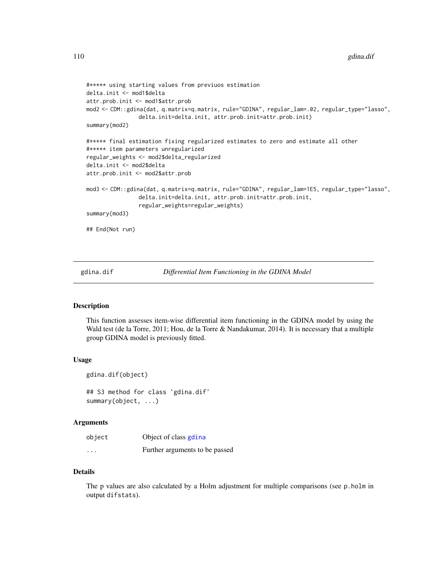```
#***** using starting values from previuos estimation
delta.init <- mod1$delta
attr.prob.init <- mod1$attr.prob
mod2 <- CDM::gdina(dat, q.matrix=q.matrix, rule="GDINA", regular_lam=.02, regular_type="lasso",
                delta.init=delta.init, attr.prob.init=attr.prob.init)
summary(mod2)
#***** final estimation fixing regularized estimates to zero and estimate all other
#***** item parameters unregularized
regular_weights <- mod2$delta_regularized
delta.init <- mod2$delta
attr.prob.init <- mod2$attr.prob
mod3 <- CDM::gdina(dat, q.matrix=q.matrix, rule="GDINA", regular_lam=1E5, regular_type="lasso",
                delta.init=delta.init, attr.prob.init=attr.prob.init,
                regular_weights=regular_weights)
summary(mod3)
## End(Not run)
```
gdina.dif *Differential Item Functioning in the GDINA Model*

# **Description**

This function assesses item-wise differential item functioning in the GDINA model by using the Wald test (de la Torre, 2011; Hou, de la Torre & Nandakumar, 2014). It is necessary that a multiple group GDINA model is previously fitted.

#### Usage

```
gdina.dif(object)
## S3 method for class 'gdina.dif'
summary(object, ...)
```
### Arguments

| object   | Object of class gdina          |
|----------|--------------------------------|
| $\cdots$ | Further arguments to be passed |

### Details

The p values are also calculated by a Holm adjustment for multiple comparisons (see p.holm in output difstats).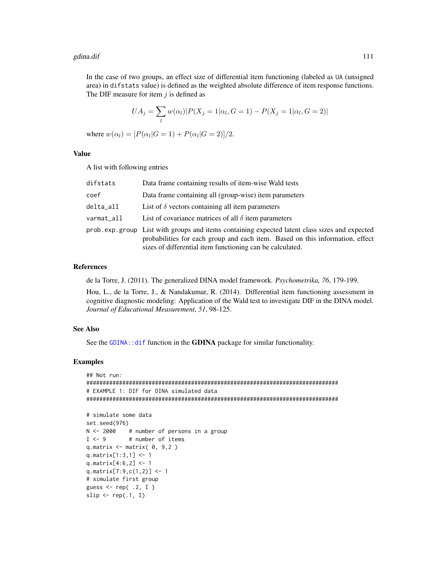### gdina.dif **111**

In the case of two groups, an effect size of differential item functioning (labeled as UA (unsigned area) in difstats value) is defined as the weighted absolute difference of item response functions. The DIF measure for item  $i$  is defined as

$$
UA_j = \sum_{l} w(\alpha_l) |P(X_j = 1 | \alpha_l, G = 1) - P(X_j = 1 | \alpha_l, G = 2)|
$$

where  $w(\alpha_l) = [P(\alpha_l | G = 1) + P(\alpha_l | G = 2)]/2$ .

#### Value

A list with following entries

| difstats   | Data frame containing results of item-wise Wald tests                                                                                                                                                                                       |
|------------|---------------------------------------------------------------------------------------------------------------------------------------------------------------------------------------------------------------------------------------------|
| coef       | Data frame containing all (group-wise) item parameters                                                                                                                                                                                      |
| delta_all  | List of $\delta$ vectors containing all item parameters                                                                                                                                                                                     |
| varmat_all | List of covariance matrices of all $\delta$ item parameters                                                                                                                                                                                 |
|            | prob.exp.group List with groups and items containing expected latent class sizes and expected<br>probabilities for each group and each item. Based on this information, effect<br>sizes of differential item functioning can be calculated. |

# References

de la Torre, J. (2011). The generalized DINA model framework. *Psychometrika, 76*, 179-199.

Hou, L., de la Torre, J., & Nandakumar, R. (2014). Differential item functioning assessment in cognitive diagnostic modeling: Application of the Wald test to investigate DIF in the DINA model. *Journal of Educational Measurement, 51*, 98-125.

# See Also

See the [GDINA::dif](#page-0-0) function in the GDINA package for similar functionality.

```
## Not run:
#############################################################################
# EXAMPLE 1: DIF for DINA simulated data
#############################################################################
# simulate some data
set.seed(976)
N <- 2000 # number of persons in a group
I \leftarrow 9 # number of items
q.matrix \leq matrix( \theta, \theta, 2 )
q.matrix[1:3,1] <- 1
q.matrix[4:6,2] <- 1
q.matrix[7:9,c(1,2)] <- 1
# simulate first group
guess \leq rep( .2, I)
slip \leq rep(.1, I)
```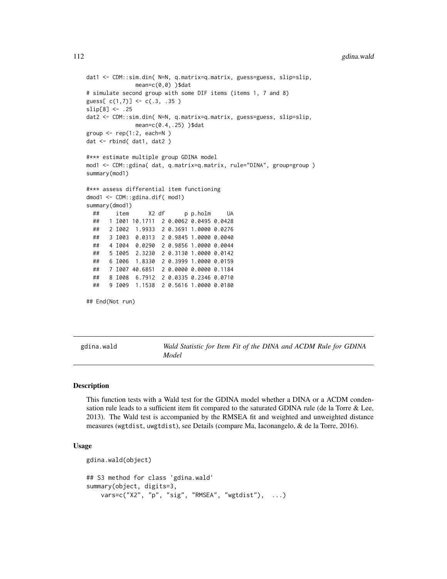```
dat1 <- CDM::sim.din( N=N, q.matrix=q.matrix, guess=guess, slip=slip,
              mean=c(0,0) )$dat
# simulate second group with some DIF items (items 1, 7 and 8)
guess[c(1,7)] <- c(.3, .35)slip[8] <- .25
dat2 <- CDM::sim.din( N=N, q.matrix=q.matrix, guess=guess, slip=slip,
              mean=c(0.4,.25) )$dat
group \leq rep(1:2, each=N)
dat <- rbind( dat1, dat2 )
#*** estimate multiple group GDINA model
mod1 <- CDM::gdina( dat, q.matrix=q.matrix, rule="DINA", group=group )
summary(mod1)
#*** assess differential item functioning
dmod1 <- CDM::gdina.dif( mod1)
summary(dmod1)
 ## item X2 df p p.holm UA
 ## 1 I001 10.1711 2 0.0062 0.0495 0.0428
 ## 2 I002 1.9933 2 0.3691 1.0000 0.0276
 ## 3 I003 0.0313 2 0.9845 1.0000 0.0040
 ## 4 I004 0.0290 2 0.9856 1.0000 0.0044
 ## 5 I005 2.3230 2 0.3130 1.0000 0.0142
 ## 6 I006 1.8330 2 0.3999 1.0000 0.0159
 ## 7 I007 40.6851 2 0.0000 0.0000 0.1184
 ## 8 I008 6.7912 2 0.0335 0.2346 0.0710
 ## 9 I009 1.1538 2 0.5616 1.0000 0.0180
## End(Not run)
```
gdina.wald *Wald Statistic for Item Fit of the DINA and ACDM Rule for GDINA Model*

#### Description

This function tests with a Wald test for the GDINA model whether a DINA or a ACDM condensation rule leads to a sufficient item fit compared to the saturated GDINA rule (de la Torre & Lee, 2013). The Wald test is accompanied by the RMSEA fit and weighted and unweighted distance measures (wgtdist, uwgtdist), see Details (compare Ma, Iaconangelo, & de la Torre, 2016).

### Usage

```
gdina.wald(object)
## S3 method for class 'gdina.wald'
summary(object, digits=3,
   vars=c("X2", "p", "sig", "RMSEA", "wgtdist"), ...)
```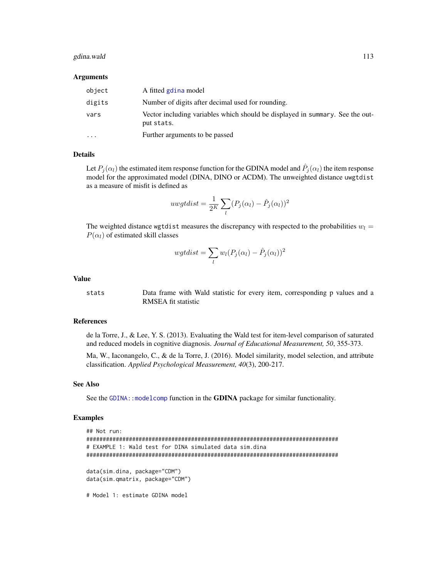#### gdina.wald 113

#### Arguments

| object    | A fitted gdina model                                                                        |
|-----------|---------------------------------------------------------------------------------------------|
| digits    | Number of digits after decimal used for rounding.                                           |
| vars      | Vector including variables which should be displayed in summary. See the out-<br>put stats. |
| $\ddotsc$ | Further arguments to be passed                                                              |

#### Details

Let  $P_j(\alpha_l)$  the estimated item response function for the GDINA model and  $\hat{P}_j(\alpha_l)$  the item response model for the approximated model (DINA, DINO or ACDM). The unweighted distance uwgtdist as a measure of misfit is defined as

$$
uwgtdist = \frac{1}{2^K} \sum_{l} (P_j(\alpha_l) - \hat{P}_j(\alpha_l))^2
$$

The weighted distance wgtdist measures the discrepancy with respected to the probabilities  $w_l =$  $P(\alpha_l)$  of estimated skill classes

$$
wgtdist = \sum_{l} w_l (P_j(\alpha_l) - \hat{P}_j(\alpha_l))^2
$$

### Value

stats Data frame with Wald statistic for every item, corresponding p values and a RMSEA fit statistic

# References

de la Torre, J., & Lee, Y. S. (2013). Evaluating the Wald test for item-level comparison of saturated and reduced models in cognitive diagnosis. *Journal of Educational Measurement, 50*, 355-373.

Ma, W., Iaconangelo, C., & de la Torre, J. (2016). Model similarity, model selection, and attribute classification. *Applied Psychological Measurement, 40*(3), 200-217.

# See Also

See the GDINA: : modelcomp function in the GDINA package for similar functionality.

```
## Not run:
#############################################################################
# EXAMPLE 1: Wald test for DINA simulated data sim.dina
#############################################################################
data(sim.dina, package="CDM")
data(sim.qmatrix, package="CDM")
# Model 1: estimate GDINA model
```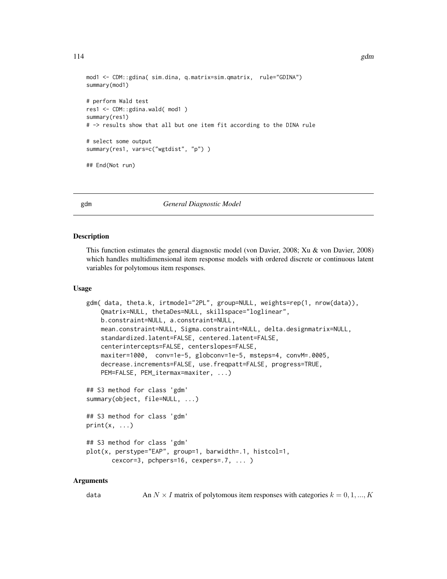```
mod1 <- CDM::gdina( sim.dina, q.matrix=sim.qmatrix, rule="GDINA")
summary(mod1)
# perform Wald test
res1 <- CDM::gdina.wald( mod1 )
summary(res1)
# -> results show that all but one item fit according to the DINA rule
# select some output
summary(res1, vars=c("wgtdist", "p") )
## End(Not run)
```
<span id="page-113-0"></span>

### gdm *General Diagnostic Model*

#### **Description**

This function estimates the general diagnostic model (von Davier, 2008; Xu & von Davier, 2008) which handles multidimensional item response models with ordered discrete or continuous latent variables for polytomous item responses.

### Usage

```
gdm( data, theta.k, irtmodel="2PL", group=NULL, weights=rep(1, nrow(data)),
   Qmatrix=NULL, thetaDes=NULL, skillspace="loglinear",
   b.constraint=NULL, a.constraint=NULL,
   mean.constraint=NULL, Sigma.constraint=NULL, delta.designmatrix=NULL,
   standardized.latent=FALSE, centered.latent=FALSE,
   centerintercepts=FALSE, centerslopes=FALSE,
   maxiter=1000, conv=1e-5, globconv=1e-5, msteps=4, convM=.0005,
   decrease.increments=FALSE, use.freqpatt=FALSE, progress=TRUE,
   PEM=FALSE, PEM_itermax=maxiter, ...)
## S3 method for class 'gdm'
summary(object, file=NULL, ...)
## S3 method for class 'gdm'
print(x, \ldots)## S3 method for class 'gdm'
plot(x, perstype="EAP", group=1, barwidth=.1, histcol=1,
       cexcor=3, pchpers=16, cexpers=.7, ... )
```
#### Arguments

data An  $N \times I$  matrix of polytomous item responses with categories  $k = 0, 1, ..., K$ 

114 gdm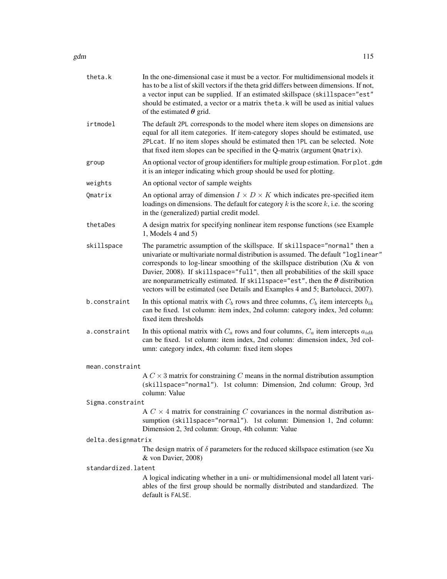| theta.k             | In the one-dimensional case it must be a vector. For multidimensional models it<br>has to be a list of skill vectors if the theta grid differs between dimensions. If not,<br>a vector input can be supplied. If an estimated skillspace (skillspace="est"<br>should be estimated, a vector or a matrix theta. k will be used as initial values<br>of the estimated $\theta$ grid.                                                                                                                            |
|---------------------|---------------------------------------------------------------------------------------------------------------------------------------------------------------------------------------------------------------------------------------------------------------------------------------------------------------------------------------------------------------------------------------------------------------------------------------------------------------------------------------------------------------|
| irtmodel            | The default 2PL corresponds to the model where item slopes on dimensions are<br>equal for all item categories. If item-category slopes should be estimated, use<br>2PLcat. If no item slopes should be estimated then 1PL can be selected. Note<br>that fixed item slopes can be specified in the Q-matrix (argument Qmatrix).                                                                                                                                                                                |
| group               | An optional vector of group identifiers for multiple group estimation. For plot.gdm<br>it is an integer indicating which group should be used for plotting.                                                                                                                                                                                                                                                                                                                                                   |
| weights             | An optional vector of sample weights                                                                                                                                                                                                                                                                                                                                                                                                                                                                          |
| Qmatrix             | An optional array of dimension $I \times D \times K$ which indicates pre-specified item<br>loadings on dimensions. The default for category $k$ is the score $k$ , i.e. the scoring<br>in the (generalized) partial credit model.                                                                                                                                                                                                                                                                             |
| thetaDes            | A design matrix for specifying nonlinear item response functions (see Example<br>1, Models $4$ and $5$ )                                                                                                                                                                                                                                                                                                                                                                                                      |
| skillspace          | The parametric assumption of the skillspace. If skillspace="normal" then a<br>univariate or multivariate normal distribution is assumed. The default "loglinear"<br>corresponds to log-linear smoothing of the skillspace distribution (Xu & von<br>Davier, 2008). If skillspace="full", then all probabilities of the skill space<br>are nonparametrically estimated. If skillspace="est", then the $\theta$ distribution<br>vectors will be estimated (see Details and Examples 4 and 5; Bartolucci, 2007). |
| b.constraint        | In this optional matrix with $C_b$ rows and three columns, $C_b$ item intercepts $b_{ik}$<br>can be fixed. 1st column: item index, 2nd column: category index, 3rd column:<br>fixed item thresholds                                                                                                                                                                                                                                                                                                           |
| a.constraint        | In this optional matrix with $C_a$ rows and four columns, $C_a$ item intercepts $a_{idk}$<br>can be fixed. 1st column: item index, 2nd column: dimension index, 3rd col-<br>umn: category index, 4th column: fixed item slopes                                                                                                                                                                                                                                                                                |
| mean.constraint     |                                                                                                                                                                                                                                                                                                                                                                                                                                                                                                               |
|                     | A $C \times 3$ matrix for constraining C means in the normal distribution assumption<br>(skillspace="normal"). 1st column: Dimension, 2nd column: Group, 3rd<br>column: Value                                                                                                                                                                                                                                                                                                                                 |
| Sigma.constraint    |                                                                                                                                                                                                                                                                                                                                                                                                                                                                                                               |
|                     | A $C \times 4$ matrix for constraining C covariances in the normal distribution as-<br>sumption (skillspace="normal"). 1st column: Dimension 1, 2nd column:<br>Dimension 2, 3rd column: Group, 4th column: Value                                                                                                                                                                                                                                                                                              |
| delta.designmatrix  |                                                                                                                                                                                                                                                                                                                                                                                                                                                                                                               |
|                     | The design matrix of $\delta$ parameters for the reduced skillspace estimation (see Xu<br>& von Davier, 2008)                                                                                                                                                                                                                                                                                                                                                                                                 |
| standardized.latent |                                                                                                                                                                                                                                                                                                                                                                                                                                                                                                               |
|                     | A logical indicating whether in a uni- or multidimensional model all latent vari-<br>ables of the first group should be normally distributed and standardized. The<br>default is FALSE.                                                                                                                                                                                                                                                                                                                       |
|                     |                                                                                                                                                                                                                                                                                                                                                                                                                                                                                                               |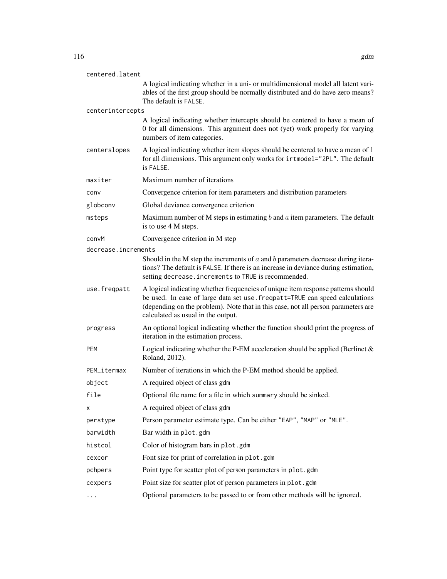| centered.latent                                    |                                                                                                                                                                                                                                                                                             |
|----------------------------------------------------|---------------------------------------------------------------------------------------------------------------------------------------------------------------------------------------------------------------------------------------------------------------------------------------------|
|                                                    | A logical indicating whether in a uni- or multidimensional model all latent vari-<br>ables of the first group should be normally distributed and do have zero means?<br>The default is FALSE.                                                                                               |
| centerintercepts                                   |                                                                                                                                                                                                                                                                                             |
|                                                    | A logical indicating whether intercepts should be centered to have a mean of<br>0 for all dimensions. This argument does not (yet) work properly for varying<br>numbers of item categories.                                                                                                 |
| centerslopes                                       | A logical indicating whether item slopes should be centered to have a mean of 1<br>for all dimensions. This argument only works for irtmodel="2PL". The default<br>is FALSE.                                                                                                                |
| maxiter                                            | Maximum number of iterations                                                                                                                                                                                                                                                                |
| conv                                               | Convergence criterion for item parameters and distribution parameters                                                                                                                                                                                                                       |
| globconv                                           | Global deviance convergence criterion                                                                                                                                                                                                                                                       |
| msteps                                             | Maximum number of M steps in estimating $b$ and $a$ item parameters. The default<br>is to use 4 M steps.                                                                                                                                                                                    |
| convM                                              | Convergence criterion in M step                                                                                                                                                                                                                                                             |
| decrease.increments                                |                                                                                                                                                                                                                                                                                             |
|                                                    | Should in the M step the increments of $a$ and $b$ parameters decrease during itera-<br>tions? The default is FALSE. If there is an increase in deviance during estimation,<br>setting decrease. increments to TRUE is recommended.                                                         |
| use.freqpatt                                       | A logical indicating whether frequencies of unique item response patterns should<br>be used. In case of large data set use. freqpatt=TRUE can speed calculations<br>(depending on the problem). Note that in this case, not all person parameters are<br>calculated as usual in the output. |
| progress                                           | An optional logical indicating whether the function should print the progress of<br>iteration in the estimation process.                                                                                                                                                                    |
| PEM                                                | Logical indicating whether the P-EM acceleration should be applied (Berlinet $\&$<br>Roland, 2012).                                                                                                                                                                                         |
| PEM_itermax                                        | Number of iterations in which the P-EM method should be applied.                                                                                                                                                                                                                            |
| object                                             | A required object of class gdm                                                                                                                                                                                                                                                              |
| file                                               | Optional file name for a file in which summary should be sinked.                                                                                                                                                                                                                            |
| х                                                  | A required object of class gdm                                                                                                                                                                                                                                                              |
| perstype                                           | Person parameter estimate type. Can be either "EAP", "MAP" or "MLE".                                                                                                                                                                                                                        |
| barwidth                                           | Bar width in plot.gdm                                                                                                                                                                                                                                                                       |
| histcol                                            | Color of histogram bars in plot.gdm                                                                                                                                                                                                                                                         |
| cexcor                                             | Font size for print of correlation in plot.gdm                                                                                                                                                                                                                                              |
| pchpers                                            | Point type for scatter plot of person parameters in plot.gdm                                                                                                                                                                                                                                |
| cexpers                                            | Point size for scatter plot of person parameters in plot.gdm                                                                                                                                                                                                                                |
| $\bullet$ .<br><br><br>$\bullet$ .<br><br><br><br> | Optional parameters to be passed to or from other methods will be ignored.                                                                                                                                                                                                                  |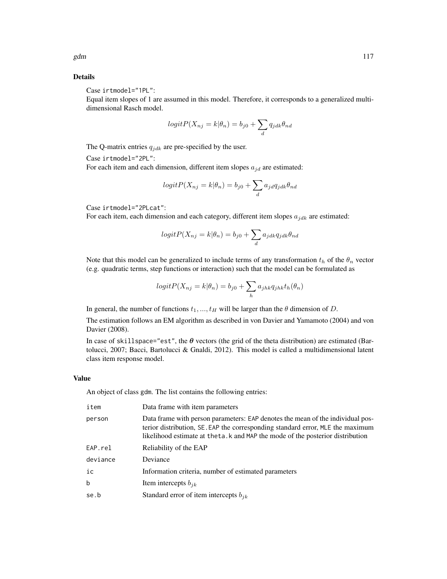### Details

Case irtmodel="1PL":

Equal item slopes of 1 are assumed in this model. Therefore, it corresponds to a generalized multidimensional Rasch model.

$$
logit P(X_{nj} = k | \theta_n) = b_{j0} + \sum_{d} q_{jdk} \theta_{nd}
$$

The Q-matrix entries  $q_{jdk}$  are pre-specified by the user.

Case irtmodel="2PL":

For each item and each dimension, different item slopes  $a_{jd}$  are estimated:

$$
logitP(X_{nj} = k | \theta_n) = b_{j0} + \sum_{d} a_{jd} q_{jdk} \theta_{nd}
$$

Case irtmodel="2PLcat":

For each item, each dimension and each category, different item slopes  $a_{jdk}$  are estimated:

$$
logit P(X_{nj} = k | \theta_n) = b_{j0} + \sum_{d} a_{jdk} q_{jdk} \theta_{nd}
$$

Note that this model can be generalized to include terms of any transformation  $t<sub>h</sub>$  of the  $\theta<sub>n</sub>$  vector (e.g. quadratic terms, step functions or interaction) such that the model can be formulated as

$$
logitP(X_{nj} = k | \theta_n) = b_{j0} + \sum_h a_{jhk} q_{jhk} t_h(\theta_n)
$$

In general, the number of functions  $t_1, ..., t_H$  will be larger than the  $\theta$  dimension of D.

The estimation follows an EM algorithm as described in von Davier and Yamamoto (2004) and von Davier (2008).

In case of skillspace="est", the  $\theta$  vectors (the grid of the theta distribution) are estimated (Bartolucci, 2007; Bacci, Bartolucci & Gnaldi, 2012). This model is called a multidimensional latent class item response model.

### Value

An object of class gdm. The list contains the following entries:

| item        | Data frame with item parameters                                                                                                                                                                                                                     |
|-------------|-----------------------------------------------------------------------------------------------------------------------------------------------------------------------------------------------------------------------------------------------------|
| person      | Data frame with person parameters: EAP denotes the mean of the individual pos-<br>terior distribution, SE. EAP the corresponding standard error, MLE the maximum<br>likelihood estimate at the ta. k and MAP the mode of the posterior distribution |
| EAP.rel     | Reliability of the EAP                                                                                                                                                                                                                              |
| deviance    | Deviance                                                                                                                                                                                                                                            |
| ic          | Information criteria, number of estimated parameters                                                                                                                                                                                                |
| $\mathbf b$ | Item intercepts $b_{ik}$                                                                                                                                                                                                                            |
| se.b        | Standard error of item intercepts $b_{ik}$                                                                                                                                                                                                          |
|             |                                                                                                                                                                                                                                                     |

gdm  $117$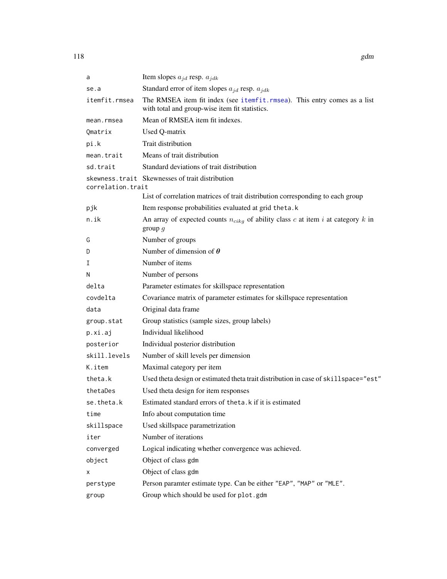| a                 | Item slopes $a_{jd}$ resp. $a_{jdk}$                                                                                        |
|-------------------|-----------------------------------------------------------------------------------------------------------------------------|
| se.a              | Standard error of item slopes $a_{jd}$ resp. $a_{jdk}$                                                                      |
| itemfit.rmsea     | The RMSEA item fit index (see itemfit. rmsea). This entry comes as a list<br>with total and group-wise item fit statistics. |
| mean.rmsea        | Mean of RMSEA item fit indexes.                                                                                             |
| Qmatrix           | Used Q-matrix                                                                                                               |
| pi.k              | Trait distribution                                                                                                          |
| mean.trait        | Means of trait distribution                                                                                                 |
| sd.trait          | Standard deviations of trait distribution                                                                                   |
| correlation.trait | skewness.trait Skewnesses of trait distribution                                                                             |
|                   | List of correlation matrices of trait distribution corresponding to each group                                              |
| pjk               | Item response probabilities evaluated at grid theta.k                                                                       |
| n.ik              | An array of expected counts $n_{cikg}$ of ability class c at item i at category k in<br>group $g$                           |
| G                 | Number of groups                                                                                                            |
| D                 | Number of dimension of $\theta$                                                                                             |
| Ι                 | Number of items                                                                                                             |
| N                 | Number of persons                                                                                                           |
| delta             | Parameter estimates for skillspace representation                                                                           |
| covdelta          | Covariance matrix of parameter estimates for skillspace representation                                                      |
| data              | Original data frame                                                                                                         |
| group.stat        | Group statistics (sample sizes, group labels)                                                                               |
| p.xi.aj           | Individual likelihood                                                                                                       |
| posterior         | Individual posterior distribution                                                                                           |
| skill.levels      | Number of skill levels per dimension                                                                                        |
| K.item            | Maximal category per item                                                                                                   |
| theta.k           | Used theta design or estimated theta trait distribution in case of skillspace="est"                                         |
| thetaDes          | Used theta design for item responses                                                                                        |
| se.theta.k        | Estimated standard errors of theta. k if it is estimated                                                                    |
| time              | Info about computation time                                                                                                 |
| skillspace        | Used skillspace parametrization                                                                                             |
| iter              | Number of iterations                                                                                                        |
| converged         | Logical indicating whether convergence was achieved.                                                                        |
| object            | Object of class gdm                                                                                                         |
| х                 | Object of class gdm                                                                                                         |
| perstype          | Person paramter estimate type. Can be either "EAP", "MAP" or "MLE".                                                         |
| group             | Group which should be used for plot.gdm                                                                                     |

118 gdm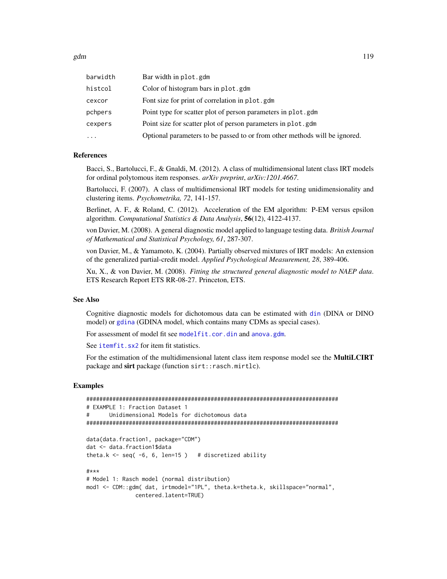gdm  $119$ 

| barwidth | Bar width in plot.gdm                                                      |
|----------|----------------------------------------------------------------------------|
| histcol  | Color of histogram bars in plot.gdm                                        |
| cexcor   | Font size for print of correlation in plot.gdm                             |
| pchpers  | Point type for scatter plot of person parameters in plot.gdm               |
| cexpers  | Point size for scatter plot of person parameters in plot.gdm               |
| $\ddots$ | Optional parameters to be passed to or from other methods will be ignored. |
|          |                                                                            |

### References

Bacci, S., Bartolucci, F., & Gnaldi, M. (2012). A class of multidimensional latent class IRT models for ordinal polytomous item responses. *arXiv preprint*, *arXiv:1201.4667*.

Bartolucci, F. (2007). A class of multidimensional IRT models for testing unidimensionality and clustering items. *Psychometrika, 72*, 141-157.

Berlinet, A. F., & Roland, C. (2012). Acceleration of the EM algorithm: P-EM versus epsilon algorithm. *Computational Statistics & Data Analysis*, 56(12), 4122-4137.

von Davier, M. (2008). A general diagnostic model applied to language testing data. *British Journal of Mathematical and Statistical Psychology, 61*, 287-307.

von Davier, M., & Yamamoto, K. (2004). Partially observed mixtures of IRT models: An extension of the generalized partial-credit model. *Applied Psychological Measurement, 28*, 389-406.

Xu, X., & von Davier, M. (2008). *Fitting the structured general diagnostic model to NAEP data*. ETS Research Report ETS RR-08-27. Princeton, ETS.

### See Also

Cognitive diagnostic models for dichotomous data can be estimated with [din](#page-62-0) (DINA or DINO model) or [gdina](#page-91-0) (GDINA model, which contains many CDMs as special cases).

For assessment of model fit see [modelfit.cor.din](#page-164-0) and [anova.gdm](#page-5-0).

See *[itemfit.sx2](#page-154-0)* for item fit statistics.

For the estimation of the multidimensional latent class item response model see the MultiLCIRT package and sirt package (function sirt::rasch.mirtlc).

```
#############################################################################
# EXAMPLE 1: Fraction Dataset 1
# Unidimensional Models for dichotomous data
#############################################################################
data(data.fraction1, package="CDM")
dat <- data.fraction1$data
theta.k \le seq( -6, 6, len=15) # discretized ability
#***
# Model 1: Rasch model (normal distribution)
mod1 <- CDM::gdm( dat, irtmodel="1PL", theta.k=theta.k, skillspace="normal",
              centered.latent=TRUE)
```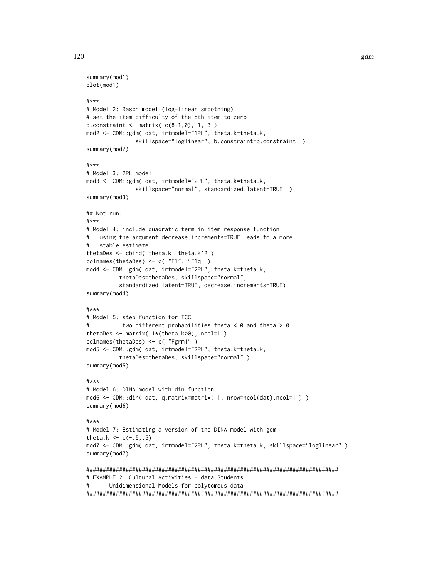```
summary(mod1)
plot(mod1)
#***
# Model 2: Rasch model (log-linear smoothing)
# set the item difficulty of the 8th item to zero
b.constraint \leq matrix(c(8,1,0), 1, 3)
mod2 <- CDM::gdm( dat, irtmodel="1PL", theta.k=theta.k,
               skillspace="loglinear", b.constraint=b.constraint )
summary(mod2)
#***
# Model 3: 2PL model
mod3 <- CDM::gdm( dat, irtmodel="2PL", theta.k=theta.k,
               skillspace="normal", standardized.latent=TRUE )
summary(mod3)
## Not run:
#***
# Model 4: include quadratic term in item response function
# using the argument decrease.increments=TRUE leads to a more
# stable estimate
thetaDes <- cbind( theta.k, theta.k^2 )
colnames(thetaDes) <- c( "F1", "F1q" )
mod4 <- CDM::gdm( dat, irtmodel="2PL", theta.k=theta.k,
          thetaDes=thetaDes, skillspace="normal",
          standardized.latent=TRUE, decrease.increments=TRUE)
summary(mod4)
#***
# Model 5: step function for ICC
# two different probabilities theta < 0 and theta > 0
thetaDes <- matrix( 1*(theta.k>0), ncol=1 )
colnames(thetaDes) <- c( "Fgrm1" )
mod5 <- CDM::gdm( dat, irtmodel="2PL", theta.k=theta.k,
          thetaDes=thetaDes, skillspace="normal" )
summary(mod5)
#***
# Model 6: DINA model with din function
mod6 <- CDM::din( dat, q.matrix=matrix( 1, nrow=ncol(dat),ncol=1 ) )
summary(mod6)
#***
# Model 7: Estimating a version of the DINA model with gdm
theta.k <-c(-.5,.5)mod7 <- CDM::gdm( dat, irtmodel="2PL", theta.k=theta.k, skillspace="loglinear" )
summary(mod7)
#############################################################################
# EXAMPLE 2: Cultural Activities - data. Students
# Unidimensional Models for polytomous data
#############################################################################
```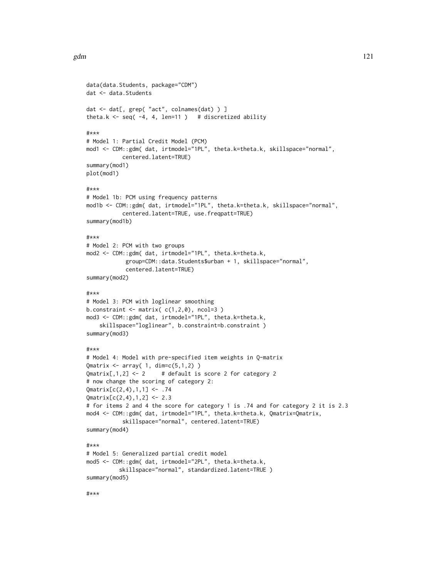```
data(data.Students, package="CDM")
dat <- data.Students
dat <- dat[, grep( "act", colnames(dat) ) ]
theta.k \leq seq( -4, 4, len=11 ) # discretized ability
#***
# Model 1: Partial Credit Model (PCM)
mod1 <- CDM::gdm( dat, irtmodel="1PL", theta.k=theta.k, skillspace="normal",
           centered.latent=TRUE)
summary(mod1)
plot(mod1)
#***
# Model 1b: PCM using frequency patterns
mod1b <- CDM::gdm( dat, irtmodel="1PL", theta.k=theta.k, skillspace="normal",
           centered.latent=TRUE, use.freqpatt=TRUE)
summary(mod1b)
#***
# Model 2: PCM with two groups
mod2 <- CDM::gdm( dat, irtmodel="1PL", theta.k=theta.k,
            group=CDM::data.Students$urban + 1, skillspace="normal",
            centered.latent=TRUE)
summary(mod2)
#***
# Model 3: PCM with loglinear smoothing
b.constraint \leq matrix(c(1,2,0), ncol=3)
mod3 <- CDM::gdm( dat, irtmodel="1PL", theta.k=theta.k,
    skillspace="loglinear", b.constraint=b.constraint )
summary(mod3)
#***
# Model 4: Model with pre-specified item weights in Q-matrix
Qmatrix \leq array( 1, dim=c(5,1,2) )
Qmatrix[,1,2] <- 2 # default is score 2 for category 2
# now change the scoring of category 2:
Qmatrix[c(2,4),1,1] <- .74
Qmatrix[c(2,4),1,2] <- 2.3
# for items 2 and 4 the score for category 1 is .74 and for category 2 it is 2.3
mod4 <- CDM::gdm( dat, irtmodel="1PL", theta.k=theta.k, Qmatrix=Qmatrix,
           skillspace="normal", centered.latent=TRUE)
summary(mod4)
#***
# Model 5: Generalized partial credit model
mod5 <- CDM::gdm( dat, irtmodel="2PL", theta.k=theta.k,
          skillspace="normal", standardized.latent=TRUE )
summary(mod5)
```
#\*\*\*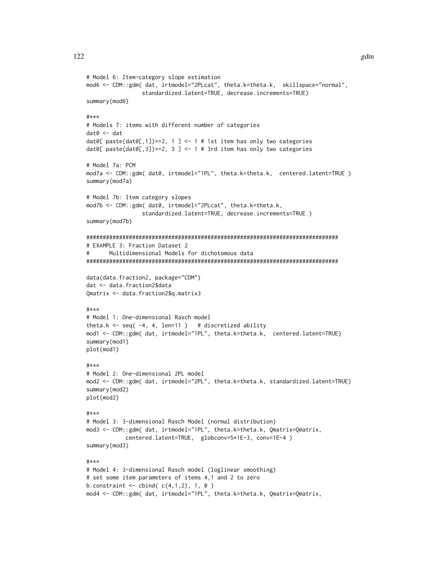```
# Model 6: Item-category slope estimation
mod6 <- CDM::gdm( dat, irtmodel="2PLcat", theta.k=theta.k, skillspace="normal",
                 standardized.latent=TRUE, decrease.increments=TRUE)
summary(mod6)
#***
# Models 7: items with different number of categories
data < - dat
dat0[ paste(dat0[,1])==2, 1 ] <- 1 # 1st item has only two categories
dat0[ paste(dat0[,3])==2, 3 ] <- 1 # 3rd item has only two categories
# Model 7a: PCM
mod7a <- CDM::gdm( dat0, irtmodel="1PL", theta.k=theta.k, centered.latent=TRUE )
summary(mod7a)
# Model 7b: Item category slopes
mod7b <- CDM::gdm( dat0, irtmodel="2PLcat", theta.k=theta.k,
                 standardized.latent=TRUE, decrease.increments=TRUE )
summary(mod7b)
#############################################################################
# EXAMPLE 3: Fraction Dataset 2
# Multidimensional Models for dichotomous data
#############################################################################
data(data.fraction2, package="CDM")
dat <- data.fraction2$data
Qmatrix <- data.fraction2$q.matrix3
#***
# Model 1: One-dimensional Rasch model
theta.k \leq seq( -4, 4, len=11 ) # discretized ability
mod1 <- CDM::gdm( dat, irtmodel="1PL", theta.k=theta.k, centered.latent=TRUE)
summary(mod1)
plot(mod1)
#***
# Model 2: One-dimensional 2PL model
mod2 <- CDM::gdm( dat, irtmodel="2PL", theta.k=theta.k, standardized.latent=TRUE)
summary(mod2)
plot(mod2)
#***
# Model 3: 3-dimensional Rasch Model (normal distribution)
mod3 <- CDM::gdm( dat, irtmodel="1PL", theta.k=theta.k, Qmatrix=Qmatrix,
            centered.latent=TRUE, globconv=5*1E-3, conv=1E-4 )
summary(mod3)
#***
# Model 4: 3-dimensional Rasch model (loglinear smoothing)
# set some item parameters of items 4,1 and 2 to zero
b.constraint \le cbind( c(4,1,2), 1, 0 )
mod4 <- CDM::gdm( dat, irtmodel="1PL", theta.k=theta.k, Qmatrix=Qmatrix,
```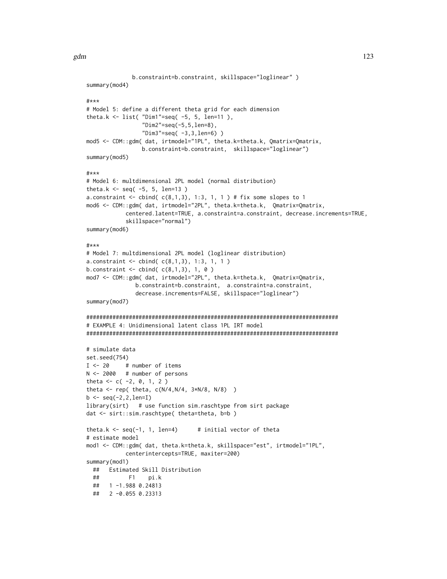```
b.constraint=b.constraint, skillspace="loglinear" )
summary(mod4)
#***
# Model 5: define a different theta grid for each dimension
theta.k \le list( "Dim1"=seq( -5, 5, len=11),
                 "Dim2"=seq(-5,5,len=8),
                 "Dim3" = seq( -3, 3, len=6) )mod5 <- CDM::gdm( dat, irtmodel="1PL", theta.k=theta.k, Qmatrix=Qmatrix,
                 b.constraint=b.constraint, skillspace="loglinear")
summary(mod5)
#***
# Model 6: multdimensional 2PL model (normal distribution)
theta.k <- seq(-5, 5, len=13)
a.constraint \leq cbind( c(8,1,3), 1:3, 1, 1 ) # fix some slopes to 1
mod6 <- CDM::gdm( dat, irtmodel="2PL", theta.k=theta.k, Qmatrix=Qmatrix,
           centered.latent=TRUE, a.constraint=a.constraint, decrease.increments=TRUE,
           skillspace="normal")
summary(mod6)
#***
# Model 7: multdimensional 2PL model (loglinear distribution)
a. constraint \leq cbind(c(8,1,3), 1:3, 1, 1)
b.constraint \leq cbind( c(8,1,3), 1, 0 )
mod7 <- CDM::gdm( dat, irtmodel="2PL", theta.k=theta.k, Qmatrix=Qmatrix,
               b.constraint=b.constraint, a.constraint=a.constraint,
               decrease.increments=FALSE, skillspace="loglinear")
summary(mod7)
#############################################################################
# EXAMPLE 4: Unidimensional latent class 1PL IRT model
#############################################################################
# simulate data
set.seed(754)
I < -20 # number of items
N <- 2000 # number of persons
theta <-c(-2, 0, 1, 2)theta <- rep( theta, c(N/4, N/4, 3*N/8, N/8) )
b \leq -\text{seq}(-2, 2, \text{len=I})library(sirt) # use function sim.raschtype from sirt package
dat <- sirt::sim.raschtype( theta=theta, b=b )
theta.k \leq seq(-1, 1, len=4) # initial vector of theta
# estimate model
mod1 <- CDM::gdm( dat, theta.k=theta.k, skillspace="est", irtmodel="1PL",
           centerintercepts=TRUE, maxiter=200)
summary(mod1)
 ## Estimated Skill Distribution
 ## F1 pi.k
 ## 1 -1.988 0.24813
 ## 2 -0.055 0.23313
```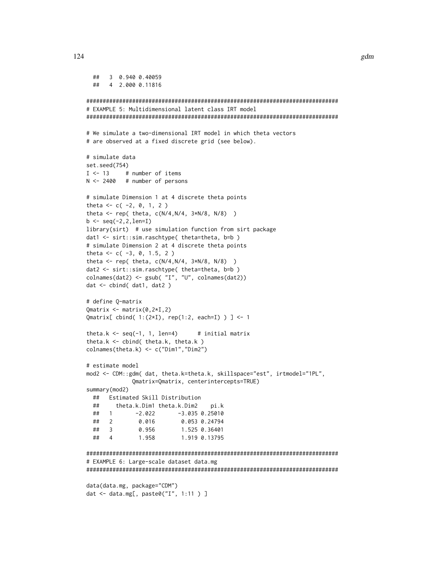```
## 3 0.940 0.40059
 ## 4 2.000 0.11816
#############################################################################
# EXAMPLE 5: Multidimensional latent class IRT model
#############################################################################
# We simulate a two-dimensional IRT model in which theta vectors
# are observed at a fixed discrete grid (see below).
# simulate data
set.seed(754)
I \leftarrow 13 # number of items
N <- 2400 # number of persons
# simulate Dimension 1 at 4 discrete theta points
theta <- c( -2, 0, 1, 2)
theta <- rep( theta, c(N/4,N/4, 3*N/8, N/8) )
b \leq -\text{seq}(-2, 2, \text{len=I})library(sirt) # use simulation function from sirt package
dat1 <- sirt::sim.raschtype( theta=theta, b=b )
# simulate Dimension 2 at 4 discrete theta points
theta <-c(-3, 0, 1.5, 2)theta <- rep( theta, c(N/4,N/4, 3*N/8, N/8) )
dat2 <- sirt::sim.raschtype( theta=theta, b=b )
colnames(dat2) <- gsub( "I", "U", colnames(dat2))
dat <- cbind( dat1, dat2 )
# define Q-matrix
Qmatrix <- matrix(0, 2 \star I, 2)Qmatrix[ cbind( 1:(2*I), rep(1:2, each=I) ) ] <- 1
theta.k \leq seq(-1, 1, len=4) # initial matrix
theta.k \le cbind( theta.k, theta.k )
colnames(theta.k) <- c("Dim1","Dim2")
# estimate model
mod2 <- CDM::gdm( dat, theta.k=theta.k, skillspace="est", irtmodel="1PL",
             Qmatrix=Qmatrix, centerintercepts=TRUE)
summary(mod2)
 ## Estimated Skill Distribution
 ## theta.k.Dim1 theta.k.Dim2 pi.k
 ## 1 -2.022 -3.035 0.25010
 ## 2 0.016 0.053 0.24794
 ## 3 0.956 1.525 0.36401
 ## 4 1.958 1.919 0.13795
#############################################################################
# EXAMPLE 6: Large-scale dataset data.mg
#############################################################################
data(data.mg, package="CDM")
dat <- data.mg[, paste0("I", 1:11 ) ]
```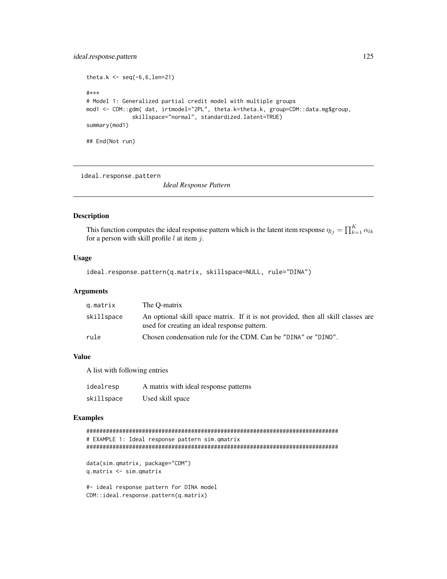# ideal.response.pattern 125

```
theta.k \leq - seq(-6, 6,len=21)
#***
# Model 1: Generalized partial credit model with multiple groups
mod1 <- CDM::gdm( dat, irtmodel="2PL", theta.k=theta.k, group=CDM::data.mg$group,
              skillspace="normal", standardized.latent=TRUE)
summary(mod1)
## End(Not run)
```
ideal.response.pattern

*Ideal Response Pattern*

### Description

This function computes the ideal response pattern which is the latent item response  $\eta_{lj} = \prod_{k=1}^K \alpha_{lk}$ for a person with skill profile  $l$  at item  $j$ .

### Usage

ideal.response.pattern(q.matrix, skillspace=NULL, rule="DINA")

### Arguments

| g.matrix   | The O-matrix                                                                                                                      |
|------------|-----------------------------------------------------------------------------------------------------------------------------------|
| skillspace | An optional skill space matrix. If it is not provided, then all skill classes are<br>used for creating an ideal response pattern. |
| rule       | Chosen condensation rule for the CDM. Can be "DINA" or "DINO".                                                                    |

#### Value

A list with following entries

| idealresp  | A matrix with ideal response patterns |
|------------|---------------------------------------|
| skillspace | Used skill space                      |

```
#############################################################################
# EXAMPLE 1: Ideal response pattern sim.qmatrix
#############################################################################
data(sim.qmatrix, package="CDM")
q.matrix <- sim.qmatrix
#- ideal response pattern for DINA model
CDM::ideal.response.pattern(q.matrix)
```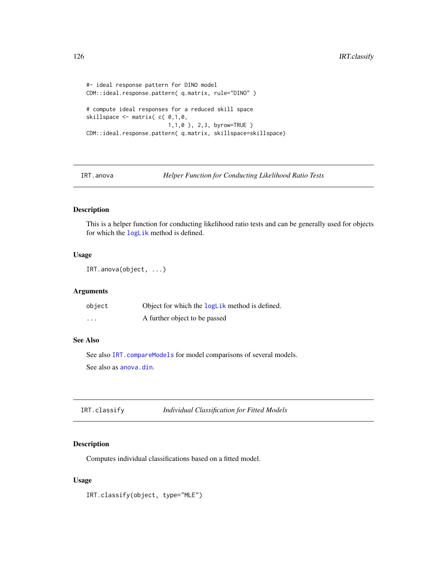```
#- ideal response pattern for DINO model
CDM::ideal.response.pattern( q.matrix, rule="DINO" )
# compute ideal responses for a reduced skill space
skillspace \leq matrix( c( 0,1,0,1,1,0 ), 2,3, byrow=TRUE )
CDM::ideal.response.pattern( q.matrix, skillspace=skillspace)
```
IRT.anova *Helper Function for Conducting Likelihood Ratio Tests*

# Description

This is a helper function for conducting likelihood ratio tests and can be generally used for objects for which the [logLik](#page-159-0) method is defined.

# Usage

```
IRT.anova(object, ...)
```
### Arguments

| object   | Object for which the logLik method is defined. |
|----------|------------------------------------------------|
| $\cdots$ | A further object to be passed                  |

# See Also

See also IRT. compareModels for model comparisons of several models. See also as [anova.din](#page-5-0).

IRT.classify *Individual Classification for Fitted Models*

# Description

Computes individual classifications based on a fitted model.

### Usage

IRT.classify(object, type="MLE")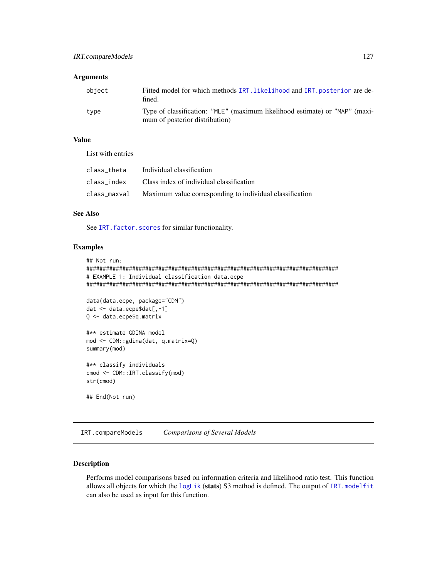# Arguments

| obiect | Fitted model for which methods IRT. likelihood and IRT. posterior are de-<br>fined.                           |
|--------|---------------------------------------------------------------------------------------------------------------|
| type   | Type of classification: "MLE" (maximum likelihood estimate) or "MAP" (maxi-<br>mum of posterior distribution) |

# Value

List with entries

| class theta | Individual classification                                             |
|-------------|-----------------------------------------------------------------------|
|             | class index Class index of individual classification                  |
|             | class_maxval Maximum value corresponding to individual classification |

# See Also

See IRT. factor. scores for similar functionality.

### Examples

```
## Not run:
#############################################################################
# EXAMPLE 1: Individual classification data.ecpe
#############################################################################
data(data.ecpe, package="CDM")
dat <- data.ecpe$dat[,-1]
Q <- data.ecpe$q.matrix
#** estimate GDINA model
mod <- CDM::gdina(dat, q.matrix=Q)
summary(mod)
#** classify individuals
cmod <- CDM::IRT.classify(mod)
str(cmod)
## End(Not run)
```
<span id="page-126-0"></span>IRT.compareModels *Comparisons of Several Models*

# Description

Performs model comparisons based on information criteria and likelihood ratio test. This function allows all objects for which the [logLik](#page-159-0) (stats) S3 method is defined. The output of [IRT.modelfit](#page-146-0) can also be used as input for this function.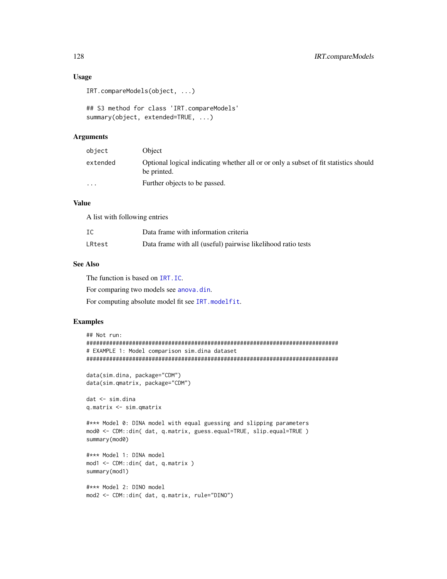# Usage

```
IRT.compareModels(object, ...)
```

```
## S3 method for class 'IRT.compareModels'
summary(object, extended=TRUE, ...)
```
# Arguments

| object   | Object                                                                                              |
|----------|-----------------------------------------------------------------------------------------------------|
| extended | Optional logical indicating whether all or or only a subset of fit statistics should<br>be printed. |
| $\cdot$  | Further objects to be passed.                                                                       |

# Value

A list with following entries

| IC     | Data frame with information criteria                         |
|--------|--------------------------------------------------------------|
| LRtest | Data frame with all (useful) pairwise likelihood ratio tests |

# See Also

The function is based on [IRT.IC](#page-135-0).

For comparing two models see [anova.din](#page-5-0).

For computing absolute model fit see [IRT.modelfit](#page-146-0).

```
## Not run:
#############################################################################
# EXAMPLE 1: Model comparison sim.dina dataset
#############################################################################
data(sim.dina, package="CDM")
data(sim.qmatrix, package="CDM")
dat <- sim.dina
q.matrix <- sim.qmatrix
#*** Model 0: DINA model with equal guessing and slipping parameters
mod0 <- CDM::din( dat, q.matrix, guess.equal=TRUE, slip.equal=TRUE )
summary(mod0)
#*** Model 1: DINA model
mod1 <- CDM::din( dat, q.matrix )
summary(mod1)
#*** Model 2: DINO model
```

```
mod2 <- CDM::din( dat, q.matrix, rule="DINO")
```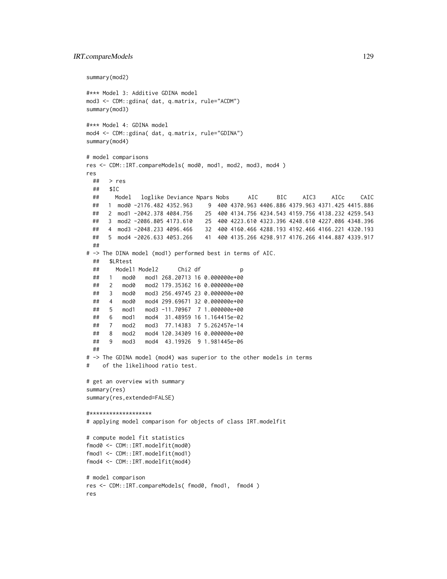### IRT.compareModels 129

```
summary(mod2)
#*** Model 3: Additive GDINA model
mod3 <- CDM::gdina( dat, q.matrix, rule="ACDM")
summary(mod3)
#*** Model 4: GDINA model
mod4 <- CDM::gdina( dat, q.matrix, rule="GDINA")
summary(mod4)
# model comparisons
res <- CDM::IRT.compareModels( mod0, mod1, mod2, mod3, mod4 )
res
 ## > res
 ## $IC
 ## Model loglike Deviance Npars Nobs AIC BIC AIC3 AICc CAIC
 ## 1 mod0 -2176.482 4352.963 9 400 4370.963 4406.886 4379.963 4371.425 4415.886
 ## 2 mod1 -2042.378 4084.756 25 400 4134.756 4234.543 4159.756 4138.232 4259.543
     3 mod2 -2086.805 4173.610 25 400 4223.610 4323.396 4248.610 4227.086 4348.396
 ## 4 mod3 -2048.233 4096.466 32 400 4160.466 4288.193 4192.466 4166.221 4320.193
 ## 5 mod4 -2026.633 4053.266 41 400 4135.266 4298.917 4176.266 4144.887 4339.917
 ##
# -> The DINA model (mod1) performed best in terms of AIC.
 ## $LRtest
 ## Model1 Model2 Chi2 df p
 ## 1 mod0 mod1 268.20713 16 0.000000e+00
 ## 2 mod0 mod2 179.35362 16 0.000000e+00
 ## 3 mod0 mod3 256.49745 23 0.000000e+00
 ## 4 mod0 mod4 299.69671 32 0.000000e+00
 ## 5 mod1 mod3 -11.70967 7 1.000000e+00
 ## 6 mod1 mod4 31.48959 16 1.164415e-02
 ## 7 mod2 mod3 77.14383 7 5.262457e-14
 ## 8 mod2 mod4 120.34309 16 0.000000e+00
 ## 9 mod3 mod4 43.19926 9 1.981445e-06
 ##
# -> The GDINA model (mod4) was superior to the other models in terms
# of the likelihood ratio test.
# get an overview with summary
summary(res)
summary(res,extended=FALSE)
#*******************
# applying model comparison for objects of class IRT.modelfit
# compute model fit statistics
fmod0 <- CDM::IRT.modelfit(mod0)
fmod1 <- CDM::IRT.modelfit(mod1)
fmod4 <- CDM::IRT.modelfit(mod4)
# model comparison
res <- CDM::IRT.compareModels( fmod0, fmod1, fmod4 )
res
```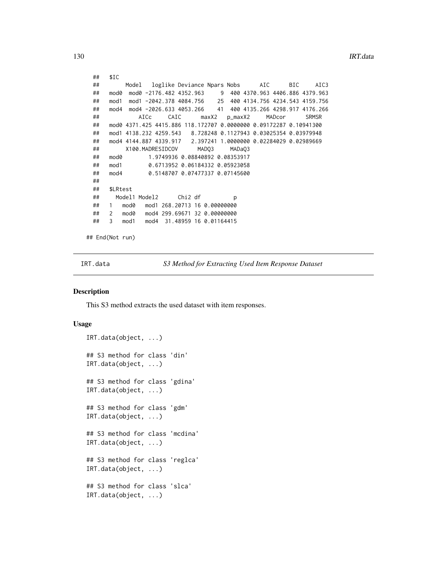```
## $IC
 ## Model loglike Deviance Npars Nobs AIC BIC AIC3
 ## mod0 mod0 -2176.482 4352.963 9 400 4370.963 4406.886 4379.963
 ## mod1 mod1 -2042.378 4084.756 25 400 4134.756 4234.543 4159.756
 ## mod4 mod4 -2026.633 4053.266 41 400 4135.266 4298.917 4176.266
 ## AICc CAIC maxX2 p_maxX2 MADcor SRMSR
 ## mod0 4371.425 4415.886 118.172707 0.0000000 0.09172287 0.10941300
 ## mod1 4138.232 4259.543 8.728248 0.1127943 0.03025354 0.03979948
 ## mod4 4144.887 4339.917 2.397241 1.0000000 0.02284029 0.02989669
 ## X100.MADRESIDCOV MADQ3 MADaQ3
 ## mod0 1.9749936 0.08840892 0.08353917
 ## mod1 0.6713952 0.06184332 0.05923058
 ## mod4 0.5148707 0.07477337 0.07145600
 ##
 ## $LRtest
 ## Model1 Model2 Chi2 df p
 ## 1 mod0 mod1 268.20713 16 0.00000000
 ## 2 mod0 mod4 299.69671 32 0.00000000
 ## 3 mod1 mod4 31.48959 16 0.01164415
## End(Not run)
```
IRT.data *S3 Method for Extracting Used Item Response Dataset*

#### **Description**

This S3 method extracts the used dataset with item responses.

#### Usage

```
IRT.data(object, ...)
## S3 method for class 'din'
IRT.data(object, ...)
## S3 method for class 'gdina'
IRT.data(object, ...)
## S3 method for class 'gdm'
IRT.data(object, ...)
## S3 method for class 'mcdina'
IRT.data(object, ...)
## S3 method for class 'reglca'
IRT.data(object, ...)
## S3 method for class 'slca'
IRT.data(object, ...)
```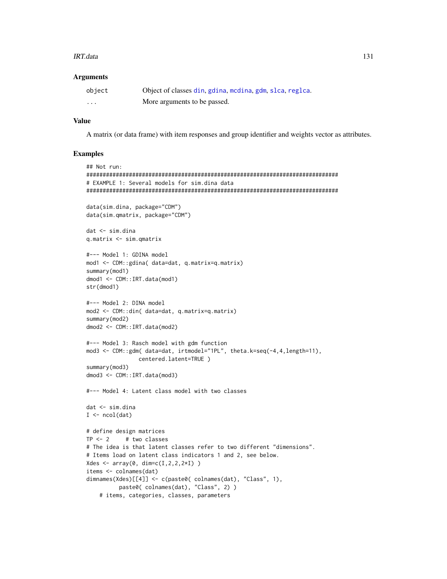#### IRT.data 131

### Arguments

| object   | Object of classes din, gdina, mcdina, gdm, slca, reglca. |
|----------|----------------------------------------------------------|
| $\cdots$ | More arguments to be passed.                             |

#### Value

A matrix (or data frame) with item responses and group identifier and weights vector as attributes.

```
## Not run:
#############################################################################
# EXAMPLE 1: Several models for sim.dina data
#############################################################################
data(sim.dina, package="CDM")
data(sim.qmatrix, package="CDM")
dat <- sim.dina
q.matrix <- sim.qmatrix
#--- Model 1: GDINA model
mod1 <- CDM::gdina( data=dat, q.matrix=q.matrix)
summary(mod1)
dmod1 <- CDM::IRT.data(mod1)
str(dmod1)
#--- Model 2: DINA model
mod2 <- CDM::din( data=dat, q.matrix=q.matrix)
summary(mod2)
dmod2 <- CDM::IRT.data(mod2)
#--- Model 3: Rasch model with gdm function
mod3 <- CDM::gdm( data=dat, irtmodel="1PL", theta.k=seq(-4,4,length=11),
                centered.latent=TRUE )
summary(mod3)
dmod3 <- CDM::IRT.data(mod3)
#--- Model 4: Latent class model with two classes
dat <- sim.dina
I \leftarrow \text{ncol}(\text{dat})# define design matrices
TP < -2 # two classes
# The idea is that latent classes refer to two different "dimensions".
# Items load on latent class indicators 1 and 2, see below.
Xdes <- array(0, dim=c(I,2,2,2*I))
items <- colnames(dat)
dimnames(Xdes)[[4]] <- c(paste0( colnames(dat), "Class", 1),
          paste0( colnames(dat), "Class", 2) )
    # items, categories, classes, parameters
```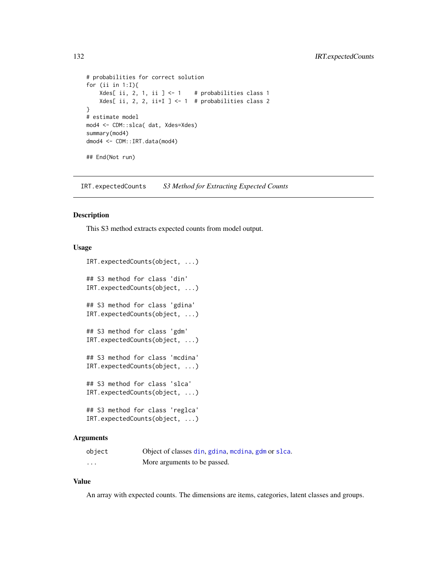```
# probabilities for correct solution
for (ii in 1:I){
   Xdes[ ii, 2, 1, ii ] <- 1 # probabilities class 1
    Xdes[ ii, 2, 2, ii+I ] <- 1 # probabilities class 2
}
# estimate model
mod4 <- CDM::slca( dat, Xdes=Xdes)
summary(mod4)
dmod4 <- CDM::IRT.data(mod4)
## End(Not run)
```
IRT.expectedCounts *S3 Method for Extracting Expected Counts*

#### Description

This S3 method extracts expected counts from model output.

### Usage

```
IRT.expectedCounts(object, ...)
## S3 method for class 'din'
IRT.expectedCounts(object, ...)
## S3 method for class 'gdina'
IRT.expectedCounts(object, ...)
## S3 method for class 'gdm'
IRT.expectedCounts(object, ...)
## S3 method for class 'mcdina'
IRT.expectedCounts(object, ...)
## S3 method for class 'slca'
IRT.expectedCounts(object, ...)
## S3 method for class 'reglca'
IRT.expectedCounts(object, ...)
```
### Arguments

| object   | Object of classes din, gdina, medina, gdm or slca. |
|----------|----------------------------------------------------|
| $\cdots$ | More arguments to be passed.                       |

### Value

An array with expected counts. The dimensions are items, categories, latent classes and groups.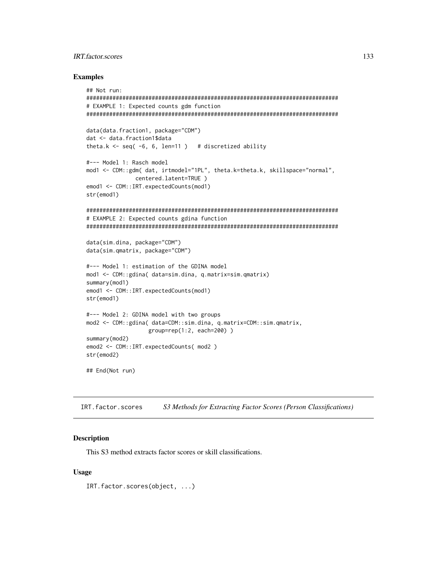# IRT.factor.scores 133

#### Examples

```
## Not run:
#############################################################################
# EXAMPLE 1: Expected counts gdm function
#############################################################################
data(data.fraction1, package="CDM")
dat <- data.fraction1$data
theta.k \leq seq( -6, 6, len=11 ) # discretized ability
#--- Model 1: Rasch model
mod1 <- CDM::gdm( dat, irtmodel="1PL", theta.k=theta.k, skillspace="normal",
               centered.latent=TRUE )
emod1 <- CDM::IRT.expectedCounts(mod1)
str(emod1)
#############################################################################
# EXAMPLE 2: Expected counts gdina function
#############################################################################
data(sim.dina, package="CDM")
data(sim.qmatrix, package="CDM")
#--- Model 1: estimation of the GDINA model
mod1 <- CDM::gdina( data=sim.dina, q.matrix=sim.qmatrix)
summary(mod1)
emod1 <- CDM::IRT.expectedCounts(mod1)
str(emod1)
#--- Model 2: GDINA model with two groups
mod2 <- CDM::gdina( data=CDM::sim.dina, q.matrix=CDM::sim.qmatrix,
                   group=rep(1:2, each=200) )
summary(mod2)
emod2 <- CDM::IRT.expectedCounts( mod2 )
str(emod2)
## End(Not run)
```
<span id="page-132-0"></span>IRT.factor.scores *S3 Methods for Extracting Factor Scores (Person Classifications)*

# Description

This S3 method extracts factor scores or skill classifications.

#### Usage

IRT.factor.scores(object, ...)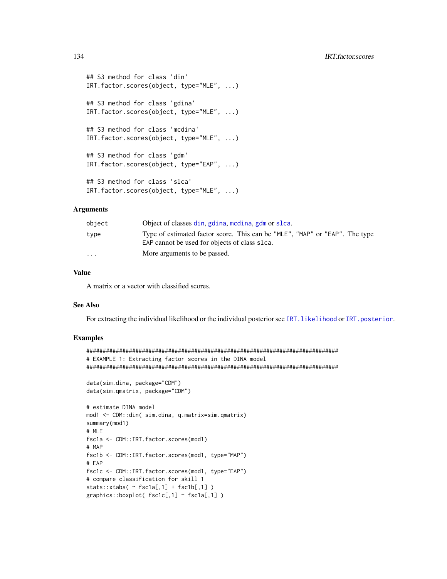```
## S3 method for class 'din'
IRT.factor.scores(object, type="MLE", ...)
## S3 method for class 'gdina'
IRT.factor.scores(object, type="MLE", ...)
## S3 method for class 'mcdina'
IRT.factor.scores(object, type="MLE", ...)
## S3 method for class 'gdm'
IRT.factor.scores(object, type="EAP", ...)
## S3 method for class 'slca'
IRT.factor.scores(object, type="MLE", ...)
```
# Arguments

| object                  | Object of classes din, gdina, medina, gdm or slca.                                                                           |
|-------------------------|------------------------------------------------------------------------------------------------------------------------------|
| type                    | Type of estimated factor score. This can be "MLE", "MAP" or "EAP". The type<br>EAP cannot be used for objects of class slca. |
| $\cdot$ $\cdot$ $\cdot$ | More arguments to be passed.                                                                                                 |

### Value

A matrix or a vector with classified scores.

# See Also

For extracting the individual likelihood or the individual posterior see IRT. likelihood or [IRT.posterior](#page-143-1).

```
#############################################################################
# EXAMPLE 1: Extracting factor scores in the DINA model
#############################################################################
data(sim.dina, package="CDM")
data(sim.qmatrix, package="CDM")
# estimate DINA model
mod1 <- CDM::din( sim.dina, q.matrix=sim.qmatrix)
summary(mod1)
# MLE
fsc1a <- CDM::IRT.factor.scores(mod1)
# MAP
fsc1b <- CDM::IRT.factor.scores(mod1, type="MAP")
# EAP
fsc1c <- CDM::IRT.factor.scores(mod1, type="EAP")
# compare classification for skill 1
stats::xtabs( ~ sfc1a[,1] + fsc1b[,1] )graphics::boxplot( fsc1c[,1] ~ fsc1a[,1] )
```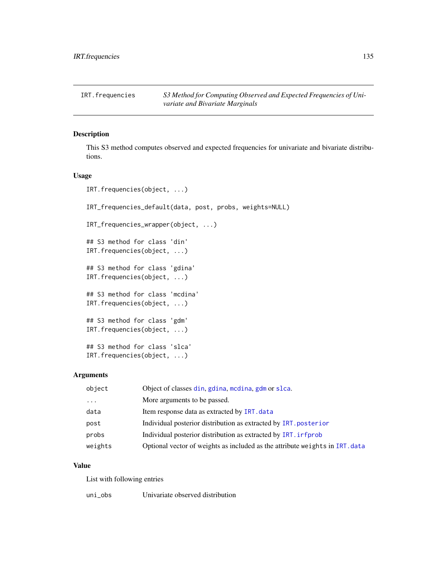IRT.frequencies *S3 Method for Computing Observed and Expected Frequencies of Univariate and Bivariate Marginals*

# Description

This S3 method computes observed and expected frequencies for univariate and bivariate distributions.

### Usage

```
IRT.frequencies(object, ...)
IRT_frequencies_default(data, post, probs, weights=NULL)
IRT_frequencies_wrapper(object, ...)
## S3 method for class 'din'
IRT.frequencies(object, ...)
## S3 method for class 'gdina'
IRT.frequencies(object, ...)
## S3 method for class 'mcdina'
IRT.frequencies(object, ...)
## S3 method for class 'gdm'
IRT.frequencies(object, ...)
## S3 method for class 'slca'
IRT.frequencies(object, ...)
```
# Arguments

| object              | Object of classes din, gdina, modina, gdm or slca.                           |
|---------------------|------------------------------------------------------------------------------|
| $\cdot \cdot \cdot$ | More arguments to be passed.                                                 |
| data                | Item response data as extracted by IRT. data                                 |
| post                | Individual posterior distribution as extracted by IRT. posterior             |
| probs               | Individual posterior distribution as extracted by IRT. informula             |
| weights             | Optional vector of weights as included as the attribute weights in IRT. data |

#### Value

List with following entries

uni\_obs Univariate observed distribution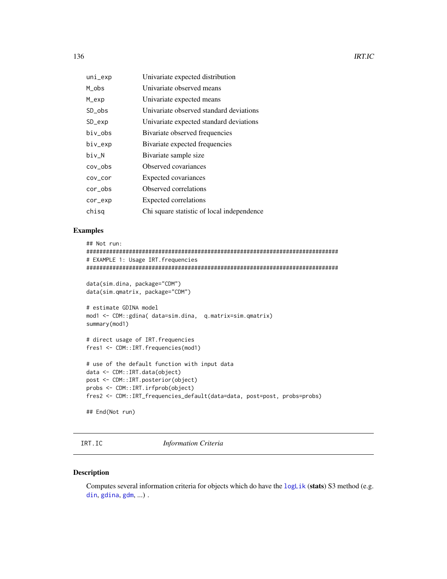136 **IRT.IC** 

| uni_exp          | Univariate expected distribution           |
|------------------|--------------------------------------------|
| M_obs            | Univariate observed means                  |
| M_exp            | Univariate expected means                  |
| SD_obs           | Univariate observed standard deviations    |
| $SD$ $exp$       | Univariate expected standard deviations    |
| biv_obs          | Bivariate observed frequencies             |
| biv_exp          | Bivariate expected frequencies             |
| biv N            | Bivariate sample size                      |
| cov <sub>o</sub> | Observed covariances                       |
| cov_cor          | Expected covariances                       |
| cor_obs          | Observed correlations                      |
| cor_exp          | Expected correlations                      |
| chisg            | Chi square statistic of local independence |
|                  |                                            |

# Examples

```
## Not run:
#############################################################################
# EXAMPLE 1: Usage IRT.frequencies
#############################################################################
data(sim.dina, package="CDM")
data(sim.qmatrix, package="CDM")
# estimate GDINA model
mod1 <- CDM::gdina( data=sim.dina, q.matrix=sim.qmatrix)
summary(mod1)
# direct usage of IRT.frequencies
fres1 <- CDM::IRT.frequencies(mod1)
# use of the default function with input data
data <- CDM::IRT.data(object)
post <- CDM::IRT.posterior(object)
probs <- CDM::IRT.irfprob(object)
fres2 <- CDM::IRT_frequencies_default(data=data, post=post, probs=probs)
## End(Not run)
```
<span id="page-135-0"></span>IRT.IC *Information Criteria*

### Description

Computes several information criteria for objects which do have the  $logLik$  (stats) S3 method (e.g. [din](#page-62-0), [gdina](#page-91-0), [gdm](#page-113-0), ...).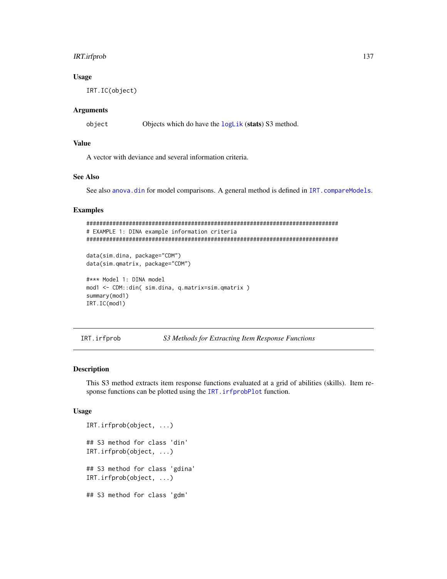# IRT.irfprob 137

### Usage

IRT.IC(object)

# Arguments

object Objects which do have the [logLik](#page-159-0) (stats) S3 method.

# Value

A vector with deviance and several information criteria.

# See Also

See also [anova.din](#page-5-0) for model comparisons. A general method is defined in [IRT.compareModels](#page-126-0).

### Examples

```
#############################################################################
# EXAMPLE 1: DINA example information criteria
#############################################################################
```
data(sim.dina, package="CDM") data(sim.qmatrix, package="CDM")

```
#*** Model 1: DINA model
mod1 <- CDM::din( sim.dina, q.matrix=sim.qmatrix )
summary(mod1)
IRT.IC(mod1)
```
<span id="page-136-0"></span>IRT.irfprob *S3 Methods for Extracting Item Response Functions*

# Description

This S3 method extracts item response functions evaluated at a grid of abilities (skills). Item response functions can be plotted using the IRT. irfprobPlot function.

### Usage

```
IRT.irfprob(object, ...)
## S3 method for class 'din'
IRT.irfprob(object, ...)
## S3 method for class 'gdina'
IRT.irfprob(object, ...)
## S3 method for class 'gdm'
```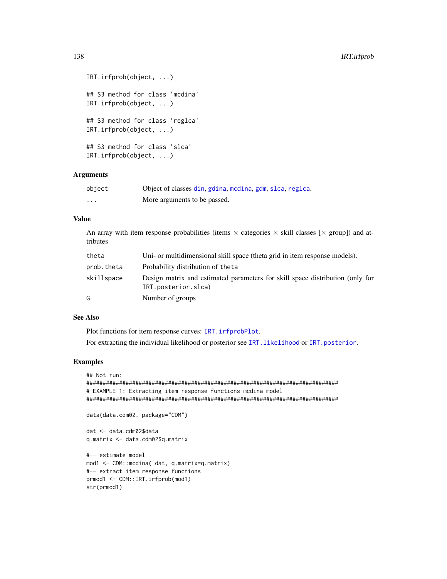```
IRT.irfprob(object, ...)
## S3 method for class 'mcdina'
IRT.irfprob(object, ...)
## S3 method for class 'reglca'
IRT.irfprob(object, ...)
## S3 method for class 'slca'
IRT.irfprob(object, ...)
```
# Arguments

| object  | Object of classes din, gdina, modina, gdm, slca, reglca. |
|---------|----------------------------------------------------------|
| $\cdot$ | More arguments to be passed.                             |

# Value

An array with item response probabilities (items  $\times$  categories  $\times$  skill classes [ $\times$  group]) and attributes

| theta      | Uni- or multidimensional skill space (theta grid in item response models).                           |
|------------|------------------------------------------------------------------------------------------------------|
| prob.theta | Probability distribution of the ta                                                                   |
| skillspace | Design matrix and estimated parameters for skill space distribution (only for<br>IRT.posterior.slca) |
| G          | Number of groups                                                                                     |

# See Also

Plot functions for item response curves: [IRT.irfprobPlot](#page-138-0).

For extracting the individual likelihood or posterior see IRT. likelihood or IRT. posterior.

```
## Not run:
#############################################################################
# EXAMPLE 1: Extracting item response functions mcdina model
#############################################################################
data(data.cdm02, package="CDM")
dat <- data.cdm02$data
q.matrix <- data.cdm02$q.matrix
#-- estimate model
mod1 <- CDM::mcdina( dat, q.matrix=q.matrix)
#-- extract item response functions
prmod1 <- CDM::IRT.irfprob(mod1)
str(prmod1)
```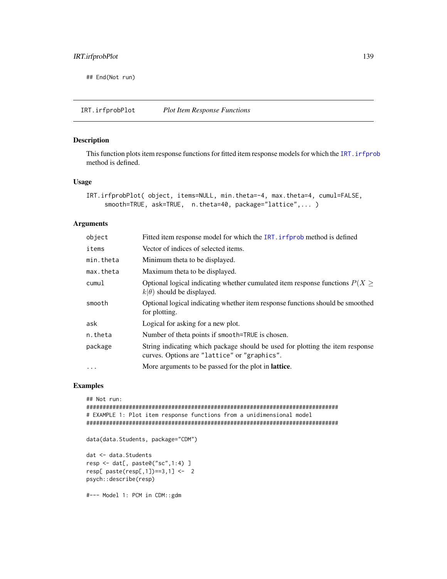## End(Not run)

<span id="page-138-0"></span>IRT.irfprobPlot *Plot Item Response Functions*

# Description

This function plots item response functions for fitted item response models for which the IRT. ir fprob method is defined.

# Usage

```
IRT.irfprobPlot( object, items=NULL, min.theta=-4, max.theta=4, cumul=FALSE,
    smooth=TRUE, ask=TRUE, n.theta=40, package="lattice",... )
```
### Arguments

| object    | Fitted item response model for which the IRT. inforced method is defined                                                      |
|-----------|-------------------------------------------------------------------------------------------------------------------------------|
| items     | Vector of indices of selected items.                                                                                          |
| min.theta | Minimum theta to be displayed.                                                                                                |
| max.theta | Maximum theta to be displayed.                                                                                                |
| cumul     | Optional logical indicating whether cumulated item response functions $P(X \geq 1)$<br>$k(\theta)$ should be displayed.       |
| smooth    | Optional logical indicating whether item response functions should be smoothed<br>for plotting.                               |
| ask       | Logical for asking for a new plot.                                                                                            |
| n.theta   | Number of theta points if smooth=TRUE is chosen.                                                                              |
| package   | String indicating which package should be used for plotting the item response<br>curves. Options are "lattice" or "graphics". |
| $\ddotsc$ | More arguments to be passed for the plot in <b>lattice</b> .                                                                  |

```
## Not run:
#############################################################################
# EXAMPLE 1: Plot item response functions from a unidimensional model
#############################################################################
data(data.Students, package="CDM")
dat <- data.Students
resp <- dat[, paste0("sc",1:4) ]
resp[ paste(resp[,1])==3,1] <- 2
psych::describe(resp)
#--- Model 1: PCM in CDM::gdm
```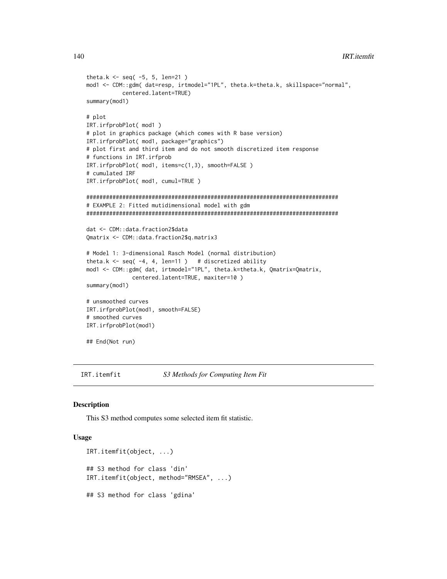```
theta.k \le seq(-5, 5, len=21)
mod1 <- CDM::gdm( dat=resp, irtmodel="1PL", theta.k=theta.k, skillspace="normal",
           centered.latent=TRUE)
summary(mod1)
# plot
IRT.irfprobPlot( mod1 )
# plot in graphics package (which comes with R base version)
IRT.irfprobPlot( mod1, package="graphics")
# plot first and third item and do not smooth discretized item response
# functions in IRT.irfprob
IRT.irfprobPlot( mod1, items=c(1,3), smooth=FALSE )
# cumulated IRF
IRT.irfprobPlot( mod1, cumul=TRUE )
#############################################################################
# EXAMPLE 2: Fitted mutidimensional model with gdm
#############################################################################
dat <- CDM::data.fraction2$data
Qmatrix <- CDM::data.fraction2$q.matrix3
# Model 1: 3-dimensional Rasch Model (normal distribution)
theta.k \leq seq( -4, 4, len=11 ) # discretized ability
mod1 <- CDM::gdm( dat, irtmodel="1PL", theta.k=theta.k, Qmatrix=Qmatrix,
              centered.latent=TRUE, maxiter=10 )
summary(mod1)
# unsmoothed curves
IRT.irfprobPlot(mod1, smooth=FALSE)
# smoothed curves
IRT.irfprobPlot(mod1)
## End(Not run)
```
IRT.itemfit *S3 Methods for Computing Item Fit*

### Description

This S3 method computes some selected item fit statistic.

# Usage

```
IRT.itemfit(object, ...)
## S3 method for class 'din'
IRT.itemfit(object, method="RMSEA", ...)
## S3 method for class 'gdina'
```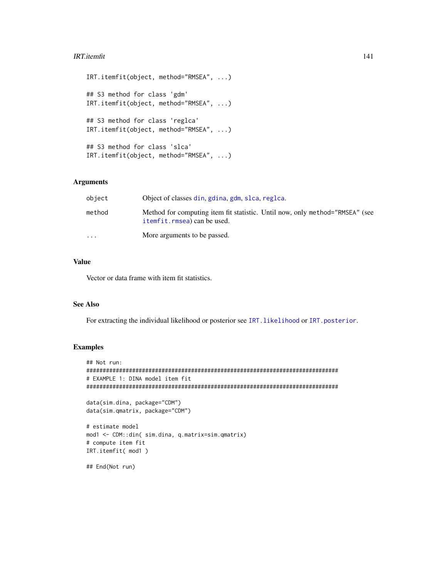### **IRT.itemfit** 141

```
IRT.itemfit(object, method="RMSEA", ...)
## S3 method for class 'gdm'
IRT.itemfit(object, method="RMSEA", ...)
## S3 method for class 'reglca'
IRT.itemfit(object, method="RMSEA", ...)
## S3 method for class 'slca'
IRT.itemfit(object, method="RMSEA", ...)
```
# Arguments

| object    | Object of classes din, gdina, gdm, slca, reglca.                                                            |
|-----------|-------------------------------------------------------------------------------------------------------------|
| method    | Method for computing item fit statistic. Until now, only method="RMSEA" (see<br>itemfit.rmsea) can be used. |
| $\ddotsc$ | More arguments to be passed.                                                                                |

# Value

Vector or data frame with item fit statistics.

### See Also

For extracting the individual likelihood or posterior see IRT. likelihood or IRT. posterior.

# Examples

```
## Not run:
#############################################################################
# EXAMPLE 1: DINA model item fit
#############################################################################
data(sim.dina, package="CDM")
data(sim.qmatrix, package="CDM")
# estimate model
mod1 <- CDM::din( sim.dina, q.matrix=sim.qmatrix)
# compute item fit
```
IRT.itemfit( mod1 ) ## End(Not run)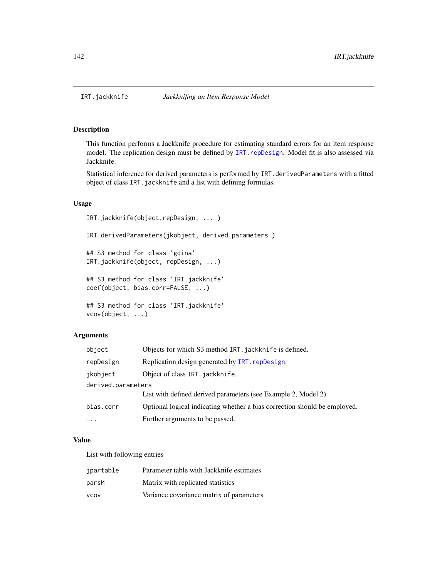# Description

This function performs a Jackknife procedure for estimating standard errors for an item response model. The replication design must be defined by IRT. repDesign. Model fit is also assessed via Jackknife.

Statistical inference for derived parameters is performed by IRT.derivedParameters with a fitted object of class IRT.jackknife and a list with defining formulas.

### Usage

```
IRT.jackknife(object,repDesign, ... )
IRT.derivedParameters(jkobject, derived.parameters )
## S3 method for class 'gdina'
IRT.jackknife(object, repDesign, ...)
## S3 method for class 'IRT.jackknife'
coef(object, bias.corr=FALSE, ...)
## S3 method for class 'IRT.jackknife'
vcov(object, ...)
```
### Arguments

| object             | Objects for which S3 method IRT. jackknife is defined.                    |
|--------------------|---------------------------------------------------------------------------|
| repDesign          | Replication design generated by IRT. repDesign.                           |
| ikobject           | Object of class IRT. jackknife.                                           |
| derived.parameters |                                                                           |
|                    | List with defined derived parameters (see Example 2, Model 2).            |
| bias.corr          | Optional logical indicating whether a bias correction should be employed. |
| $\cdots$           | Further arguments to be passed.                                           |

### Value

List with following entries

| jpartable   | Parameter table with Jackknife estimates |
|-------------|------------------------------------------|
| parsM       | Matrix with replicated statistics        |
| <b>VCOV</b> | Variance covariance matrix of parameters |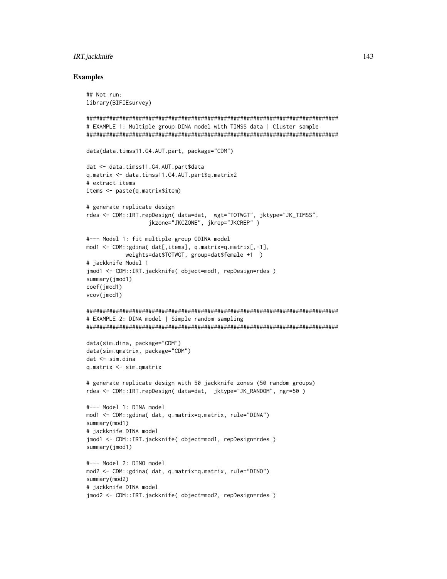# IRT.jackknife 143

```
## Not run:
library(BIFIEsurvey)
#############################################################################
# EXAMPLE 1: Multiple group DINA model with TIMSS data | Cluster sample
#############################################################################
data(data.timss11.G4.AUT.part, package="CDM")
dat <- data.timss11.G4.AUT.part$data
q.matrix <- data.timss11.G4.AUT.part$q.matrix2
# extract items
items <- paste(q.matrix$item)
# generate replicate design
rdes <- CDM::IRT.repDesign( data=dat, wgt="TOTWGT", jktype="JK_TIMSS",
                   jkzone="JKCZONE", jkrep="JKCREP" )
#--- Model 1: fit multiple group GDINA model
mod1 <- CDM::gdina( dat[,items], q.matrix=q.matrix[,-1],
            weights=dat$TOTWGT, group=dat$female +1 )
# jackknife Model 1
jmod1 <- CDM::IRT.jackknife( object=mod1, repDesign=rdes )
summary(jmod1)
coef(jmod1)
vcov(jmod1)
#############################################################################
# EXAMPLE 2: DINA model | Simple random sampling
#############################################################################
data(sim.dina, package="CDM")
data(sim.qmatrix, package="CDM")
dat <- sim.dina
q.matrix <- sim.qmatrix
# generate replicate design with 50 jackknife zones (50 random groups)
rdes <- CDM::IRT.repDesign( data=dat, jktype="JK_RANDOM", ngr=50 )
#--- Model 1: DINA model
mod1 <- CDM::gdina( dat, q.matrix=q.matrix, rule="DINA")
summary(mod1)
# jackknife DINA model
jmod1 <- CDM::IRT.jackknife( object=mod1, repDesign=rdes )
summary(jmod1)
#--- Model 2: DINO model
mod2 <- CDM::gdina( dat, q.matrix=q.matrix, rule="DINO")
summary(mod2)
# jackknife DINA model
jmod2 <- CDM::IRT.jackknife( object=mod2, repDesign=rdes )
```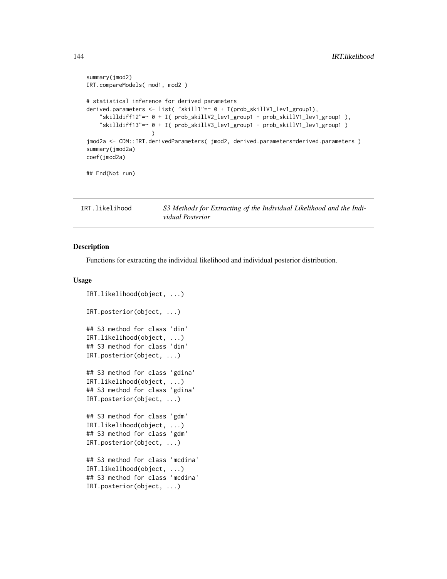```
summary(jmod2)
IRT.compareModels( mod1, mod2 )
# statistical inference for derived parameters
derived.parameters <- list( "skill1"=~ 0 + I(prob_skillV1_lev1_group1),
    "skilldiff12"=~ 0 + I( prob_skillV2_lev1_group1 - prob_skillV1_lev1_group1 ),
    "skilldiff13"=~ 0 + I( prob_skillV3_lev1_group1 - prob_skillV1_lev1_group1 )
                    )
jmod2a <- CDM::IRT.derivedParameters( jmod2, derived.parameters=derived.parameters )
summary(jmod2a)
coef(jmod2a)
## End(Not run)
```
<span id="page-143-0"></span>IRT.likelihood *S3 Methods for Extracting of the Individual Likelihood and the Individual Posterior*

### <span id="page-143-1"></span>Description

Functions for extracting the individual likelihood and individual posterior distribution.

# Usage

```
IRT.likelihood(object, ...)
IRT.posterior(object, ...)
## S3 method for class 'din'
IRT.likelihood(object, ...)
## S3 method for class 'din'
IRT.posterior(object, ...)
## S3 method for class 'gdina'
IRT.likelihood(object, ...)
## S3 method for class 'gdina'
IRT.posterior(object, ...)
## S3 method for class 'gdm'
IRT.likelihood(object, ...)
## S3 method for class 'gdm'
IRT.posterior(object, ...)
## S3 method for class 'mcdina'
IRT.likelihood(object, ...)
## S3 method for class 'mcdina'
IRT.posterior(object, ...)
```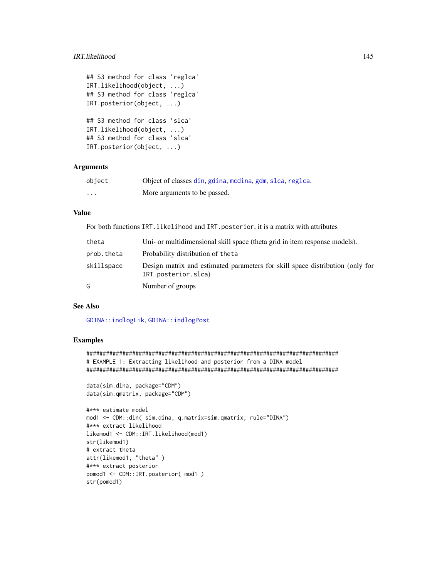## IRT.likelihood 145

```
## S3 method for class 'reglca'
IRT.likelihood(object, ...)
## S3 method for class 'reglca'
IRT.posterior(object, ...)
## S3 method for class 'slca'
IRT.likelihood(object, ...)
## S3 method for class 'slca'
IRT.posterior(object, ...)
```
# Arguments

| object   | Object of classes din, gdina, modina, gdm, slca, reglca. |
|----------|----------------------------------------------------------|
| $\cdots$ | More arguments to be passed.                             |

# Value

For both functions IRT.likelihood and IRT.posterior, it is a matrix with attributes

| theta      | Uni- or multidimensional skill space (theta grid in item response models).                           |
|------------|------------------------------------------------------------------------------------------------------|
| prob.theta | Probability distribution of the ta                                                                   |
| skillspace | Design matrix and estimated parameters for skill space distribution (only for<br>IRT.posterior.slca) |
| G          | Number of groups                                                                                     |

# See Also

[GDINA::indlogLik](#page-0-0), [GDINA::indlogPost](#page-0-0)

```
#############################################################################
# EXAMPLE 1: Extracting likelihood and posterior from a DINA model
#############################################################################
```

```
data(sim.dina, package="CDM")
data(sim.qmatrix, package="CDM")
```

```
#*** estimate model
mod1 <- CDM::din( sim.dina, q.matrix=sim.qmatrix, rule="DINA")
#*** extract likelihood
likemod1 <- CDM::IRT.likelihood(mod1)
str(likemod1)
# extract theta
attr(likemod1, "theta" )
#*** extract posterior
pomod1 <- CDM::IRT.posterior( mod1 )
str(pomod1)
```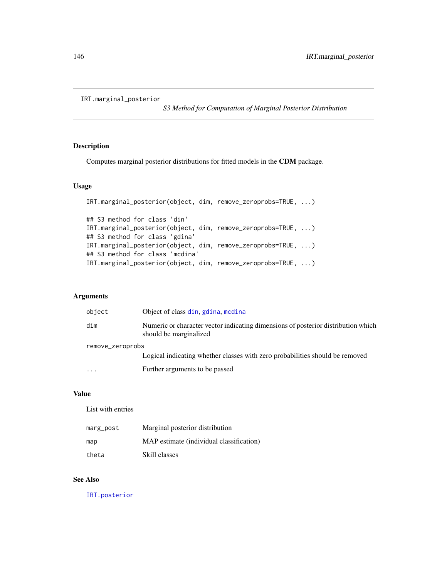```
IRT.marginal_posterior
```
*S3 Method for Computation of Marginal Posterior Distribution*

## Description

Computes marginal posterior distributions for fitted models in the CDM package.

# Usage

```
IRT.marginal_posterior(object, dim, remove_zeroprobs=TRUE, ...)
## S3 method for class 'din'
IRT.marginal_posterior(object, dim, remove_zeroprobs=TRUE, ...)
## S3 method for class 'gdina'
IRT.marginal_posterior(object, dim, remove_zeroprobs=TRUE, ...)
## S3 method for class 'mcdina'
IRT.marginal_posterior(object, dim, remove_zeroprobs=TRUE, ...)
```
## Arguments

| object           | Object of class din, gdina, medina                                                                          |  |
|------------------|-------------------------------------------------------------------------------------------------------------|--|
| dim              | Numeric or character vector indicating dimensions of posterior distribution which<br>should be marginalized |  |
| remove_zeroprobs |                                                                                                             |  |
|                  | Logical indicating whether classes with zero probabilities should be removed                                |  |
| $\cdot$          | Further arguments to be passed                                                                              |  |

# Value

List with entries

| marg_post | Marginal posterior distribution          |
|-----------|------------------------------------------|
| map       | MAP estimate (individual classification) |
| theta     | Skill classes                            |

# See Also

[IRT.posterior](#page-143-0)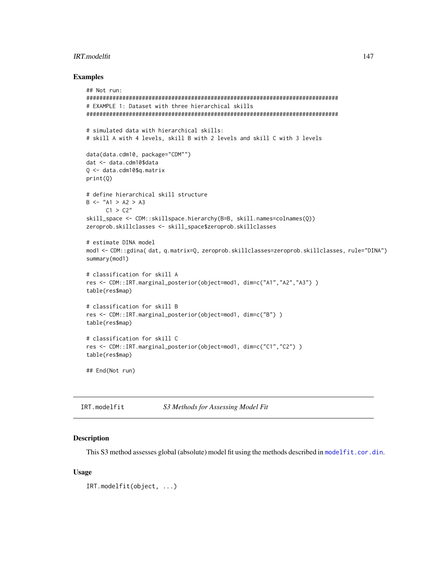## IRT.modelfit 147

## Examples

```
## Not run:
#############################################################################
# EXAMPLE 1: Dataset with three hierarchical skills
#############################################################################
# simulated data with hierarchical skills:
# skill A with 4 levels, skill B with 2 levels and skill C with 3 levels
data(data.cdm10, package="CDM"")
dat <- data.cdm10$data
Q <- data.cdm10$q.matrix
print(Q)
# define hierarchical skill structure
B \le - "A1 > A2 > A3
     C1 > C2''skill_space <- CDM::skillspace.hierarchy(B=B, skill.names=colnames(Q))
zeroprob.skillclasses <- skill_space$zeroprob.skillclasses
# estimate DINA model
mod1 <- CDM::gdina( dat, q.matrix=Q, zeroprob.skillclasses=zeroprob.skillclasses, rule="DINA")
summary(mod1)
# classification for skill A
res <- CDM::IRT.marginal_posterior(object=mod1, dim=c("A1","A2","A3") )
table(res$map)
# classification for skill B
res <- CDM::IRT.marginal_posterior(object=mod1, dim=c("B") )
table(res$map)
# classification for skill C
res <- CDM::IRT.marginal_posterior(object=mod1, dim=c("C1","C2") )
table(res$map)
## End(Not run)
```
IRT.modelfit *S3 Methods for Assessing Model Fit*

# Description

This S3 method assesses global (absolute) model fit using the methods described in model fit.cor.din.

#### Usage

IRT.modelfit(object, ...)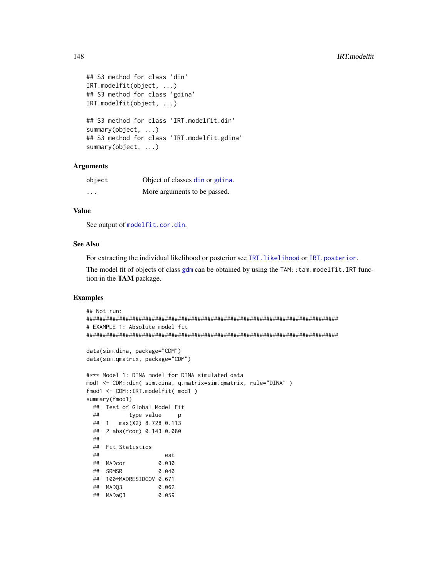```
## S3 method for class 'din'
IRT.modelfit(object, ...)
## S3 method for class 'gdina'
IRT.modelfit(object, ...)
## S3 method for class 'IRT.modelfit.din'
summary(object, ...)
## S3 method for class 'IRT.modelfit.gdina'
summary(object, ...)
```
## **Arguments**

| object  | Object of classes din or gdina. |  |
|---------|---------------------------------|--|
| $\cdot$ | More arguments to be passed.    |  |

## Value

See output of [modelfit.cor.din](#page-164-0).

## See Also

For extracting the individual likelihood or posterior see IRT. likelihood or [IRT.posterior](#page-143-0).

The model fit of objects of class [gdm](#page-113-0) can be obtained by using the TAM::tam.modelfit.IRT function in the TAM package.

```
## Not run:
#############################################################################
# EXAMPLE 1: Absolute model fit
#############################################################################
data(sim.dina, package="CDM")
data(sim.qmatrix, package="CDM")
#*** Model 1: DINA model for DINA simulated data
mod1 <- CDM::din( sim.dina, q.matrix=sim.qmatrix, rule="DINA" )
fmod1 <- CDM::IRT.modelfit( mod1 )
summary(fmod1)
 ## Test of Global Model Fit
 ## type value p
 ## 1 max(X2) 8.728 0.113
 ## 2 abs(fcor) 0.143 0.080
 ##
 ## Fit Statistics
 ## est
 ## MADcor 0.030
 ## SRMSR 0.040
 ## 100*MADRESIDCOV 0.671
 ## MADQ3 0.062
 ## MADaQ3 0.059
```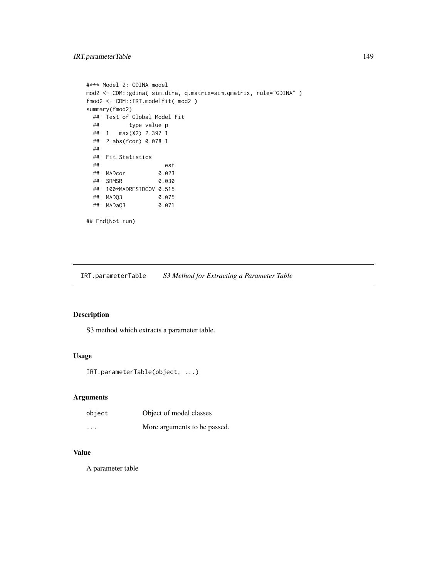# IRT.parameterTable 149

```
#*** Model 2: GDINA model
mod2 <- CDM::gdina( sim.dina, q.matrix=sim.qmatrix, rule="GDINA" )
fmod2 <- CDM::IRT.modelfit( mod2 )
summary(fmod2)
 ## Test of Global Model Fit
 ## type value p
 ## 1 max(X2) 2.397 1
 ## 2 abs(fcor) 0.078 1
 ##
 ## Fit Statistics
 ## est
 ## MADcor 0.023
 ## SRMSR 0.030
 ## 100*MADRESIDCOV 0.515
 ## MADQ3 0.075
 ## MADaQ3
## End(Not run)
```
IRT.parameterTable *S3 Method for Extracting a Parameter Table*

# Description

S3 method which extracts a parameter table.

# Usage

```
IRT.parameterTable(object, ...)
```
# Arguments

| object   | Object of model classes      |  |
|----------|------------------------------|--|
| $\cdots$ | More arguments to be passed. |  |

# Value

A parameter table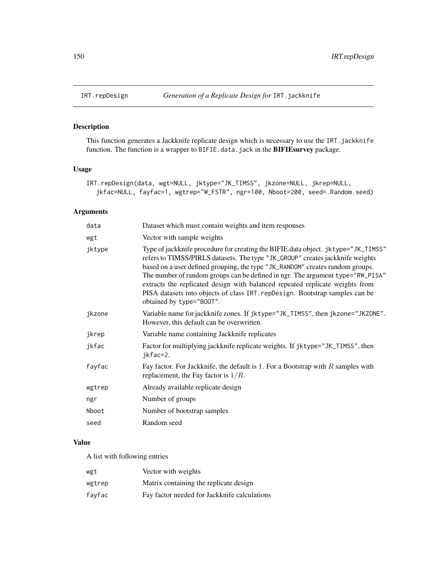# Description

This function generates a Jackknife replicate design which is necessary to use the IRT. jackknife function. The function is a wrapper to BIFIE.data.jack in the **BIFIEsurvey** package.

# Usage

```
IRT.repDesign(data, wgt=NULL, jktype="JK_TIMSS", jkzone=NULL, jkrep=NULL,
  jkfac=NULL, fayfac=1, wgtrep="W_FSTR", ngr=100, Nboot=200, seed=.Random.seed)
```
## Arguments

| data   | Dataset which must contain weights and item responses                                                                                                                                                                                                                                                                                                                                                                                                                                                                             |  |  |
|--------|-----------------------------------------------------------------------------------------------------------------------------------------------------------------------------------------------------------------------------------------------------------------------------------------------------------------------------------------------------------------------------------------------------------------------------------------------------------------------------------------------------------------------------------|--|--|
| wgt    | Vector with sample weights                                                                                                                                                                                                                                                                                                                                                                                                                                                                                                        |  |  |
| jktype | Type of jackknife procedure for creating the BIFIE data object. jktype="JK_TIMSS"<br>refers to TIMSS/PIRLS datasets. The type "JK_GROUP" creates jackknife weights<br>based on a user defined grouping, the type "JK_RANDOM" creates random groups.<br>The number of random groups can be defined in ngr. The argument type="RW_PISA"<br>extracts the replicated design with balanced repeated replicate weights from<br>PISA datasets into objects of class IRT. repDesign. Bootstrap samples can be<br>obtained by type="B00T". |  |  |
| jkzone | Variable name for jackknife zones. If jktype="JK_TIMSS", then jkzone="JKZONE".<br>However, this default can be overwritten.                                                                                                                                                                                                                                                                                                                                                                                                       |  |  |
| jkrep  | Variable name containing Jackknife replicates                                                                                                                                                                                                                                                                                                                                                                                                                                                                                     |  |  |
| jkfac  | Factor for multiplying jackknife replicate weights. If jktype="JK_TIMSS", then<br>jkfac=2.                                                                                                                                                                                                                                                                                                                                                                                                                                        |  |  |
| fayfac | Fay factor. For Jackknife, the default is 1. For a Bootstrap with $R$ samples with<br>replacement, the Fay factor is $1/R$ .                                                                                                                                                                                                                                                                                                                                                                                                      |  |  |
| wgtrep | Already available replicate design                                                                                                                                                                                                                                                                                                                                                                                                                                                                                                |  |  |
| ngr    | Number of groups                                                                                                                                                                                                                                                                                                                                                                                                                                                                                                                  |  |  |
| Nboot  | Number of bootstrap samples                                                                                                                                                                                                                                                                                                                                                                                                                                                                                                       |  |  |
| seed   | Random seed                                                                                                                                                                                                                                                                                                                                                                                                                                                                                                                       |  |  |
|        |                                                                                                                                                                                                                                                                                                                                                                                                                                                                                                                                   |  |  |

# Value

A list with following entries

| wgt    | Vector with weights                          |
|--------|----------------------------------------------|
| wgtrep | Matrix containing the replicate design       |
| fayfac | Fay factor needed for Jackknife calculations |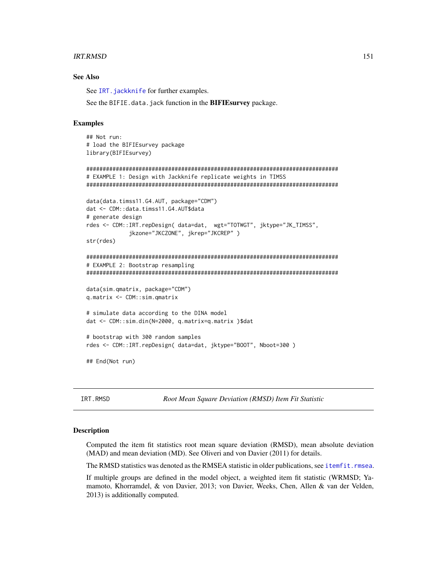#### **IRT.RMSD** 151

## See Also

See IRT. jackknife for further examples.

See the BIFIE.data.jack function in the **BIFIEsurvey** package.

#### Examples

```
## Not run:
# load the BIFIEsurvey package
library(BIFIEsurvey)
#############################################################################
# EXAMPLE 1: Design with Jackknife replicate weights in TIMSS
#############################################################################
data(data.timss11.G4.AUT, package="CDM")
dat <- CDM::data.timss11.G4.AUT$data
# generate design
rdes <- CDM::IRT.repDesign( data=dat, wgt="TOTWGT", jktype="JK_TIMSS",
             jkzone="JKCZONE", jkrep="JKCREP" )
str(rdes)
#############################################################################
# EXAMPLE 2: Bootstrap resampling
#############################################################################
data(sim.qmatrix, package="CDM")
q.matrix <- CDM::sim.qmatrix
# simulate data according to the DINA model
dat <- CDM::sim.din(N=2000, q.matrix=q.matrix )$dat
# bootstrap with 300 random samples
rdes <- CDM::IRT.repDesign( data=dat, jktype="BOOT", Nboot=300 )
## End(Not run)
```
<span id="page-150-0"></span>IRT.RMSD *Root Mean Square Deviation (RMSD) Item Fit Statistic*

#### Description

Computed the item fit statistics root mean square deviation (RMSD), mean absolute deviation (MAD) and mean deviation (MD). See Oliveri and von Davier (2011) for details.

The RMSD statistics was denoted as the RMSEA statistic in older publications, see itemfit. rmsea.

If multiple groups are defined in the model object, a weighted item fit statistic (WRMSD; Yamamoto, Khorramdel, & von Davier, 2013; von Davier, Weeks, Chen, Allen & van der Velden, 2013) is additionally computed.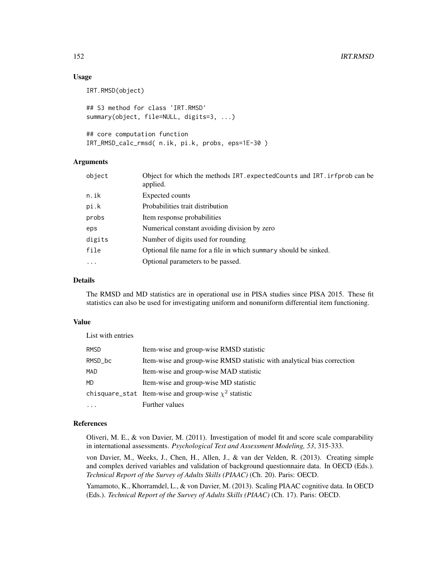# Usage

```
IRT.RMSD(object)
## S3 method for class 'IRT.RMSD'
summary(object, file=NULL, digits=3, ...)
```
## core computation function IRT\_RMSD\_calc\_rmsd( n.ik, pi.k, probs, eps=1E-30 )

## Arguments

| object    | Object for which the methods IRT. expected Counts and IRT. irreprob can be<br>applied. |  |
|-----------|----------------------------------------------------------------------------------------|--|
| n.ik      | Expected counts                                                                        |  |
| pi.k      | Probabilities trait distribution                                                       |  |
| probs     | Item response probabilities                                                            |  |
| eps       | Numerical constant avoiding division by zero                                           |  |
| digits    | Number of digits used for rounding                                                     |  |
| file      | Optional file name for a file in which summary should be sinked.                       |  |
| $\ddotsc$ | Optional parameters to be passed.                                                      |  |

# Details

The RMSD and MD statistics are in operational use in PISA studies since PISA 2015. These fit statistics can also be used for investigating uniform and nonuniform differential item functioning.

## Value

List with entries

| <b>RMSD</b> | Item-wise and group-wise RMSD statistic                                 |
|-------------|-------------------------------------------------------------------------|
| RMSD_bc     | Item-wise and group-wise RMSD statistic with analytical bias correction |
| MAD         | Item-wise and group-wise MAD statistic                                  |
| <b>MD</b>   | Item-wise and group-wise MD statistic                                   |
|             | chisquare_stat Item-wise and group-wise $\chi^2$ statistic              |
|             | Further values                                                          |

# References

Oliveri, M. E., & von Davier, M. (2011). Investigation of model fit and score scale comparability in international assessments. *Psychological Test and Assessment Modeling, 53*, 315-333.

von Davier, M., Weeks, J., Chen, H., Allen, J., & van der Velden, R. (2013). Creating simple and complex derived variables and validation of background questionnaire data. In OECD (Eds.). *Technical Report of the Survey of Adults Skills (PIAAC)* (Ch. 20). Paris: OECD.

Yamamoto, K., Khorramdel, L., & von Davier, M. (2013). Scaling PIAAC cognitive data. In OECD (Eds.). *Technical Report of the Survey of Adults Skills (PIAAC)* (Ch. 17). Paris: OECD.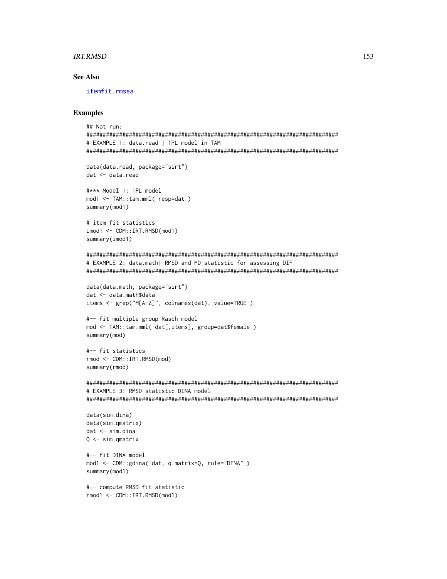#### IRT.RMSD 153

# See Also

[itemfit.rmsea](#page-153-0)

```
## Not run:
#############################################################################
# EXAMPLE 1: data.read | 1PL model in TAM
#############################################################################
data(data.read, package="sirt")
dat <- data.read
#*** Model 1: 1PL model
mod1 <- TAM::tam.mml( resp=dat )
summary(mod1)
# item fit statistics
imod1 <- CDM::IRT.RMSD(mod1)
summary(imod1)
#############################################################################
# EXAMPLE 2: data.math| RMSD and MD statistic for assessing DIF
#############################################################################
data(data.math, package="sirt")
dat <- data.math$data
items <- grep("M[A-Z]", colnames(dat), value=TRUE )
#-- fit multiple group Rasch model
mod <- TAM::tam.mml( dat[,items], group=dat$female )
summary(mod)
#-- fit statistics
rmod <- CDM::IRT.RMSD(mod)
summary(rmod)
#############################################################################
# EXAMPLE 3: RMSD statistic DINA model
#############################################################################
data(sim.dina)
data(sim.qmatrix)
dat <- sim.dina
Q <- sim.qmatrix
#-- fit DINA model
mod1 <- CDM::gdina( dat, q.matrix=Q, rule="DINA" )
summary(mod1)
#-- compute RMSD fit statistic
rmod1 <- CDM::IRT.RMSD(mod1)
```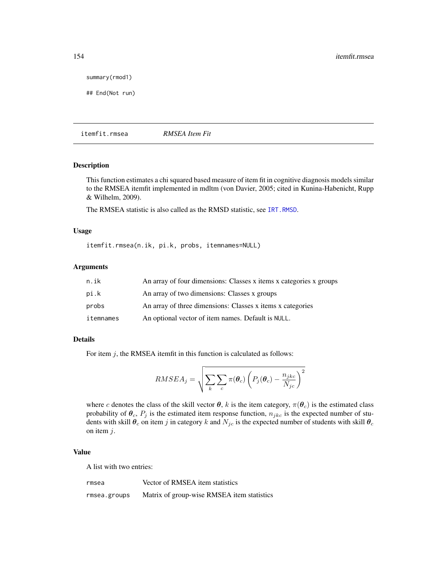summary(rmod1)

```
## End(Not run)
```
<span id="page-153-0"></span>itemfit.rmsea *RMSEA Item Fit*

# Description

This function estimates a chi squared based measure of item fit in cognitive diagnosis models similar to the RMSEA itemfit implemented in mdltm (von Davier, 2005; cited in Kunina-Habenicht, Rupp & Wilhelm, 2009).

The RMSEA statistic is also called as the RMSD statistic, see [IRT.RMSD](#page-150-0).

## Usage

itemfit.rmsea(n.ik, pi.k, probs, itemnames=NULL)

## Arguments

| n.ik      | An array of four dimensions: Classes x items x categories x groups |
|-----------|--------------------------------------------------------------------|
| pi.k      | An array of two dimensions: Classes x groups                       |
| probs     | An array of three dimensions: Classes x items x categories         |
| itemnames | An optional vector of item names. Default is NULL.                 |

#### Details

For item  $j$ , the RMSEA itemfit in this function is calculated as follows:

$$
RMSEA_j = \sqrt{\sum_{k} \sum_{c} \pi(\boldsymbol{\theta}_c) \left( P_j(\boldsymbol{\theta}_c) - \frac{n_{jkc}}{N_{jc}} \right)^2}
$$

where c denotes the class of the skill vector  $\theta$ , k is the item category,  $\pi(\theta_c)$  is the estimated class probability of  $\theta_c$ ,  $P_j$  is the estimated item response function,  $n_{jkc}$  is the expected number of students with skill  $\theta_c$  on item j in category k and  $N_{jc}$  is the expected number of students with skill  $\theta_c$ on item  $j$ .

# Value

A list with two entries:

| rmsea | Vector of RMSEA item statistics |  |
|-------|---------------------------------|--|
|       |                                 |  |

rmsea.groups Matrix of group-wise RMSEA item statistics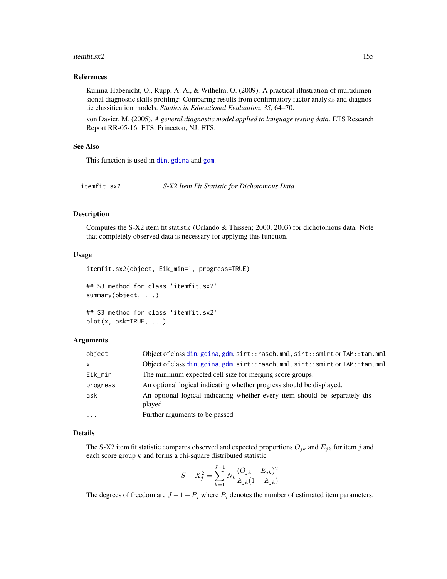#### itemfit.sx2 155

## References

Kunina-Habenicht, O., Rupp, A. A., & Wilhelm, O. (2009). A practical illustration of multidimensional diagnostic skills profiling: Comparing results from confirmatory factor analysis and diagnostic classification models. *Studies in Educational Evaluation, 35*, 64–70.

von Davier, M. (2005). *A general diagnostic model applied to language testing data*. ETS Research Report RR-05-16. ETS, Princeton, NJ: ETS.

## See Also

This function is used in [din](#page-62-0), [gdina](#page-91-0) and [gdm](#page-113-0).

itemfit.sx2 *S-X2 Item Fit Statistic for Dichotomous Data*

## **Description**

Computes the S-X2 item fit statistic (Orlando & Thissen; 2000, 2003) for dichotomous data. Note that completely observed data is necessary for applying this function.

## Usage

```
itemfit.sx2(object, Eik_min=1, progress=TRUE)
## S3 method for class 'itemfit.sx2'
summary(object, ...)
## S3 method for class 'itemfit.sx2'
```

```
plot(x, ask=TRUE, ...)
```
## Arguments

| object       | Object of class din, gdina, gdm, sirt::rasch.mml, sirt::smirt or TAM::tam.mml          |
|--------------|----------------------------------------------------------------------------------------|
| $\mathsf{x}$ | Object of class din, gdina, gdm, sirt::rasch.mml, sirt::smirt or TAM::tam.mml          |
| Eik_min      | The minimum expected cell size for merging score groups.                               |
| progress     | An optional logical indicating whether progress should be displayed.                   |
| ask          | An optional logical indicating whether every item should be separately dis-<br>played. |
| $\cdots$     | Further arguments to be passed                                                         |

# Details

The S-X2 item fit statistic compares observed and expected proportions  $O_{jk}$  and  $E_{jk}$  for item j and each score group  $k$  and forms a chi-square distributed statistic

$$
S - X_j^2 = \sum_{k=1}^{J-1} N_k \frac{(O_{jk} - E_{jk})^2}{E_{jk}(1 - E_{jk})}
$$

The degrees of freedom are  $J - 1 - P_j$  where  $P_j$  denotes the number of estimated item parameters.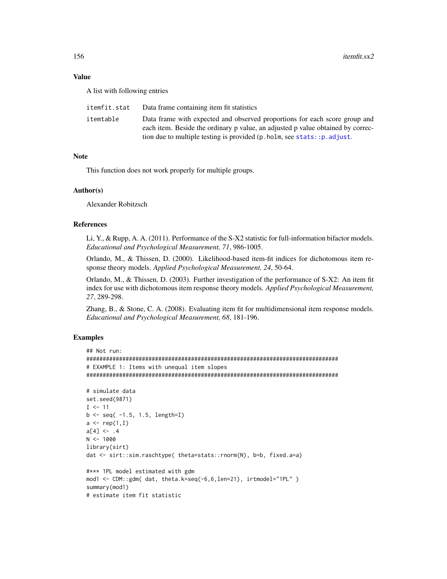## Value

A list with following entries

| itemfit.stat | Data frame containing item fit statistics                                                 |
|--------------|-------------------------------------------------------------------------------------------|
| itemtable    | Data frame with expected and observed proportions for each score group and                |
|              | each item. Beside the ordinary p value, an adjusted p value obtained by correc-           |
|              | tion due to multiple testing is provided $(p \cdot holm, see \, stats: : p \cdot adjust.$ |

## Note

This function does not work properly for multiple groups.

## Author(s)

Alexander Robitzsch

# References

Li, Y., & Rupp, A. A. (2011). Performance of the S-X2 statistic for full-information bifactor models. *Educational and Psychological Measurement, 71*, 986-1005.

Orlando, M., & Thissen, D. (2000). Likelihood-based item-fit indices for dichotomous item response theory models. *Applied Psychological Measurement, 24*, 50-64.

Orlando, M., & Thissen, D. (2003). Further investigation of the performance of S-X2: An item fit index for use with dichotomous item response theory models. *Applied Psychological Measurement, 27*, 289-298.

Zhang, B., & Stone, C. A. (2008). Evaluating item fit for multidimensional item response models. *Educational and Psychological Measurement, 68*, 181-196.

```
## Not run:
#############################################################################
# EXAMPLE 1: Items with unequal item slopes
#############################################################################
```

```
# simulate data
set.seed(9871)
I < -11b \leftarrow seq( -1.5, 1.5, length=I)a \leftarrow \text{rep}(1, I)a[4] < - .4N < - 1000library(sirt)
dat <- sirt::sim.raschtype( theta=stats::rnorm(N), b=b, fixed.a=a)
#*** 1PL model estimated with gdm
mod1 <- CDM::gdm( dat, theta.k=seq(-6,6,len=21), irtmodel="1PL" )
summary(mod1)
# estimate item fit statistic
```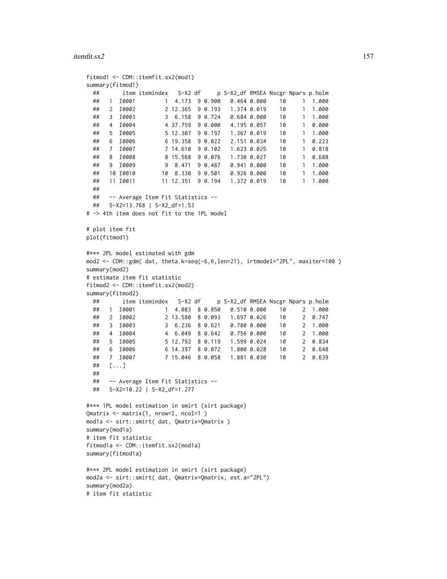## itemfit.sx2 157

```
fitmod1 <- CDM::itemfit.sx2(mod1)
summary(fitmod1)
 ## item itemindex S-X2 df p S-X2_df RMSEA Nscgr Npars p.holm
 ## 1 I0001 1 4.173 9 0.900 0.464 0.000 10 1 1.000
 ## 2 I0002 2 12.365 9 0.193 1.374 0.019 10 1 1.000
 ## 3 I0003 3 6.158 9 0.724 0.684 0.000 10 1 1.000
 ## 4 I0004 4 37.759 9 0.000 4.195 0.057 10 1 0.000
 ## 5 I0005 5 12.307 9 0.197 1.367 0.019 10 1 1.000
 ## 6 I0006 6 19.358 9 0.022 2.151 0.034 10 1 0.223
 ## 7 I0007 7 14.610 9 0.102 1.623 0.025 10 1 0.818
 ## 8 I0008 8 15.568 9 0.076 1.730 0.027 10 1 0.688
 ## 9 10009 9 8.471 9 0.487 0.941 0.000 10
 ## 10 I0010 10 8.330 9 0.501 0.926 0.000 10 1 1.000
 ## 11 10011 11 12.351 9 0.194 1.372 0.019 10
 ##
 ## -- Average Item Fit Statistics --
 ## S-X2=13.768 | S-X2_df=1.53
# -> 4th item does not fit to the 1PL model
# plot item fit
plot(fitmod1)
#*** 2PL model estimated with gdm
mod2 <- CDM::gdm( dat, theta.k=seq(-6,6,len=21), irtmodel="2PL", maxiter=100 )
summary(mod2)
# estimate item fit statistic
fitmod2 <- CDM::itemfit.sx2(mod2)
summary(fitmod2)
 ## item itemindex S-X2 df p S-X2_df RMSEA Nscgr Npars p.holm
 ## 1 I0001 1 4.083 8 0.850 0.510 0.000 10 2 1.000
 ## 2 10002 2 13.580 8 0.093 1.697 0.026 10
 ## 3 I0003 3 6.236 8 0.621 0.780 0.000 10 2 1.000
 ## 4 I0004 4 6.049 8 0.642 0.756 0.000 10 2 1.000
 ## 5 I0005 5 12.792 8 0.119 1.599 0.024 10 2 0.834
 ## 6 I0006 6 14.397 8 0.072 1.800 0.028 10 2 0.648
 ## 7 I0007 7 15.046 8 0.058 1.881 0.030 10 2 0.639
 ## [...]
 ##
 ## -- Average Item Fit Statistics --
 ## S-X2=10.22 | S-X2_df=1.277
#*** 1PL model estimation in smirt (sirt package)
Qmatrix <- matrix(1, nrow=I, ncol=1 )
mod1a <- sirt::smirt( dat, Qmatrix=Qmatrix )
summary(mod1a)
# item fit statistic
fitmod1a <- CDM::itemfit.sx2(mod1a)
summary(fitmod1a)
#*** 2PL model estimation in smirt (sirt package)
mod2a <- sirt::smirt( dat, Qmatrix=Qmatrix, est.a="2PL")
summary(mod2a)
# item fit statistic
```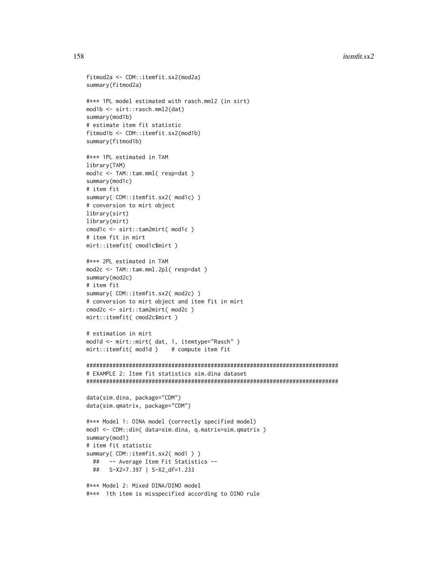158 itemfit.sx2

```
fitmod2a <- CDM::itemfit.sx2(mod2a)
summary(fitmod2a)
#*** 1PL model estimated with rasch.mml2 (in sirt)
mod1b <- sirt::rasch.mml2(dat)
summary(mod1b)
# estimate item fit statistic
fitmod1b <- CDM::itemfit.sx2(mod1b)
summary(fitmod1b)
#*** 1PL estimated in TAM
library(TAM)
mod1c <- TAM::tam.mml( resp=dat )
summary(mod1c)
# item fit
summary( CDM::itemfit.sx2( mod1c) )
# conversion to mirt object
library(sirt)
library(mirt)
cmod1c <- sirt::tam2mirt( mod1c )
# item fit in mirt
mirt::itemfit( cmod1c$mirt )
#*** 2PL estimated in TAM
mod2c <- TAM::tam.mml.2pl( resp=dat )
summary(mod2c)
# item fit
summary( CDM::itemfit.sx2( mod2c) )
# conversion to mirt object and item fit in mirt
cmod2c <- sirt::tam2mirt( mod2c )
mirt::itemfit( cmod2c$mirt )
# estimation in mirt
mod1d <- mirt::mirt( dat, 1, itemtype="Rasch" )
mirt::itemfit( mod1d ) # compute item fit
#############################################################################
# EXAMPLE 2: Item fit statistics sim.dina dataset
#############################################################################
data(sim.dina, package="CDM")
data(sim.qmatrix, package="CDM")
#*** Model 1: DINA model (correctly specified model)
mod1 <- CDM::din( data=sim.dina, q.matrix=sim.qmatrix )
summary(mod1)
# item fit statistic
summary( CDM::itemfit.sx2( mod1 ) )
  ## -- Average Item Fit Statistics --
  ## S-X2=7.397 | S-X2_df=1.233
#*** Model 2: Mixed DINA/DINO model
#*** 1th item is misspecified according to DINO rule
```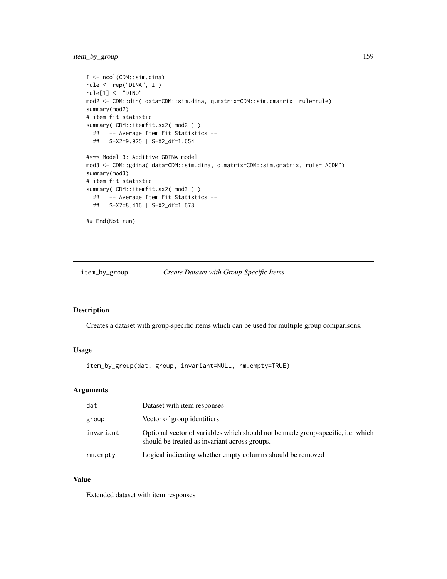```
I <- ncol(CDM::sim.dina)
rule <- rep("DINA", I )
rule[1] <- "DINO"
mod2 <- CDM::din( data=CDM::sim.dina, q.matrix=CDM::sim.qmatrix, rule=rule)
summary(mod2)
# item fit statistic
summary( CDM::itemfit.sx2( mod2 ) )
  ## -- Average Item Fit Statistics --
  ## S-X2=9.925 | S-X2_df=1.654
#*** Model 3: Additive GDINA model
mod3 <- CDM::gdina( data=CDM::sim.dina, q.matrix=CDM::sim.qmatrix, rule="ACDM")
summary(mod3)
# item fit statistic
summary( CDM::itemfit.sx2( mod3 ) )
  ## -- Average Item Fit Statistics --
  ## S-X2=8.416 | S-X2_df=1.678
## End(Not run)
```
item\_by\_group *Create Dataset with Group-Specific Items*

## Description

Creates a dataset with group-specific items which can be used for multiple group comparisons.

# Usage

item\_by\_group(dat, group, invariant=NULL, rm.empty=TRUE)

# Arguments

| dat           | Dataset with item responses                                                                                                       |
|---------------|-----------------------------------------------------------------------------------------------------------------------------------|
| group         | Vector of group identifiers                                                                                                       |
| invariant     | Optional vector of variables which should not be made group-specific, i.e. which<br>should be treated as invariant across groups. |
| $rm.$ $emptv$ | Logical indicating whether empty columns should be removed                                                                        |

# Value

Extended dataset with item responses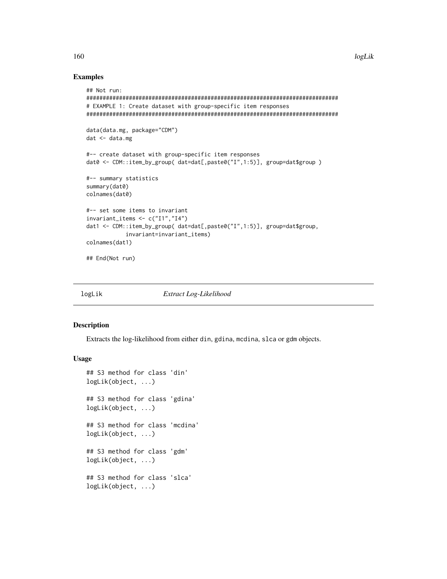## Examples

```
## Not run:
#############################################################################
# EXAMPLE 1: Create dataset with group-specific item responses
#############################################################################
data(data.mg, package="CDM")
dat <- data.mg
#-- create dataset with group-specific item responses
dat0 <- CDM::item_by_group( dat=dat[,paste0("I",1:5)], group=dat$group )
#-- summary statistics
summary(dat0)
colnames(dat0)
#-- set some items to invariant
invariant_items <- c("I1","I4")
dat1 <- CDM::item_by_group( dat=dat[,paste0("I",1:5)], group=dat$group,
            invariant=invariant_items)
colnames(dat1)
## End(Not run)
```
logLik *Extract Log-Likelihood*

## Description

Extracts the log-likelihood from either din, gdina, mcdina, slca or gdm objects.

#### Usage

```
## S3 method for class 'din'
logLik(object, ...)
## S3 method for class 'gdina'
logLik(object, ...)
## S3 method for class 'mcdina'
logLik(object, ...)
## S3 method for class 'gdm'
logLik(object, ...)
## S3 method for class 'slca'
logLik(object, ...)
```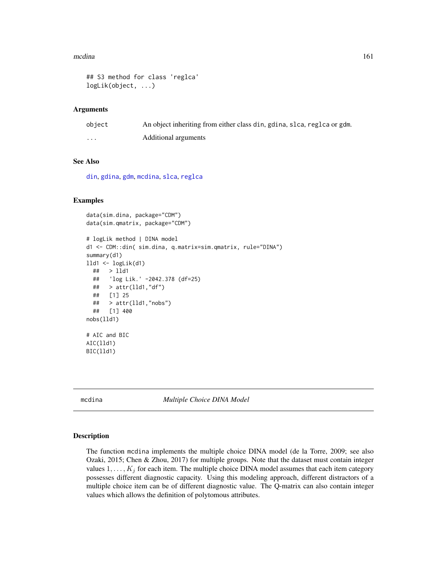#### mcdina 161

```
## S3 method for class 'reglca'
logLik(object, ...)
```
#### Arguments

| object | An object inheriting from either class din, gdina, slca, reglea or gdm. |
|--------|-------------------------------------------------------------------------|
| .      | Additional arguments                                                    |

# See Also

[din](#page-62-0), [gdina](#page-91-0), [gdm](#page-113-0), [mcdina](#page-160-0), [slca](#page-199-0), [reglca](#page-180-0)

#### Examples

```
data(sim.dina, package="CDM")
data(sim.qmatrix, package="CDM")
# logLik method | DINA model
d1 <- CDM::din( sim.dina, q.matrix=sim.qmatrix, rule="DINA")
summary(d1)
lld1 <- logLik(d1)
 ## > lld1
 ## 'log Lik.' -2042.378 (df=25)
 ## > attr(lld1,"df")
 ## [1] 25
 ## > attr(lld1,"nobs")
 ## [1] 400
nobs(lld1)
# AIC and BIC
AIC(lld1)
BIC(lld1)
```
<span id="page-160-0"></span>mcdina *Multiple Choice DINA Model*

#### Description

The function mcdina implements the multiple choice DINA model (de la Torre, 2009; see also Ozaki, 2015; Chen & Zhou, 2017) for multiple groups. Note that the dataset must contain integer values  $1, \ldots, K_j$  for each item. The multiple choice DINA model assumes that each item category possesses different diagnostic capacity. Using this modeling approach, different distractors of a multiple choice item can be of different diagnostic value. The Q-matrix can also contain integer values which allows the definition of polytomous attributes.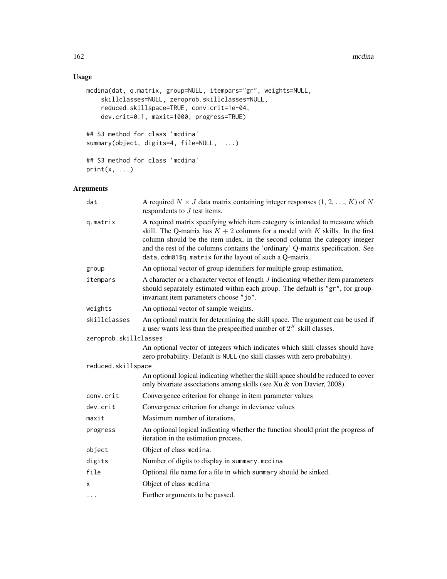# Usage

```
mcdina(dat, q.matrix, group=NULL, itempars="gr", weights=NULL,
   skillclasses=NULL, zeroprob.skillclasses=NULL,
   reduced.skillspace=TRUE, conv.crit=1e-04,
   dev.crit=0.1, maxit=1000, progress=TRUE)
## S3 method for class 'mcdina'
summary(object, digits=4, file=NULL, ...)
## S3 method for class 'mcdina'
print(x, \ldots)
```
# Arguments

| dat                   | A required $N \times J$ data matrix containing integer responses $(1, 2, , K)$ of N<br>respondents to $J$ test items.                                                                                                                                                                                                                                                                        |
|-----------------------|----------------------------------------------------------------------------------------------------------------------------------------------------------------------------------------------------------------------------------------------------------------------------------------------------------------------------------------------------------------------------------------------|
| q.matrix              | A required matrix specifying which item category is intended to measure which<br>skill. The Q-matrix has $K + 2$ columns for a model with K skills. In the first<br>column should be the item index, in the second column the category integer<br>and the rest of the columns contains the 'ordinary' Q-matrix specification. See<br>data.cdm01\$q.matrix for the layout of such a Q-matrix. |
| group                 | An optional vector of group identifiers for multiple group estimation.                                                                                                                                                                                                                                                                                                                       |
| itempars              | A character or a character vector of length $J$ indicating whether item parameters<br>should separately estimated within each group. The default is "gr", for group-<br>invariant item parameters choose "jo".                                                                                                                                                                               |
| weights               | An optional vector of sample weights.                                                                                                                                                                                                                                                                                                                                                        |
| skillclasses          | An optional matrix for determining the skill space. The argument can be used if<br>a user wants less than the prespecified number of $2^K$ skill classes.                                                                                                                                                                                                                                    |
| zeroprob.skillclasses |                                                                                                                                                                                                                                                                                                                                                                                              |
|                       | An optional vector of integers which indicates which skill classes should have<br>zero probability. Default is NULL (no skill classes with zero probability).                                                                                                                                                                                                                                |
| reduced.skillspace    |                                                                                                                                                                                                                                                                                                                                                                                              |
|                       | An optional logical indicating whether the skill space should be reduced to cover<br>only bivariate associations among skills (see Xu & von Davier, 2008).                                                                                                                                                                                                                                   |
| conv.crit             | Convergence criterion for change in item parameter values                                                                                                                                                                                                                                                                                                                                    |
| dev.crit              | Convergence criterion for change in deviance values                                                                                                                                                                                                                                                                                                                                          |
| maxit                 | Maximum number of iterations.                                                                                                                                                                                                                                                                                                                                                                |
| progress              | An optional logical indicating whether the function should print the progress of<br>iteration in the estimation process.                                                                                                                                                                                                                                                                     |
| object                | Object of class mcdina.                                                                                                                                                                                                                                                                                                                                                                      |
| digits                | Number of digits to display in summary.mcdina                                                                                                                                                                                                                                                                                                                                                |
| file                  | Optional file name for a file in which summary should be sinked.                                                                                                                                                                                                                                                                                                                             |
| x                     | Object of class mcdina                                                                                                                                                                                                                                                                                                                                                                       |
| $\cdots$              | Further arguments to be passed.                                                                                                                                                                                                                                                                                                                                                              |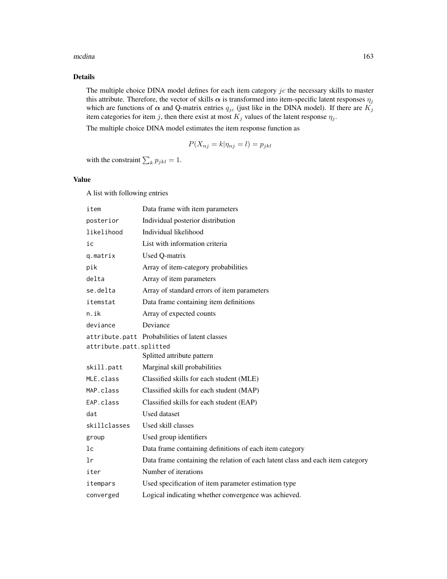#### mcdina and the contract of the contract of the contract of the contract of the contract of the contract of the contract of the contract of the contract of the contract of the contract of the contract of the contract of the

# Details

The multiple choice DINA model defines for each item category  $jc$  the necessary skills to master this attribute. Therefore, the vector of skills  $\alpha$  is transformed into item-specific latent responses  $\eta_i$ which are functions of  $\alpha$  and Q-matrix entries  $q_{jc}$  (just like in the DINA model). If there are  $K_j$ item categories for item j, then there exist at most  $K_j$  values of the latent response  $\eta_j$ .

The multiple choice DINA model estimates the item response function as

$$
P(X_{nj} = k | \eta_{nj} = l) = p_{jkl}
$$

with the constraint  $\sum_k p_{jkl} = 1$ .

## Value

A list with following entries

| item                    | Data frame with item parameters                                                |
|-------------------------|--------------------------------------------------------------------------------|
| posterior               | Individual posterior distribution                                              |
| likelihood              | Individual likelihood                                                          |
| ic                      | List with information criteria                                                 |
| q.matrix                | Used Q-matrix                                                                  |
| pik                     | Array of item-category probabilities                                           |
| delta                   | Array of item parameters                                                       |
| se.delta                | Array of standard errors of item parameters                                    |
| itemstat                | Data frame containing item definitions                                         |
| $n.$ ik                 | Array of expected counts                                                       |
| deviance                | Deviance                                                                       |
|                         | attribute.patt Probabilities of latent classes                                 |
| attribute.patt.splitted |                                                                                |
|                         | Splitted attribute pattern                                                     |
| skill.patt              | Marginal skill probabilities                                                   |
| MLE.class               | Classified skills for each student (MLE)                                       |
| MAP.class               | Classified skills for each student (MAP)                                       |
| EAP.class               | Classified skills for each student (EAP)                                       |
| dat                     | Used dataset                                                                   |
| skillclasses            | Used skill classes                                                             |
| group                   | Used group identifiers                                                         |
| 1 <sub>c</sub>          | Data frame containing definitions of each item category                        |
| 1r                      | Data frame containing the relation of each latent class and each item category |
| iter                    | Number of iterations                                                           |
| itempars                | Used specification of item parameter estimation type                           |
| converged               | Logical indicating whether convergence was achieved.                           |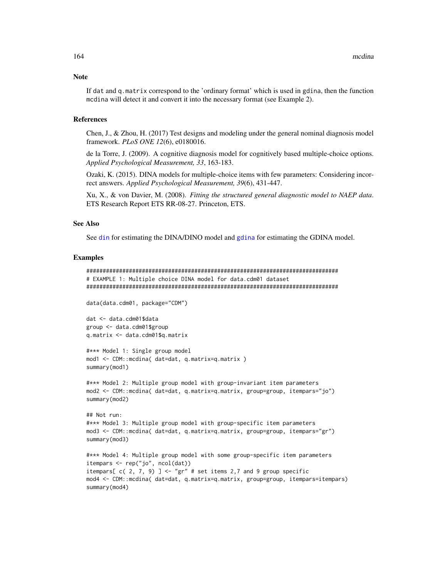If dat and q.matrix correspond to the 'ordinary format' which is used in gdina, then the function mcdina will detect it and convert it into the necessary format (see Example 2).

## References

Chen, J., & Zhou, H. (2017) Test designs and modeling under the general nominal diagnosis model framework. *PLoS ONE 12*(6), e0180016.

de la Torre, J. (2009). A cognitive diagnosis model for cognitively based multiple-choice options. *Applied Psychological Measurement, 33*, 163-183.

Ozaki, K. (2015). DINA models for multiple-choice items with few parameters: Considering incorrect answers. *Applied Psychological Measurement, 39*(6), 431-447.

Xu, X., & von Davier, M. (2008). *Fitting the structured general diagnostic model to NAEP data*. ETS Research Report ETS RR-08-27. Princeton, ETS.

### See Also

See [din](#page-62-0) for estimating the DINA/DINO model and [gdina](#page-91-0) for estimating the GDINA model.

```
#############################################################################
# EXAMPLE 1: Multiple choice DINA model for data.cdm01 dataset
#############################################################################
data(data.cdm01, package="CDM")
dat <- data.cdm01$data
group <- data.cdm01$group
q.matrix <- data.cdm01$q.matrix
#*** Model 1: Single group model
mod1 <- CDM::mcdina( dat=dat, q.matrix=q.matrix )
summary(mod1)
#*** Model 2: Multiple group model with group-invariant item parameters
mod2 <- CDM::mcdina( dat=dat, q.matrix=q.matrix, group=group, itempars="jo")
summary(mod2)
## Not run:
#*** Model 3: Multiple group model with group-specific item parameters
mod3 <- CDM::mcdina( dat=dat, q.matrix=q.matrix, group=group, itempars="gr")
summary(mod3)
#*** Model 4: Multiple group model with some group-specific item parameters
itempars <- rep("jo", ncol(dat))
itempars[c(2, 7, 9)] <- "gr" # set items 2,7 and 9 group specific
mod4 <- CDM::mcdina( dat=dat, q.matrix=q.matrix, group=group, itempars=itempars)
summary(mod4)
```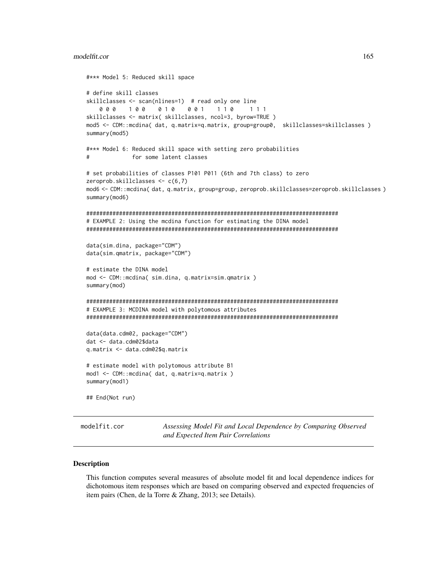```
#*** Model 5: Reduced skill space
# define skill classes
skillclasses <- scan(nlines=1) # read only one line
    0 0 0 1 0 0 0 1 0 0 0 1 1 1 0 1 1 1
skillclasses <- matrix( skillclasses, ncol=3, byrow=TRUE )
mod5 <- CDM::mcdina( dat, q.matrix=q.matrix, group=group0, skillclasses=skillclasses )
summary(mod5)
#*** Model 6: Reduced skill space with setting zero probabilities
# for some latent classes
# set probabilities of classes P101 P011 (6th and 7th class) to zero
zeroprob.skillclasses <- c(6,7)
mod6 <- CDM::mcdina( dat, q.matrix, group=group, zeroprob.skillclasses=zeroprob.skillclasses )
summary(mod6)
#############################################################################
# EXAMPLE 2: Using the mcdina function for estimating the DINA model
#############################################################################
data(sim.dina, package="CDM")
data(sim.qmatrix, package="CDM")
# estimate the DINA model
mod <- CDM::mcdina( sim.dina, q.matrix=sim.qmatrix )
summary(mod)
#############################################################################
# EXAMPLE 3: MCDINA model with polytomous attributes
#############################################################################
data(data.cdm02, package="CDM")
dat <- data.cdm02$data
q.matrix <- data.cdm02$q.matrix
# estimate model with polytomous attribute B1
mod1 <- CDM::mcdina( dat, q.matrix=q.matrix )
summary(mod1)
## End(Not run)
```
modelfit.cor *Assessing Model Fit and Local Dependence by Comparing Observed and Expected Item Pair Correlations*

#### <span id="page-164-0"></span>Description

This function computes several measures of absolute model fit and local dependence indices for dichotomous item responses which are based on comparing observed and expected frequencies of item pairs (Chen, de la Torre & Zhang, 2013; see Details).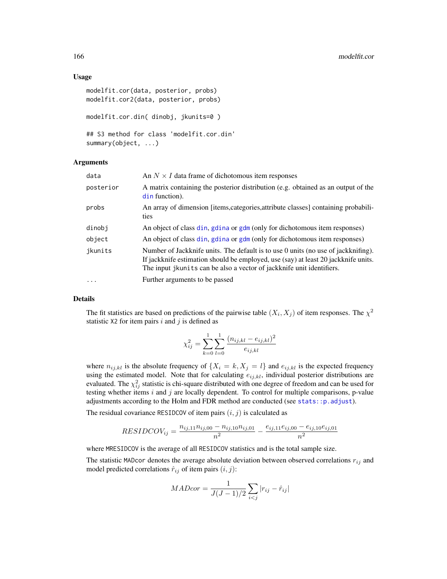### Usage

```
modelfit.cor(data, posterior, probs)
modelfit.cor2(data, posterior, probs)
modelfit.cor.din( dinobj, jkunits=0 )
## S3 method for class 'modelfit.cor.din'
summary(object, ...)
```
## Arguments

| data      | An $N \times I$ data frame of dichotomous item responses                                                                                                                                                                                         |
|-----------|--------------------------------------------------------------------------------------------------------------------------------------------------------------------------------------------------------------------------------------------------|
| posterior | A matrix containing the posterior distribution (e.g. obtained as an output of the<br>din function).                                                                                                                                              |
| probs     | An array of dimension [items, categories, attribute classes] containing probabili-<br>ties                                                                                                                                                       |
| dinobj    | An object of class din, gdina or gdm (only for dichotomous item responses)                                                                                                                                                                       |
| object    | An object of class din, gdina or gdm (only for dichotomous item responses)                                                                                                                                                                       |
| jkunits   | Number of Jackknife units. The default is to use 0 units (no use of jackknifing).<br>If jackknife estimation should be employed, use (say) at least 20 jackknife units.<br>The input jkunits can be also a vector of jackknife unit identifiers. |
| $\cdots$  | Further arguments to be passed                                                                                                                                                                                                                   |

#### Details

The fit statistics are based on predictions of the pairwise table  $(X_i, X_j)$  of item responses. The  $\chi^2$ statistic X2 for item pairs  $i$  and  $j$  is defined as

$$
\chi_{ij}^2 = \sum_{k=0}^{1} \sum_{l=0}^{1} \frac{(n_{ij,kl} - e_{ij,kl})^2}{e_{ij,kl}}
$$

where  $n_{ij,kl}$  is the absolute frequency of  $\{X_i = k, X_j = l\}$  and  $e_{ij,kl}$  is the expected frequency using the estimated model. Note that for calculating  $e_{ij,kl}$ , individual posterior distributions are evaluated. The  $\chi_{ij}^2$  statistic is chi-square distributed with one degree of freedom and can be used for testing whether items  $i$  and  $j$  are locally dependent. To control for multiple comparisons, p-value adjustments according to the Holm and FDR method are conducted (see [stats::p.adjust](#page-0-0)).

The residual covariance RESIDCOV of item pairs  $(i, j)$  is calculated as

$$
RESIDCOV_{ij} = \frac{n_{ij,11}n_{ij,00} - n_{ij,10}n_{ij,01}}{n^2} - \frac{e_{ij,11}e_{ij,00} - e_{ij,10}e_{ij,01}}{n^2}
$$

where MRESIDCOV is the average of all RESIDCOV statistics and is the total sample size.

The statistic MADcor denotes the average absolute deviation between observed correlations  $r_{ij}$  and model predicted correlations  $\hat{r}_{ij}$  of item pairs  $(i, j)$ :

$$
MADcor = \frac{1}{J(J-1)/2} \sum_{i < j} |r_{ij} - \hat{r}_{ij}|
$$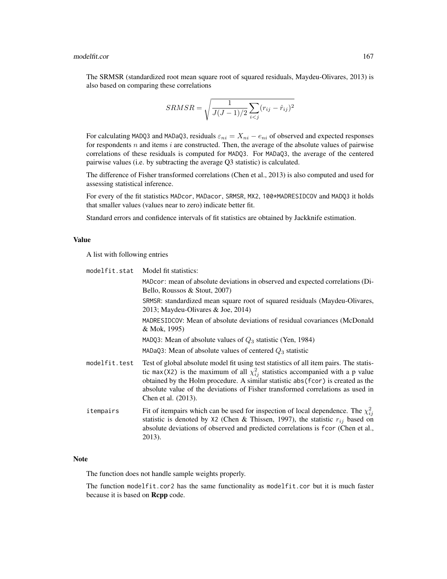The SRMSR (standardized root mean square root of squared residuals, Maydeu-Olivares, 2013) is also based on comparing these correlations

$$
SRMSR = \sqrt{\frac{1}{J(J-1)/2} \sum_{i < j} (r_{ij} - \hat{r}_{ij})^2}
$$

For calculating MADQ3 and MADaQ3, residuals  $\varepsilon_{ni} = X_{ni} - e_{ni}$  of observed and expected responses for respondents  $n$  and items  $i$  are constructed. Then, the average of the absolute values of pairwise correlations of these residuals is computed for MADQ3. For MADaQ3, the average of the centered pairwise values (i.e. by subtracting the average Q3 statistic) is calculated.

The difference of Fisher transformed correlations (Chen et al., 2013) is also computed and used for assessing statistical inference.

For every of the fit statistics MADcor, MADacor, SRMSR, MX2, 100\*MADRESIDCOV and MADQ3 it holds that smaller values (values near to zero) indicate better fit.

Standard errors and confidence intervals of fit statistics are obtained by Jackknife estimation.

# Value

A list with following entries

| modelfit.stat | Model fit statistics:                                                                                                                                                                                                                                                                                                                                                        |
|---------------|------------------------------------------------------------------------------------------------------------------------------------------------------------------------------------------------------------------------------------------------------------------------------------------------------------------------------------------------------------------------------|
|               | MADcor: mean of absolute deviations in observed and expected correlations (Di-<br>Bello, Roussos & Stout, $2007$ )                                                                                                                                                                                                                                                           |
|               | SRMSR: standardized mean square root of squared residuals (Maydeu-Olivares,<br>2013; Maydeu-Olivares $&$ Joe, 2014)                                                                                                                                                                                                                                                          |
|               | MADRESIDCOV: Mean of absolute deviations of residual covariances (McDonald<br>& Mok, 1995)                                                                                                                                                                                                                                                                                   |
|               | MADQ3: Mean of absolute values of $Q_3$ statistic (Yen, 1984)                                                                                                                                                                                                                                                                                                                |
|               | MADaQ3: Mean of absolute values of centered $Q_3$ statistic                                                                                                                                                                                                                                                                                                                  |
| modelfit.test | Test of global absolute model fit using test statistics of all item pairs. The statis-<br>tic max(X2) is the maximum of all $\chi_{ii}^2$ statistics accompanied with a p value<br>obtained by the Holm procedure. A similar statistic abs (fcor) is created as the<br>absolute value of the deviations of Fisher transformed correlations as used in<br>Chen et al. (2013). |
| itempairs     | Fit of itempairs which can be used for inspection of local dependence. The $\chi_{ij}^2$<br>statistic is denoted by $X2$ (Chen & Thissen, 1997), the statistic $r_{ij}$ based on<br>absolute deviations of observed and predicted correlations is fcor (Chen et al.,<br>2013).                                                                                               |

## Note

The function does not handle sample weights properly.

The function modelfit.cor2 has the same functionality as modelfit.cor but it is much faster because it is based on Rcpp code.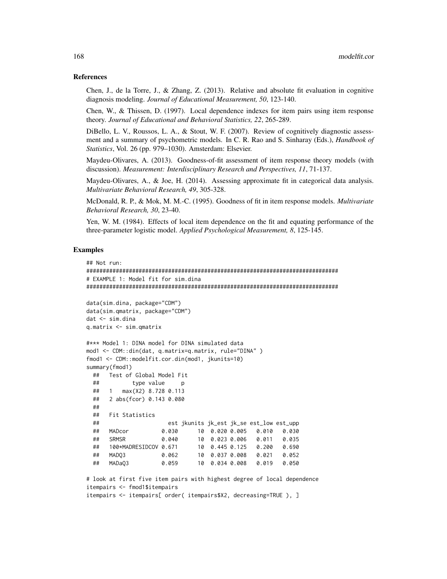## References

Chen, J., de la Torre, J., & Zhang, Z. (2013). Relative and absolute fit evaluation in cognitive diagnosis modeling. *Journal of Educational Measurement, 50*, 123-140.

Chen, W., & Thissen, D. (1997). Local dependence indexes for item pairs using item response theory. *Journal of Educational and Behavioral Statistics, 22*, 265-289.

DiBello, L. V., Roussos, L. A., & Stout, W. F. (2007). Review of cognitively diagnostic assessment and a summary of psychometric models. In C. R. Rao and S. Sinharay (Eds.), *Handbook of Statistics*, Vol. 26 (pp. 979–1030). Amsterdam: Elsevier.

Maydeu-Olivares, A. (2013). Goodness-of-fit assessment of item response theory models (with discussion). *Measurement: Interdisciplinary Research and Perspectives, 11*, 71-137.

Maydeu-Olivares, A., & Joe, H. (2014). Assessing approximate fit in categorical data analysis. *Multivariate Behavioral Research, 49*, 305-328.

McDonald, R. P., & Mok, M. M.-C. (1995). Goodness of fit in item response models. *Multivariate Behavioral Research, 30*, 23-40.

Yen, W. M. (1984). Effects of local item dependence on the fit and equating performance of the three-parameter logistic model. *Applied Psychological Measurement, 8*, 125-145.

```
## Not run:
#############################################################################
# EXAMPLE 1: Model fit for sim.dina
#############################################################################
data(sim.dina, package="CDM")
data(sim.qmatrix, package="CDM")
dat <- sim.dina
q.matrix <- sim.qmatrix
#*** Model 1: DINA model for DINA simulated data
mod1 <- CDM::din(dat, q.matrix=q.matrix, rule="DINA" )
fmod1 <- CDM::modelfit.cor.din(mod1, jkunits=10)
summary(fmod1)
 ## Test of Global Model Fit
 ## type value p
 ## 1 max(X2) 8.728 0.113
 ## 2 abs(fcor) 0.143 0.080
 ##
 ## Fit Statistics
 ## est jkunits jk_est jk_se est_low est_upp
 ## MADcor 0.030 10 0.020 0.005 0.010 0.030
 ## SRMSR 0.040 10 0.023 0.006 0.011 0.035
 ## 100*MADRESIDCOV 0.671 10 0.445 0.125 0.200 0.690
 ## MADQ3 0.062 10 0.037 0.008 0.021 0.052
 ## MADaQ3 0.059 10 0.034 0.008 0.019 0.050
# look at first five item pairs with highest degree of local dependence
itempairs <- fmod1$itempairs
itempairs <- itempairs[ order( itempairs$X2, decreasing=TRUE ), ]
```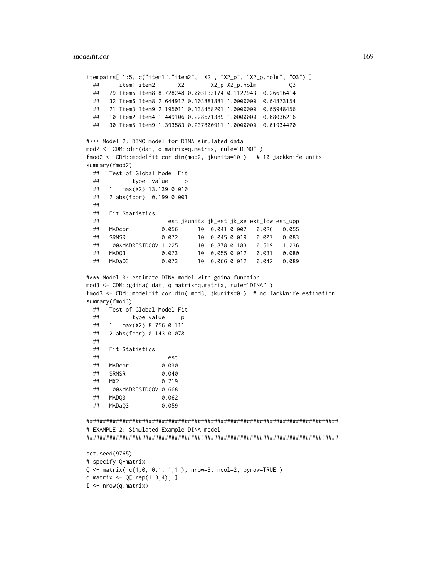```
itempairs[ 1:5, c("item1","item2", "X2", "X2_p", "X2_p.holm", "Q3") ]
 ## item1 item2 X2 X2_p X2_p.holm Q3
 ## 29 Item5 Item8 8.728248 0.003133174 0.1127943 -0.26616414
 ## 32 Item6 Item8 2.644912 0.103881881 1.0000000 0.04873154
 ## 21 Item3 Item9 2.195011 0.138458201 1.0000000 0.05948456
 ## 10 Item2 Item4 1.449106 0.228671389 1.0000000 -0.08036216
 ## 30 Item5 Item9 1.393583 0.237800911 1.0000000 -0.01934420
#*** Model 2: DINO model for DINA simulated data
mod2 <- CDM::din(dat, q.matrix=q.matrix, rule="DINO" )
fmod2 <- CDM::modelfit.cor.din(mod2, jkunits=10 ) # 10 jackknife units
summary(fmod2)
 ## Test of Global Model Fit
 ## type value p
 ## 1 max(X2) 13.139 0.010
 ## 2 abs(fcor) 0.199 0.001
 ##
 ## Fit Statistics
 ## est jkunits jk_est jk_se est_low est_upp
 ## MADcor 0.056 10 0.041 0.007 0.026 0.055
 ## SRMSR 0.072 10 0.045 0.019 0.007 0.083
 ## 100*MADRESIDCOV 1.225 10 0.878 0.183 0.519 1.236
 ## MADQ3 0.073 10 0.055 0.012 0.031 0.080
 ## MADaQ3 0.073 10 0.066 0.012 0.042 0.089
#*** Model 3: estimate DINA model with gdina function
mod3 <- CDM::gdina( dat, q.matrix=q.matrix, rule="DINA" )
fmod3 <- CDM::modelfit.cor.din( mod3, jkunits=0 ) # no Jackknife estimation
summary(fmod3)
 ## Test of Global Model Fit
 ## type value p
 ## 1 max(X2) 8.756 0.111
 ## 2 abs(fcor) 0.143 0.078
 ##
 ## Fit Statistics
  ## est
 ## MADcor 0.030
 ## SRMSR 0.040
 ## MX2 0.719
 ## 100*MADRESIDCOV 0.668
 ## MADQ3 0.062
 ## MADaQ3 0.059
#############################################################################
# EXAMPLE 2: Simulated Example DINA model
#############################################################################
set.seed(9765)
# specify Q-matrix
Q \le - matrix( c(1, 0, 0, 1, 1, 1), nrow=3, ncol=2, byrow=TRUE )
q.matrix \leq Q[ rep(1:3,4), ]
I <- nrow(q.matrix)
```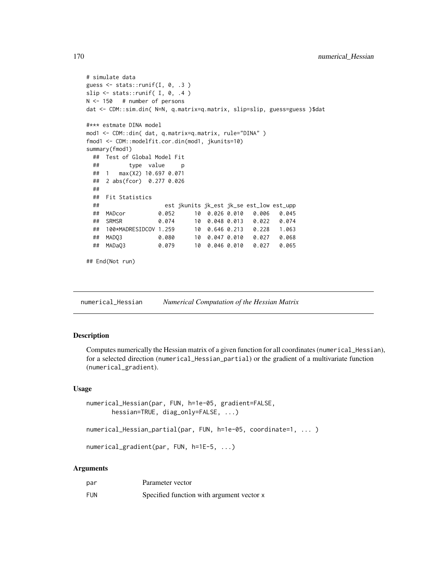```
# simulate data
guess \leq stats::runif(I, 0, .3)
slip \le stats::runif( I, 0, .4 )
N <- 150 # number of persons
dat <- CDM::sim.din( N=N, q.matrix=q.matrix, slip=slip, guess=guess )$dat
#*** estmate DINA model
mod1 <- CDM::din( dat, q.matrix=q.matrix, rule="DINA" )
fmod1 <- CDM::modelfit.cor.din(mod1, jkunits=10)
summary(fmod1)
 ## Test of Global Model Fit
 ## type value p
 ## 1 max(X2) 10.697 0.071
 ## 2 abs(fcor) 0.277 0.026
 ##
 ## Fit Statistics
 ## est jkunits jk_est jk_se est_low est_upp
 ## MADcor 0.052 10 0.026 0.010 0.006 0.045
 ## SRMSR 0.074 10 0.048 0.013 0.022 0.074
 ## 100*MADRESIDCOV 1.259 10 0.646 0.213 0.228 1.063
 ## MADQ3 0.080 10 0.047 0.010 0.027 0.068
 ## MADaQ3 0.079 10 0.046 0.010 0.027 0.065
## End(Not run)
```
numerical\_Hessian *Numerical Computation of the Hessian Matrix*

## **Description**

Computes numerically the Hessian matrix of a given function for all coordinates (numerical\_Hessian), for a selected direction (numerical\_Hessian\_partial) or the gradient of a multivariate function (numerical\_gradient).

## Usage

```
numerical_Hessian(par, FUN, h=1e-05, gradient=FALSE,
       hessian=TRUE, diag_only=FALSE, ...)
numerical_Hessian_partial(par, FUN, h=1e-05, coordinate=1, ... )
numerical_gradient(par, FUN, h=1E-5, ...)
```
## Arguments

| par        | Parameter vector                          |
|------------|-------------------------------------------|
| <b>FUN</b> | Specified function with argument vector x |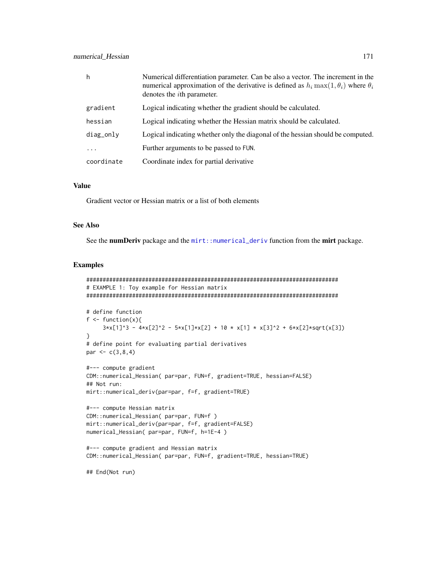| h           | Numerical differentiation parameter. Can be also a vector. The increment in the<br>numerical approximation of the derivative is defined as $h_i \max(1, \theta_i)$ where $\theta_i$<br>denotes the <i>i</i> th parameter. |
|-------------|---------------------------------------------------------------------------------------------------------------------------------------------------------------------------------------------------------------------------|
| gradient    | Logical indicating whether the gradient should be calculated.                                                                                                                                                             |
| hessian     | Logical indicating whether the Hessian matrix should be calculated.                                                                                                                                                       |
| $diag_$ nly | Logical indicating whether only the diagonal of the hessian should be computed.                                                                                                                                           |
|             | Further arguments to be passed to FUN.                                                                                                                                                                                    |
| coordinate  | Coordinate index for partial derivative                                                                                                                                                                                   |

## Value

Gradient vector or Hessian matrix or a list of both elements

# See Also

See the numDeriv package and the [mirt::numerical\\_deriv](#page-0-0) function from the mirt package.

```
#############################################################################
# EXAMPLE 1: Toy example for Hessian matrix
#############################################################################
# define function
f \leftarrow function(x){
     3*x[1]^3 - 4*x[2]^2 - 5*x[1]*x[2] + 10 * x[1] * x[3]^2 + 6*x[2]*sqrt(x[3])}
# define point for evaluating partial derivatives
par <-c(3,8,4)#--- compute gradient
CDM::numerical_Hessian( par=par, FUN=f, gradient=TRUE, hessian=FALSE)
## Not run:
mirt::numerical_deriv(par=par, f=f, gradient=TRUE)
#--- compute Hessian matrix
CDM::numerical_Hessian( par=par, FUN=f )
mirt::numerical_deriv(par=par, f=f, gradient=FALSE)
numerical_Hessian( par=par, FUN=f, h=1E-4 )
#--- compute gradient and Hessian matrix
CDM::numerical_Hessian( par=par, FUN=f, gradient=TRUE, hessian=TRUE)
## End(Not run)
```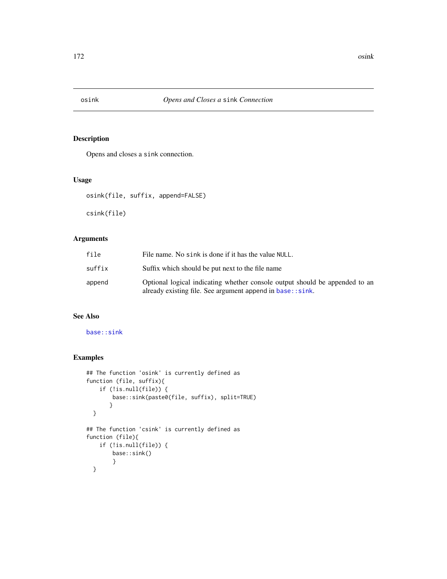# Description

Opens and closes a sink connection.

## Usage

osink(file, suffix, append=FALSE)

csink(file)

# Arguments

| file   | File name. No sink is done if it has the value NULL.                                                                                     |
|--------|------------------------------------------------------------------------------------------------------------------------------------------|
| suffix | Suffix which should be put next to the file name                                                                                         |
| append | Optional logical indicating whether console output should be appended to an<br>already existing file. See argument append in base::sink. |

# See Also

[base::sink](#page-0-0)

```
## The function 'osink' is currently defined as
function (file, suffix){
    if (!is.null(file)) {
       base::sink(paste0(file, suffix), split=TRUE)
      }
 }
## The function 'csink' is currently defined as
function (file){
   if (!is.null(file)) {
       base::sink()
       }
 }
```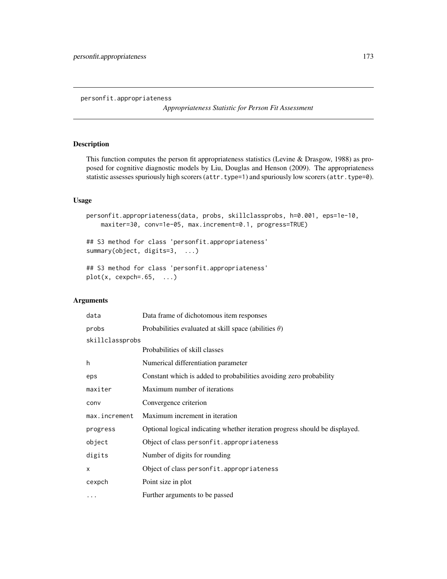personfit.appropriateness

*Appropriateness Statistic for Person Fit Assessment*

# Description

This function computes the person fit appropriateness statistics (Levine & Drasgow, 1988) as proposed for cognitive diagnostic models by Liu, Douglas and Henson (2009). The appropriateness statistic assesses spuriously high scorers (attr.type=1) and spuriously low scorers (attr.type=0).

# Usage

```
personfit.appropriateness(data, probs, skillclassprobs, h=0.001, eps=1e-10,
   maxiter=30, conv=1e-05, max.increment=0.1, progress=TRUE)
```
## S3 method for class 'personfit.appropriateness' summary(object, digits=3, ...)

```
## S3 method for class 'personfit.appropriateness'
plot(x, cexpch=.65, ...)
```
## Arguments

| data            | Data frame of dichotomous item responses                                    |  |
|-----------------|-----------------------------------------------------------------------------|--|
| probs           | Probabilities evaluated at skill space (abilities $\theta$ )                |  |
| skillclassprobs |                                                                             |  |
|                 | Probabilities of skill classes                                              |  |
| h               | Numerical differentiation parameter                                         |  |
| eps             | Constant which is added to probabilities avoiding zero probability          |  |
| maxiter         | Maximum number of iterations                                                |  |
| conv            | Convergence criterion                                                       |  |
| max.increment   | Maximum increment in iteration                                              |  |
| progress        | Optional logical indicating whether iteration progress should be displayed. |  |
| object          | Object of class personfit.appropriateness                                   |  |
| digits          | Number of digits for rounding                                               |  |
| X               | Object of class personfit. appropriateness                                  |  |
| cexpch          | Point size in plot                                                          |  |
| $\cdots$        | Further arguments to be passed                                              |  |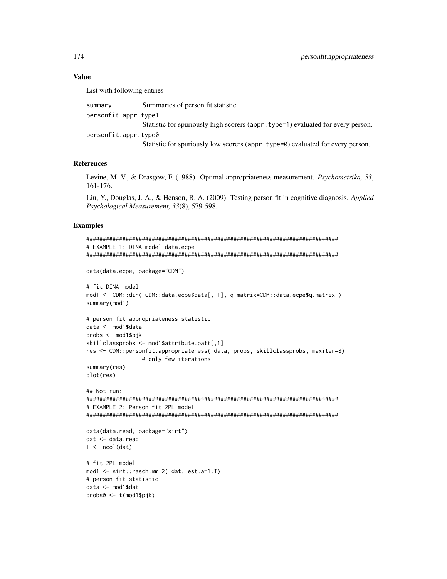## Value

List with following entries

| summary              | Summaries of person fit statistic                                                |
|----------------------|----------------------------------------------------------------------------------|
| personfit.appr.type1 |                                                                                  |
|                      | Statistic for spuriously high scorers (appr. type=1) evaluated for every person. |
| personfit.appr.type0 |                                                                                  |
|                      | Statistic for spuriously low scorers (appr. type=0) evaluated for every person.  |

## References

Levine, M. V., & Drasgow, F. (1988). Optimal appropriateness measurement. *Psychometrika, 53*, 161-176.

Liu, Y., Douglas, J. A., & Henson, R. A. (2009). Testing person fit in cognitive diagnosis. *Applied Psychological Measurement, 33*(8), 579-598.

```
#############################################################################
# EXAMPLE 1: DINA model data.ecpe
#############################################################################
data(data.ecpe, package="CDM")
# fit DINA model
mod1 <- CDM::din( CDM::data.ecpe$data[,-1], q.matrix=CDM::data.ecpe$q.matrix )
summary(mod1)
# person fit appropriateness statistic
data <- mod1$data
probs <- mod1$pjk
skillclassprobs <- mod1$attribute.patt[,1]
res <- CDM::personfit.appropriateness( data, probs, skillclassprobs, maxiter=8)
                 # only few iterations
summary(res)
plot(res)
## Not run:
#############################################################################
# EXAMPLE 2: Person fit 2PL model
#############################################################################
data(data.read, package="sirt")
dat <- data.read
I \leftarrow \text{ncol}(\text{dat})# fit 2PL model
mod1 <- sirt::rasch.mml2( dat, est.a=1:I)
# person fit statistic
data <- mod1$dat
probs0 <- t(mod1$pjk)
```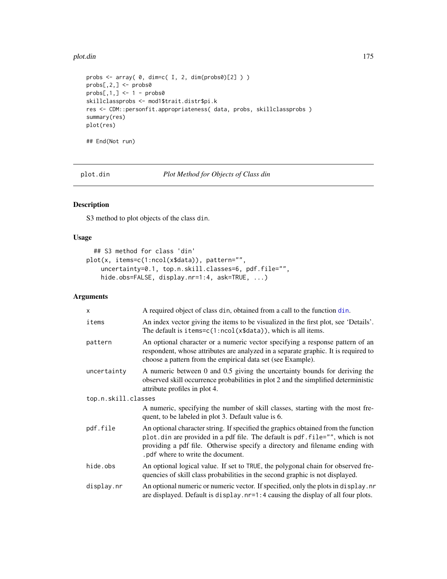## plot.din 175

```
probs \leq array( \theta, dim=c( I, 2, dim(probs\theta)[2] ) )
probs[,2,] <- probs0
probs[,1,] <- 1 - probs0
skillclassprobs <- mod1$trait.distr$pi.k
res <- CDM::personfit.appropriateness( data, probs, skillclassprobs )
summary(res)
plot(res)
## End(Not run)
```
plot.din *Plot Method for Objects of Class din*

# Description

S3 method to plot objects of the class din.

# Usage

```
## S3 method for class 'din'
plot(x, items=c(1:ncol(x$data)), pattern="",
   uncertainty=0.1, top.n.skill.classes=6, pdf.file="",
   hide.obs=FALSE, display.nr=1:4, ask=TRUE, ...)
```
# Arguments

| X                   | A required object of class din, obtained from a call to the function din.                                                                                                                                                                                                                 |
|---------------------|-------------------------------------------------------------------------------------------------------------------------------------------------------------------------------------------------------------------------------------------------------------------------------------------|
| items               | An index vector giving the items to be visualized in the first plot, see 'Details'.<br>The default is $items=c(1:ncol(x$data))$ , which is all items.                                                                                                                                     |
| pattern             | An optional character or a numeric vector specifying a response pattern of an<br>respondent, whose attributes are analyzed in a separate graphic. It is required to<br>choose a pattern from the empirical data set (see Example).                                                        |
| uncertainty         | A numeric between 0 and 0.5 giving the uncertainty bounds for deriving the<br>observed skill occurrence probabilities in plot 2 and the simplified deterministic<br>attribute profiles in plot 4.                                                                                         |
| top.n.skill.classes |                                                                                                                                                                                                                                                                                           |
|                     | A numeric, specifying the number of skill classes, starting with the most fre-<br>quent, to be labeled in plot 3. Default value is 6.                                                                                                                                                     |
| pdf.file            | An optional character string. If specified the graphics obtained from the function<br>plot.din are provided in a pdf file. The default is pdf.file="", which is not<br>providing a pdf file. Otherwise specify a directory and filename ending with<br>. pdf where to write the document. |
| hide.obs            | An optional logical value. If set to TRUE, the polygonal chain for observed fre-<br>quencies of skill class probabilities in the second graphic is not displayed.                                                                                                                         |
| display.nr          | An optional numeric or numeric vector. If specified, only the plots in display.nr<br>are displayed. Default is display. nr=1:4 causing the display of all four plots.                                                                                                                     |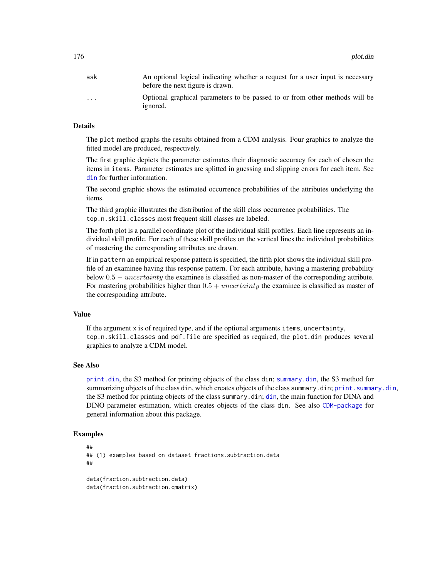| ask                     | An optional logical indicating whether a request for a user input is necessary<br>before the next figure is drawn. |
|-------------------------|--------------------------------------------------------------------------------------------------------------------|
| $\cdot$ $\cdot$ $\cdot$ | Optional graphical parameters to be passed to or from other methods will be<br>ignored.                            |

## Details

The plot method graphs the results obtained from a CDM analysis. Four graphics to analyze the fitted model are produced, respectively.

The first graphic depicts the parameter estimates their diagnostic accuracy for each of chosen the items in items. Parameter estimates are splitted in guessing and slipping errors for each item. See [din](#page-62-0) for further information.

The second graphic shows the estimated occurrence probabilities of the attributes underlying the items.

The third graphic illustrates the distribution of the skill class occurrence probabilities. The top.n.skill.classes most frequent skill classes are labeled.

The forth plot is a parallel coordinate plot of the individual skill profiles. Each line represents an individual skill profile. For each of these skill profiles on the vertical lines the individual probabilities of mastering the corresponding attributes are drawn.

If in pattern an empirical response pattern is specified, the fifth plot shows the individual skill profile of an examinee having this response pattern. For each attribute, having a mastering probability below  $0.5 - uncertainty$  the examinee is classified as non-master of the corresponding attribute. For mastering probabilities higher than  $0.5 + uncertainty$  the examinee is classified as master of the corresponding attribute.

## Value

If the argument x is of required type, and if the optional arguments items, uncertainty, top.n.skill.classes and pdf.file are specified as required, the plot.din produces several graphics to analyze a CDM model.

## See Also

[print.din](#page-62-1), the S3 method for printing objects of the class din; [summary.din](#page-213-0), the S3 method for summarizing objects of the class din, which creates objects of the class summary.din; print. summary.din, the S3 method for printing objects of the class summary.din; [din](#page-62-0), the main function for DINA and DINO parameter estimation, which creates objects of the class din. See also [CDM-package](#page-3-0) for general information about this package.

```
##
## (1) examples based on dataset fractions.subtraction.data
##
data(fraction.subtraction.data)
data(fraction.subtraction.qmatrix)
```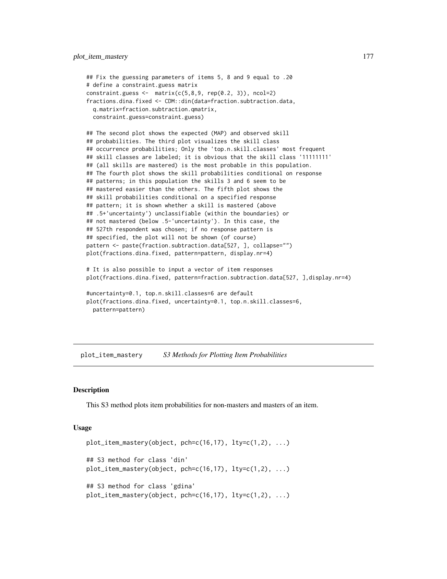```
## Fix the guessing parameters of items 5, 8 and 9 equal to .20
# define a constraint.guess matrix
constraint.guess <- matrix(c(5,8,9, rep(0.2, 3)), ncol=2)fractions.dina.fixed <- CDM::din(data=fraction.subtraction.data,
 q.matrix=fraction.subtraction.qmatrix,
 constraint.guess=constraint.guess)
## The second plot shows the expected (MAP) and observed skill
## probabilities. The third plot visualizes the skill class
## occurrence probabilities; Only the 'top.n.skill.classes' most frequent
## skill classes are labeled; it is obvious that the skill class '11111111'
## (all skills are mastered) is the most probable in this population.
## The fourth plot shows the skill probabilities conditional on response
## patterns; in this population the skills 3 and 6 seem to be
## mastered easier than the others. The fifth plot shows the
## skill probabilities conditional on a specified response
## pattern; it is shown whether a skill is mastered (above
## .5+'uncertainty') unclassifiable (within the boundaries) or
## not mastered (below .5-'uncertainty'). In this case, the
## 527th respondent was chosen; if no response pattern is
## specified, the plot will not be shown (of course)
pattern <- paste(fraction.subtraction.data[527, ], collapse="")
plot(fractions.dina.fixed, pattern=pattern, display.nr=4)
# It is also possible to input a vector of item responses
plot(fractions.dina.fixed, pattern=fraction.subtraction.data[527, ],display.nr=4)
#uncertainty=0.1, top.n.skill.classes=6 are default
plot(fractions.dina.fixed, uncertainty=0.1, top.n.skill.classes=6,
 pattern=pattern)
```
plot\_item\_mastery *S3 Methods for Plotting Item Probabilities*

## Description

This S3 method plots item probabilities for non-masters and masters of an item.

#### Usage

```
plot_item_mastery(object, pch=c(16,17), lty=c(1,2), ...)
## S3 method for class 'din'
plot\_item\_mastery(object, pch=c(16,17), lty=c(1,2), ...)## S3 method for class 'gdina'
plot_item_mastery(object, pch=c(16,17), lty=c(1,2), ...)
```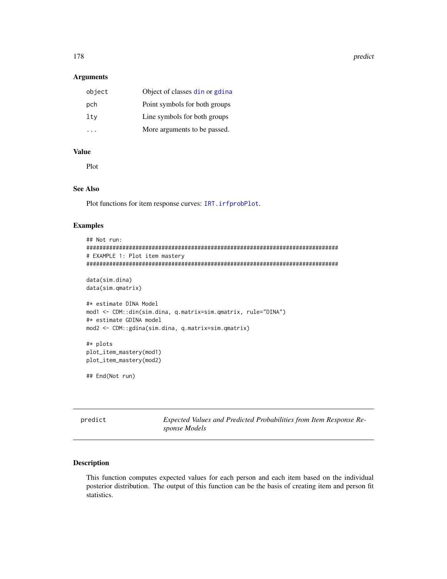178 **predict** 

#### Arguments

| object | Object of classes din or gdina |
|--------|--------------------------------|
| pch    | Point symbols for both groups  |
| lty    | Line symbols for both groups   |
|        | More arguments to be passed.   |

## Value

Plot

# See Also

Plot functions for item response curves: [IRT.irfprobPlot](#page-138-0).

# Examples

```
## Not run:
#############################################################################
# EXAMPLE 1: Plot item mastery
#############################################################################
data(sim.dina)
data(sim.qmatrix)
#* estimate DINA Model
mod1 <- CDM::din(sim.dina, q.matrix=sim.qmatrix, rule="DINA")
#* estimate GDINA model
mod2 <- CDM::gdina(sim.dina, q.matrix=sim.qmatrix)
#* plots
plot_item_mastery(mod1)
plot_item_mastery(mod2)
## End(Not run)
```
predict *Expected Values and Predicted Probabilities from Item Response Response Models*

# Description

This function computes expected values for each person and each item based on the individual posterior distribution. The output of this function can be the basis of creating item and person fit statistics.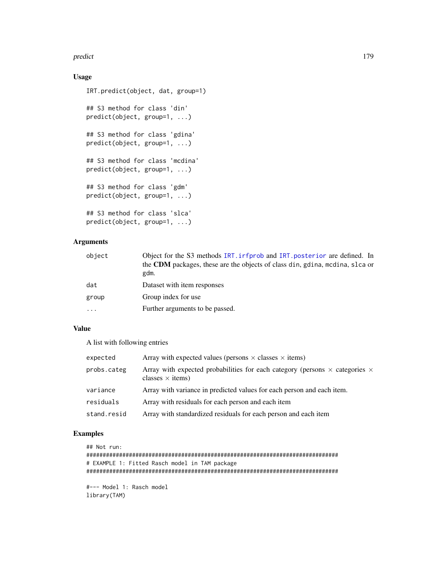#### predict the contract of the contract of the contract of the contract of the contract of the contract of the contract of the contract of the contract of the contract of the contract of the contract of the contract of the co

# Usage

```
IRT.predict(object, dat, group=1)
## S3 method for class 'din'
predict(object, group=1, ...)
## S3 method for class 'gdina'
predict(object, group=1, ...)
## S3 method for class 'mcdina'
predict(object, group=1, ...)
## S3 method for class 'gdm'
predict(object, group=1, ...)
## S3 method for class 'slca'
predict(object, group=1, ...)
```
# Arguments

| object | Object for the S3 methods IRT. irfprob and IRT. posterior are defined. In    |
|--------|------------------------------------------------------------------------------|
|        | the CDM packages, these are the objects of class din, gdina, medina, slca or |
|        | gdm.                                                                         |
| dat    | Dataset with item responses                                                  |
| group  | Group index for use                                                          |
| .      | Further arguments to be passed.                                              |

# Value

A list with following entries

| expected    | Array with expected values (persons $\times$ classes $\times$ items)                                                 |
|-------------|----------------------------------------------------------------------------------------------------------------------|
| probs.categ | Array with expected probabilities for each category (persons $\times$ categories $\times$<br>classes $\times$ items) |
| variance    | Array with variance in predicted values for each person and each item.                                               |
| residuals   | Array with residuals for each person and each item                                                                   |
| stand.resid | Array with standardized residuals for each person and each item                                                      |

```
## Not run:
#############################################################################
# EXAMPLE 1: Fitted Rasch model in TAM package
#############################################################################
#--- Model 1: Rasch model
library(TAM)
```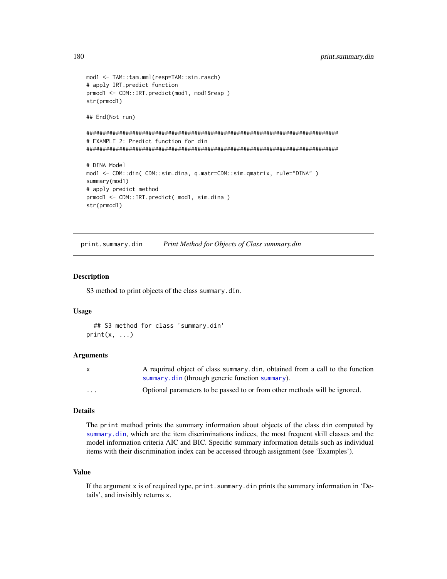```
mod1 <- TAM::tam.mml(resp=TAM::sim.rasch)
# apply IRT.predict function
prmod1 <- CDM::IRT.predict(mod1, mod1$resp )
str(prmod1)
## End(Not run)
#############################################################################
# EXAMPLE 2: Predict function for din
#############################################################################
# DINA Model
mod1 <- CDM::din( CDM::sim.dina, q.matr=CDM::sim.qmatrix, rule="DINA" )
summary(mod1)
# apply predict method
prmod1 <- CDM::IRT.predict( mod1, sim.dina )
str(prmod1)
```
<span id="page-179-0"></span>print.summary.din *Print Method for Objects of Class summary.din*

## Description

S3 method to print objects of the class summary.din.

## Usage

```
## S3 method for class 'summary.din'
print(x, \ldots)
```
#### Arguments

| $\mathsf{X}$ | A required object of class summary din, obtained from a call to the function |
|--------------|------------------------------------------------------------------------------|
|              | summary.din (through generic function summary).                              |
| $\cdots$     | Optional parameters to be passed to or from other methods will be ignored.   |

#### Details

The print method prints the summary information about objects of the class din computed by [summary.din](#page-213-0), which are the item discriminations indices, the most frequent skill classes and the model information criteria AIC and BIC. Specific summary information details such as individual items with their discrimination index can be accessed through assignment (see 'Examples').

## Value

If the argument x is of required type, print. summary.din prints the summary information in 'Details', and invisibly returns x.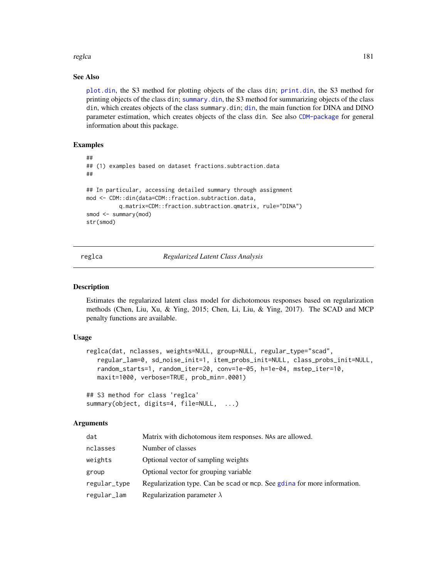#### reglca in the state of the state of the state of the state of the state of the state of the state of the state of the state of the state of the state of the state of the state of the state of the state of the state of the

## See Also

[plot.din](#page-174-0), the S3 method for plotting objects of the class din; [print.din](#page-62-0), the S3 method for printing objects of the class din; [summary.din](#page-213-0), the S3 method for summarizing objects of the class din, which creates objects of the class summary.din; [din](#page-62-1), the main function for DINA and DINO parameter estimation, which creates objects of the class din. See also [CDM-package](#page-3-0) for general information about this package.

# Examples

```
##
## (1) examples based on dataset fractions.subtraction.data
##
## In particular, accessing detailed summary through assignment
mod <- CDM::din(data=CDM::fraction.subtraction.data,
          q.matrix=CDM::fraction.subtraction.qmatrix, rule="DINA")
smod <- summary(mod)
str(smod)
```
reglca *Regularized Latent Class Analysis*

#### Description

Estimates the regularized latent class model for dichotomous responses based on regularization methods (Chen, Liu, Xu, & Ying, 2015; Chen, Li, Liu, & Ying, 2017). The SCAD and MCP penalty functions are available.

## Usage

```
reglca(dat, nclasses, weights=NULL, group=NULL, regular_type="scad",
   regular_lam=0, sd_noise_init=1, item_probs_init=NULL, class_probs_init=NULL,
   random_starts=1, random_iter=20, conv=1e-05, h=1e-04, mstep_iter=10,
   maxit=1000, verbose=TRUE, prob_min=.0001)
```

```
## S3 method for class 'reglca'
summary(object, digits=4, file=NULL, ...)
```
## Arguments

| dat          | Matrix with dichotomous item responses. NAs are allowed.                 |
|--------------|--------------------------------------------------------------------------|
| nclasses     | Number of classes                                                        |
| weights      | Optional vector of sampling weights                                      |
| group        | Optional vector for grouping variable                                    |
| regular_type | Regularization type. Can be scad or mcp. See gdina for more information. |
| regular_lam  | Regularization parameter $\lambda$                                       |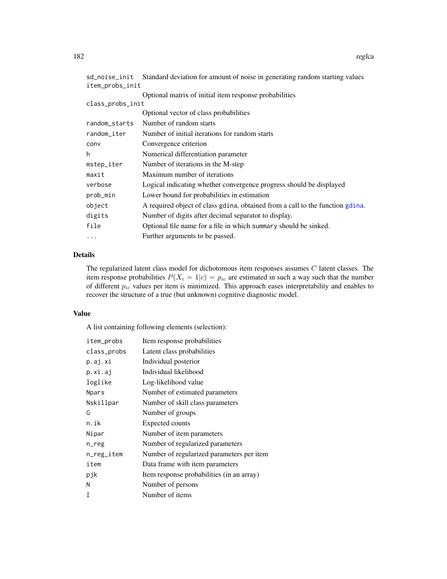| sd_noise_init    | Standard deviation for amount of noise in generating random starting values   |
|------------------|-------------------------------------------------------------------------------|
| item_probs_init  |                                                                               |
|                  | Optional matrix of initial item response probabilities                        |
| class_probs_init |                                                                               |
|                  | Optional vector of class probabilities                                        |
| random_starts    | Number of random starts                                                       |
| random_iter      | Number of initial iterations for random starts                                |
| conv             | Convergence criterion                                                         |
| h                | Numerical differentiation parameter                                           |
| mstep_iter       | Number of iterations in the M-step                                            |
| maxit            | Maximum number of iterations                                                  |
| verbose          | Logical indicating whether convergence progress should be displayed           |
| prob_min         | Lower bound for probabilities in estimation                                   |
| object           | A required object of class gdina, obtained from a call to the function gdina. |
| digits           | Number of digits after decimal separator to display.                          |
| file             | Optional file name for a file in which summary should be sinked.              |
| $\cdots$         | Further arguments to be passed.                                               |
|                  |                                                                               |

# Details

The regularized latent class model for dichotomous item responses assumes  $C$  latent classes. The item response probabilities  $P(X_i = 1|c) = p_{ic}$  are estimated in such a way such that the number of different  $p_{ic}$  values per item is minimized. This approach eases interpretability and enables to recover the structure of a true (but unknown) cognitive diagnostic model.

# Value

A list containing following elements (selection):

| item_probs   | Item response probabilities               |
|--------------|-------------------------------------------|
| class_probs  | Latent class probabilities                |
| p.aj.xi      | Individual posterior                      |
| p.xi.aj      | Individual likelihood                     |
| loglike      | Log-likelihood value                      |
| <b>Npars</b> | Number of estimated parameters            |
| Nskillpar    | Number of skill class parameters          |
| G            | Number of groups                          |
| n.ik         | <b>Expected counts</b>                    |
| Nipar        | Number of item parameters                 |
| n_reg        | Number of regularized parameters          |
| n_reg_item   | Number of regularized parameters per item |
| item         | Data frame with item parameters           |
| pjk          | Item response probabilities (in an array) |
| N            | Number of persons                         |
| Т            | Number of items                           |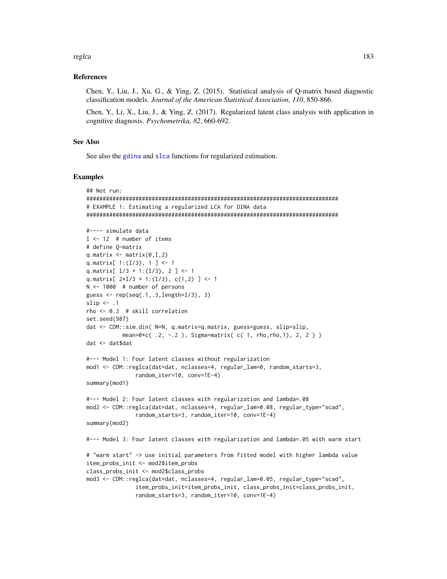## reglca

# **References**

Chen, Y., Liu, J., Xu, G., & Ying, Z. (2015). Statistical analysis of Q-matrix based diagnostic classification models. Journal of the American Statistical Association, 110, 850-866.

Chen, Y., Li, X., Liu, J., & Ying, Z. (2017). Regularized latent class analysis with application in cognitive diagnosis. Psychometrika, 82, 660-692.

# **See Also**

See also the gdina and slca functions for regularized estimation.

## **Examples**

```
## Not run:
# EXAMPLE 1: Estimating a regularized LCA for DINA data
#---- simulate data
I \le -12 # number of items
# define Q-matrix
q.matrix \leq matrix(0, I, 2)
q.matrix[ 1:(I/3), 1] <- 1
q.matrix[I/3 + 1:(I/3), 2] <- 1
q.matrix[ 2*I/3 + 1:(I/3), c(1,2) ] <- 1
N \le -1000 # number of persons
guess <- rep(seq(.1,.3, length=I/3), 3)slip \leftarrow .1
rho \leftarrow 0.3 # skill correlation
set.seed(987)
dat <- CDM::sim.din( N=N, q.matrix=q.matrix, guess=guess, slip=slip,
          mean=0 * c( .2, -.2 ), Sigma=matrix(c( 1, rho, rho, 1), 2, 2))
dat <- dat$dat
#--- Model 1: Four latent classes without regularization
mod1 <- CDM::reglca(dat=dat, nclasses=4, regular_lam=0, random_starts=3,
              random_iter=10, conv=1E-4)
summary(mod1)
#--- Model 2: Four latent classes with regularization and lambda=.08
mod2 <- CDM::reglca(dat=dat, nclasses=4, regular_lam=0.08, regular_type="scad",
              random_starts=3, random_iter=10, conv=1E-4)
summary(mod2)
#--- Model 3: Four latent classes with regularization and lambda=.05 with warm start
# "warm start" -> use initial parameters from fitted model with higher lambda value
item_probs_init <- mod2$item_probs
class_probs_init <- mod2$class_probs
mod3 <- CDM::reglca(dat=dat, nclasses=4, regular_lam=0.05, regular_type="scad",
              item_probs_init=item_probs_init, class_probs_init=class_probs_init,
```
random\_starts=3, random\_iter=10, conv=1E-4)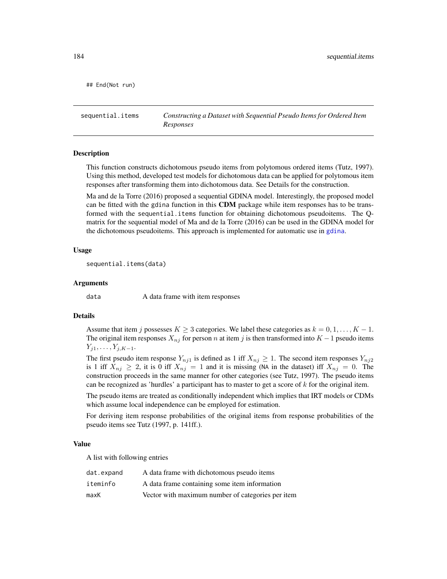## End(Not run)

sequential.items *Constructing a Dataset with Sequential Pseudo Items for Ordered Item Responses*

#### Description

This function constructs dichotomous pseudo items from polytomous ordered items (Tutz, 1997). Using this method, developed test models for dichotomous data can be applied for polytomous item responses after transforming them into dichotomous data. See Details for the construction.

Ma and de la Torre (2016) proposed a sequential GDINA model. Interestingly, the proposed model can be fitted with the gdina function in this CDM package while item responses has to be transformed with the sequential.items function for obtaining dichotomous pseudoitems. The Qmatrix for the sequential model of Ma and de la Torre (2016) can be used in the GDINA model for the dichotomous pseudoitems. This approach is implemented for automatic use in [gdina](#page-91-0).

#### Usage

sequential.items(data)

#### Arguments

data A data frame with item responses

# Details

Assume that item j possesses  $K \geq 3$  categories. We label these categories as  $k = 0, 1, \ldots, K - 1$ . The original item responses  $X_{nj}$  for person n at item j is then transformed into  $K - 1$  pseudo items  $Y_{j1}, \ldots, Y_{j,K-1}.$ 

The first pseudo item response  $Y_{nj1}$  is defined as 1 iff  $X_{nj} \geq 1$ . The second item responses  $Y_{nj2}$ is 1 iff  $X_{nj} \geq 2$ , it is 0 iff  $X_{nj} = 1$  and it is missing (NA in the dataset) iff  $X_{nj} = 0$ . The construction proceeds in the same manner for other categories (see Tutz, 1997). The pseudo items can be recognized as 'hurdles' a participant has to master to get a score of  $k$  for the original item.

The pseudo items are treated as conditionally independent which implies that IRT models or CDMs which assume local independence can be employed for estimation.

For deriving item response probabilities of the original items from response probabilities of the pseudo items see Tutz (1997, p. 141ff.).

#### Value

A list with following entries

| dat.expand | A data frame with dichotomous pseudo items        |
|------------|---------------------------------------------------|
| iteminfo   | A data frame containing some item information     |
| maxK       | Vector with maximum number of categories per item |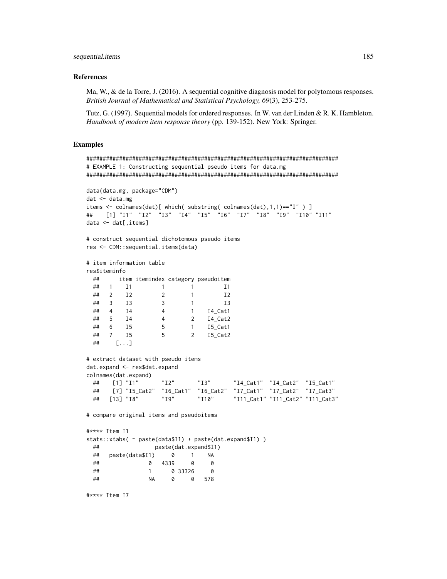## sequential.items

## **References**

Ma, W., & de la Torre, J. (2016). A sequential cognitive diagnosis model for polytomous responses. British Journal of Mathematical and Statistical Psychology, 69(3), 253-275.

Tutz, G. (1997). Sequential models for ordered responses. In W. van der Linden & R. K. Hambleton. Handbook of modern item response theory (pp. 139-152). New York: Springer.

# **Examples**

```
# EXAMPLE 1: Constructing sequential pseudo items for data.mg
data(data.mg, package="CDM")
dat < - data.mgitems <- colnames(dat)[ which( substring( colnames(dat),1,1)=="I" ) ]
    \begin{bmatrix} 1 \end{bmatrix} \begin{bmatrix} "I1" & "I2" & "I3" & "I4" & "I5" & "I6" & "I7" & "I8" & "I9" & "I10" & "I11" \end{bmatrix}##data < -dat[, items]# construct sequential dichotomous pseudo items
res <- CDM::sequential.items(data)
# item information table
res$iteminfo
 ##item itemindex category pseudoitem
 ## 1 I1 1 1 1 I1
 \# # 2 12
                   \overline{2}\overline{1}I<sub>2</sub>## 3 I3
                   \overline{\mathbf{3}}\overline{1}I3## 4 I4
                           1 I4 Cat1
                   \overline{4}## 5 I4
                   \overline{4}2 I4_Cat2
                   5<sup>5</sup>\overline{1}## 6 I5
                                I5_Cat1
         I55^{\circ}7\overline{ }##\begin{bmatrix} 1 & 1 \\ 1 & 1 \end{bmatrix}### extract dataset with pseudo items
dat.expand <- res$dat.expand
colnames(dat.expand)
                               "I3""I4_Cat1" "I4_Cat2" "I5_Cat1"
 ## [1] "I1"
                     "I2"[7] "I5_Cat2" "I6_Cat1" "I6_Cat2" "I7_Cat1" "I7_Cat2" "I7_Cat3"
 #### [13] "I8"
                   "I9""I10""I11_Cat1" "I11_Cat2" "I11_Cat3"
# compare original items and pseudoitems
#**** Item I1
stats::xtabs( ~ paste(data$I1) + paste(dat.expand$I1) )
 ##paste(dat.expand$I1)
 ##paste(data$I1)
                     \begin{matrix} 0 & 1 \end{matrix}NA
 \# \#0 4339
                            0
                                   0
 ##\overline{1}0 33326
                                  \alpha###**** Item I7
```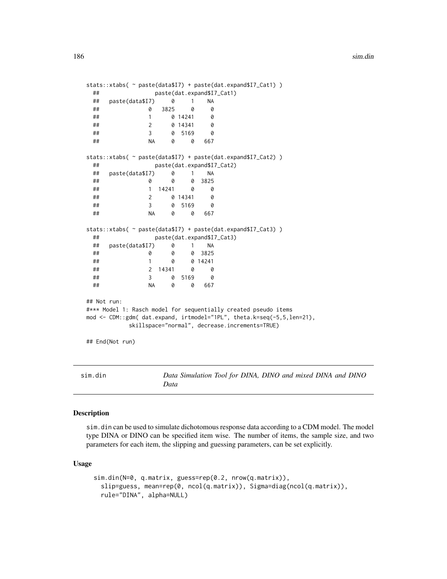```
stats::xtabs( ~ paste(data$I7) + paste(dat.expand$I7_Cat1) )
 ## paste(dat.expand$I7_Cat1)
 ## paste(data$I7) 0 1 NA
 ## 0 3825 0 0
 ## 1 0 14241 0
 ## 2 0 14341 0
 ## 3 0 5169 0
 ## NA 0 0 667
stats::xtabs( ~ paste(data$I7) + paste(dat.expand$I7_Cat2) )
 ## paste(dat.expand$I7_Cat2)
 ## paste(data$I7) 0 1 NA
 ## 0 0 0 3825
 ## 1 14241 0 0
 ## 2 0 14341 0
 ## 3 0 5169 0
 ## NA 0 0 667
stats::xtabs( ~ paste(data$I7) + paste(dat.expand$I7_Cat3) )
 ## paste(dat.expand$I7_Cat3)
 ## paste(data$I7) 0 1 NA
 ## 0 0 0 3825
 ## 1 0 0 14241
 ## 2 14341 0 0
 ## 3 0 5169 0
 ## NA 0 0 667
## Not run:
#*** Model 1: Rasch model for sequentially created pseudo items
mod <- CDM::gdm( dat.expand, irtmodel="1PL", theta.k=seq(-5,5,len=21),
        skillspace="normal", decrease.increments=TRUE)
## End(Not run)
```
<span id="page-185-0"></span>sim.din *Data Simulation Tool for DINA, DINO and mixed DINA and DINO Data*

## Description

sim.din can be used to simulate dichotomous response data according to a CDM model. The model type DINA or DINO can be specified item wise. The number of items, the sample size, and two parameters for each item, the slipping and guessing parameters, can be set explicitly.

#### Usage

```
sim.din(N=0, q.matrix, guess=rep(0.2, nrow(q.matrix)),
 slip=guess, mean=rep(0, ncol(q.matrix)), Sigma=diag(ncol(q.matrix)),
 rule="DINA", alpha=NULL)
```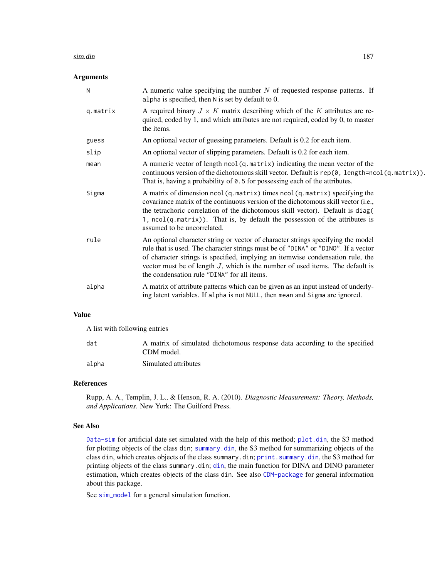#### sim.din 187

# Arguments

| N        | A numeric value specifying the number $N$ of requested response patterns. If<br>alpha is specified, then $N$ is set by default to 0.                                                                                                                                                                                                                                                       |
|----------|--------------------------------------------------------------------------------------------------------------------------------------------------------------------------------------------------------------------------------------------------------------------------------------------------------------------------------------------------------------------------------------------|
| q.matrix | A required binary $J \times K$ matrix describing which of the K attributes are re-<br>quired, coded by 1, and which attributes are not required, coded by 0, to master<br>the items.                                                                                                                                                                                                       |
| guess    | An optional vector of guessing parameters. Default is 0.2 for each item.                                                                                                                                                                                                                                                                                                                   |
| slip     | An optional vector of slipping parameters. Default is 0.2 for each item.                                                                                                                                                                                                                                                                                                                   |
| mean     | A numeric vector of length ncol(q.matrix) indicating the mean vector of the<br>continuous version of the dichotomous skill vector. Default is rep $(0, length = ncol(q, matrix))$ .<br>That is, having a probability of 0.5 for possessing each of the attributes.                                                                                                                         |
| Sigma    | A matrix of dimension ncol(q.matrix) times ncol(q.matrix) specifying the<br>covariance matrix of the continuous version of the dichotomous skill vector (i.e.,<br>the tetrachoric correlation of the dichotomous skill vector). Default is diag(<br>1, ncol(q.matrix)). That is, by default the possession of the attributes is<br>assumed to be uncorrelated.                             |
| rule     | An optional character string or vector of character strings specifying the model<br>rule that is used. The character strings must be of "DINA" or "DINO". If a vector<br>of character strings is specified, implying an itemwise condensation rule, the<br>vector must be of length $J$ , which is the number of used items. The default is<br>the condensation rule "DINA" for all items. |
| alpha    | A matrix of attribute patterns which can be given as an input instead of underly-<br>ing latent variables. If alpha is not NULL, then mean and Sigma are ignored.                                                                                                                                                                                                                          |

# Value

A list with following entries

| dat   | A matrix of simulated dichotomous response data according to the specified |
|-------|----------------------------------------------------------------------------|
|       | CDM model.                                                                 |
| alpha | Simulated attributes                                                       |

## References

Rupp, A. A., Templin, J. L., & Henson, R. A. (2010). *Diagnostic Measurement: Theory, Methods, and Applications*. New York: The Guilford Press.

# See Also

[Data-sim](#page-16-0) for artificial date set simulated with the help of this method; [plot.din](#page-174-0), the S3 method for plotting objects of the class din; [summary.din](#page-213-0), the S3 method for summarizing objects of the class din, which creates objects of the class summary.din; [print.summary.din](#page-179-0), the S3 method for printing objects of the class summary.din; [din](#page-62-1), the main function for DINA and DINO parameter estimation, which creates objects of the class din. See also [CDM-package](#page-3-0) for general information about this package.

See [sim\\_model](#page-192-0) for a general simulation function.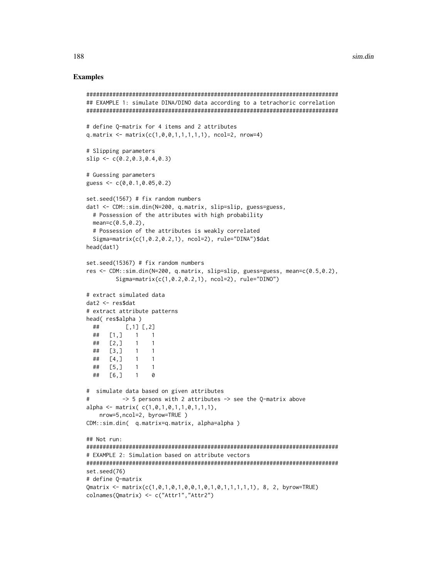## **Examples**

```
## EXAMPLE 1: simulate DINA/DINO data according to a tetrachoric correlation
# define Q-matrix for 4 items and 2 attributes
q.matrix <- matrix(c(1, 0, 0, 1, 1, 1, 1, 1)), ncol=2, nrow=4)
# Slipping parameters
slip \leftarrow c(0.2, 0.3, 0.4, 0.3)# Guessing parameters
guess <- c(0, 0.1, 0.05, 0.2)set.seed(1567) # fix random numbers
dat1 <- CDM::sim.din(N=200, q.matrix, slip=slip, guess=guess,
 # Possession of the attributes with high probability
 mean = c(0.5, 0.2),
 # Possession of the attributes is weakly correlated
 Sigma=matrix(c(1, 0.2, 0.2, 1), ncol=2), rule="DINA")$dat
head(dat1)
set.seed(15367) # fix random numbers
res <- CDM::sim.din(N=200, q.matrix, slip=slip, guess=guess, mean=c(0.5,0.2),
       Sigma=matrix(c(1, 0.2, 0.2, 1), ncol=2), rule="DINO")
# extract simulated data
dat2 < - res$dat
# extract attribute patterns
head(res$alpha)
 ##[1,1] [1,2]## [1, 3 1 1\overline{1}[2,]##\overline{1}##\left[3, \right]\overline{1}\overline{1}##[4,]
            \overline{1}\overline{1}##[5,1]\overline{1}\mathbf{1}## [6, ]\mathbf{1}0
# simulate data based on given attributes
#\rightarrow 5 persons with 2 attributes \rightarrow see the Q-matrix above
alpha <- matrix(c(1,0,1,0,1,1,0,1,1,1),
   nrow=5,ncol=2, byrow=TRUE)
CDM::sim.din( q.matrix=q.matrix, alpha=alpha)
## Not run:
# EXAMPLE 2: Simulation based on attribute vectors
set.seed(76)
# define Q-matrix
Qmatrix <- matrix(c(1,0,1,0,1,0,0,1,0,1,0,1,1,1,1,1), 8, 2, byrow=TRUE)
colnames(Qmatrix) <- c("Attr1","Attr2")
```
188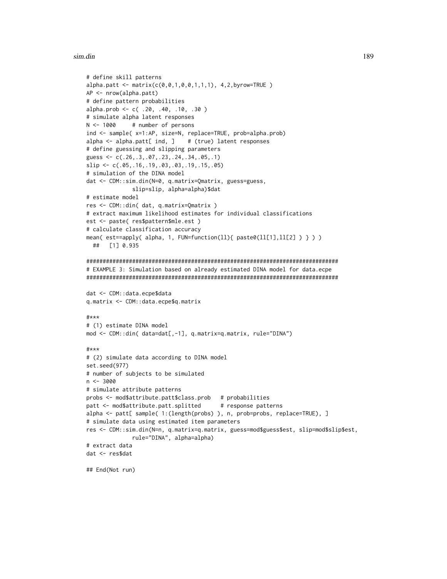## sim.din

```
# define skill patterns
alpha.patha.path < -matrix(c(0, 0, 1, 0, 0, 1, 1, 1), 4, 2, by row = TRUE)AP <- nrow(alpha.patt)
# define pattern probabilities
alpha.prob <- c(.20, .40, .10, .30)
# simulate alpha latent responses
N < -1000# number of persons
ind <- sample( x=1:AP, size=N, replace=TRUE, prob=alpha.prob)
alpha \leq alpha.patt[ ind, ]
                          # (true) latent responses
# define guessing and slipping parameters
guess <- c(.26,.3,.07,.23,.24,.34,.05,.1)slip \leftarrow c(.05,.16,.19,.03,.03,.19,.15,.05)# simulation of the DINA model
dat <- CDM::sim.din(N=0, q.matrix=Qmatrix, guess=guess,
             slip=slip, alpha=alpha)$dat
# estimate model
res <- CDM::din( dat, q.matrix=Qmatrix )
# extract maximum likelihood estimates for individual classifications
est <- paste( res$pattern$mle.est)
# calculate classification accuracy
mean( est==apply( alpha, 1, FUN=function(ll){ paste0(ll[1], ll[2] ) } ) )
 ## [1] 0.935
# EXAMPLE 3: Simulation based on already estimated DINA model for data.ecpe
dat <- CDM::data.ecpe$data
q.matrix <- CDM::data.ecpe$q.matrix
#***# (1) estimate DINA model
mod <- CDM::din( data=dat[,-1], q.matrix=q.matrix, rule="DINA")
#***
# (2) simulate data according to DINA model
set.seed(977)
# number of subjects to be simulated
n \le -3000# simulate attribute patterns
probs <- mod$attribute.patt$class.prob # probabilities
patt <- mod$attribute.patt.splitted
                                     # response patterns
alpha <- patt[ sample( 1: (length(probs) ), n, prob=probs, replace=TRUE), ]
# simulate data using estimated item parameters
res <- CDM::sim.din(N=n, q.matrix=q.matrix, guess=mod$guess$est, slip=mod$slip$est,
            rule="DINA", alpha=alpha)
# extract data
dat <- res$dat
## End(Not run)
```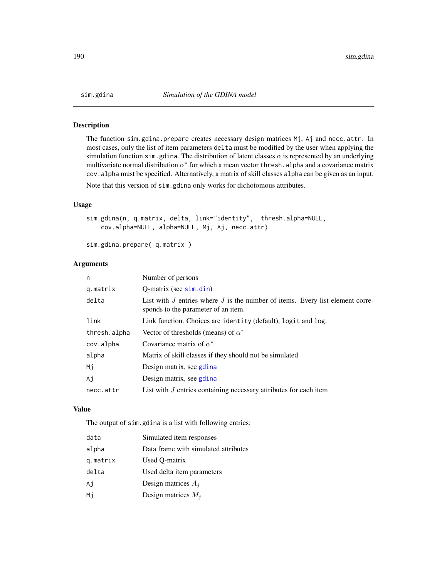## Description

The function sim.gdina.prepare creates necessary design matrices Mj, Aj and necc.attr. In most cases, only the list of item parameters delta must be modified by the user when applying the simulation function sim.gdina. The distribution of latent classes  $\alpha$  is represented by an underlying multivariate normal distribution  $\alpha^*$  for which a mean vector thresh. alpha and a covariance matrix cov.alpha must be specified. Alternatively, a matrix of skill classes alpha can be given as an input.

Note that this version of sim.gdina only works for dichotomous attributes.

# Usage

```
sim.gdina(n, q.matrix, delta, link="identity", thresh.alpha=NULL,
   cov.alpha=NULL, alpha=NULL, Mj, Aj, necc.attr)
```
sim.gdina.prepare( q.matrix )

## Arguments

| n            | Number of persons                                                                                                        |
|--------------|--------------------------------------------------------------------------------------------------------------------------|
| g.matrix     | $O$ -matrix (see $\sin$ , din)                                                                                           |
| delta        | List with $J$ entries where $J$ is the number of items. Every list element corre-<br>sponds to the parameter of an item. |
| link         | Link function. Choices are identity (default), logit and log.                                                            |
| thresh.alpha | Vector of thresholds (means) of $\alpha^*$                                                                               |
| cov.alpha    | Covariance matrix of $\alpha^*$                                                                                          |
| alpha        | Matrix of skill classes if they should not be simulated                                                                  |
| Mi           | Design matrix, see gdina                                                                                                 |
| Ai           | Design matrix, see gotina                                                                                                |
| necc.attr    | List with $J$ entries containing necessary attributes for each item                                                      |

## Value

The output of sim.gdina is a list with following entries:

| data     | Simulated item responses             |
|----------|--------------------------------------|
| alpha    | Data frame with simulated attributes |
| q.matrix | Used Q-matrix                        |
| delta    | Used delta item parameters           |
| Aj       | Design matrices $A_i$                |
| Мi       | Design matrices $M_i$                |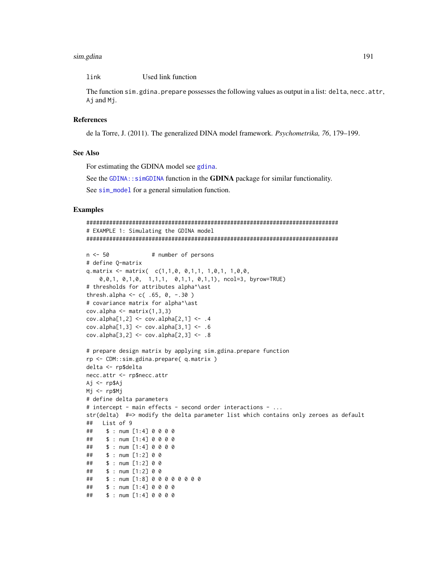#### sim.gdina

link Used link function

The function sim. gdina. prepare possesses the following values as output in a list: delta, necc. attr, Aj and Mj.

# **References**

de la Torre, J. (2011). The generalized DINA model framework. *Psychometrika*, 76, 179–199.

## **See Also**

For estimating the GDINA model see gdina.

See the GDINA: : simGDINA function in the GDINA package for similar functionality.

See sim\_model for a general simulation function.

# **Examples**

```
# EXAMPLE 1: Simulating the GDINA model
n \le -50# number of persons
# define Q-matrix
q.matrix <- matrix(c(1,1,0, 0,1,1, 1,0,1, 1,0,0,0, 0, 1, 0, 1, 0, 1, 1, 1, 0, 1, 1, 0, 1, 1), ncol=3, byrow=TRUE)
# thresholds for attributes alpha^\ast
thresh.alpha <- c( .65, 0, -.30)# covariance matrix for alpha^\ast
cov.alpha \leftarrow matrix(1,3,3)cov.alpha[1,2] < -cov.alpha[2,1] < -0.4cov.alpha[1,3] < -cov.alpha[3,1] < -.6cov.alpha[3,2] < -cov.alpha[2,3] < -.8# prepare design matrix by applying sim.gdina.prepare function
rp <- CDM::sim.gdina.prepare( q.matrix )
delta <- rp$delta
necc.attr <- rp$necc.attr
Aj <- rp$Aj
Mj \leq -rp$Mj# define delta parameters
# intercept - main effects - second order interactions - ...
str(delta) #=> modify the delta parameter list which contains only zeroes as default
## List of 9
   $: num [1:4] 0 0 0 0##$: num [1:4] 0 0 0 0##
    $: num [1:4] 0 0 0 0##\# \#$: num [1:2] 0 0$: num [1:2] 0 0##
##$: num [1:2] 0 0##$: num [1:8] 0 0 0 0 0 0 0 0##$: num [1:4] 0 0 0 0##$: num [1:4] 0 0 0 0
```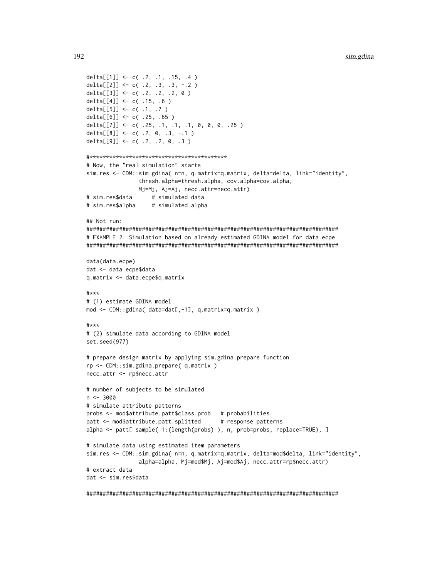```
delta[[1]] <- c( .2, .1, .15, .4 )
delta[[2]] <- c( .2, .3, .3, -.2 )
delta[[3]] <- c( .2, .2, .2, 0)
delta[[4]] <- c( .15, .6 )
delta[[5]] <- c( .1, .7 )
delta[[6]] <- c( .25, .65 )
delta[[7]] <- c( .25, .1, .1, .1, 0, 0, 0, .25)
delta[[8]] <- c(.2, 0, .3, -.1)
delta[[9]] <- c(.2, .2, 0, .3)
# Now, the "real simulation" starts
sim.res <- CDM::sim.gdina( n=n, q.matrix=q.matrix, delta=delta, link="identity",
              thresh.alpha=thresh.alpha, cov.alpha=cov.alpha,
              Mj=Mj, Aj=Aj, necc.attr=necc.attr)
                 # simulated data
# sim.res$data
# sim.res$alpha
                 # simulated alpha
\## Not run.
# EXAMPLE 2: Simulation based on already estimated GDINA model for data.ecpe
data(data.ecpe)
dat <- data.ecpe$data
q.matrix <- data.ecpe$q.matrix
#***
# (1) estimate GDINA model
mod <- CDM::gdina( data=dat[,-1], q.matrix=q.matrix )
\pm***
# (2) simulate data according to GDINA model
set.seed(977)
# prepare design matrix by applying sim.gdina.prepare function
rp <- CDM::sim.gdina.prepare( q.matrix )
necc.attr <- rp$necc.attr
# number of subjects to be simulated
n \le -3000# simulate attribute patterns
probs <- mod$attribute.patt$class.prob # probabilities
patt <- mod$attribute.patt.splitted
                                   # response patterns
alpha <- patt[ sample( 1: (length(probs) ), n, prob=probs, replace=TRUE), ]
# simulate data using estimated item parameters
sim.res <- CDM::sim.gdina( n=n, q.matrix=q.matrix, delta=mod$delta, link="identity",
              alpha=alpha, Mj=mod$Mj, Aj=mod$Aj, necc.attr=rp$necc.attr)
# extract data
dat <- sim.res$data
```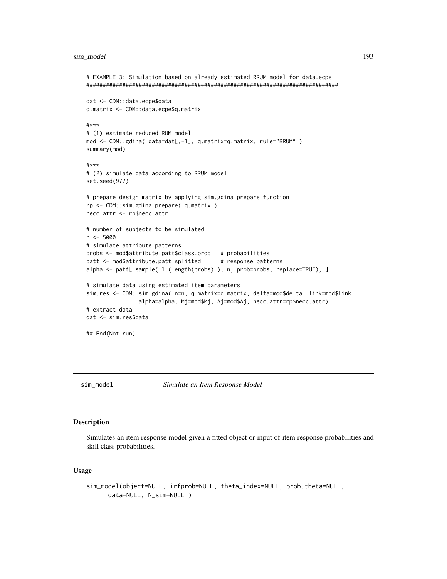#### sim\_model 193

```
# EXAMPLE 3: Simulation based on already estimated RRUM model for data.ecpe
#############################################################################
dat <- CDM::data.ecpe$data
q.matrix <- CDM::data.ecpe$q.matrix
#***
# (1) estimate reduced RUM model
mod <- CDM::gdina( data=dat[,-1], q.matrix=q.matrix, rule="RRUM" )
summary(mod)
#***
# (2) simulate data according to RRUM model
set.seed(977)
# prepare design matrix by applying sim.gdina.prepare function
rp <- CDM::sim.gdina.prepare( q.matrix )
necc.attr <- rp$necc.attr
# number of subjects to be simulated
n <- 5000
# simulate attribute patterns
probs <- mod$attribute.patt$class.prob # probabilities
patt <- mod$attribute.patt.splitted # response patterns
alpha <- patt[ sample( 1:(length(probs) ), n, prob=probs, replace=TRUE), ]
# simulate data using estimated item parameters
sim.res <- CDM::sim.gdina( n=n, q.matrix=q.matrix, delta=mod$delta, link=mod$link,
                alpha=alpha, Mj=mod$Mj, Aj=mod$Aj, necc.attr=rp$necc.attr)
# extract data
dat <- sim.res$data
## End(Not run)
```
<span id="page-192-0"></span>

sim\_model *Simulate an Item Response Model*

# Description

Simulates an item response model given a fitted object or input of item response probabilities and skill class probabilities.

#### Usage

```
sim_model(object=NULL, irfprob=NULL, theta_index=NULL, prob.theta=NULL,
     data=NULL, N_sim=NULL )
```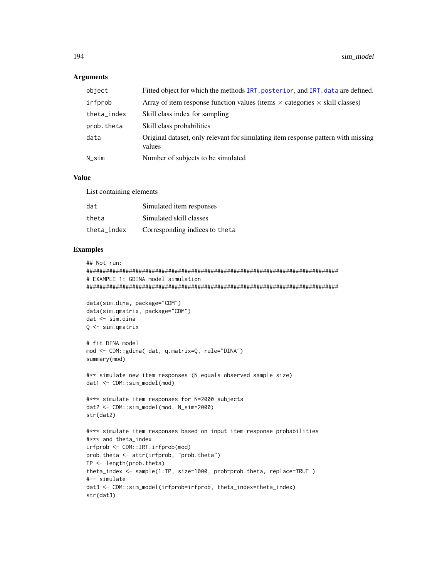## **Arguments**

| object      | Fitted object for which the methods IRT. posterior, and IRT. data are defined.              |
|-------------|---------------------------------------------------------------------------------------------|
| irfprob     | Array of item response function values (items $\times$ categories $\times$ skill classes)   |
| theta_index | Skill class index for sampling                                                              |
| prob.theta  | Skill class probabilities                                                                   |
| data        | Original dataset, only relevant for simulating item response pattern with missing<br>values |
| $N$ _sim    | Number of subjects to be simulated                                                          |

# Value

List containing elements

| dat         | Simulated item responses        |
|-------------|---------------------------------|
| theta       | Simulated skill classes         |
| theta index | Corresponding indices to the ta |

# Examples

```
## Not run:
#############################################################################
# EXAMPLE 1: GDINA model simulation
#############################################################################
```

```
data(sim.dina, package="CDM")
data(sim.qmatrix, package="CDM")
dat <- sim.dina
Q <- sim.qmatrix
```

```
# fit DINA model
mod <- CDM::gdina( dat, q.matrix=Q, rule="DINA")
summary(mod)
```

```
#** simulate new item responses (N equals observed sample size)
dat1 <- CDM::sim_model(mod)
```

```
#*** simulate item responses for N=2000 subjects
dat2 <- CDM::sim_model(mod, N_sim=2000)
str(dat2)
```

```
#*** simulate item responses based on input item response probabilities
#*** and theta_index
irfprob <- CDM::IRT.irfprob(mod)
prob.theta <- attr(irfprob, "prob.theta")
TP <- length(prob.theta)
theta_index <- sample(1:TP, size=1000, prob=prob.theta, replace=TRUE )
#-- simulate
dat3 <- CDM::sim_model(irfprob=irfprob, theta_index=theta_index)
```
str(dat3)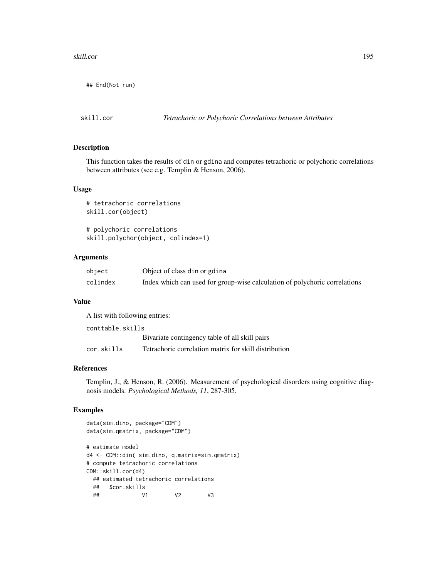#### skill.cor and the state of the state of the state of the state of the state of the state of the state of the state of the state of the state of the state of the state of the state of the state of the state of the state of

## End(Not run)

## skill.cor *Tetrachoric or Polychoric Correlations between Attributes*

# Description

This function takes the results of din or gdina and computes tetrachoric or polychoric correlations between attributes (see e.g. Templin & Henson, 2006).

# Usage

```
# tetrachoric correlations
skill.cor(object)
```
# polychoric correlations skill.polychor(object, colindex=1)

# Arguments

| object   | Object of class din or gdina                                               |
|----------|----------------------------------------------------------------------------|
| colindex | Index which can used for group-wise calculation of polychoric correlations |

# Value

A list with following entries:

| conttable.skills |                                                       |  |
|------------------|-------------------------------------------------------|--|
|                  | Bivariate contingency table of all skill pairs        |  |
| cor.skills       | Tetrachoric correlation matrix for skill distribution |  |

## References

Templin, J., & Henson, R. (2006). Measurement of psychological disorders using cognitive diagnosis models. *Psychological Methods, 11*, 287-305.

# Examples

```
data(sim.dino, package="CDM")
data(sim.qmatrix, package="CDM")
# estimate model
d4 <- CDM::din( sim.dino, q.matrix=sim.qmatrix)
# compute tetrachoric correlations
CDM::skill.cor(d4)
 ## estimated tetrachoric correlations
 ## $cor.skills
 ## V1 V2 V3
```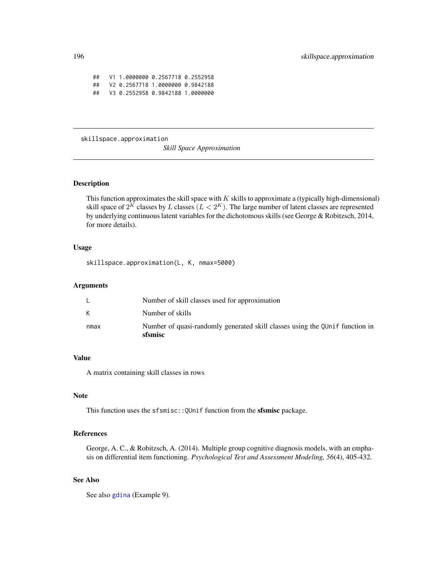## V1 1.0000000 0.2567718 0.2552958 ## V2 0.2567718 1.0000000 0.9842188 ## V3 0.2552958 0.9842188 1.0000000

skillspace.approximation

*Skill Space Approximation*

## Description

This function approximates the skill space with  $K$  skills to approximate a (typically high-dimensional) skill space of  $2^K$  classes by  $L$  classes  $(L < 2^K)$ . The large number of latent classes are represented by underlying continuous latent variables for the dichotomous skills (see George & Robitzsch, 2014, for more details).

## Usage

skillspace.approximation(L, K, nmax=5000)

## Arguments

| nmax | Number of quasi-randomly generated skill classes using the QUnif function in<br>sfsmisc |
|------|-----------------------------------------------------------------------------------------|
|      | Number of skills                                                                        |
|      | Number of skill classes used for approximation                                          |

# Value

A matrix containing skill classes in rows

#### Note

This function uses the sfsmisc::QUnif function from the sfsmisc package.

# References

George, A. C., & Robitzsch, A. (2014). Multiple group cognitive diagnosis models, with an emphasis on differential item functioning. *Psychological Test and Assessment Modeling, 56*(4), 405-432.

# See Also

See also [gdina](#page-91-0) (Example 9).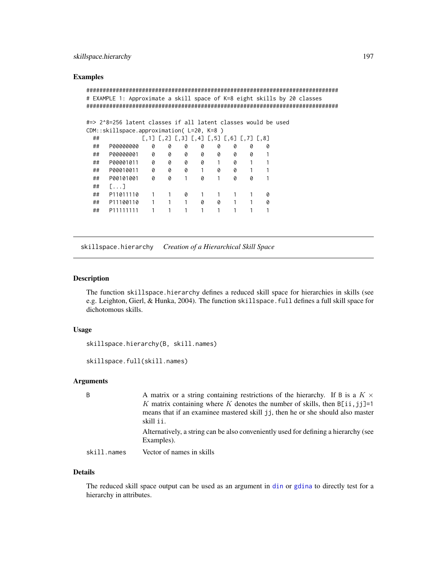# skillspace.hierarchy 197

## Examples

```
#############################################################################
# EXAMPLE 1: Approximate a skill space of K=8 eight skills by 20 classes
#############################################################################
#=> 2^8=256 latent classes if all latent classes would be used
CDM::skillspace.approximation( L=20, K=8 )
 ## [,1] [,2] [,3] [,4] [,5] [,6] [,7] [,8]
 ## P00000000 0 0 0 0 0 0 0 0
 ## P00000001 0 0 0 0 0 0 0 1
 ## P00001011 0 0 0 0 1 0 1 1
 ## P00010011 0 0 0 1 0 0 1 1
 ## P00101001 0 0 1 0 1 0 0 1
 ## [...]
 ## P11011110 1 1 0 1 1 1 1 0
 ## P11100110 1 1 1 0 0 1 1 0
 ## P11111111 1 1 1 1 1 1 1 1 1
```
skillspace.hierarchy *Creation of a Hierarchical Skill Space*

# Description

The function skillspace.hierarchy defines a reduced skill space for hierarchies in skills (see e.g. Leighton, Gierl, & Hunka, 2004). The function skillspace.full defines a full skill space for dichotomous skills.

## Usage

```
skillspace.hierarchy(B, skill.names)
```
skillspace.full(skill.names)

# Arguments

| B           | A matrix or a string containing restrictions of the hierarchy. If B is a $K \times$<br>K matrix containing where K denotes the number of skills, then $B[i, j] = 1$<br>means that if an examinee mastered skill jj, then he or she should also master<br>skill i i . |
|-------------|----------------------------------------------------------------------------------------------------------------------------------------------------------------------------------------------------------------------------------------------------------------------|
|             | Alternatively, a string can be also conveniently used for defining a hierarchy (see<br>Examples).                                                                                                                                                                    |
| skill.names | Vector of names in skills                                                                                                                                                                                                                                            |

## Details

The reduced skill space output can be used as an argument in [din](#page-62-1) or [gdina](#page-91-0) to directly test for a hierarchy in attributes.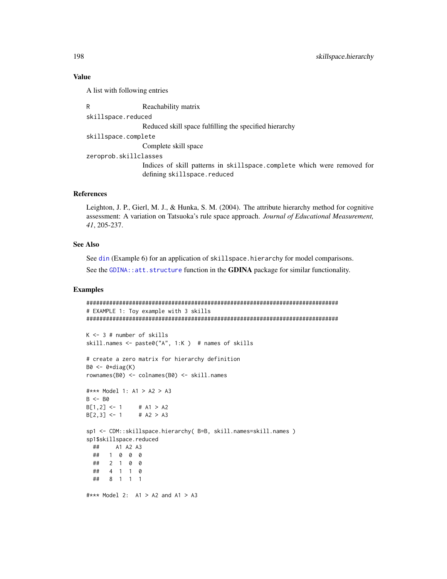# **Value**

A list with following entries

R Reachability matrix skillspace.reduced Reduced skill space fulfilling the specified hierarchy skillspace.complete Complete skill space zeroprob.skillclasses Indices of skill patterns in skillspace.complete which were removed for defining skillspace.reduced

# **References**

Leighton, J. P., Gierl, M. J., & Hunka, S. M. (2004). The attribute hierarchy method for cognitive assessment: A variation on Tatsuoka's rule space approach. Journal of Educational Measurement, 41, 205-237.

# **See Also**

See din (Example 6) for an application of skillspace. hierarchy for model comparisons. See the GDINA:: att. structure function in the GDINA package for similar functionality.

## **Examples**

```
# EXAMPLE 1: Toy example with 3 skills
K \le -3 # number of skills
skill.names <- paste0("A", 1:K) # names of skills
# create a zero matrix for hierarchy definition
B0 \leq -\theta * diag(K)rownames(B0) <- colnames(B0) <- skill.names
#*** Model 1: A1 > A2 > A3
B \le - B0B[1,2] < -1# A1 > A2B[2,3] < -1# A2 > A3sp1 <- CDM::skillspace.hierarchy( B=B, skill.names=skill.names )
sp1$skillspace.reduced
     A1 A2 A3
 #### 1 0 0 0
 \##
    2 1 0 0
 ##4 1 1 0
 ##8 1 1 1
#*** Model 2: A1 > A2 and A1 > A3
```
198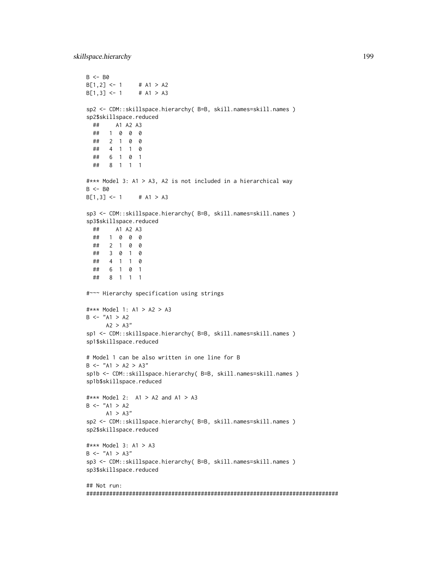```
B \le - B0
B[1,2] <- 1 # A1 > A2
B[1,3] <- 1 # A1 > A3
sp2 <- CDM::skillspace.hierarchy( B=B, skill.names=skill.names )
sp2$skillspace.reduced
  ## A1 A2 A3
  ## 1 0 0 0
  ## 2 1 0 0
  ## 4 1 1 0
  ## 6 1 0 1
  ## 8 1 1 1
#*** Model 3: A1 > A3, A2 is not included in a hierarchical way
B < - B0B[1,3] <- 1 # A1 > A3
sp3 <- CDM::skillspace.hierarchy( B=B, skill.names=skill.names )
sp3$skillspace.reduced
  ## A1 A2 A3
  ## 1 0 0 0
  ## 2 1 0 0
  ## 3 0 1 0
  ## 4 1 1 0
  ## 6 1 0 1
  ## 8 1 1 1
#~~~ Hierarchy specification using strings
#*** Model 1: A1 > A2 > A3
B \le - "A1 > A2
     A2 > A3''sp1 <- CDM::skillspace.hierarchy( B=B, skill.names=skill.names )
sp1$skillspace.reduced
# Model 1 can be also written in one line for B
B \le - "A1 > A2 > A3"
sp1b <- CDM::skillspace.hierarchy( B=B, skill.names=skill.names )
sp1b$skillspace.reduced
#*** Model 2: A1 > A2 and A1 > A3
B < - "A1 > A2
     A1 > A3''sp2 <- CDM::skillspace.hierarchy( B=B, skill.names=skill.names )
sp2$skillspace.reduced
#*** Model 3: A1 > A3
B \le - "A1 > A3"
sp3 <- CDM::skillspace.hierarchy( B=B, skill.names=skill.names )
sp3$skillspace.reduced
## Not run:
#############################################################################
```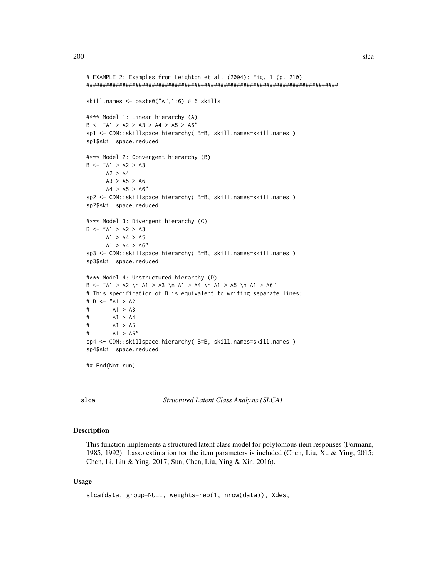```
# EXAMPLE 2: Examples from Leighton et al. (2004): Fig. 1 (p. 210)
#############################################################################
skill.names <- paste0("A",1:6) # 6 skills
#*** Model 1: Linear hierarchy (A)
B <- "A1 > A2 > A3 > A4 > A5 > A6"
sp1 <- CDM::skillspace.hierarchy( B=B, skill.names=skill.names )
sp1$skillspace.reduced
#*** Model 2: Convergent hierarchy (B)
B \le - "A1 > A2 > A3
     A2 > A4A3 > A5 > A6A4 > A5 > A6"sp2 <- CDM::skillspace.hierarchy( B=B, skill.names=skill.names )
sp2$skillspace.reduced
#*** Model 3: Divergent hierarchy (C)
B \le - "A1 > A2 > A3
     A1 > A4 > A5A1 > A4 > A6"sp3 <- CDM::skillspace.hierarchy( B=B, skill.names=skill.names )
sp3$skillspace.reduced
#*** Model 4: Unstructured hierarchy (D)
B <- "A1 > A2 \n A1 > A3 \n A1 > A4 \n A1 > A5 \n A1 > A6"
# This specification of B is equivalent to writing separate lines:
# B <- "A1 > A2
# A1 > A3
# A1 > A4
# A1 > A5
# A1 > A6"
sp4 <- CDM::skillspace.hierarchy( B=B, skill.names=skill.names )
sp4$skillspace.reduced
```
## End(Not run)

<span id="page-199-0"></span>slca *Structured Latent Class Analysis (SLCA)*

## Description

This function implements a structured latent class model for polytomous item responses (Formann, 1985, 1992). Lasso estimation for the item parameters is included (Chen, Liu, Xu & Ying, 2015; Chen, Li, Liu & Ying, 2017; Sun, Chen, Liu, Ying & Xin, 2016).

#### Usage

```
slca(data, group=NULL, weights=rep(1, nrow(data)), Xdes,
```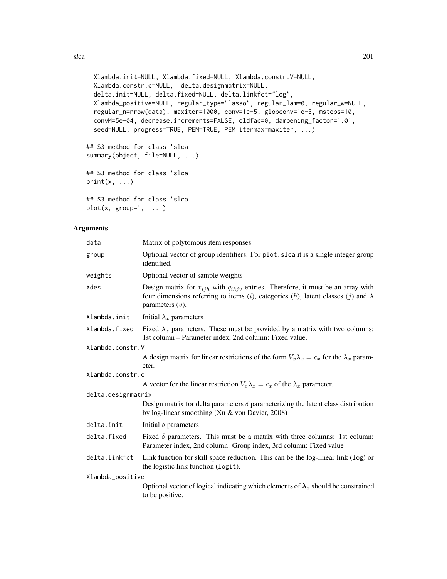```
Xlambda.init=NULL, Xlambda.fixed=NULL, Xlambda.constr.V=NULL,
 Xlambda.constr.c=NULL, delta.designmatrix=NULL,
  delta.init=NULL, delta.fixed=NULL, delta.linkfct="log",
  Xlambda_positive=NULL, regular_type="lasso", regular_lam=0, regular_w=NULL,
  regular_n=nrow(data), maxiter=1000, conv=1e-5, globconv=1e-5, msteps=10,
  convM=5e-04, decrease.increments=FALSE, oldfac=0, dampening_factor=1.01,
  seed=NULL, progress=TRUE, PEM=TRUE, PEM_itermax=maxiter, ...)
## S3 method for class 'slca'
summary(object, file=NULL, ...)
## S3 method for class 'slca'
print(x, \ldots)
```

```
## S3 method for class 'slca'
plot(x, group=1, ...)
```
# Arguments

| data               | Matrix of polytomous item responses                                                                                                                                                                                                   |
|--------------------|---------------------------------------------------------------------------------------------------------------------------------------------------------------------------------------------------------------------------------------|
| group              | Optional vector of group identifiers. For plot slca it is a single integer group<br>identified.                                                                                                                                       |
| weights            | Optional vector of sample weights                                                                                                                                                                                                     |
| Xdes               | Design matrix for $x_{ijh}$ with $q_{ihjv}$ entries. Therefore, it must be an array with<br>four dimensions referring to items ( <i>i</i> ), categories ( <i>h</i> ), latent classes ( <i>j</i> ) and $\lambda$<br>parameters $(v)$ . |
| Xlambda.init       | Initial $\lambda_x$ parameters                                                                                                                                                                                                        |
| Xlambda.fixed      | Fixed $\lambda_x$ parameters. These must be provided by a matrix with two columns:<br>1st column – Parameter index, 2nd column: Fixed value.                                                                                          |
| Xlambda.constr.V   |                                                                                                                                                                                                                                       |
|                    | A design matrix for linear restrictions of the form $V_x \lambda_x = c_x$ for the $\lambda_x$ param-<br>eter.                                                                                                                         |
| Xlambda.constr.c   |                                                                                                                                                                                                                                       |
|                    | A vector for the linear restriction $V_x \lambda_x = c_x$ of the $\lambda_x$ parameter.                                                                                                                                               |
| delta.designmatrix |                                                                                                                                                                                                                                       |
|                    | Design matrix for delta parameters $\delta$ parameterizing the latent class distribution<br>by log-linear smoothing (Xu & von Davier, 2008)                                                                                           |
| delta.init         | Initial $\delta$ parameters                                                                                                                                                                                                           |
| delta.fixed        | Fixed $\delta$ parameters. This must be a matrix with three columns: 1st column:<br>Parameter index, 2nd column: Group index, 3rd column: Fixed value                                                                                 |
| delta.linkfct      | Link function for skill space reduction. This can be the log-linear link (log) or<br>the logistic link function (logit).                                                                                                              |
| Xlambda_positive   |                                                                                                                                                                                                                                       |
|                    | Optional vector of logical indicating which elements of $\lambda_x$ should be constrained<br>to be positive.                                                                                                                          |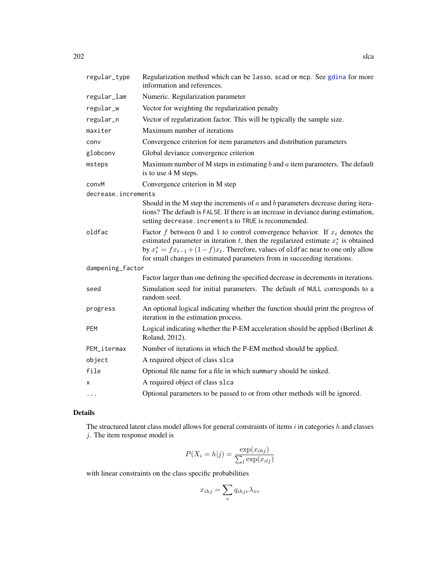| regular_type        | Regularization method which can be lasso, scad or mcp. See gdina for more<br>information and references.                                                                                                                                                                                                                                     |
|---------------------|----------------------------------------------------------------------------------------------------------------------------------------------------------------------------------------------------------------------------------------------------------------------------------------------------------------------------------------------|
| regular_lam         | Numeric. Regularization parameter                                                                                                                                                                                                                                                                                                            |
| regular_w           | Vector for weighting the regularization penalty                                                                                                                                                                                                                                                                                              |
| regular_n           | Vector of regularization factor. This will be typically the sample size.                                                                                                                                                                                                                                                                     |
| maxiter             | Maximum number of iterations                                                                                                                                                                                                                                                                                                                 |
| conv                | Convergence criterion for item parameters and distribution parameters                                                                                                                                                                                                                                                                        |
| globconv            | Global deviance convergence criterion                                                                                                                                                                                                                                                                                                        |
| msteps              | Maximum number of M steps in estimating $b$ and $a$ item parameters. The default<br>is to use 4 M steps.                                                                                                                                                                                                                                     |
| convM               | Convergence criterion in M step                                                                                                                                                                                                                                                                                                              |
| decrease.increments |                                                                                                                                                                                                                                                                                                                                              |
|                     | Should in the M step the increments of $a$ and $b$ parameters decrease during itera-<br>tions? The default is FALSE. If there is an increase in deviance during estimation,<br>setting decrease. increments to TRUE is recommended.                                                                                                          |
| oldfac              | Factor f between 0 and 1 to control convergence behavior. If $x_t$ denotes the<br>estimated parameter in iteration t, then the regularized estimate $x_t^*$ is obtained<br>by $x_t^* = fx_{t-1} + (1-f)x_t$ . Therefore, values of oldfac near to one only allow<br>for small changes in estimated parameters from in succeeding iterations. |
| dampening_factor    |                                                                                                                                                                                                                                                                                                                                              |
|                     | Factor larger than one defining the specified decrease in decrements in iterations.                                                                                                                                                                                                                                                          |
| seed                | Simulation seed for initial parameters. The default of NULL corresponds to a<br>random seed.                                                                                                                                                                                                                                                 |
| progress            | An optional logical indicating whether the function should print the progress of<br>iteration in the estimation process.                                                                                                                                                                                                                     |
| <b>PEM</b>          | Logical indicating whether the P-EM acceleration should be applied (Berlinet $\&$<br>Roland, 2012).                                                                                                                                                                                                                                          |
| PEM_itermax         | Number of iterations in which the P-EM method should be applied.                                                                                                                                                                                                                                                                             |
| object              | A required object of class slca                                                                                                                                                                                                                                                                                                              |
| file                | Optional file name for a file in which summary should be sinked.                                                                                                                                                                                                                                                                             |
| x                   | A required object of class slca                                                                                                                                                                                                                                                                                                              |
| $\cdots$            | Optional parameters to be passed to or from other methods will be ignored.                                                                                                                                                                                                                                                                   |

# Details

The structured latent class model allows for general constraints of items  $i$  in categories  $h$  and classes  $j$ . The item response model is

$$
P(X_i = h|j) = \frac{\exp(x_{ihj})}{\sum_l \exp(x_{ilj})}
$$

with linear constraints on the class specific probabilities

$$
x_{ihj} = \sum_{v} q_{ihj} \lambda_{xv}
$$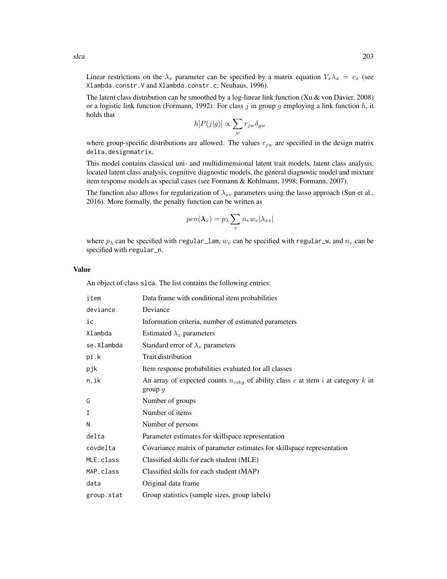Linear restrictions on the  $\lambda_x$  parameter can be specified by a matrix equation  $V_x \lambda_x = c_x$  (see Xlambda.constr.V and Xlambda.constr.c; Neuhaus, 1996).

The latent class distribution can be smoothed by a log-linear link function (Xu & von Davier, 2008) or a logistic link function (Formann, 1992). For class j in group g employing a link function  $h$ , it holds that

$$
h[P(j|g)] \propto \sum_{w} r_{jw} \delta_{gw}
$$

where group-specific distributions are allowed. The values  $r_{jw}$  are specified in the design matrix delta.designmatrix.

This model contains classical uni- and multidimensional latent trait models, latent class analysis, located latent class analysis, cognitive diagnostic models, the general diagnostic model and mixture item response models as special cases (see Formann & Kohlmann, 1998; Formann, 2007).

The function also allows for regularization of  $\lambda_{xv}$  parameters using the lasso approach (Sun et al., 2016). More formally, the penalty function can be written as

$$
pen(\boldsymbol{\lambda}_x)=p_{\lambda}\sum_v n_v w_v|\lambda_{xv}|
$$

where  $p_{\lambda}$  can be specified with regular\_lam,  $w_v$  can be specified with regular\_w, and  $n_v$  can be specified with regular\_n.

## Value

An object of class slca. The list contains the following entries:

| item       | Data frame with conditional item probabilities                                                    |
|------------|---------------------------------------------------------------------------------------------------|
| deviance   | Deviance                                                                                          |
| ic         | Information criteria, number of estimated parameters                                              |
| Xlambda    | Estimated $\lambda_x$ parameters                                                                  |
| se.Xlambda | Standard error of $\lambda_x$ parameters                                                          |
| pi.k       | Trait distribution                                                                                |
| pjk        | Item response probabilities evaluated for all classes                                             |
| n.ik       | An array of expected counts $n_{cikg}$ of ability class c at item i at category k in<br>group $g$ |
| G          | Number of groups                                                                                  |
| I          | Number of items                                                                                   |
| N          | Number of persons                                                                                 |
| delta      | Parameter estimates for skillspace representation                                                 |
| covdelta   | Covariance matrix of parameter estimates for skillspace representation                            |
| MLE.class  | Classified skills for each student (MLE)                                                          |
| MAP.class  | Classified skills for each student (MAP)                                                          |
| data       | Original data frame                                                                               |
| group.stat | Group statistics (sample sizes, group labels)                                                     |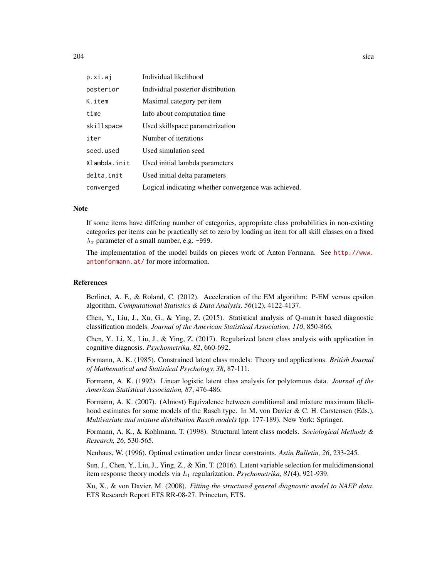| p.xi.aj      | Individual likelihood                                |
|--------------|------------------------------------------------------|
| posterior    | Individual posterior distribution                    |
| K.item       | Maximal category per item                            |
| time         | Info about computation time.                         |
| skillspace   | Used skillspace parametrization                      |
| iter         | Number of iterations                                 |
| seed.used    | Used simulation seed                                 |
| Xlambda.init | Used initial lambda parameters                       |
| delta.init   | Used initial delta parameters                        |
| converged    | Logical indicating whether convergence was achieved. |

## **Note**

If some items have differing number of categories, appropriate class probabilities in non-existing categories per items can be practically set to zero by loading an item for all skill classes on a fixed  $\lambda_x$  parameter of a small number, e.g. -999.

The implementation of the model builds on pieces work of Anton Formann. See [http://www.](http://www.antonformann.at/) [antonformann.at/](http://www.antonformann.at/) for more information.

#### References

Berlinet, A. F., & Roland, C. (2012). Acceleration of the EM algorithm: P-EM versus epsilon algorithm. *Computational Statistics & Data Analysis, 56*(12), 4122-4137.

Chen, Y., Liu, J., Xu, G., & Ying, Z. (2015). Statistical analysis of Q-matrix based diagnostic classification models. *Journal of the American Statistical Association, 110*, 850-866.

Chen, Y., Li, X., Liu, J., & Ying, Z. (2017). Regularized latent class analysis with application in cognitive diagnosis. *Psychometrika, 82*, 660-692.

Formann, A. K. (1985). Constrained latent class models: Theory and applications. *British Journal of Mathematical and Statistical Psychology, 38*, 87-111.

Formann, A. K. (1992). Linear logistic latent class analysis for polytomous data. *Journal of the American Statistical Association, 87*, 476-486.

Formann, A. K. (2007). (Almost) Equivalence between conditional and mixture maximum likelihood estimates for some models of the Rasch type. In M. von Davier & C. H. Carstensen (Eds.), *Multivariate and mixture distribution Rasch models* (pp. 177-189). New York: Springer.

Formann, A. K., & Kohlmann, T. (1998). Structural latent class models. *Sociological Methods & Research, 26*, 530-565.

Neuhaus, W. (1996). Optimal estimation under linear constraints. *Astin Bulletin, 26*, 233-245.

Sun, J., Chen, Y., Liu, J., Ying, Z., & Xin, T. (2016). Latent variable selection for multidimensional item response theory models via  $L_1$  regularization. *Psychometrika*,  $81(4)$ ,  $921-939$ .

Xu, X., & von Davier, M. (2008). *Fitting the structured general diagnostic model to NAEP data*. ETS Research Report ETS RR-08-27. Princeton, ETS.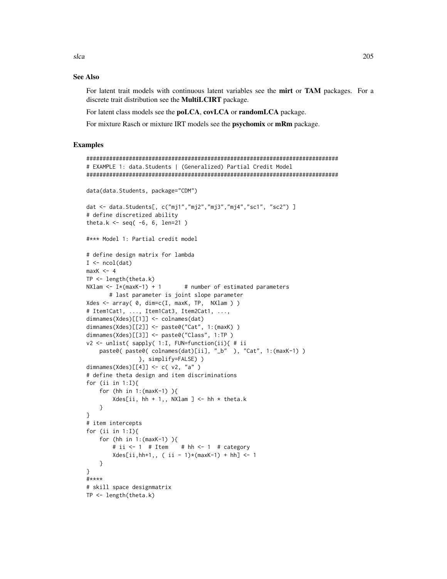# **See Also**

For latent trait models with continuous latent variables see the mirt or TAM packages. For a discrete trait distribution see the MultiLCIRT package.

For latent class models see the poLCA, covLCA or randomLCA package.

For mixture Rasch or mixture IRT models see the **psychomix** or mRm package.

# **Examples**

```
# EXAMPLE 1: data. Students | (Generalized) Partial Credit Model
data(data.Students, package="CDM")
dat <- data.Students[, c("mj1","mj2","mj3","mj4","sc1", "sc2") ]
# define discretized ability
theta.k <- seq(-6, 6, len=21)
#*** Model 1: Partial credit model
# define design matrix for lambda
I \leftarrow \text{ncol}(\text{dat})maxK < -4TP \leftarrow length(theta.k)NXlam <- I*(maxK-1) + 1# number of estimated parameters
      # last parameter is joint slope parameter
Xdes \leq array(\theta, dim=c(I, maxK, TP, NXlam))
# Item1Cat1, ..., Item1Cat3, Item2Cat1, ...,
dimnames(Xdes)[[1]] <- colnames(dat)
dimnames(Xdes)[[2]] <- paste0("Cat", 1:(maxK))
dimnames(Xdes)[[3]] <- paste0("Class", 1:TP)
v2 <- unlist( sapply( 1:I, FUN=function(ii){ # ii
   paste0( paste0( colnames(dat)[ii], "_b" ), "Cat", 1:(maxK-1) )
               }, simplify=FALSE) )
dimnames(Xdes)[[4]] <- c(v2, "a")
# define theta design and item discriminations
for (ii in 1:1){
   for (hh in 1: (maxK-1))
       Xdes[ii, hh + 1,, NXlam ] <- hh * theta.k
   \mathcal{E}\mathcal{E}# item intercepts
for (ii in 1: I){
   for (hh in 1: (maxK-1)){
                         # hh \le -1 # category
       # ii \leq -1 # Item
       Xdes[ii, hh+1, , (ii - 1)*(maxK-1) + hh] < -1\mathcal{F}\mathcal{E}#****
# skill space designmatrix
TP \leftarrow length(theta.k)
```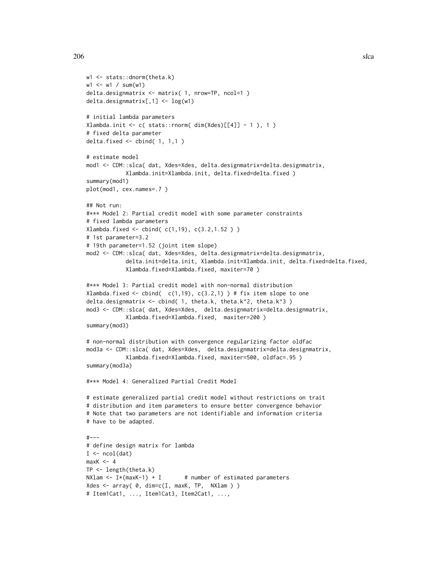```
206 slca
```

```
w1 <- stats::dnorm(theta.k)
w1 <- w1 / sum(w1)
delta.designmatrix <- matrix( 1, nrow=TP, ncol=1 )
delta.designmatrix[,1] <- log(w1)
# initial lambda parameters
Xlambda.init <- c( stats::rnorm( dim(Xdes)[[4]] - 1 ), 1 )
# fixed delta parameter
delta.fixed <- cbind( 1, 1,1 )
# estimate model
mod1 <- CDM::slca( dat, Xdes=Xdes, delta.designmatrix=delta.designmatrix,
            Xlambda.init=Xlambda.init, delta.fixed=delta.fixed )
summary(mod1)
plot(mod1, cex.names=.7 )
## Not run:
#*** Model 2: Partial credit model with some parameter constraints
# fixed lambda parameters
Xlambda.fixed <- cbind( c(1,19), c(3.2,1.52) )
# 1st parameter=3.2
# 19th parameter=1.52 (joint item slope)
mod2 <- CDM::slca( dat, Xdes=Xdes, delta.designmatrix=delta.designmatrix,
            delta.init=delta.init, Xlambda.init=Xlambda.init, delta.fixed=delta.fixed,
            Xlambda.fixed=Xlambda.fixed, maxiter=70 )
#*** Model 3: Partial credit model with non-normal distribution
Xlambda.fixed <- cbind(c(1,19), c(3.2,1)) # fix item slope to one
delta.designmatrix <- cbind( 1, theta.k, theta.k^2, theta.k^3 )
mod3 <- CDM::slca( dat, Xdes=Xdes, delta.designmatrix=delta.designmatrix,
            Xlambda.fixed=Xlambda.fixed, maxiter=200 )
summary(mod3)
# non-normal distribution with convergence regularizing factor oldfac
mod3a <- CDM::slca( dat, Xdes=Xdes, delta.designmatrix=delta.designmatrix,
            Xlambda.fixed=Xlambda.fixed, maxiter=500, oldfac=.95 )
summary(mod3a)
#*** Model 4: Generalized Partial Credit Model
# estimate generalized partial credit model without restrictions on trait
# distribution and item parameters to ensure better convergence behavior
# Note that two parameters are not identifiable and information criteria
# have to be adapted.
#---
# define design matrix for lambda
I \leftarrow \text{ncol}(\text{dat})maxK < -4TP <- length(theta.k)
NXlam \leq I*(maxK-1) + I # number of estimated parameters
Xdes <- array( 0, dim=c(I, maxK, TP, NXlam ) )
# Item1Cat1, ..., Item1Cat3, Item2Cat1, ...,
```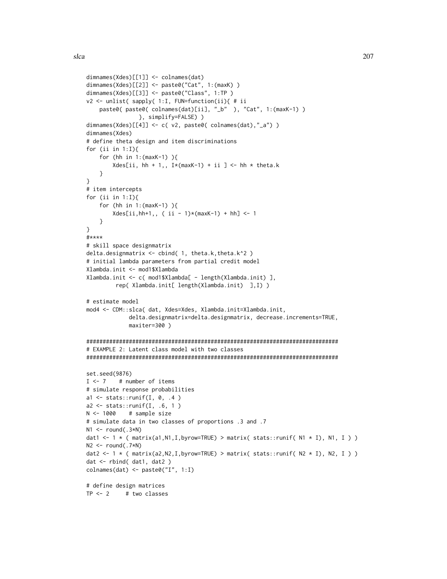```
dimnames(Xdes)[[1]] <- colnames(dat)
dimnames(Xdes)[[2]] <- paste0("Cat", 1:(maxK) )
dimnames(Xdes)[[3]] <- paste0("Class", 1:TP )
v2 <- unlist( sapply( 1:I, FUN=function(ii){ # ii
    paste0( paste0( colnames(dat)[ii], "_b" ), "Cat", 1:(maxK-1) )
                }, simplify=FALSE) )
dimnames(Xdes)[[4]] <- c( v2, paste0( colnames(dat),"_a") )
dimnames(Xdes)
# define theta design and item discriminations
for (ii in 1:I){
    for (hh in 1:(maxK-1) ){
        Xdes[ii, hh + 1,, I*(maxK-1) + ii ] <- hh * theta.k
    }
}
# item intercepts
for (ii in 1:I){
    for (hh in 1:(maxK-1) ){
        Xdes[ii,hh+1,, ( ii - 1)*(maxK-1) + hh] <- 1
    }
}
#****
# skill space designmatrix
delta.designmatrix <- cbind( 1, theta.k, theta.k^2 )
# initial lambda parameters from partial credit model
Xlambda.init <- mod1$Xlambda
Xlambda.init <- c( mod1$Xlambda[ - length(Xlambda.init) ],
         rep( Xlambda.init[ length(Xlambda.init) ],I) )
# estimate model
mod4 <- CDM::slca( dat, Xdes=Xdes, Xlambda.init=Xlambda.init,
             delta.designmatrix=delta.designmatrix, decrease.increments=TRUE,
             maxiter=300 )
#############################################################################
# EXAMPLE 2: Latent class model with two classes
#############################################################################
set.seed(9876)
I < -7 # number of items
# simulate response probabilities
a1 <- stats::runif(I, 0, .4)a2 <- stats::runif(I, .6, 1 )
N <- 1000 # sample size
# simulate data in two classes of proportions .3 and .7
N1 \le - round(.3*N)
dat1 <- 1 * ( matrix(a1,N1,I,byrow=TRUE) > matrix( stats::runif( N1 * I), N1, I ) )
N2 \le round(.7*N)
dat2 <- 1 * ( matrix(a2,N2,I,byrow=TRUE) > matrix( stats::runif( N2 * I), N2, I ) )
dat <- rbind( dat1, dat2 )
colnames(dat) <- paste0("I", 1:I)
# define design matrices
TP < -2 # two classes
```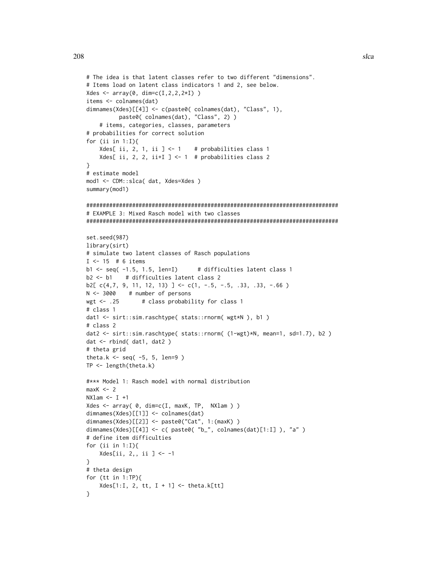```
# The idea is that latent classes refer to two different "dimensions".
# Items load on latent class indicators 1 and 2, see below.
Xdes <- array(0, dim=c(I, 2, 2, 2*L))items <- colnames(dat)
dimnames(Xdes)[[4]] <- c(paste0( colnames(dat), "Class", 1),
         paste0(colnames(dat), "Class", 2))
   # items, categories, classes, parameters
# probabilities for correct solution
for (ii in 1:1){
   Xdes[ ii, 2, 1, ii ] <-1 # probabilities class 1
   Xdes[ ii, 2, 2, ii+I ] <- 1 # probabilities class 2
ł
# estimate model
mod1 <- CDM::slca( dat, Xdes=Xdes )
summary(mod1)
# EXAMPLE 3: Mixed Rasch model with two classes
set.seed(987)
library(sirt)
# simulate two latent classes of Rasch populations
I \le -15 # 6 items
b1 \leq seq(-1.5, 1.5, len=I)# difficulties latent class 1
b2 \le b1# difficulties latent class 2
b2[c(4,7, 9, 11, 12, 13)] <- c(1, -.5, -.5, .33, .33, -.66)N < -3000# number of persons
               # class probability for class 1
wgt \leftarrow .25
# class 1
dat1 <- sirt::sim.raschtype( stats::rnorm( wgt*N ), b1 )
# class 2
dat2 <- sirt::sim.raschtype( stats::rnorm( (1-wgt)*N, mean=1, sd=1.7), b2 )
dat <- rbind(dat1, dat2)
# theta grid
theta.k <- seq(-5, 5, len=9)
TP \leftarrow length(theta.k)#*** Model 1: Rasch model with normal distribution
maxK < -2NXlam < - I +1Xdes <- array(0, dim=c(I, maxK, TP, NXlam))
dimnames(Xdes)[[1]] <- colnames(dat)
dimnames(Xdes)[[2]] <- paste0("Cat", 1:(maxK))
dimnames(Xdes)[[4]] <- c( paste0( "b_", colnames(dat)[1:I] ), "a" )
# define item difficulties
for (ii in 1:1){
   Xdes[ii, 2,, ii ] <- -1
\mathcal{E}# theta design
for (tt in 1:TP){
   Xdes[1:I, 2, tt, I + 1] < -theta. k[tt]\mathcal{Y}
```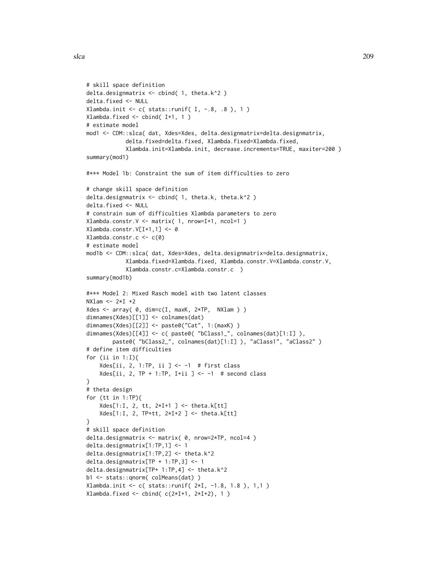```
# skill space definition
delta.designmatrix <- cbind( 1, theta.k^2 )
delta.fixed <- NULL
Xlambda.init \leq c (stats::runif( I, -.8, .8 ), 1 )
Xlambda.fixed <- cbind( I+1, 1 )
# estimate model
mod1 <- CDM::slca( dat, Xdes=Xdes, delta.designmatrix=delta.designmatrix,
            delta.fixed=delta.fixed, Xlambda.fixed=Xlambda.fixed,
            Xlambda.init=Xlambda.init, decrease.increments=TRUE, maxiter=200 )
summary(mod1)
#*** Model 1b: Constraint the sum of item difficulties to zero
# change skill space definition
delta.designmatrix <- cbind( 1, theta.k, theta.k^2 )
delta.fixed <- NULL
# constrain sum of difficulties Xlambda parameters to zero
Xlambda.constr.V <- matrix( 1, nrow=I+1, ncol=1 )
Xlambda.constr.V[I+1,1] <- 0
Xlambda.constr.c <- c(0)
# estimate model
mod1b <- CDM::slca( dat, Xdes=Xdes, delta.designmatrix=delta.designmatrix,
            Xlambda.fixed=Xlambda.fixed, Xlambda.constr.V=Xlambda.constr.V,
            Xlambda.constr.c=Xlambda.constr.c )
summary(mod1b)
#*** Model 2: Mixed Rasch model with two latent classes
NXlam < - 2*I +2Xdes <- array( 0, dim=c(I, maxK, 2*TP, NXlam ) )
dimnames(Xdes)[[1]] <- colnames(dat)
dimnames(Xdes)[[2]] <- paste0("Cat", 1:(maxK) )
dimnames(Xdes)[[4]] <- c( paste0( "bClass1_", colnames(dat)[1:I] ),
        paste0( "bClass2_", colnames(dat)[1:I] ), "aClass1", "aClass2" )
# define item difficulties
for (ii in 1:I){
    Xdes[i, 2, 1:TP, ii] < -1 # first class
    Xdes[ii, 2, TP + 1:TP, I+ii ] <- -1 # second class
}
# theta design
for (tt in 1:TP){
    Xdes[1:I, 2, tt, 2*I+1] < -theta.k[tt]Xdes[1:I, 2, TP+tt, 2*I+2 ] <- theta.k[tt]
}
# skill space definition
delta.designmatrix <- matrix( 0, nrow=2*TP, ncol=4 )
delta.designmatrix[1:TP,1] <- 1
delta.designmatrix[1:TP,2] <- theta.k^2
delta.designmatrix[TP + 1:TP,3] <- 1
delta.designmatrix[TP+ 1:TP,4] <- theta.k^2
b1 <- stats::qnorm( colMeans(dat) )
Xlambda.init <- c( stats::runif( 2*I, -1.8, 1.8 ), 1,1 )
Xlambda.fixed <- cbind( c(2*I+1, 2*I+2), 1)
```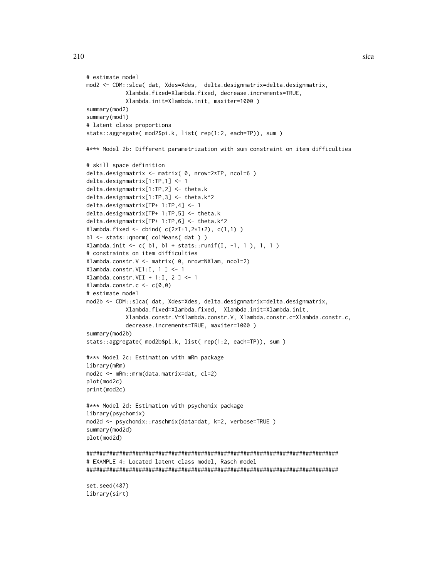```
# estimate model
mod2 <- CDM::slca( dat, Xdes=Xdes, delta.designmatrix=delta.designmatrix,
            Xlambda.fixed=Xlambda.fixed, decrease.increments=TRUE,
            Xlambda.init=Xlambda.init, maxiter=1000 )
summary(mod2)
summary(mod1)
# latent class proportions
stats::aggregate( mod2$pi.k, list( rep(1:2, each=TP)), sum )
#*** Model 2b: Different parametrization with sum constraint on item difficulties
# skill space definition
delta.designmatrix <- matrix( 0, nrow=2*TP, ncol=6 )
delta.designmatrix[1:TP,1] <- 1
delta.designmatrix[1:TP,2] <- theta.k
delta.designmatrix[1:TP,3] <- theta.k^2
delta.designmatrix[TP+ 1:TP,4] <- 1
delta.designmatrix[TP+ 1:TP,5] <- theta.k
delta.designmatrix[TP+ 1:TP,6] <- theta.k^2
Xlambda.fixed \le cbind( c(2*I+1,2*I+2), c(1,1) )
b1 <- stats::qnorm( colMeans( dat ) )
Xlambda.init <- c( b1, b1 + stats::runif(I, -1, 1), 1, 1)
# constraints on item difficulties
Xlambda.constr.V <- matrix( 0, nrow=NXlam, ncol=2)
Xlambda.constr.V[1:I, 1 ] <- 1
Xlambda.constr.V[I + 1:I, 2 ] <- 1
Xlambda.constr.c <- c(0,0)
# estimate model
mod2b <- CDM::slca( dat, Xdes=Xdes, delta.designmatrix=delta.designmatrix,
            Xlambda.fixed=Xlambda.fixed, Xlambda.init=Xlambda.init,
            Xlambda.constr.V=Xlambda.constr.V, Xlambda.constr.c=Xlambda.constr.c,
            decrease.increments=TRUE, maxiter=1000 )
summary(mod2b)
stats::aggregate( mod2b$pi.k, list( rep(1:2, each=TP)), sum )
#*** Model 2c: Estimation with mRm package
library(mRm)
mod2c <- mRm::mrm(data.matrix=dat, cl=2)
plot(mod2c)
print(mod2c)
#*** Model 2d: Estimation with psychomix package
library(psychomix)
mod2d <- psychomix::raschmix(data=dat, k=2, verbose=TRUE )
summary(mod2d)
plot(mod2d)
#############################################################################
# EXAMPLE 4: Located latent class model, Rasch model
#############################################################################
set.seed(487)
library(sirt)
```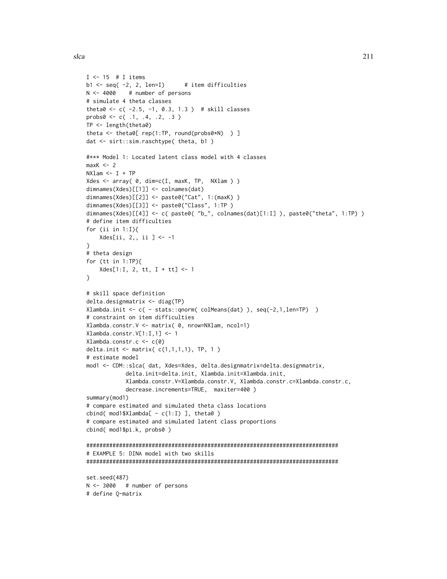$I \le -15$  # I items

```
b1 \leftarrow seq( -2, 2, len=I) # item difficulties
N <- 4000 # number of persons
# simulate 4 theta classes
theta0 <- c( -2.5, -1, 0.3, 1.3 ) # skill classes
probs0 \leq c(.1, .4, .2, .3)TP <- length(theta0)
theta <- theta0[ rep(1:TP, round(probs0*N) ) ]
dat <- sirt::sim.raschtype( theta, b1 )
#*** Model 1: Located latent class model with 4 classes
maxK < -2NXlam \leftarrow I + TPXdes <- array( \theta, dim=c(I, maxK, TP, NXlam ) )
dimnames(Xdes)[[1]] <- colnames(dat)
dimnames(Xdes)[[2]] <- paste0("Cat", 1:(maxK) )
dimnames(Xdes)[[3]] <- paste0("Class", 1:TP )
dimnames(Xdes)[[4]] <- c( paste0( "b_", colnames(dat)[1:I] ), paste0("theta", 1:TP) )
# define item difficulties
for (ii in 1:I){
    Xdes[ii, 2,, ii ] <- -1
}
# theta design
for (tt in 1:TP){
   Xdes[1:I, 2, tt, I + tt] <- 1
}
# skill space definition
delta.designmatrix <- diag(TP)
Xlambda.init <- c( - stats::qnorm( colMeans(dat) ), seq(-2,1,len=TP) )
# constraint on item difficulties
Xlambda.constr.V <- matrix( 0, nrow=NXlam, ncol=1)
Xlambda.constr.V[1:I,1] <- 1
Xlambda.constr.c <- c(0)
delta.init \leq matrix(c(1,1,1,1), TP, 1)
# estimate model
mod1 <- CDM::slca( dat, Xdes=Xdes, delta.designmatrix=delta.designmatrix,
            delta.init=delta.init, Xlambda.init=Xlambda.init,
            Xlambda.constr.V=Xlambda.constr.V, Xlambda.constr.c=Xlambda.constr.c,
            decrease.increments=TRUE, maxiter=400 )
summary(mod1)
# compare estimated and simulated theta class locations
cbind( mod1$Xlambda[ - c(1:I) ], theta0 )
# compare estimated and simulated latent class proportions
cbind( mod1$pi.k, probs0 )
#############################################################################
# EXAMPLE 5: DINA model with two skills
#############################################################################
set.seed(487)
N <- 3000 # number of persons
# define Q-matrix
```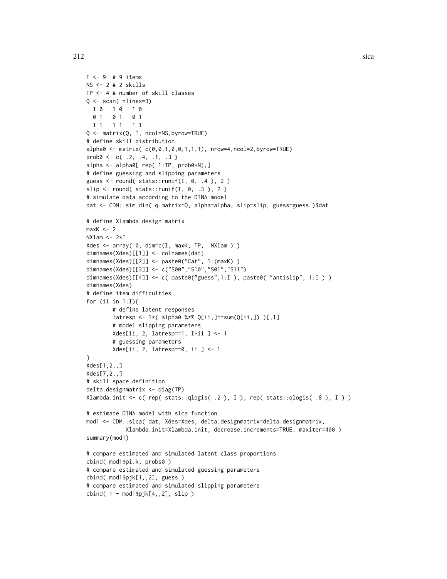```
I \leftarrow 9 # 9 items
NS <- 2 # 2 skills
TP <- 4 # number of skill classes
Q <- scan( nlines=3)
 1 0 1 0 1 0
 0 1 0 1 0 1
 1 1 1 1 1 1
Q <- matrix(Q, I, ncol=NS,byrow=TRUE)
# define skill distribution
alpha0 \leq -\text{matrix}(c(0,0,1,0,0,1,1,1), nrow=4, ncol=2, byrow=True)prob@ <- c( .2, .4, .1, .3 )alpha <- alpha0[ rep( 1:TP, prob0*N),]
# define guessing and slipping parameters
guess \le round( stats::runif(I, 0, .4), 2)
slip \le round( stats::runif(I, 0, .3), 2)
# simulate data according to the DINA model
dat <- CDM::sim.din( q.matrix=Q, alpha=alpha, slip=slip, guess=guess )$dat
# define Xlambda design matrix
maxK < -2NXlam < - 2*IXdes <- array( \theta, dim=c(I, maxK, TP, NXlam ) )
dimnames(Xdes)[[1]] <- colnames(dat)
dimnames(Xdes)[[2]] <- paste0("Cat", 1:(maxK) )
dimnames(Xdes)[[3]] <- c("S00","S10","S01","S11")
dimnames(Xdes)[[4]] <- c( paste0("guess",1:I ), paste0( "antislip", 1:I ) )
dimnames(Xdes)
# define item difficulties
for (ii in 1:I){
        # define latent responses
        latresp <- 1*( alpha0 %*% Q[ii,]==sum(Q[ii,]) )[,1]# model slipping parameters
        Xdes[ii, 2, latresp==1, I+ii ] <- 1
        # guessing parameters
        Xdes[ii, 2, latresp==0, ii ] <- 1
}
Xdes[1,2,,]
Xdes[7,2,,]
# skill space definition
delta.designmatrix <- diag(TP)
Xlambda.init <- c( rep( stats::qlogis( .2 ), I ), rep( stats::qlogis( .8 ), I ) )
# estimate DINA model with slca function
mod1 <- CDM::slca( dat, Xdes=Xdes, delta.designmatrix=delta.designmatrix,
            Xlambda.init=Xlambda.init, decrease.increments=TRUE, maxiter=400 )
summary(mod1)
# compare estimated and simulated latent class proportions
cbind( mod1$pi.k, probs0 )
# compare estimated and simulated guessing parameters
cbind( mod1$pjk[1,,2], guess )
# compare estimated and simulated slipping parameters
cbind( 1 - \text{mod1}\pjk[4, 2], slip )
```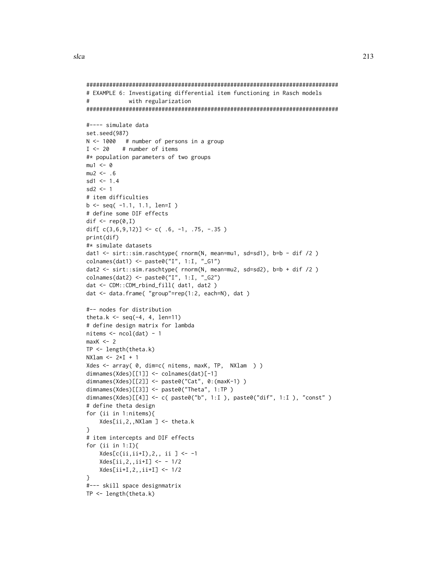```
# EXAMPLE 6: Investigating differential item functioning in Rasch models
#with regularization
#---- simulate data
set.seed(987)
N \le -1000 # number of persons in a group
I \le -20# number of items
#* population parameters of two groups
mu1 \le -0mu2 < - .6sd1 \leq -1.4sd2 \leq -1# item difficulties
b \leq -seq( -1.1, 1.1, len=I )# define some DIF effects
dif \leq - rep(0,I)dif[c(3, 6, 9, 12)] <- c(.6, -1, .75, -.35)
print(dif)
#* simulate datasets
dat1 <- sirt::sim.raschtype( rnorm(N, mean=mu1, sd=sd1), b=b - dif /2)
colnames(dat1) <- paste0("I", 1:I, "_G1")
dat2 <- sirt::sim.raschtype( rnorm(N, mean=mu2, sd=sd2), b=b + dif /2)
colnames(dat2) <- paste0("I", 1:I, "G2")dat <- CDM::CDM_rbind_fill( dat1, dat2 )
dat <- data.frame( "group"=rep(1:2, each=N), dat)
#-- nodes for distribution
theta.k <- seq(-4, 4, len=11)# define design matrix for lambda
nitems < -ncol(data) - 1maxK < -2TP \leftarrow length(theta.k)NXlam < - 2*I + 1Xdes <- array( 0, dim=c( nitems, maxK, TP, NXlam ) )
dimnames(Xdes)[[1]] <- colnames(dat)[-1]
dimnames(Xdes)[2]] <- paste0("Cat", 0:(maxK-1))
dimnames(Xdes)[[3]] <- paste0("Theta", 1:TP)
dimnames(Xdes)[[4]] <- c( paste0("b", 1:I ), paste0("dif", 1:I ), "const" )
# define theta design
for (ii in 1:nitems){
   Xdes[ii, 2, , NXlam] < - theta.k\mathcal{E}# item intercepts and DIF effects
for (ii in 1:1){
   Xdes[c(ii, ii+I), 2, , ii ] \leftarrow -1Xdes[ii, 2, iii+I] < -1/2Xdes[i i+1, 2, i i+1] < -1/2\mathcal{F}#--- skill space designmatrix
TP \leftarrow length(theta.k)
```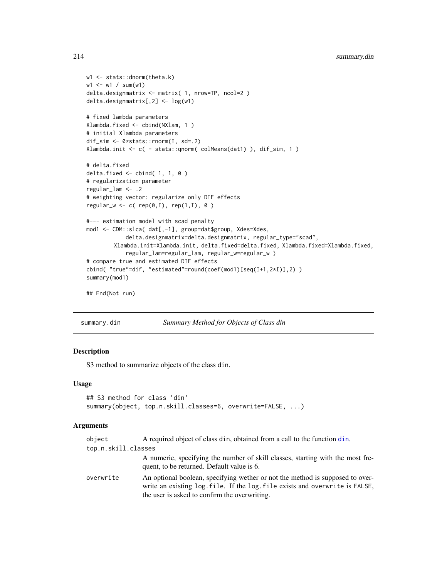```
w1 <- stats::dnorm(theta.k)
w1 <- w1 / sum(w1)
delta.designmatrix <- matrix( 1, nrow=TP, ncol=2 )
delta.designmatrix[,2] <- log(w1)
# fixed lambda parameters
Xlambda.fixed <- cbind(NXlam, 1 )
# initial Xlambda parameters
dif_sim <- 0*stats::rnorm(I, sd=.2)
Xlambda.init <- c( - stats::qnorm( colMeans(dat1) ), dif_sim, 1 )
# delta.fixed
delta.fixed <- cbind( 1, 1, 0 )
# regularization parameter
regular_lam <- .2
# weighting vector: regularize only DIF effects
regular_w \leftarrow c( rep(0,I), rep(1,I), 0)#--- estimation model with scad penalty
mod1 <- CDM::slca( dat[,-1], group=dat$group, Xdes=Xdes,
            delta.designmatrix=delta.designmatrix, regular_type="scad",
        Xlambda.init=Xlambda.init, delta.fixed=delta.fixed, Xlambda.fixed=Xlambda.fixed,
            regular_lam=regular_lam, regular_w=regular_w )
# compare true and estimated DIF effects
cbind( "true"=dif, "estimated"=round(coef(mod1)[seq(I+1,2*I)],2) )
summary(mod1)
```
## End(Not run)

<span id="page-213-0"></span>summary.din *Summary Method for Objects of Class din*

## Description

S3 method to summarize objects of the class din.

#### Usage

```
## S3 method for class 'din'
summary(object, top.n.skill.classes=6, overwrite=FALSE, ...)
```
# **Arguments**

| object              | A required object of class din, obtained from a call to the function din.                                                                                                                                    |
|---------------------|--------------------------------------------------------------------------------------------------------------------------------------------------------------------------------------------------------------|
| top.n.skill.classes |                                                                                                                                                                                                              |
|                     | A numeric, specifying the number of skill classes, starting with the most fre-<br>quent, to be returned. Default value is 6.                                                                                 |
| overwrite           | An optional boolean, specifying wether or not the method is supposed to over-<br>write an existing log file. If the log file exists and overwrite is FALSE,<br>the user is asked to confirm the overwriting. |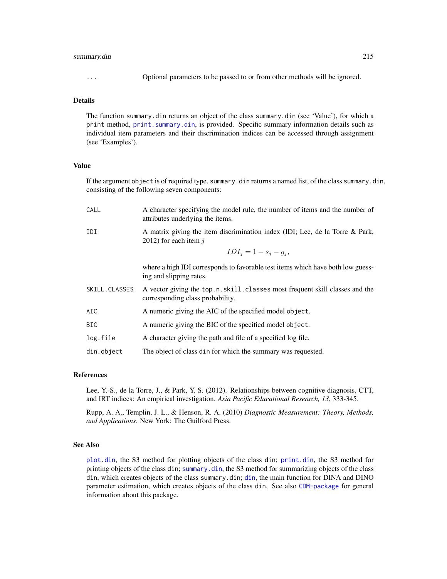## summary.din 215

... Optional parameters to be passed to or from other methods will be ignored.

# Details

The function summary.din returns an object of the class summary.din (see 'Value'), for which a print method, [print.summary.din](#page-179-0), is provided. Specific summary information details such as individual item parameters and their discrimination indices can be accessed through assignment (see 'Examples').

### Value

If the argument object is of required type, summary.din returns a named list, of the class summary.din, consisting of the following seven components:

| CALL          | A character specifying the model rule, the number of items and the number of<br>attributes underlying the items. |
|---------------|------------------------------------------------------------------------------------------------------------------|
| IDI           | A matrix giving the item discrimination index (IDI; Lee, de la Torre & Park,<br>2012) for each item $j$          |
|               | $IDI_i = 1 - s_i - g_i,$                                                                                         |
|               | where a high IDI corresponds to favorable test items which have both low guess-<br>ing and slipping rates.       |
| SKILL.CLASSES | A vector giving the top.n.skill.classes most frequent skill classes and the<br>corresponding class probability.  |
| AIC           | A numeric giving the AIC of the specified model object.                                                          |
| BIC.          | A numeric giving the BIC of the specified model object.                                                          |
| log.file      | A character giving the path and file of a specified log file.                                                    |
| din.object    | The object of class din for which the summary was requested.                                                     |

# References

Lee, Y.-S., de la Torre, J., & Park, Y. S. (2012). Relationships between cognitive diagnosis, CTT, and IRT indices: An empirical investigation. *Asia Pacific Educational Research, 13*, 333-345.

Rupp, A. A., Templin, J. L., & Henson, R. A. (2010) *Diagnostic Measurement: Theory, Methods, and Applications*. New York: The Guilford Press.

## See Also

[plot.din](#page-174-0), the S3 method for plotting objects of the class din; [print.din](#page-62-0), the S3 method for printing objects of the class din; [summary.din](#page-213-0), the S3 method for summarizing objects of the class din, which creates objects of the class summary.din; [din](#page-62-1), the main function for DINA and DINO parameter estimation, which creates objects of the class din. See also [CDM-package](#page-3-0) for general information about this package.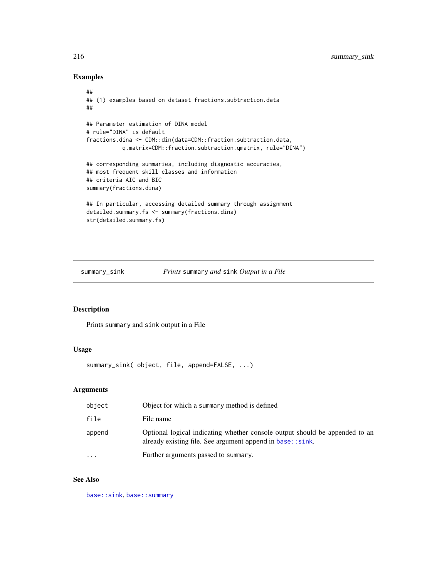# Examples

```
##
## (1) examples based on dataset fractions.subtraction.data
##
## Parameter estimation of DINA model
# rule="DINA" is default
fractions.dina <- CDM::din(data=CDM::fraction.subtraction.data,
           q.matrix=CDM::fraction.subtraction.qmatrix, rule="DINA")
## corresponding summaries, including diagnostic accuracies,
## most frequent skill classes and information
## criteria AIC and BIC
summary(fractions.dina)
## In particular, accessing detailed summary through assignment
detailed.summary.fs <- summary(fractions.dina)
str(detailed.summary.fs)
```
#### summary\_sink *Prints* summary *and* sink *Output in a File*

# Description

Prints summary and sink output in a File

# Usage

summary\_sink( object, file, append=FALSE, ...)

# Arguments

| object    | Object for which a summary method is defined                                                                                             |
|-----------|------------------------------------------------------------------------------------------------------------------------------------------|
| file      | File name                                                                                                                                |
| append    | Optional logical indicating whether console output should be appended to an<br>already existing file. See argument append in base::sink. |
| $\ddotsc$ | Further arguments passed to summary.                                                                                                     |

# See Also

[base::sink](#page-0-0), [base::summary](#page-0-0)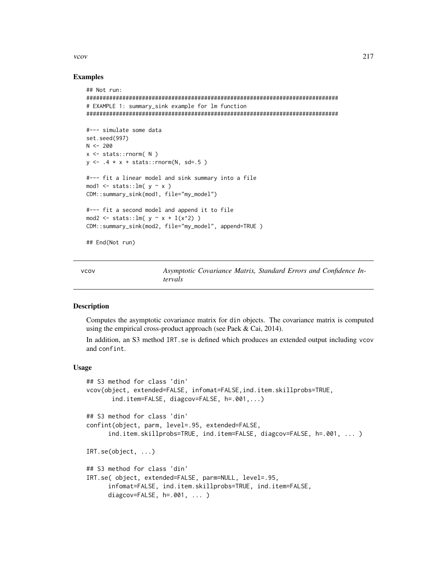#### <span id="page-216-0"></span>vcov  $217$

#### Examples

```
## Not run:
#############################################################################
# EXAMPLE 1: summary_sink example for lm function
#############################################################################
#--- simulate some data
set.seed(997)
N < -200x <- stats::rnorm( N )
y \le -0.4 \times x + \text{stats::rnorm(N, sd=.5)}#--- fit a linear model and sink summary into a file
mod1 \le stats:: lm( y \sim x )
CDM::summary_sink(mod1, file="my_model")
#--- fit a second model and append it to file
mod2 <- stats::lm(y \sim x + I(x^2))CDM::summary_sink(mod2, file="my_model", append=TRUE )
```
## End(Not run)

vcov *Asymptotic Covariance Matrix, Standard Errors and Confidence Intervals*

#### **Description**

Computes the asymptotic covariance matrix for din objects. The covariance matrix is computed using the empirical cross-product approach (see Paek & Cai, 2014).

In addition, an S3 method IRT.se is defined which produces an extended output including vcov and confint.

#### Usage

```
## S3 method for class 'din'
vcov(object, extended=FALSE, infomat=FALSE,ind.item.skillprobs=TRUE,
       ind.item=FALSE, diagcov=FALSE, h=.001,...)
## S3 method for class 'din'
confint(object, parm, level=.95, extended=FALSE,
      ind.item.skillprobs=TRUE, ind.item=FALSE, diagcov=FALSE, h=.001, ... )
IRT.se(object, ...)
## S3 method for class 'din'
IRT.se( object, extended=FALSE, parm=NULL, level=.95,
      infomat=FALSE, ind.item.skillprobs=TRUE, ind.item=FALSE,
     diagcov=FALSE, h=.001, ... )
```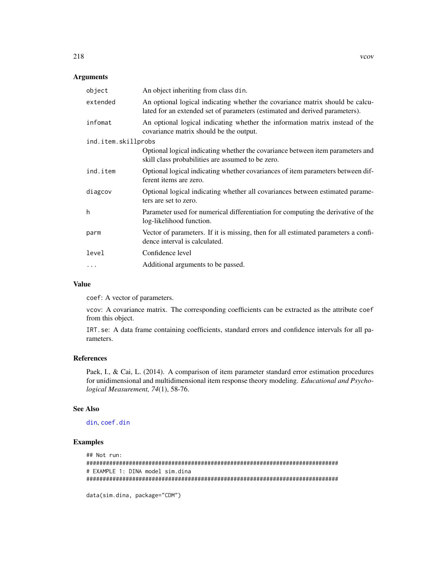#### <span id="page-217-0"></span>Arguments

| object              | An object inheriting from class din.                                                                                                                         |  |
|---------------------|--------------------------------------------------------------------------------------------------------------------------------------------------------------|--|
| extended            | An optional logical indicating whether the covariance matrix should be calcu-<br>lated for an extended set of parameters (estimated and derived parameters). |  |
| infomat             | An optional logical indicating whether the information matrix instead of the<br>covariance matrix should be the output.                                      |  |
| ind.item.skillprobs |                                                                                                                                                              |  |
|                     | Optional logical indicating whether the covariance between item parameters and<br>skill class probabilities are assumed to be zero.                          |  |
| ind.item            | Optional logical indicating whether covariances of item parameters between dif-<br>ferent items are zero.                                                    |  |
| diagcov             | Optional logical indicating whether all covariances between estimated parame-<br>ters are set to zero.                                                       |  |
| h                   | Parameter used for numerical differentiation for computing the derivative of the<br>log-likelihood function.                                                 |  |
| parm                | Vector of parameters. If it is missing, then for all estimated parameters a confi-<br>dence interval is calculated.                                          |  |
| level               | Confidence level                                                                                                                                             |  |
| .                   | Additional arguments to be passed.                                                                                                                           |  |

#### Value

coef: A vector of parameters.

vcov: A covariance matrix. The corresponding coefficients can be extracted as the attribute coef from this object.

IRT.se: A data frame containing coefficients, standard errors and confidence intervals for all parameters.

# References

Paek, I., & Cai, L. (2014). A comparison of item parameter standard error estimation procedures for unidimensional and multidimensional item response theory modeling. *Educational and Psychological Measurement, 74*(1), 58-76.

#### See Also

# [din](#page-62-0), [coef.din](#page-15-0)

# Examples

```
## Not run:
#############################################################################
# EXAMPLE 1: DINA model sim.dina
#############################################################################
data(sim.dina, package="CDM")
```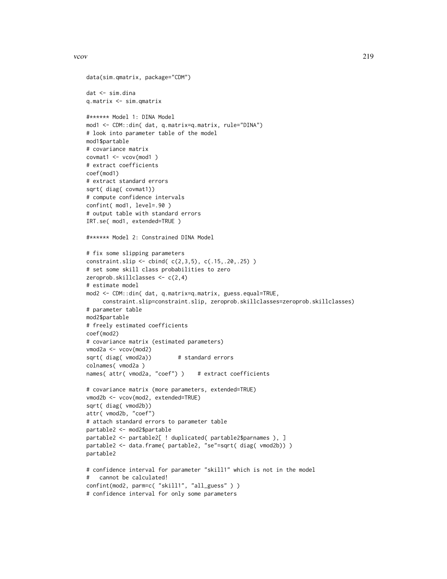```
vcov 219
```

```
data(sim.qmatrix, package="CDM")
dat <- sim.dina
q.matrix <- sim.qmatrix
#****** Model 1: DINA Model
mod1 <- CDM::din( dat, q.matrix=q.matrix, rule="DINA")
# look into parameter table of the model
mod1$partable
# covariance matrix
covmat1 <- vcov(mod1 )
# extract coefficients
coef(mod1)
# extract standard errors
sqrt( diag( covmat1))
# compute confidence intervals
confint( mod1, level=.90 )
# output table with standard errors
IRT.se( mod1, extended=TRUE )
#****** Model 2: Constrained DINA Model
# fix some slipping parameters
constraint.slip <- cbind( c(2,3,5), c(.15,.20,.25) )
# set some skill class probabilities to zero
zeroprob.skillclasses <- c(2,4)
# estimate model
mod2 <- CDM::din( dat, q.matrix=q.matrix, guess.equal=TRUE,
     constraint.slip=constraint.slip, zeroprob.skillclasses=zeroprob.skillclasses)
# parameter table
mod2$partable
# freely estimated coefficients
coef(mod2)
# covariance matrix (estimated parameters)
vmod2a <- vcov(mod2)
sqrt( diag( vmod2a)) # standard errors
colnames( vmod2a )
names( attr( vmod2a, "coef") ) # extract coefficients
# covariance matrix (more parameters, extended=TRUE)
vmod2b <- vcov(mod2, extended=TRUE)
sqrt( diag( vmod2b))
attr( vmod2b, "coef")
# attach standard errors to parameter table
partable2 <- mod2$partable
partable2 <- partable2[ ! duplicated( partable2$parnames ), ]
partable2 <- data.frame( partable2, "se"=sqrt( diag( vmod2b)) )
partable2
# confidence interval for parameter "skill1" which is not in the model
# cannot be calculated!
confint(mod2, parm=c( "skill1", "all_guess" ) )
# confidence interval for only some parameters
```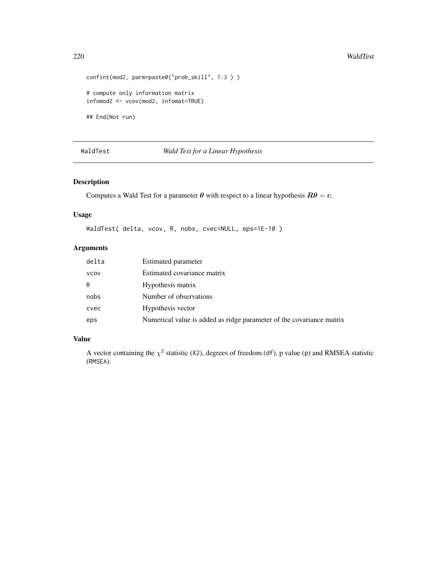```
confint(mod2, parm=paste0("prob_skill", 1:3 ) )
# compute only information matrix
infomod2 <- vcov(mod2, infomat=TRUE)
## End(Not run)
```
# WaldTest *Wald Test for a Linear Hypothesis*

# Description

Computes a Wald Test for a parameter  $\theta$  with respect to a linear hypothesis  $R\theta = c$ .

# Usage

```
WaldTest( delta, vcov, R, nobs, cvec=NULL, eps=1E-10 )
```
# Arguments

| delta       | Estimated parameter                                                  |
|-------------|----------------------------------------------------------------------|
| <b>VCOV</b> | Estimated covariance matrix                                          |
| R           | Hypothesis matrix                                                    |
| nobs        | Number of observations                                               |
| cvec        | Hypothesis vector                                                    |
| eps         | Numerical value is added as ridge parameter of the covariance matrix |

# Value

A vector containing the  $\chi^2$  statistic (X2), degrees of freedom (df), p value (p) and RMSEA statistic (RMSEA).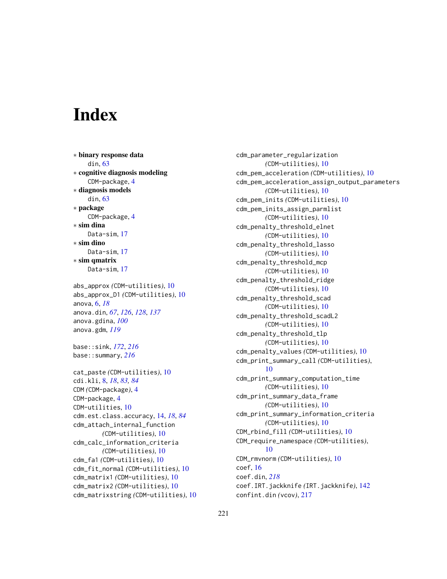# **Index**

∗ binary response data din, [63](#page-62-1) ∗ cognitive diagnosis modeling CDM-package, [4](#page-3-0) ∗ diagnosis models din, [63](#page-62-1) ∗ package CDM-package, [4](#page-3-0) ∗ sim dina Data-sim, [17](#page-16-0) ∗ sim dino Data-sim, [17](#page-16-0) ∗ sim qmatrix Data-sim, [17](#page-16-0) abs\_approx *(*CDM-utilities*)*, [10](#page-9-0)

abs\_approx\_D1 *(*CDM-utilities*)*, [10](#page-9-0) anova, [6,](#page-5-0) *[18](#page-17-0)* anova.din, *[67](#page-66-0)*, *[126](#page-125-0)*, *[128](#page-127-0)*, *[137](#page-136-0)* anova.gdina, *[100](#page-99-0)* anova.gdm, *[119](#page-118-0)*

base::sink, *[172](#page-171-0)*, *[216](#page-215-0)* base::summary, *[216](#page-215-0)*

```
cat_paste (CDM-utilities), 10
cdi.kli, 8, 18, 83, 84
CDM (CDM-package), 4
CDM-package, 4
CDM-utilities, 10
cdm.est.class.accuracy, 14, 18, 84
cdm_attach_internal_function
        (CDM-utilities), 10
cdm_calc_information_criteria
        (CDM-utilities), 10
cdm_fa1 (CDM-utilities), 10
cdm_fit_normal (CDM-utilities), 10
cdm_matrix1 (CDM-utilities), 10
cdm_matrix2 (CDM-utilities), 10
cdm_matrixstring (CDM-utilities), 10
```
cdm\_parameter\_regularization *(*CDM-utilities*)*, [10](#page-9-0) cdm\_pem\_acceleration *(*CDM-utilities*)*, [10](#page-9-0) cdm\_pem\_acceleration\_assign\_output\_parameters *(*CDM-utilities*)*, [10](#page-9-0) cdm\_pem\_inits *(*CDM-utilities*)*, [10](#page-9-0) cdm\_pem\_inits\_assign\_parmlist *(*CDM-utilities*)*, [10](#page-9-0) cdm\_penalty\_threshold\_elnet *(*CDM-utilities*)*, [10](#page-9-0) cdm\_penalty\_threshold\_lasso *(*CDM-utilities*)*, [10](#page-9-0) cdm\_penalty\_threshold\_mcp *(*CDM-utilities*)*, [10](#page-9-0) cdm\_penalty\_threshold\_ridge *(*CDM-utilities*)*, [10](#page-9-0) cdm\_penalty\_threshold\_scad *(*CDM-utilities*)*, [10](#page-9-0) cdm\_penalty\_threshold\_scadL2 *(*CDM-utilities*)*, [10](#page-9-0) cdm\_penalty\_threshold\_tlp *(*CDM-utilities*)*, [10](#page-9-0) cdm\_penalty\_values *(*CDM-utilities*)*, [10](#page-9-0) cdm\_print\_summary\_call *(*CDM-utilities*)*, [10](#page-9-0) cdm\_print\_summary\_computation\_time *(*CDM-utilities*)*, [10](#page-9-0) cdm\_print\_summary\_data\_frame *(*CDM-utilities*)*, [10](#page-9-0) cdm\_print\_summary\_information\_criteria *(*CDM-utilities*)*, [10](#page-9-0) CDM\_rbind\_fill *(*CDM-utilities*)*, [10](#page-9-0) CDM\_require\_namespace *(*CDM-utilities*)*, [10](#page-9-0) CDM\_rmvnorm *(*CDM-utilities*)*, [10](#page-9-0) coef, [16](#page-15-1) coef.din, *[218](#page-217-0)* coef.IRT.jackknife *(*IRT.jackknife*)*, [142](#page-141-0) confint.din *(*vcov*)*, [217](#page-216-0)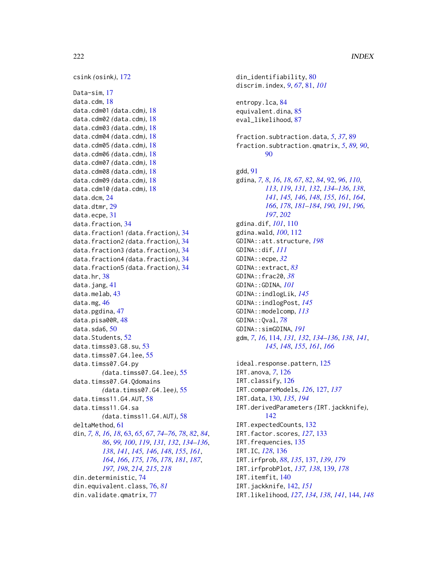csink *(*osink*)*, [172](#page-171-0) Data-sim, [17](#page-16-0) data.cdm, [18](#page-17-0) data.cdm01 *(*data.cdm*)*, [18](#page-17-0) data.cdm02 *(*data.cdm*)*, [18](#page-17-0) data.cdm03 *(*data.cdm*)*, [18](#page-17-0) data.cdm04 *(*data.cdm*)*, [18](#page-17-0) data.cdm05 *(*data.cdm*)*, [18](#page-17-0) data.cdm06 *(*data.cdm*)*, [18](#page-17-0) data.cdm07 *(*data.cdm*)*, [18](#page-17-0) data.cdm08 *(*data.cdm*)*, [18](#page-17-0) data.cdm09 *(*data.cdm*)*, [18](#page-17-0) data.cdm10 *(*data.cdm*)*, [18](#page-17-0) data.dcm, [24](#page-23-0) data.dtmr, [29](#page-28-0) data.ecpe, [31](#page-30-0) data.fraction, [34](#page-33-0) data.fraction1 *(*data.fraction*)*, [34](#page-33-0) data.fraction2 *(*data.fraction*)*, [34](#page-33-0) data.fraction3 *(*data.fraction*)*, [34](#page-33-0) data.fraction4 *(*data.fraction*)*, [34](#page-33-0) data.fraction5 *(*data.fraction*)*, [34](#page-33-0) data.hr, [38](#page-37-0) data.jang, [41](#page-40-0) data.melab, [43](#page-42-0) data.mg, [46](#page-45-0) data.pgdina, [47](#page-46-0) data.pisa00R, [48](#page-47-0) data.sda6, [50](#page-49-0) data.Students, [52](#page-51-0) data.timss03.G8.su, [53](#page-52-0) data.timss07.G4.lee, [55](#page-54-0) data.timss07.G4.py *(*data.timss07.G4.lee*)*, [55](#page-54-0) data.timss07.G4.Qdomains *(*data.timss07.G4.lee*)*, [55](#page-54-0) data.timss11.G4.AUT, [58](#page-57-0) data.timss11.G4.sa *(*data.timss11.G4.AUT*)*, [58](#page-57-0) deltaMethod, [61](#page-60-0) din, *[7,](#page-6-0) [8](#page-7-0)*, *[16](#page-15-1)*, *[18](#page-17-0)*, [63,](#page-62-1) *[65](#page-64-0)*, *[67](#page-66-0)*, *[74–](#page-73-0)[76](#page-75-0)*, *[78](#page-77-0)*, *[82](#page-81-0)*, *[84](#page-83-0)*, *[86](#page-85-0)*, *[99,](#page-98-0) [100](#page-99-0)*, *[119](#page-118-0)*, *[131,](#page-130-0) [132](#page-131-0)*, *[134–](#page-133-0)[136](#page-135-0)*, *[138](#page-137-0)*, *[141](#page-140-0)*, *[145,](#page-144-0) [146](#page-145-0)*, *[148](#page-147-0)*, *[155](#page-154-0)*, *[161](#page-160-0)*, *[164](#page-163-0)*, *[166](#page-165-0)*, *[175,](#page-174-0) [176](#page-175-0)*, *[178](#page-177-0)*, *[181](#page-180-0)*, *[187](#page-186-0)*, *[197,](#page-196-0) [198](#page-197-0)*, *[214,](#page-213-0) [215](#page-214-0)*, *[218](#page-217-0)* din.deterministic, [74](#page-73-0) din.equivalent.class, [76,](#page-75-0) *[81](#page-80-0)* din.validate.qmatrix, [77](#page-76-0)

din\_identifiability, [80](#page-79-0) discrim.index, *[9](#page-8-0)*, *[67](#page-66-0)*, [81,](#page-80-0) *[101](#page-100-0)* entropy.lca, [84](#page-83-0) equivalent.dina, [85](#page-84-0) eval\_likelihood, [87](#page-86-0) fraction.subtraction.data, *[5](#page-4-0)*, *[37](#page-36-0)*, [89](#page-88-0) fraction.subtraction.qmatrix, *[5](#page-4-0)*, *[89,](#page-88-0) [90](#page-89-0)*, [90](#page-89-0) gdd, [91](#page-90-0) gdina, *[7,](#page-6-0) [8](#page-7-0)*, *[16](#page-15-1)*, *[18](#page-17-0)*, *[67](#page-66-0)*, *[82](#page-81-0)*, *[84](#page-83-0)*, [92,](#page-91-0) *[96](#page-95-0)*, *[110](#page-109-0)*, *[113](#page-112-0)*, *[119](#page-118-0)*, *[131,](#page-130-0) [132](#page-131-0)*, *[134](#page-133-0)[–136](#page-135-0)*, *[138](#page-137-0)*, *[141](#page-140-0)*, *[145,](#page-144-0) [146](#page-145-0)*, *[148](#page-147-0)*, *[155](#page-154-0)*, *[161](#page-160-0)*, *[164](#page-163-0)*, *[166](#page-165-0)*, *[178](#page-177-0)*, *[181](#page-180-0)[–184](#page-183-0)*, *[190,](#page-189-0) [191](#page-190-0)*, *[196,](#page-195-0) [197](#page-196-0)*, *[202](#page-201-0)* gdina.dif, *[101](#page-100-0)*, [110](#page-109-0) gdina.wald, *[100](#page-99-0)*, [112](#page-111-0) GDINA::att.structure, *[198](#page-197-0)* GDINA::dif, *[111](#page-110-0)* GDINA::ecpe, *[32](#page-31-0)* GDINA::extract, *[83](#page-82-0)* GDINA::frac20, *[38](#page-37-0)* GDINA::GDINA, *[101](#page-100-0)* GDINA::indlogLik, *[145](#page-144-0)* GDINA::indlogPost, *[145](#page-144-0)* GDINA::modelcomp, *[113](#page-112-0)* GDINA::Qval, *[78](#page-77-0)* GDINA::simGDINA, *[191](#page-190-0)* gdm, *[7](#page-6-0)*, *[16](#page-15-1)*, [114,](#page-113-0) *[131,](#page-130-0) [132](#page-131-0)*, *[134](#page-133-0)[–136](#page-135-0)*, *[138](#page-137-0)*, *[141](#page-140-0)*, *[145](#page-144-0)*, *[148](#page-147-0)*, *[155](#page-154-0)*, *[161](#page-160-0)*, *[166](#page-165-0)* ideal.response.pattern, [125](#page-124-0) IRT.anova, *[7](#page-6-0)*, [126](#page-125-0) IRT.classify, [126](#page-125-0) IRT.compareModels, *[126](#page-125-0)*, [127,](#page-126-0) *[137](#page-136-0)* IRT.data, [130,](#page-129-0) *[135](#page-134-0)*, *[194](#page-193-0)* IRT.derivedParameters *(*IRT.jackknife*)*, [142](#page-141-0) IRT.expectedCounts, [132](#page-131-0) IRT.factor.scores, *[127](#page-126-0)*, [133](#page-132-0) IRT.frequencies, [135](#page-134-0) IRT.IC, *[128](#page-127-0)*, [136](#page-135-0) IRT.irfprob, *[88](#page-87-0)*, *[135](#page-134-0)*, [137,](#page-136-0) *[139](#page-138-0)*, *[179](#page-178-0)* IRT.irfprobPlot, *[137,](#page-136-0) [138](#page-137-0)*, [139,](#page-138-0) *[178](#page-177-0)* IRT.itemfit, [140](#page-139-0) IRT.jackknife, [142,](#page-141-0) *[151](#page-150-0)* IRT.likelihood, *[127](#page-126-0)*, *[134](#page-133-0)*, *[138](#page-137-0)*, *[141](#page-140-0)*, [144,](#page-143-0) *[148](#page-147-0)*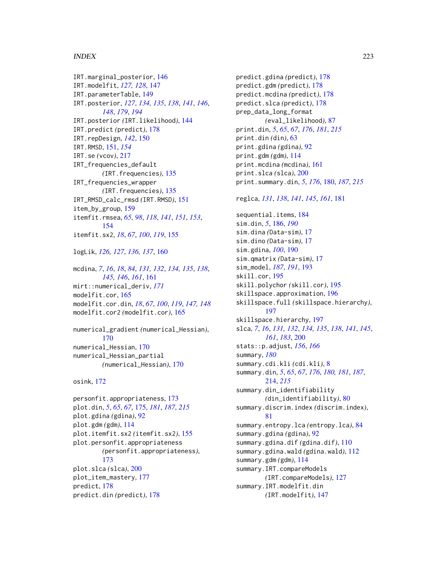IRT.marginal\_posterior, [146](#page-145-0) IRT.modelfit, *[127,](#page-126-0) [128](#page-127-0)*, [147](#page-146-0) IRT.parameterTable, [149](#page-148-0) IRT.posterior, *[127](#page-126-0)*, *[134,](#page-133-0) [135](#page-134-0)*, *[138](#page-137-0)*, *[141](#page-140-0)*, *[146](#page-145-0)*, *[148](#page-147-0)*, *[179](#page-178-0)*, *[194](#page-193-0)* IRT.posterior *(*IRT.likelihood*)*, [144](#page-143-0) IRT.predict *(*predict*)*, [178](#page-177-0) IRT.repDesign, *[142](#page-141-0)*, [150](#page-149-0) IRT.RMSD, [151,](#page-150-0) *[154](#page-153-0)* IRT.se *(*vcov*)*, [217](#page-216-0) IRT\_frequencies\_default *(*IRT.frequencies*)*, [135](#page-134-0) IRT\_frequencies\_wrapper *(*IRT.frequencies*)*, [135](#page-134-0) IRT\_RMSD\_calc\_rmsd *(*IRT.RMSD*)*, [151](#page-150-0) item\_by\_group, [159](#page-158-0) itemfit.rmsea, *[65](#page-64-0)*, *[98](#page-97-0)*, *[118](#page-117-0)*, *[141](#page-140-0)*, *[151](#page-150-0)*, *[153](#page-152-0)*, [154](#page-153-0) itemfit.sx2, *[18](#page-17-0)*, *[67](#page-66-0)*, *[100](#page-99-0)*, *[119](#page-118-0)*, [155](#page-154-0) logLik, *[126,](#page-125-0) [127](#page-126-0)*, *[136,](#page-135-0) [137](#page-136-0)*, [160](#page-159-0) mcdina, *[7](#page-6-0)*, *[16](#page-15-1)*, *[18](#page-17-0)*, *[84](#page-83-0)*, *[131,](#page-130-0) [132](#page-131-0)*, *[134,](#page-133-0) [135](#page-134-0)*, *[138](#page-137-0)*, *[145,](#page-144-0) [146](#page-145-0)*, *[161](#page-160-0)*, [161](#page-160-0) mirt::numerical\_deriv, *[171](#page-170-0)* modelfit.cor, [165](#page-164-0) modelfit.cor.din, *[18](#page-17-0)*, *[67](#page-66-0)*, *[100](#page-99-0)*, *[119](#page-118-0)*, *[147,](#page-146-0) [148](#page-147-0)* modelfit.cor2 *(*modelfit.cor*)*, [165](#page-164-0) numerical\_gradient *(*numerical\_Hessian*)*, [170](#page-169-0) numerical\_Hessian, [170](#page-169-0) numerical\_Hessian\_partial *(*numerical\_Hessian*)*, [170](#page-169-0) osink, [172](#page-171-0) personfit.appropriateness, [173](#page-172-0) plot.din, *[5](#page-4-0)*, *[65](#page-64-0)*, *[67](#page-66-0)*, [175,](#page-174-0) *[181](#page-180-0)*, *[187](#page-186-0)*, *[215](#page-214-0)*

```
plot.gdina (gdina), 92
plot.gdm (gdm), 114
plot.itemfit.sx2 (itemfit.sx2), 155
plot.personfit.appropriateness
        (personfit.appropriateness),
        173
plot.slca (slca), 200
plot_item_mastery, 177
predict, 178
predict.din (predict), 178
```
 $I$ NDEX 223 predict.gdina *(*predict*)*, [178](#page-177-0) predict.gdm *(*predict*)*, [178](#page-177-0) predict.mcdina *(*predict*)*, [178](#page-177-0) predict.slca *(*predict*)*, [178](#page-177-0) prep\_data\_long\_format *(*eval\_likelihood*)*, [87](#page-86-0) print.din, *[5](#page-4-0)*, *[65](#page-64-0)*, *[67](#page-66-0)*, *[176](#page-175-0)*, *[181](#page-180-0)*, *[215](#page-214-0)* print.din *(*din*)*, [63](#page-62-1) print.gdina *(*gdina*)*, [92](#page-91-0) print.gdm *(*gdm*)*, [114](#page-113-0) print.mcdina *(*mcdina*)*, [161](#page-160-0) print.slca *(*slca*)*, [200](#page-199-0) print.summary.din, *[5](#page-4-0)*, *[176](#page-175-0)*, [180,](#page-179-0) *[187](#page-186-0)*, *[215](#page-214-0)* reglca, *[131](#page-130-0)*, *[138](#page-137-0)*, *[141](#page-140-0)*, *[145](#page-144-0)*, *[161](#page-160-0)*, [181](#page-180-0) sequential.items, [184](#page-183-0) sim.din, *[5](#page-4-0)*, [186,](#page-185-0) *[190](#page-189-0)* sim.dina *(*Data-sim*)*, [17](#page-16-0) sim.dino *(*Data-sim*)*, [17](#page-16-0) sim.gdina, *[100](#page-99-0)*, [190](#page-189-0) sim.qmatrix *(*Data-sim*)*, [17](#page-16-0) sim\_model, *[187](#page-186-0)*, *[191](#page-190-0)*, [193](#page-192-0) skill.cor, [195](#page-194-0) skill.polychor *(*skill.cor*)*, [195](#page-194-0) skillspace.approximation, [196](#page-195-0) skillspace.full *(*skillspace.hierarchy*)*, [197](#page-196-0) skillspace.hierarchy, [197](#page-196-0) slca, *[7](#page-6-0)*, *[16](#page-15-1)*, *[131,](#page-130-0) [132](#page-131-0)*, *[134,](#page-133-0) [135](#page-134-0)*, *[138](#page-137-0)*, *[141](#page-140-0)*, *[145](#page-144-0)*, *[161](#page-160-0)*, *[183](#page-182-0)*, [200](#page-199-0) stats::p.adjust, *[156](#page-155-0)*, *[166](#page-165-0)* summary, *[180](#page-179-0)* summary.cdi.kli *(*cdi.kli*)*, [8](#page-7-0) summary.din, *[5](#page-4-0)*, *[65](#page-64-0)*, *[67](#page-66-0)*, *[176](#page-175-0)*, *[180,](#page-179-0) [181](#page-180-0)*, *[187](#page-186-0)*, [214,](#page-213-0) *[215](#page-214-0)* summary.din\_identifiability *(*din\_identifiability*)*, [80](#page-79-0) summary.discrim.index *(*discrim.index*)*, [81](#page-80-0) summary.entropy.lca *(*entropy.lca*)*, [84](#page-83-0) summary.gdina *(*gdina*)*, [92](#page-91-0) summary.gdina.dif *(*gdina.dif*)*, [110](#page-109-0) summary.gdina.wald *(*gdina.wald*)*, [112](#page-111-0) summary.gdm *(*gdm*)*, [114](#page-113-0) summary.IRT.compareModels *(*IRT.compareModels*)*, [127](#page-126-0) summary.IRT.modelfit.din *(*IRT.modelfit*)*, [147](#page-146-0)